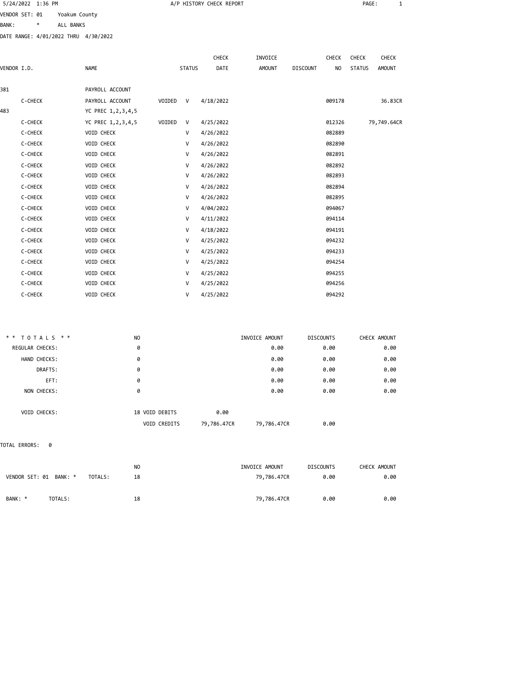|                |         | 5/24/2022 1:36 PM |               |                                      |          |               | A/P HISTORY CHECK REPORT |         |                 |                | PAGE:         | 1             |
|----------------|---------|-------------------|---------------|--------------------------------------|----------|---------------|--------------------------|---------|-----------------|----------------|---------------|---------------|
| VENDOR SET: 01 |         |                   | Yoakum County |                                      |          |               |                          |         |                 |                |               |               |
| <b>BANK:</b>   |         | *                 | ALL BANKS     |                                      |          |               |                          |         |                 |                |               |               |
|                |         |                   |               | DATE RANGE: 4/01/2022 THRU 4/30/2022 |          |               |                          |         |                 |                |               |               |
|                |         |                   |               |                                      |          |               |                          |         |                 |                |               |               |
|                |         |                   |               |                                      |          |               | <b>CHECK</b>             | INVOICE |                 | CHECK          | CHECK         | CHECK         |
| VENDOR I.D.    |         |                   |               | <b>NAME</b>                          |          | <b>STATUS</b> | DATE                     | AMOUNT  | <b>DISCOUNT</b> | N <sub>O</sub> | <b>STATUS</b> | <b>AMOUNT</b> |
| 381            |         |                   |               | PAYROLL ACCOUNT                      |          |               |                          |         |                 |                |               |               |
|                | C-CHECK |                   |               | PAYROLL ACCOUNT                      | VOIDED V |               | 4/18/2022                |         |                 | 009178         |               | 36.83CR       |
| 483            |         |                   |               | YC PREC 1,2,3,4,5                    |          |               |                          |         |                 |                |               |               |
|                | C-CHECK |                   |               | YC PREC 1,2,3,4,5                    | VOIDED   | V             | 4/25/2022                |         |                 | 012326         |               | 79,749.64CR   |
|                | C-CHECK |                   |               | VOID CHECK                           |          | V             | 4/26/2022                |         |                 | 082889         |               |               |
|                | C-CHECK |                   |               | VOID CHECK                           |          | V             | 4/26/2022                |         |                 | 082890         |               |               |
|                | C-CHECK |                   |               | <b>VOID CHECK</b>                    |          | V             | 4/26/2022                |         |                 | 082891         |               |               |
|                | C-CHECK |                   |               | VOID CHECK                           |          | V             | 4/26/2022                |         |                 | 082892         |               |               |
|                | C-CHECK |                   |               | VOID CHECK                           |          | V             | 4/26/2022                |         |                 | 082893         |               |               |
|                | C-CHECK |                   |               | VOID CHECK                           |          | V             | 4/26/2022                |         |                 | 082894         |               |               |
|                | C-CHECK |                   |               | VOID CHECK                           |          | V             | 4/26/2022                |         |                 | 082895         |               |               |
|                | C-CHECK |                   |               | VOID CHECK                           |          | V             | 4/04/2022                |         |                 | 094067         |               |               |
|                | C-CHECK |                   |               | VOID CHECK                           |          | V             | 4/11/2022                |         |                 | 094114         |               |               |
|                | C-CHECK |                   |               | VOID CHECK                           |          | V             | 4/18/2022                |         |                 | 094191         |               |               |
|                | C-CHECK |                   |               | VOID CHECK                           |          | V             | 4/25/2022                |         |                 | 094232         |               |               |
|                | C-CHECK |                   |               | VOID CHECK                           |          | V             | 4/25/2022                |         |                 | 094233         |               |               |
|                | C-CHECK |                   |               | <b>VOID CHECK</b>                    |          | V             | 4/25/2022                |         |                 | 094254         |               |               |
|                | C-CHECK |                   |               | VOID CHECK                           |          | V             | 4/25/2022                |         |                 | 094255         |               |               |
|                | C-CHECK |                   |               | <b>VOID CHECK</b>                    |          | V             | 4/25/2022                |         |                 | 094256         |               |               |
|                | C-CHECK |                   |               | VOID CHECK                           |          | V             | 4/25/2022                |         |                 | 094292         |               |               |
|                |         |                   |               |                                      |          |               |                          |         |                 |                |               |               |

| CHECK AMOUNT | <b>DISCOUNTS</b> | INVOICE AMOUNT | N <sub>0</sub> | ** TOTALS **    |
|--------------|------------------|----------------|----------------|-----------------|
| 0.00         | 0.00             | 0.00           | 0              | REGULAR CHECKS: |
| 0.00         | 0.00             | 0.00           | 0              | HAND CHECKS:    |
| 0.00         | 0.00             | 0.00           | 0              | DRAFTS:         |
| 0.00         | 0.00             | 0.00           | 0              | EFT:            |
| 0.00         | 0.00             | 0.00           | 0              | NON CHECKS:     |
|              |                  |                |                |                 |
|              |                  | <b>A.AA</b>    | 18 VOID DEBITS | VOID CHECKS:    |

| <b>VOID CHECKS:</b> | 18 VOID DEBITS      | 0.00        |             |      |  |
|---------------------|---------------------|-------------|-------------|------|--|
|                     | <b>VOID CREDITS</b> | 79,786,47CR | 79,786,47CR | 0.00 |  |

TOTAL ERRORS: 0

| VENDOR SET: 01 BANK: * |         | TOTALS: | N <sub>O</sub><br>18 | INVOICE AMOUNT<br>79,786.47CR | <b>DISCOUNTS</b><br>0.00 | CHECK AMOUNT<br>0.00 |
|------------------------|---------|---------|----------------------|-------------------------------|--------------------------|----------------------|
| BANK: *                | TOTALS: |         | 18                   | 79,786.47CR                   | 0.00                     | 0.00                 |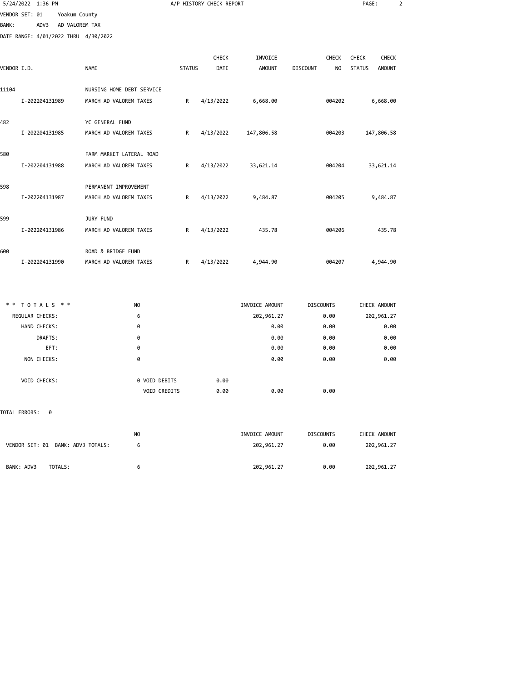|                | 5/24/2022 1:36 PM |                |                                      |               | A/P HISTORY CHECK REPORT |                |                                   | PAGE:         | $\overline{2}$ |
|----------------|-------------------|----------------|--------------------------------------|---------------|--------------------------|----------------|-----------------------------------|---------------|----------------|
| VENDOR SET: 01 |                   | Yoakum County  |                                      |               |                          |                |                                   |               |                |
| <b>BANK:</b>   | ADV3              | AD VALOREM TAX |                                      |               |                          |                |                                   |               |                |
|                |                   |                | DATE RANGE: 4/01/2022 THRU 4/30/2022 |               |                          |                |                                   |               |                |
|                |                   |                |                                      |               | CHECK                    | INVOICE        | <b>CHECK</b>                      | <b>CHECK</b>  | CHECK          |
| VENDOR I.D.    |                   |                | <b>NAME</b>                          | <b>STATUS</b> | DATE                     | <b>AMOUNT</b>  | <b>DISCOUNT</b><br>N <sub>O</sub> | <b>STATUS</b> | AMOUNT         |
| 11104          |                   |                | NURSING HOME DEBT SERVICE            |               |                          |                |                                   |               |                |
|                | I-202204131989    |                | MARCH AD VALOREM TAXES               | R             | 4/13/2022                | 6,668.00       | 004202                            | 6,668.00      |                |
| 482            |                   |                | YC GENERAL FUND                      |               |                          |                |                                   |               |                |
|                | I-202204131985    |                | MARCH AD VALOREM TAXES               | R             | 4/13/2022                | 147,806.58     | 004203                            | 147,806.58    |                |
| 580            |                   |                | FARM MARKET LATERAL ROAD             |               |                          |                |                                   |               |                |
|                | I-202204131988    |                | MARCH AD VALOREM TAXES               | R             | 4/13/2022                | 33,621.14      | 004204                            | 33,621.14     |                |
| 598            |                   |                | PERMANENT IMPROVEMENT                |               |                          |                |                                   |               |                |
|                | I-202204131987    |                | MARCH AD VALOREM TAXES               | R             | 4/13/2022                | 9,484.87       | 004205                            | 9,484.87      |                |
| 599            |                   |                | JURY FUND                            |               |                          |                |                                   |               |                |
|                | I-202204131986    |                | MARCH AD VALOREM TAXES               | R             | 4/13/2022                | 435.78         | 004206                            |               | 435.78         |
| 600            |                   |                | ROAD & BRIDGE FUND                   |               |                          |                |                                   |               |                |
|                | I-202204131990    |                | MARCH AD VALOREM TAXES               | R             | 4/13/2022                | 4,944.90       | 004207                            | 4,944.90      |                |
|                |                   |                |                                      |               |                          |                |                                   |               |                |
|                | ** TOTALS **      |                | N <sub>O</sub>                       |               |                          | INVOICE AMOUNT | <b>DISCOUNTS</b>                  | CHECK AMOUNT  |                |
|                | REGULAR CHECKS:   |                | 6                                    |               |                          | 202,961.27     | 0.00                              | 202,961.27    |                |
|                | HAND CHECKS:      |                | 0                                    |               |                          | 0.00           | 0.00                              |               | 0.00           |
|                | DRAFTS:           |                | 0                                    |               |                          | 0.00           | 0.00                              |               | 0.00           |
|                | EFT:              |                | 0                                    |               |                          | 0.00           | 0.00                              |               | 0.00           |
|                | NON CHECKS:       |                | 0                                    |               |                          | 0.00           | 0.00                              |               | 0.00           |

| VOID CHECKS: | 0 VOID DEBITS | 0.00 |      |      |  |
|--------------|---------------|------|------|------|--|
|              | VOID CREDITS  | 0.00 | 0.00 | 0.00 |  |

## TOTAL ERRORS: 0

|                                   | NO | INVOICE AMOUNT | <b>DISCOUNTS</b> | CHECK AMOUNT |
|-----------------------------------|----|----------------|------------------|--------------|
| VENDOR SET: 01 BANK: ADV3 TOTALS: |    | 202,961.27     | 0.00             | 202,961.27   |
|                                   |    |                |                  |              |
| BANK: ADV3<br>TOTALS:             | ь. | 202,961.27     | 0.00             | 202,961.27   |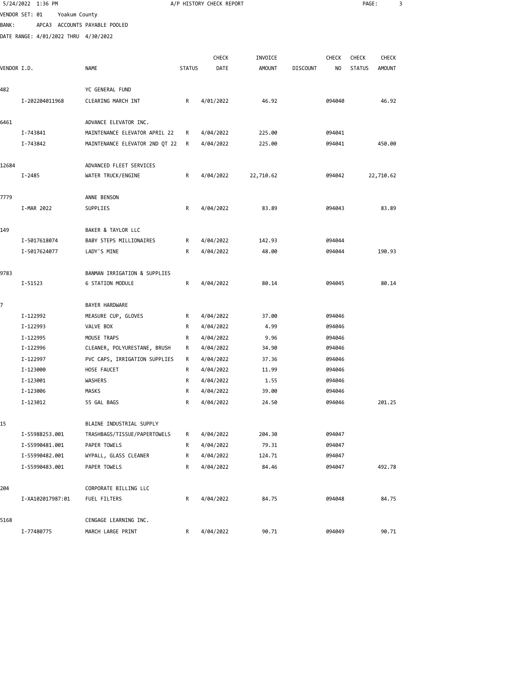|             | 5/24/2022 1:36 PM                    |                                       |               | A/P HISTORY CHECK REPORT |               |                 |        | PAGE:         |               | 3 |
|-------------|--------------------------------------|---------------------------------------|---------------|--------------------------|---------------|-----------------|--------|---------------|---------------|---|
|             | VENDOR SET: 01                       | Yoakum County                         |               |                          |               |                 |        |               |               |   |
| BANK :      |                                      | APCA3 ACCOUNTS PAYABLE POOLED         |               |                          |               |                 |        |               |               |   |
|             | DATE RANGE: 4/01/2022 THRU 4/30/2022 |                                       |               |                          |               |                 |        |               |               |   |
|             |                                      |                                       |               |                          |               |                 |        |               |               |   |
|             |                                      |                                       |               | <b>CHECK</b>             | INVOICE       |                 | CHECK  | <b>CHECK</b>  | <b>CHECK</b>  |   |
| VENDOR I.D. |                                      | <b>NAME</b>                           | <b>STATUS</b> | DATE                     | <b>AMOUNT</b> | <b>DISCOUNT</b> | NO     | <b>STATUS</b> | <b>AMOUNT</b> |   |
|             |                                      |                                       |               |                          |               |                 |        |               |               |   |
| 482         |                                      | YC GENERAL FUND                       |               |                          |               |                 |        |               |               |   |
|             | I-202204011968                       | CLEARING MARCH INT                    | R             | 4/01/2022                | 46.92         |                 | 094040 |               | 46.92         |   |
| 6461        |                                      | ADVANCE ELEVATOR INC.                 |               |                          |               |                 |        |               |               |   |
|             | I-743841                             | MAINTENANCE ELEVATOR APRIL 22         | R             | 4/04/2022                | 225.00        |                 | 094041 |               |               |   |
|             | I-743842                             | MAINTENANCE ELEVATOR 2ND QT 22        | R             | 4/04/2022                | 225.00        |                 | 094041 |               | 450.00        |   |
|             |                                      |                                       |               |                          |               |                 |        |               |               |   |
| 12684       |                                      | ADVANCED FLEET SERVICES               |               |                          |               |                 |        |               |               |   |
|             | I-2485                               | WATER TRUCK/ENGINE                    | R             | 4/04/2022                | 22,710.62     |                 | 094042 |               | 22,710.62     |   |
|             |                                      |                                       |               |                          |               |                 |        |               |               |   |
| 7779        |                                      | ANNE BENSON                           |               |                          |               |                 |        |               |               |   |
|             | I-MAR 2022                           | SUPPLIES                              | R             | 4/04/2022                | 83.89         |                 | 094043 |               | 83.89         |   |
| 149         |                                      | BAKER & TAYLOR LLC                    |               |                          |               |                 |        |               |               |   |
|             | I-5017618074                         | BABY STEPS MILLIONAIRES               | R             | 4/04/2022                | 142.93        |                 | 094044 |               |               |   |
|             | I-5017624077                         | LADY'S MINE                           | R             | 4/04/2022                | 48.00         |                 | 094044 |               | 190.93        |   |
|             |                                      |                                       |               |                          |               |                 |        |               |               |   |
| 9783        |                                      | BANMAN IRRIGATION & SUPPLIES          |               |                          |               |                 |        |               |               |   |
|             | I-51523                              | <b>6 STATION MODULE</b>               | R             | 4/04/2022                | 80.14         |                 | 094045 |               | 80.14         |   |
|             |                                      |                                       |               |                          |               |                 |        |               |               |   |
| 7           | I-122992                             | BAYER HARDWARE<br>MEASURE CUP, GLOVES | R             | 4/04/2022                | 37.00         |                 | 094046 |               |               |   |
|             | I-122993                             | VALVE BOX                             | R             | 4/04/2022                | 4.99          |                 | 094046 |               |               |   |
|             | I-122995                             | MOUSE TRAPS                           | R             | 4/04/2022                | 9.96          |                 | 094046 |               |               |   |
|             | I-122996                             | CLEANER, POLYURESTANE, BRUSH          | R             | 4/04/2022                | 34.90         |                 | 094046 |               |               |   |
|             | I-122997                             | PVC CAPS, IRRIGATION SUPPLIES         | R             | 4/04/2022                | 37.36         |                 | 094046 |               |               |   |
|             | I-123000                             | HOSE FAUCET                           | R             | 4/04/2022                | 11.99         |                 | 094046 |               |               |   |
|             | I-123001                             | WASHERS                               | R             | 4/04/2022                | 1.55          |                 | 094046 |               |               |   |
|             | I-123006                             | MASKS                                 | R             | 4/04/2022                | 39.00         |                 | 094046 |               |               |   |
|             | I-123012                             | 55 GAL BAGS                           | R             | 4/04/2022                | 24.50         |                 | 094046 |               | 201.25        |   |
|             |                                      |                                       |               |                          |               |                 |        |               |               |   |
| 15          |                                      | BLAINE INDUSTRIAL SUPPLY              |               |                          |               |                 |        |               |               |   |
|             | I-S5988253.001                       | TRASHBAGS/TISSUE/PAPERTOWELS          | R             | 4/04/2022                | 204.30        |                 | 094047 |               |               |   |
|             | I-S5990481.001                       | PAPER TOWELS                          | R             | 4/04/2022                | 79.31         |                 | 094047 |               |               |   |
|             | I-S5990482.001                       | WYPALL, GLASS CLEANER                 | R             | 4/04/2022                | 124.71        |                 | 094047 |               |               |   |
|             | I-S5990483.001                       | PAPER TOWELS                          | R             | 4/04/2022                | 84.46         |                 | 094047 |               | 492.78        |   |
|             |                                      |                                       |               |                          |               |                 |        |               |               |   |
| 204         | I-XA102017987:01                     | CORPORATE BILLING LLC<br>FUEL FILTERS | R             | 4/04/2022                | 84.75         |                 | 094048 |               | 84.75         |   |
|             |                                      |                                       |               |                          |               |                 |        |               |               |   |
| 5168        |                                      | CENGAGE LEARNING INC.                 |               |                          |               |                 |        |               |               |   |
|             | I-77480775                           | MARCH LARGE PRINT                     | R             | 4/04/2022                | 90.71         |                 | 094049 |               | 90.71         |   |
|             |                                      |                                       |               |                          |               |                 |        |               |               |   |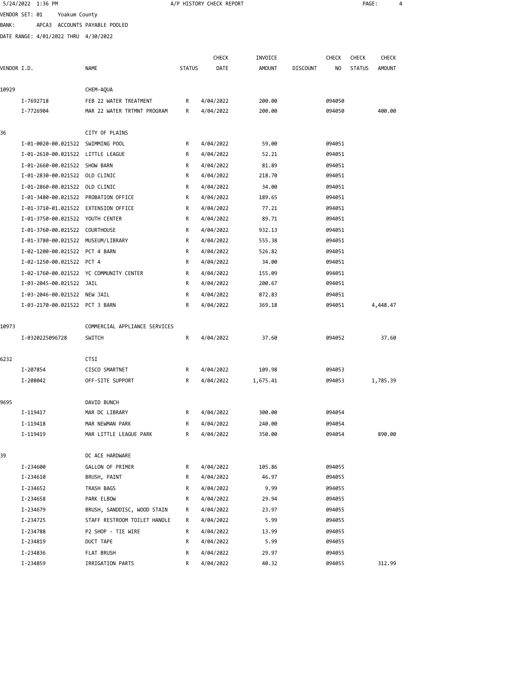|             | 5/24/2022 1:36 PM                    |                                         |               | A/P HISTORY CHECK REPORT |               |                 |              | PAGE:         |               | 4 |
|-------------|--------------------------------------|-----------------------------------------|---------------|--------------------------|---------------|-----------------|--------------|---------------|---------------|---|
|             | VENDOR SET: 01<br>Yoakum County      |                                         |               |                          |               |                 |              |               |               |   |
| BANK :      |                                      | APCA3 ACCOUNTS PAYABLE POOLED           |               |                          |               |                 |              |               |               |   |
|             | DATE RANGE: 4/01/2022 THRU 4/30/2022 |                                         |               |                          |               |                 |              |               |               |   |
|             |                                      |                                         |               |                          |               |                 |              |               |               |   |
|             |                                      |                                         |               | <b>CHECK</b>             | INVOICE       |                 | <b>CHECK</b> | <b>CHECK</b>  | CHECK         |   |
| VENDOR I.D. |                                      | <b>NAME</b>                             | <b>STATUS</b> | DATE                     | <b>AMOUNT</b> | <b>DISCOUNT</b> | NO           | <b>STATUS</b> | <b>AMOUNT</b> |   |
|             |                                      |                                         |               |                          |               |                 |              |               |               |   |
| 10929       |                                      | CHEM-AQUA                               |               |                          |               |                 |              |               |               |   |
|             | I-7692718                            | FEB 22 WATER TREATMENT                  | R             | 4/04/2022                | 200.00        |                 | 094050       |               |               |   |
|             | I-7726904                            | MAR 22 WATER TRTMNT PROGRAM             | R             | 4/04/2022                | 200.00        |                 | 094050       |               | 400.00        |   |
| 36          |                                      | CITY OF PLAINS                          |               |                          |               |                 |              |               |               |   |
|             | I-01-0020-00.021522 SWIMMING POOL    |                                         | R             | 4/04/2022                | 59.00         |                 | 094051       |               |               |   |
|             | I-01-2610-00.021522 LITTLE LEAGUE    |                                         | R             | 4/04/2022                | 52.21         |                 | 094051       |               |               |   |
|             | I-01-2660-00.021522 SHOW BARN        |                                         | R             | 4/04/2022                | 81.89         |                 | 094051       |               |               |   |
|             | I-01-2830-00.021522 OLD CLINIC       |                                         | R             | 4/04/2022                | 218.70        |                 | 094051       |               |               |   |
|             | I-01-2860-00.021522 OLD CLINIC       |                                         | R             | 4/04/2022                | 34.00         |                 | 094051       |               |               |   |
|             | I-01-3480-00.021522 PROBATION OFFICE |                                         | R             | 4/04/2022                | 189.65        |                 | 094051       |               |               |   |
|             | I-01-3710-01.021522 EXTENSION OFFICE |                                         | R             | 4/04/2022                | 77.21         |                 | 094051       |               |               |   |
|             | I-01-3750-00.021522 YOUTH CENTER     |                                         | R             | 4/04/2022                | 89.71         |                 | 094051       |               |               |   |
|             | I-01-3760-00.021522 COURTHOUSE       |                                         | R             | 4/04/2022                | 932.13        |                 | 094051       |               |               |   |
|             | I-01-3780-00.021522 MUSEUM/LIBRARY   |                                         | R             | 4/04/2022                | 555.38        |                 | 094051       |               |               |   |
|             | I-02-1200-00.021522 PCT 4 BARN       |                                         | R             | 4/04/2022                | 526.82        |                 | 094051       |               |               |   |
|             | I-02-1250-00.021522 PCT 4            |                                         | R             | 4/04/2022                | 34.00         |                 | 094051       |               |               |   |
|             |                                      | I-02-1760-00.021522 YC COMMUNITY CENTER | R             | 4/04/2022                | 155.09        |                 | 094051       |               |               |   |
|             | I-03-2045-00.021522 JAIL             |                                         | R             | 4/04/2022                | 200.67        |                 | 094051       |               |               |   |
|             | I-03-2046-00.021522 NEW JAIL         |                                         | R             | 4/04/2022                | 872.83        |                 | 094051       |               |               |   |
|             | I-03-2170-00.021522 PCT 3 BARN       |                                         | R             | 4/04/2022                | 369.18        |                 | 094051       |               | 4,448.47      |   |
|             |                                      |                                         |               |                          |               |                 |              |               |               |   |
| 10973       |                                      | COMMERCIAL APPLIANCE SERVICES           |               |                          |               |                 |              |               |               |   |
|             | I-0320225096728                      | SWITCH                                  | R             | 4/04/2022                | 37.60         |                 | 094052       |               | 37.60         |   |
| 6232        |                                      | CTSI                                    |               |                          |               |                 |              |               |               |   |
|             | I-207854                             | CISCO SMARTNET                          | R             | 4/04/2022                | 109.98        |                 | 094053       |               |               |   |
|             | I-208042                             | OFF-SITE SUPPORT                        | R             | 4/04/2022                | 1,675.41      |                 | 094053       |               | 1,785.39      |   |
| 9695        |                                      | DAVID BUNCH                             |               |                          |               |                 |              |               |               |   |
|             | I-119417                             | MAR DC LIBRARY                          | R             | 4/04/2022                | 300.00        |                 | 094054       |               |               |   |
|             | I-119418                             | MAR NEWMAN PARK                         | R             | 4/04/2022                | 240.00        |                 | 094054       |               |               |   |
|             | I-119419                             | MAR LITTLE LEAGUE PARK                  | R             | 4/04/2022                | 350.00        |                 | 094054       |               | 890.00        |   |
|             |                                      |                                         |               |                          |               |                 |              |               |               |   |
| 39          |                                      | DC ACE HARDWARE                         |               |                          |               |                 |              |               |               |   |
|             | I-234600                             | GALLON OF PRIMER                        | R             | 4/04/2022                | 105.86        |                 | 094055       |               |               |   |
|             | I-234610                             | BRUSH, PAINT                            | R             | 4/04/2022                | 46.97         |                 | 094055       |               |               |   |
|             | I-234652                             | TRASH BAGS                              | R             | 4/04/2022                | 9.99          |                 | 094055       |               |               |   |
|             | I-234658                             | PARK ELBOW                              | R             | 4/04/2022                | 29.94         |                 | 094055       |               |               |   |
|             | I-234679                             | BRUSH, SANDDISC, WOOD STAIN             | R             | 4/04/2022                | 23.97         |                 | 094055       |               |               |   |
|             | I-234725                             | STAFF RESTROOM TOILET HANDLE            | R             | 4/04/2022                | 5.99          |                 | 094055       |               |               |   |
|             | I-234788                             | P2 SHOP - TIE WIRE                      | R             | 4/04/2022                | 13.99         |                 | 094055       |               |               |   |
|             | I-234819                             | DUCT TAPE                               | R             | 4/04/2022                | 5.99          |                 | 094055       |               |               |   |

I-234836 FLAT BRUSH R 4/04/2022 29.97 094055

I-234859 IRRIGATION PARTS R 4/04/2022 40.32 094055 312.99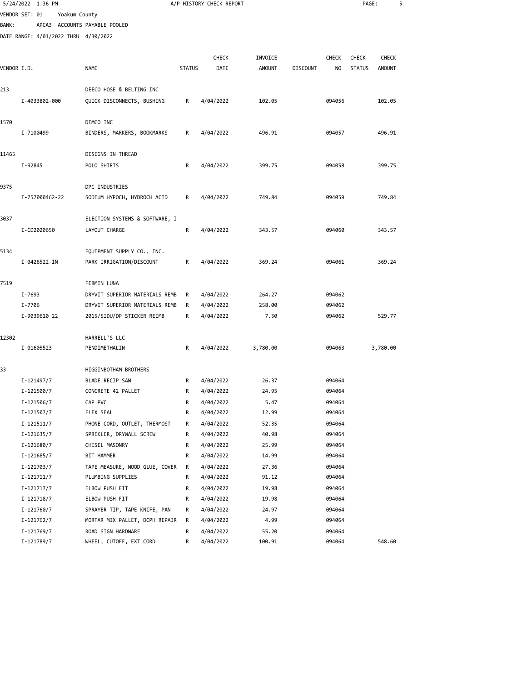|             | 5/24/2022 1:36 PM                    |                                |               | A/P HISTORY CHECK REPORT |               |                 |              | PAGE:         |               | 5 |
|-------------|--------------------------------------|--------------------------------|---------------|--------------------------|---------------|-----------------|--------------|---------------|---------------|---|
|             | VENDOR SET: 01                       | Yoakum County                  |               |                          |               |                 |              |               |               |   |
| BANK:       |                                      | APCA3 ACCOUNTS PAYABLE POOLED  |               |                          |               |                 |              |               |               |   |
|             | DATE RANGE: 4/01/2022 THRU 4/30/2022 |                                |               |                          |               |                 |              |               |               |   |
|             |                                      |                                |               |                          |               |                 |              |               |               |   |
|             |                                      |                                |               | <b>CHECK</b>             | INVOICE       |                 | <b>CHECK</b> | <b>CHECK</b>  | <b>CHECK</b>  |   |
| VENDOR I.D. |                                      | <b>NAME</b>                    | <b>STATUS</b> | DATE                     | <b>AMOUNT</b> | <b>DISCOUNT</b> | NO           | <b>STATUS</b> | <b>AMOUNT</b> |   |
|             |                                      |                                |               |                          |               |                 |              |               |               |   |
| 213         |                                      | DEECO HOSE & BELTING INC       |               |                          |               |                 |              |               |               |   |
|             | I-4033802-000                        | QUICK DISCONNECTS, BUSHING     | R             | 4/04/2022                | 102.05        |                 | 094056       |               | 102.05        |   |
|             |                                      |                                |               |                          |               |                 |              |               |               |   |
| 1570        |                                      | DEMCO INC                      |               |                          |               |                 |              |               |               |   |
|             | I-7100499                            | BINDERS, MARKERS, BOOKMARKS    | R             | 4/04/2022                | 496.91        |                 | 094057       |               | 496.91        |   |
| 11465       |                                      | DESIGNS IN THREAD              |               |                          |               |                 |              |               |               |   |
|             | I-92845                              | POLO SHIRTS                    | R             | 4/04/2022                | 399.75        |                 | 094058       |               | 399.75        |   |
|             |                                      |                                |               |                          |               |                 |              |               |               |   |
| 9375        |                                      | DPC INDUSTRIES                 |               |                          |               |                 |              |               |               |   |
|             | I-757000462-22                       | SODIUM HYPOCH, HYDROCH ACID    | R             | 4/04/2022                | 749.84        |                 | 094059       |               | 749.84        |   |
|             |                                      |                                |               |                          |               |                 |              |               |               |   |
| 3037        |                                      | ELECTION SYSTEMS & SOFTWARE, I |               |                          |               |                 |              |               |               |   |
|             | I-CD2020650                          | LAYOUT CHARGE                  | R             | 4/04/2022                | 343.57        |                 | 094060       |               | 343.57        |   |
|             |                                      |                                |               |                          |               |                 |              |               |               |   |
| 5134        |                                      | EQUIPMENT SUPPLY CO., INC.     |               |                          |               |                 |              |               |               |   |
|             | I-0426522-IN                         | PARK IRRIGATION/DISCOUNT       | R             | 4/04/2022                | 369.24        |                 | 094061       |               | 369.24        |   |
|             |                                      |                                |               |                          |               |                 |              |               |               |   |
| 7519        |                                      | <b>FERMIN LUNA</b>             |               |                          |               |                 |              |               |               |   |
|             | I-7693                               | DRYVIT SUPERIOR MATERIALS REMB | R             | 4/04/2022                | 264.27        |                 | 094062       |               |               |   |
|             | I-7706                               | DRYVIT SUPERIOR MATERIALS REMB | R             | 4/04/2022                | 258.00        |                 | 094062       |               |               |   |
|             | I-9039610 22                         | 2015/SIDU/DP STICKER REIMB     | R             | 4/04/2022                | 7.50          |                 | 094062       |               | 529.77        |   |
| 12302       |                                      | HARRELL'S LLC                  |               |                          |               |                 |              |               |               |   |
|             | I-01605523                           | PENDIMETHALIN                  | R             | 4/04/2022                | 3,780.00      |                 | 094063       |               | 3,780.00      |   |
|             |                                      |                                |               |                          |               |                 |              |               |               |   |
| 33          |                                      | HIGGINBOTHAM BROTHERS          |               |                          |               |                 |              |               |               |   |
|             | I-121497/7                           | BLADE RECIP SAW                | R             | 4/04/2022                | 26.37         |                 | 094064       |               |               |   |
|             | I-121500/7                           | CONCRETE 42 PALLET             | R             | 4/04/2022                | 24.95         |                 | 094064       |               |               |   |
|             | I-121506/7                           | CAP PVC                        | R             | 4/04/2022                | 5.47          |                 | 094064       |               |               |   |
|             | I-121507/7                           | FLEX SEAL                      | R             | 4/04/2022                | 12.99         |                 | 094064       |               |               |   |
|             | I-121511/7                           | PHONE CORD, OUTLET, THERMOST   | R             | 4/04/2022                | 52.35         |                 | 094064       |               |               |   |
|             | I-121635/7                           | SPRIKLER, DRYWALL SCREW        | R             | 4/04/2022                | 40.98         |                 | 094064       |               |               |   |
|             | I-121680/7                           | CHISEL MASONRY                 | R             | 4/04/2022                | 25.99         |                 | 094064       |               |               |   |
|             | I-121685/7                           | BIT HAMMER                     | R             | 4/04/2022                | 14.99         |                 | 094064       |               |               |   |
|             | I-121703/7                           | TAPE MEASURE, WOOD GLUE, COVER | R             | 4/04/2022                | 27.36         |                 | 094064       |               |               |   |
|             | I-121711/7                           | PLUMBING SUPPLIES              | R             | 4/04/2022                | 91.12         |                 | 094064       |               |               |   |
|             | I-121717/7                           | ELBOW PUSH FIT                 | R             | 4/04/2022                | 19.98         |                 | 094064       |               |               |   |
|             | I-121718/7                           | ELBOW PUSH FIT                 | R             | 4/04/2022                | 19.98         |                 | 094064       |               |               |   |
|             | I-121760/7                           | SPRAYER TIP, TAPE KNIFE, PAN   | R             | 4/04/2022                | 24.97         |                 | 094064       |               |               |   |
|             | I-121762/7                           | MORTAR MIX PALLET, DCPH REPAIR | R             | 4/04/2022                | 4.99          |                 | 094064       |               |               |   |
|             | I-121769/7                           | ROAD SIGN HARDWARE             | R             | 4/04/2022                | 55.20         |                 | 094064       |               |               |   |
|             | I-121789/7                           | WHEEL, CUTOFF, EXT CORD        | R             | 4/04/2022                | 100.91        |                 | 094064       |               | 548.60        |   |
|             |                                      |                                |               |                          |               |                 |              |               |               |   |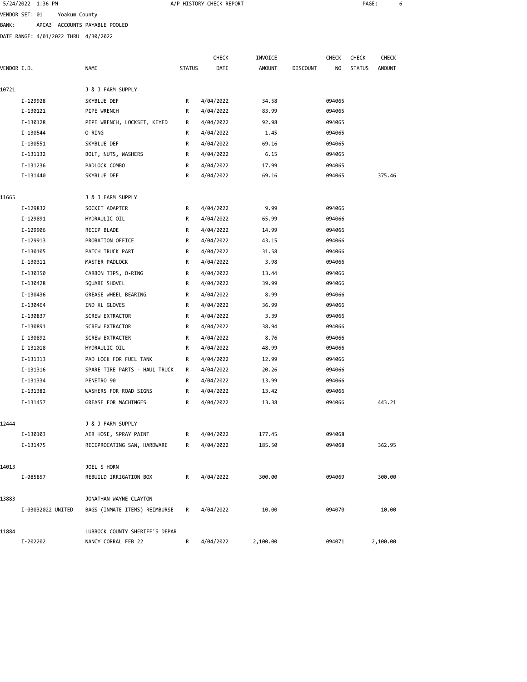|             | 5/24/2022 1:36 PM                    |                                |               | A/P HISTORY CHECK REPORT |                |                 |                  | PAGE:         |               | 6 |
|-------------|--------------------------------------|--------------------------------|---------------|--------------------------|----------------|-----------------|------------------|---------------|---------------|---|
|             | VENDOR SET: 01                       | Yoakum County                  |               |                          |                |                 |                  |               |               |   |
| BANK :      |                                      | APCA3 ACCOUNTS PAYABLE POOLED  |               |                          |                |                 |                  |               |               |   |
|             | DATE RANGE: 4/01/2022 THRU 4/30/2022 |                                |               |                          |                |                 |                  |               |               |   |
|             |                                      |                                |               |                          |                |                 |                  |               |               |   |
|             |                                      |                                |               | <b>CHECK</b>             | INVOICE        |                 | <b>CHECK</b>     | <b>CHECK</b>  | <b>CHECK</b>  |   |
| VENDOR I.D. |                                      | <b>NAME</b>                    | <b>STATUS</b> | DATE                     | <b>AMOUNT</b>  | <b>DISCOUNT</b> | NO               | <b>STATUS</b> | <b>AMOUNT</b> |   |
|             |                                      | J & J FARM SUPPLY              |               |                          |                |                 |                  |               |               |   |
| 10721       |                                      |                                |               |                          |                |                 |                  |               |               |   |
|             | I-129928<br>I-130121                 | SKYBLUE DEF<br>PIPE WRENCH     | R<br>R        | 4/04/2022<br>4/04/2022   | 34.58<br>83.99 |                 | 094065<br>094065 |               |               |   |
|             | I-130128                             | PIPE WRENCH, LOCKSET, KEYED    | R             |                          | 92.98          |                 | 094065           |               |               |   |
|             | I-130544                             | 0-RING                         | R             | 4/04/2022<br>4/04/2022   | 1.45           |                 | 094065           |               |               |   |
|             | I-130551                             | SKYBLUE DEF                    | R             | 4/04/2022                | 69.16          |                 | 094065           |               |               |   |
|             | I-131132                             | BOLT, NUTS, WASHERS            | R             | 4/04/2022                | 6.15           |                 | 094065           |               |               |   |
|             |                                      |                                |               |                          |                |                 |                  |               |               |   |
|             | I-131236<br>I-131440                 | PADLOCK COMBO<br>SKYBLUE DEF   | R<br>R        | 4/04/2022<br>4/04/2022   | 17.99<br>69.16 |                 | 094065<br>094065 |               | 375.46        |   |
|             |                                      |                                |               |                          |                |                 |                  |               |               |   |
| 11665       |                                      | J & J FARM SUPPLY              |               |                          |                |                 |                  |               |               |   |
|             | I-129832                             | SOCKET ADAPTER                 | R             | 4/04/2022                | 9.99           |                 | 094066           |               |               |   |
|             | I-129891                             | HYDRAULIC OIL                  | R             | 4/04/2022                | 65.99          |                 | 094066           |               |               |   |
|             | I-129906                             | RECIP BLADE                    | R             | 4/04/2022                | 14.99          |                 | 094066           |               |               |   |
|             | I-129913                             | PROBATION OFFICE               | R             | 4/04/2022                | 43.15          |                 | 094066           |               |               |   |
|             | I-130105                             | PATCH TRUCK PART               | R             | 4/04/2022                | 31.58          |                 | 094066           |               |               |   |
|             | I-130311                             | MASTER PADLOCK                 | R             | 4/04/2022                | 3.98           |                 | 094066           |               |               |   |
|             | I-130350                             | CARBON TIPS, O-RING            | R             | 4/04/2022                | 13.44          |                 | 094066           |               |               |   |
|             | I-130428                             | SQUARE SHOVEL                  | R             | 4/04/2022                | 39.99          |                 | 094066           |               |               |   |
|             | I-130436                             | GREASE WHEEL BEARING           | R             | 4/04/2022                | 8.99           |                 | 094066           |               |               |   |
|             | I-130464                             | IND XL GLOVES                  | R             | 4/04/2022                | 36.99          |                 | 094066           |               |               |   |
|             | I-130837                             | SCREW EXTRACTOR                | R             | 4/04/2022                | 3.39           |                 | 094066           |               |               |   |
|             | I-130891                             | <b>SCREW EXTRACTOR</b>         | R             | 4/04/2022                | 38.94          |                 | 094066           |               |               |   |
|             | I-130892                             | SCREW EXTRACTER                | R             | 4/04/2022                | 8.76           |                 | 094066           |               |               |   |
|             | I-131018                             | HYDRAULIC OIL                  | R             | 4/04/2022                | 48.99          |                 | 094066           |               |               |   |
|             | I-131313                             | PAD LOCK FOR FUEL TANK         | R             | 4/04/2022                | 12.99          |                 | 094066           |               |               |   |
|             | I-131316                             | SPARE TIRE PARTS - HAUL TRUCK  | R             | 4/04/2022                | 20.26          |                 | 094066           |               |               |   |
|             | I-131334                             | PENETRO 90                     | R             | 4/04/2022                | 13.99          |                 | 094066           |               |               |   |
|             | I-131382                             | WASHERS FOR ROAD SIGNS         | R             | 4/04/2022                | 13.42          |                 | 094066           |               |               |   |
|             | I-131457                             | GREASE FOR MACHINGES           | R             | 4/04/2022                | 13.38          |                 | 094066           |               | 443.21        |   |
|             |                                      |                                |               |                          |                |                 |                  |               |               |   |
| 12444       |                                      | J & J FARM SUPPLY              |               |                          |                |                 |                  |               |               |   |
|             | I-130103                             | AIR HOSE, SPRAY PAINT          | R             | 4/04/2022                | 177.45         |                 | 094068           |               |               |   |
|             | I-131475                             | RECIPROCATING SAW, HARDWARE    | R             | 4/04/2022                | 185.50         |                 | 094068           |               | 362.95        |   |
| 14013       |                                      | JOEL S HORN                    |               |                          |                |                 |                  |               |               |   |
|             | I-085857                             | REBUILD IRRIGATION BOX         | R             | 4/04/2022                | 300.00         |                 | 094069           |               | 300.00        |   |
|             |                                      |                                |               |                          |                |                 |                  |               |               |   |
| 13883       |                                      | JONATHAN WAYNE CLAYTON         |               |                          |                |                 |                  |               |               |   |
|             | I-03032022 UNITED                    | BAGS (INMATE ITEMS) REIMBURSE  | R             | 4/04/2022                | 10.00          |                 | 094070           |               | 10.00         |   |
| 11884       |                                      | LUBBOCK COUNTY SHERIFF'S DEPAR |               |                          |                |                 |                  |               |               |   |
|             |                                      |                                |               |                          |                |                 |                  |               |               |   |

I-202202 NANCY CORRAL FEB 22 R 4/04/2022 2,100.00 094071 2,100.00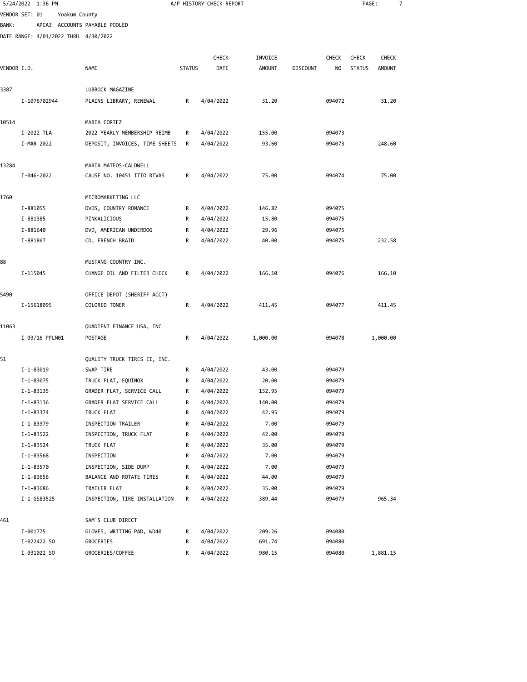|             | 5/24/2022 1:36 PM                    |                                                   |               | A/P HISTORY CHECK REPORT |               |                 |                  | PAGE:         |               | 7 |
|-------------|--------------------------------------|---------------------------------------------------|---------------|--------------------------|---------------|-----------------|------------------|---------------|---------------|---|
|             | VENDOR SET: 01                       | Yoakum County                                     |               |                          |               |                 |                  |               |               |   |
| BANK :      |                                      | APCA3 ACCOUNTS PAYABLE POOLED                     |               |                          |               |                 |                  |               |               |   |
|             | DATE RANGE: 4/01/2022 THRU 4/30/2022 |                                                   |               |                          |               |                 |                  |               |               |   |
|             |                                      |                                                   |               |                          |               |                 |                  |               |               |   |
|             |                                      |                                                   |               | <b>CHECK</b>             | INVOICE       |                 | <b>CHECK</b>     | <b>CHECK</b>  | <b>CHECK</b>  |   |
| VENDOR I.D. |                                      | <b>NAME</b>                                       | <b>STATUS</b> | DATE                     | <b>AMOUNT</b> | <b>DISCOUNT</b> | NO               | <b>STATUS</b> | <b>AMOUNT</b> |   |
|             |                                      |                                                   |               |                          |               |                 |                  |               |               |   |
| 3387        |                                      | LUBBOCK MAGAZINE                                  |               |                          |               |                 |                  |               |               |   |
|             | I-1076702944                         | PLAINS LIBRARY, RENEWAL                           | R             | 4/04/2022                | 31.20         |                 | 094072           |               | 31.20         |   |
| 10514       |                                      | MARIA CORTEZ                                      |               |                          |               |                 |                  |               |               |   |
|             | I-2022 TLA                           | 2022 YEARLY MEMBERSHIP REIMB                      | R             | 4/04/2022                | 155.00        |                 | 094073           |               |               |   |
|             | I-MAR 2022                           | DEPOSIT, INVOICES, TIME SHEETS                    | R             | 4/04/2022                | 93.60         |                 | 094073           |               | 248.60        |   |
|             |                                      |                                                   |               |                          |               |                 |                  |               |               |   |
| 13284       |                                      | MARIA MATEOS-CALDWELL                             |               |                          |               |                 |                  |               |               |   |
|             | I-046-2022                           | CAUSE NO. 10451 ITIO RIVAS                        | R             | 4/04/2022                | 75.00         |                 | 094074           |               | 75.00         |   |
|             |                                      |                                                   |               |                          |               |                 |                  |               |               |   |
| 1760        |                                      | MICROMARKETING LLC                                |               |                          |               |                 |                  |               |               |   |
|             | I-881055                             | DVDS, COUNTRY ROMANCE                             | R             | 4/04/2022                | 146.82        |                 | 094075           |               |               |   |
|             | I-881385                             | PINKALICIOUS                                      | R             | 4/04/2022                | 15.80         |                 | 094075           |               |               |   |
|             | I-881640                             | DVD, AMERICAN UNDERDOG                            | R             | 4/04/2022                | 29.96         |                 | 094075           |               |               |   |
|             | I-881867                             | CD, FRENCH BRAID                                  | R             | 4/04/2022                | 40.00         |                 | 094075           |               | 232.58        |   |
| 88          |                                      | MUSTANG COUNTRY INC.                              |               |                          |               |                 |                  |               |               |   |
|             | I-115045                             | CHANGE OIL AND FILTER CHECK                       | R             | 4/04/2022                | 166.10        |                 | 094076           |               | 166.10        |   |
|             |                                      |                                                   |               |                          |               |                 |                  |               |               |   |
| 5490        |                                      | OFFICE DEPOT (SHERIFF ACCT)                       |               |                          |               |                 |                  |               |               |   |
|             | I-15618095                           | COLORED TONER                                     | R             | 4/04/2022                | 411.45        |                 | 094077           |               | 411.45        |   |
|             |                                      |                                                   |               |                          |               |                 |                  |               |               |   |
| 11063       |                                      | QUADIENT FINANCE USA, INC                         |               |                          |               |                 |                  |               |               |   |
|             | I-03/16 PPLN01                       | POSTAGE                                           | R             | 4/04/2022                | 1,000.00      |                 | 094078           |               | 1,000.00      |   |
|             |                                      |                                                   |               |                          |               |                 |                  |               |               |   |
| 51          |                                      | QUALITY TRUCK TIRES II, INC.                      |               |                          |               |                 |                  |               |               |   |
|             | I-1-83019                            | SWAP TIRE                                         | R             | 4/04/2022                | 43.00         |                 | 094079           |               |               |   |
|             | I-1-83075                            | TRUCK FLAT, EQUINOX                               | R             | 4/04/2022                | 20.00         |                 | 094079           |               |               |   |
|             | I-1-83135                            | GRADER FLAT, SERVICE CALL                         | R             | 4/04/2022                | 152.95        |                 | 094079           |               |               |   |
|             | I-1-83136                            | GRADER FLAT SERVICE CALL                          | R             | 4/04/2022                | 140.00        |                 | 094079           |               |               |   |
|             | I-1-83374                            | TRUCK FLAT                                        | R             | 4/04/2022                | 42.95         |                 | 094079           |               |               |   |
|             | I-1-83379                            | INSPECTION TRAILER                                | R             | 4/04/2022                | 7.00          |                 | 094079           |               |               |   |
|             | I-1-83522                            | INSPECTION, TRUCK FLAT                            | R             | 4/04/2022                | 42.00         |                 | 094079           |               |               |   |
|             | I-1-83524                            | TRUCK FLAT                                        | R             | 4/04/2022                | 35.00<br>7.00 |                 | 094079<br>094079 |               |               |   |
|             | I-1-83568                            | INSPECTION                                        | R             | 4/04/2022                |               |                 |                  |               |               |   |
|             | I-1-83570<br>I-1-83656               | INSPECTION, SIDE DUMP<br>BALANCE AND ROTATE TIRES | R<br>R        | 4/04/2022<br>4/04/2022   | 7.00<br>44.00 |                 | 094079<br>094079 |               |               |   |
|             | I-1-83686                            | TRAILER FLAT                                      | R             | 4/04/2022                | 35.00         |                 | 094079           |               |               |   |
|             | I-1-GS83525                          | INSPECTION, TIRE INSTALLATION                     | R             | 4/04/2022                | 389.44        |                 | 094079           |               | 965.34        |   |
|             |                                      |                                                   |               |                          |               |                 |                  |               |               |   |
| 461         |                                      | SAM'S CLUB DIRECT                                 |               |                          |               |                 |                  |               |               |   |
|             | I-001775                             | GLOVES, WRITING PAD, WD40                         | R             | 4/04/2022                | 209.26        |                 | 094080           |               |               |   |
|             | I-022422 SO                          | GROCERIES                                         | R             | 4/04/2022                | 691.74        |                 | 094080           |               |               |   |
|             | I-031022 SO                          | GROCERIES/COFFEE                                  | R             | 4/04/2022                | 980.15        |                 | 094080           |               | 1,881.15      |   |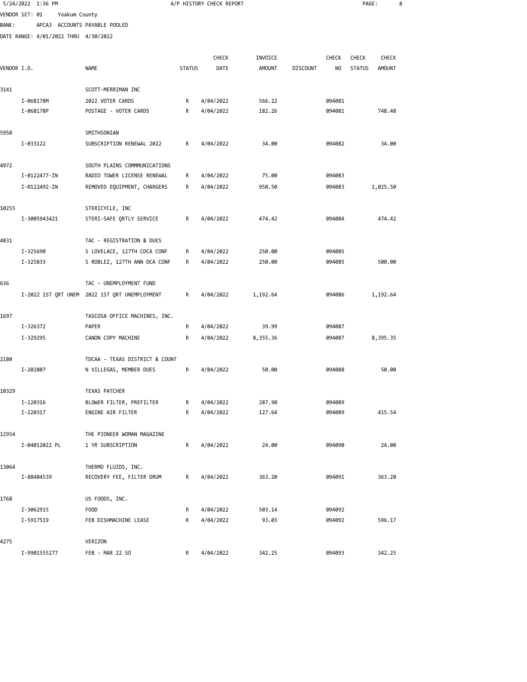|              | 5/24/2022 1:36 PM                    |                                               |               | A/P HISTORY CHECK REPORT |               |                 |              | PAGE:         |               | 8 |
|--------------|--------------------------------------|-----------------------------------------------|---------------|--------------------------|---------------|-----------------|--------------|---------------|---------------|---|
|              | VENDOR SET: 01<br>Yoakum County      |                                               |               |                          |               |                 |              |               |               |   |
| <b>BANK:</b> |                                      | APCA3 ACCOUNTS PAYABLE POOLED                 |               |                          |               |                 |              |               |               |   |
|              | DATE RANGE: 4/01/2022 THRU 4/30/2022 |                                               |               |                          |               |                 |              |               |               |   |
|              |                                      |                                               |               |                          |               |                 |              |               |               |   |
|              |                                      |                                               |               | CHECK                    | INVOICE       |                 | <b>CHECK</b> | <b>CHECK</b>  | <b>CHECK</b>  |   |
| VENDOR I.D.  |                                      | <b>NAME</b>                                   | <b>STATUS</b> | DATE                     | <b>AMOUNT</b> | <b>DISCOUNT</b> | NO           | <b>STATUS</b> | <b>AMOUNT</b> |   |
| 3141         |                                      | SCOTT-MERRIMAN INC                            |               |                          |               |                 |              |               |               |   |
|              | I-068178M                            | 2022 VOTER CARDS                              | R             | 4/04/2022                | 566.22        |                 | 094081       |               |               |   |
|              | I-068178P                            | POSTAGE - VOTER CARDS                         | R             | 4/04/2022                | 182.26        |                 | 094081       |               | 748.48        |   |
| 5958         |                                      | SMITHSONIAN                                   |               |                          |               |                 |              |               |               |   |
|              | I-033122                             | SUBSCRIPTION RENEWAL 2022                     | R             | 4/04/2022                | 34.00         |                 | 094082       |               | 34.00         |   |
| 4972         |                                      | SOUTH PLAINS COMMMUNICATIONS                  |               |                          |               |                 |              |               |               |   |
|              | I-0122477-IN                         | RADIO TOWER LICENSE RENEWAL                   | R             | 4/04/2022                | 75.00         |                 | 094083       |               |               |   |
|              | I-0122492-IN                         | REMOVED EQUIPMENT, CHARGERS                   | R             | 4/04/2022                | 950.50        |                 | 094083       |               | 1,025.50      |   |
|              |                                      |                                               |               |                          |               |                 |              |               |               |   |
| 10255        |                                      | STERICYCLE, INC                               |               |                          |               |                 |              |               |               |   |
|              | I-3005943421                         | STERI-SAFE QRTLY SERVICE                      | R             | 4/04/2022                | 474.42        |                 | 094084       |               | 474.42        |   |
| 4831         |                                      | TAC - REGISTRATION & DUES                     |               |                          |               |                 |              |               |               |   |
|              | I-325690                             | S LOVELACE, 127TH CDCA CONF                   | R             | 4/04/2022                | 250.00        |                 | 094085       |               |               |   |
|              | I-325833                             | S ROBLEZ, 127TH ANN DCA CONF                  | R             | 4/04/2022                | 250.00        |                 | 094085       |               | 500.00        |   |
| 636          |                                      | TAC - UNEMPLOYMENT FUND                       |               |                          |               |                 |              |               |               |   |
|              |                                      | I-2022 1ST QRT UNEM 2022 1ST QRT UNEMPLOYMENT | R             | 4/04/2022                | 1,192.64      |                 | 094086       |               | 1,192.64      |   |
| 1697         |                                      | TASCOSA OFFICE MACHINES, INC.                 |               |                          |               |                 |              |               |               |   |
|              | I-326372                             | PAPER                                         | R             | 4/04/2022                | 39.99         |                 | 094087       |               |               |   |
|              | I-329295                             | CANON COPY MACHINE                            | R             | 4/04/2022                | 8,355.36      |                 | 094087       |               | 8,395.35      |   |
| 2180         |                                      | TDCAA - TEXAS DISTRICT & COUNT                |               |                          |               |                 |              |               |               |   |
|              | I-202807                             | N VILLEGAS, MEMBER DUES                       | R             | 4/04/2022                | 50.00         |                 | 094088       |               | 50.00         |   |
|              |                                      |                                               |               |                          |               |                 |              |               |               |   |
| 10329        |                                      | TEXAS PATCHER                                 |               |                          |               |                 |              |               |               |   |
|              | I-220316                             | BLOWER FILTER, PREFILTER                      | R             | 4/04/2022                | 287.90        |                 | 094089       |               |               |   |
|              | I-220317                             | ENGINE AIR FILTER                             | R             | 4/04/2022                | 127.64        |                 | 094089       |               | 415.54        |   |
| 12954        |                                      | THE PIONEER WOMAN MAGAZINE                    |               |                          |               |                 |              |               |               |   |
|              | I-04012022 PL                        | 1 YR SUBSCRIPTION                             | R             | 4/04/2022                | 24.00         |                 | 094090       |               | 24.00         |   |
| 13064        |                                      | THERMO FLUIDS, INC.                           |               |                          |               |                 |              |               |               |   |
|              | I-88484539                           | RECOVERY FEE, FILTER DRUM                     | R             | 4/04/2022                | 363.20        |                 | 094091       |               | 363.20        |   |
| 1768         |                                      | US FOODS, INC.                                |               |                          |               |                 |              |               |               |   |
|              | I-3062915                            | F <sub>0</sub> 0D                             | R             | 4/04/2022                | 503.14        |                 | 094092       |               |               |   |
|              | I-5917519                            | FEB DISHMACHINE LEASE                         | R             | 4/04/2022                | 93.03         |                 | 094092       |               | 596.17        |   |
| 4275         |                                      | VERIZON                                       |               |                          |               |                 |              |               |               |   |
|              |                                      |                                               |               |                          |               |                 |              |               |               |   |

I-9901555277 FEB - MAR 22 SO R 4/04/2022 342.25 094093 342.25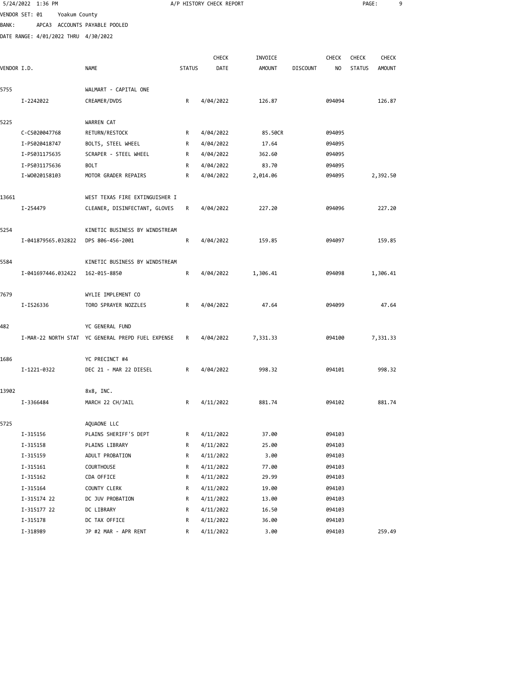|              | 5/24/2022 1:36 PM                    |                                                   |               | A/P HISTORY CHECK REPORT |          |                 |              | PAGE:         |          | 9 |
|--------------|--------------------------------------|---------------------------------------------------|---------------|--------------------------|----------|-----------------|--------------|---------------|----------|---|
|              | VENDOR SET: 01<br>Yoakum County      |                                                   |               |                          |          |                 |              |               |          |   |
| <b>BANK:</b> |                                      | APCA3 ACCOUNTS PAYABLE POOLED                     |               |                          |          |                 |              |               |          |   |
|              | DATE RANGE: 4/01/2022 THRU 4/30/2022 |                                                   |               |                          |          |                 |              |               |          |   |
|              |                                      |                                                   |               |                          |          |                 |              |               |          |   |
|              |                                      |                                                   |               | <b>CHECK</b>             | INVOICE  |                 | <b>CHECK</b> | <b>CHECK</b>  | CHECK    |   |
| VENDOR I.D.  |                                      | <b>NAME</b>                                       | <b>STATUS</b> | DATE                     | AMOUNT   | <b>DISCOUNT</b> | NO           | <b>STATUS</b> | AMOUNT   |   |
|              |                                      |                                                   |               |                          |          |                 |              |               |          |   |
| 5755         |                                      | WALMART - CAPITAL ONE                             |               |                          |          |                 |              |               |          |   |
|              | I-2242022                            | CREAMER/DVDS                                      | R             | 4/04/2022                | 126.87   |                 | 094094       |               | 126.87   |   |
| 5225         |                                      | WARREN CAT                                        |               |                          |          |                 |              |               |          |   |
|              | C-CS020047768                        | RETURN/RESTOCK                                    | R             | 4/04/2022                | 85.50CR  |                 | 094095       |               |          |   |
|              | I-PS020418747                        | BOLTS, STEEL WHEEL                                | R             | 4/04/2022                | 17.64    |                 | 094095       |               |          |   |
|              | I-PS031175635                        | SCRAPER - STEEL WHEEL                             | R             | 4/04/2022                | 362.60   |                 | 094095       |               |          |   |
|              | I-PS031175636                        | <b>BOLT</b>                                       | R             | 4/04/2022                | 83.70    |                 | 094095       |               |          |   |
|              | I-W0020158103                        | MOTOR GRADER REPAIRS                              | R             | 4/04/2022                | 2,014.06 |                 | 094095       |               | 2,392.50 |   |
| 13661        |                                      | WEST TEXAS FIRE EXTINGUISHER I                    |               |                          |          |                 |              |               |          |   |
|              | I-254479                             | CLEANER, DISINFECTANT, GLOVES                     | R             | 4/04/2022                | 227.20   |                 | 094096       |               | 227.20   |   |
|              |                                      |                                                   |               |                          |          |                 |              |               |          |   |
| 5254         |                                      | KINETIC BUSINESS BY WINDSTREAM                    |               |                          |          |                 |              |               |          |   |
|              | I-041879565.032822                   | DPS 806-456-2001                                  | R             | 4/04/2022                | 159.85   |                 | 094097       |               | 159.85   |   |
| 5584         |                                      | KINETIC BUSINESS BY WINDSTREAM                    |               |                          |          |                 |              |               |          |   |
|              | I-041697446.032422                   | 162-015-8850                                      | R             | 4/04/2022                | 1,306.41 |                 | 094098       |               | 1,306.41 |   |
|              |                                      |                                                   |               |                          |          |                 |              |               |          |   |
| 7679         |                                      | WYLIE IMPLEMENT CO                                |               |                          |          |                 |              |               |          |   |
|              | I-IS26336                            | TORO SPRAYER NOZZLES                              | R             | 4/04/2022                | 47.64    |                 | 094099       |               | 47.64    |   |
|              |                                      |                                                   |               |                          |          |                 |              |               |          |   |
| 482          |                                      | YC GENERAL FUND                                   |               |                          |          |                 |              |               |          |   |
|              |                                      | I-MAR-22 NORTH STAT YC GENERAL PREPD FUEL EXPENSE | R             | 4/04/2022                | 7,331.33 |                 | 094100       |               | 7,331.33 |   |
| 1686         |                                      | YC PRECINCT #4                                    |               |                          |          |                 |              |               |          |   |
|              | I-1221-0322                          | DEC 21 - MAR 22 DIESEL                            | R             | 4/04/2022                | 998.32   |                 | 094101       |               | 998.32   |   |
|              |                                      |                                                   |               |                          |          |                 |              |               |          |   |
| 13902        |                                      | 8x8, INC.                                         |               |                          |          |                 |              |               |          |   |
|              | I-3366484                            | MARCH 22 CH/JAIL                                  | R             | 4/11/2022                | 881.74   |                 | 094102       |               | 881.74   |   |
| 5725         |                                      | AQUAONE LLC                                       |               |                          |          |                 |              |               |          |   |
|              | I-315156                             | PLAINS SHERIFF'S DEPT                             | R             | 4/11/2022                | 37.00    |                 | 094103       |               |          |   |
|              | I-315158                             | PLAINS LIBRARY                                    | R             | 4/11/2022                | 25.00    |                 | 094103       |               |          |   |
|              | I-315159                             | ADULT PROBATION                                   | R             | 4/11/2022                | 3.00     |                 | 094103       |               |          |   |
|              | I-315161                             | <b>COURTHOUSE</b>                                 | R             | 4/11/2022                | 77.00    |                 | 094103       |               |          |   |
|              | I-315162                             | CDA OFFICE                                        | R             | 4/11/2022                | 29.99    |                 | 094103       |               |          |   |
|              | I-315164                             | COUNTY CLERK                                      | R             | 4/11/2022                | 19.00    |                 | 094103       |               |          |   |
|              | I-315174 22                          | DC JUV PROBATION                                  | R             | 4/11/2022                | 13.00    |                 | 094103       |               |          |   |
|              | I-315177 22                          | DC LIBRARY                                        | R             | 4/11/2022                | 16.50    |                 | 094103       |               |          |   |
|              | I-315178                             | DC TAX OFFICE                                     | R             | 4/11/2022                | 36.00    |                 | 094103       |               |          |   |
|              | I-318989                             | JP #2 MAR - APR RENT                              | R             | 4/11/2022                | 3.00     |                 | 094103       |               | 259.49   |   |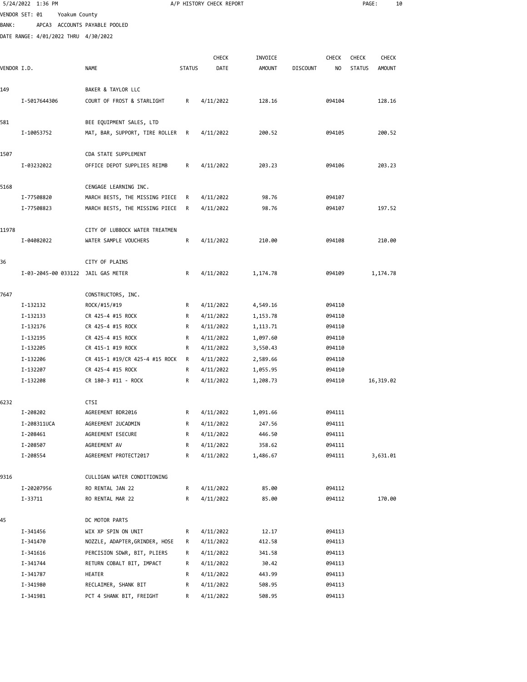|              | 5/24/2022 1:36 PM                    |                                       |               | A/P HISTORY CHECK REPORT |               |                 |              | PAGE:         |               | 10 |
|--------------|--------------------------------------|---------------------------------------|---------------|--------------------------|---------------|-----------------|--------------|---------------|---------------|----|
|              | VENDOR SET: 01<br>Yoakum County      |                                       |               |                          |               |                 |              |               |               |    |
| <b>BANK:</b> |                                      | APCA3 ACCOUNTS PAYABLE POOLED         |               |                          |               |                 |              |               |               |    |
|              | DATE RANGE: 4/01/2022 THRU 4/30/2022 |                                       |               |                          |               |                 |              |               |               |    |
|              |                                      |                                       |               |                          |               |                 |              |               |               |    |
|              |                                      |                                       |               | <b>CHECK</b>             | INVOICE       |                 | <b>CHECK</b> | <b>CHECK</b>  | <b>CHECK</b>  |    |
| VENDOR I.D.  |                                      | <b>NAME</b>                           | <b>STATUS</b> | DATE                     | <b>AMOUNT</b> | <b>DISCOUNT</b> | NO           | <b>STATUS</b> | <b>AMOUNT</b> |    |
| 149          |                                      | BAKER & TAYLOR LLC                    |               |                          |               |                 |              |               |               |    |
|              | I-5017644306                         | COURT OF FROST & STARLIGHT            | R             | 4/11/2022                | 128.16        |                 | 094104       |               | 128.16        |    |
|              |                                      |                                       |               |                          |               |                 |              |               |               |    |
| 581          |                                      | BEE EQUIPMENT SALES, LTD              |               |                          |               |                 |              |               |               |    |
|              | I-10053752                           | MAT, BAR, SUPPORT, TIRE ROLLER        | R             | 4/11/2022                | 200.52        |                 | 094105       |               | 200.52        |    |
|              |                                      |                                       |               |                          |               |                 |              |               |               |    |
| 1507         |                                      | CDA STATE SUPPLEMENT                  |               |                          |               |                 |              |               |               |    |
|              | I-03232022                           | OFFICE DEPOT SUPPLIES REIMB           | R             | 4/11/2022                | 203.23        |                 | 094106       |               | 203.23        |    |
| 5168         |                                      | CENGAGE LEARNING INC.                 |               |                          |               |                 |              |               |               |    |
|              | I-77508820                           | MARCH BESTS, THE MISSING PIECE        | R             | 4/11/2022                | 98.76         |                 | 094107       |               |               |    |
|              | I-77508823                           | MARCH BESTS, THE MISSING PIECE        | R             | 4/11/2022                | 98.76         |                 | 094107       |               | 197.52        |    |
|              |                                      |                                       |               |                          |               |                 |              |               |               |    |
| 11978        |                                      | CITY OF LUBBOCK WATER TREATMEN        |               |                          |               |                 |              |               |               |    |
|              | I-04082022                           | WATER SAMPLE VOUCHERS                 | R             | 4/11/2022                | 210.00        |                 | 094108       |               | 210.00        |    |
| 36           |                                      | CITY OF PLAINS                        |               |                          |               |                 |              |               |               |    |
|              | I-03-2045-00 033122 JAIL GAS METER   |                                       | R             | 4/11/2022                | 1,174.78      |                 | 094109       |               | 1,174.78      |    |
| 7647         |                                      | CONSTRUCTORS, INC.                    |               |                          |               |                 |              |               |               |    |
|              | I-132132                             | ROCK/#15/#19                          | R             | 4/11/2022                | 4,549.16      |                 | 094110       |               |               |    |
|              | I-132133                             | CR 425-4 #15 ROCK                     | R             | 4/11/2022                | 1,153.78      |                 | 094110       |               |               |    |
|              | I-132176                             | CR 425-4 #15 ROCK                     | R             | 4/11/2022                | 1,113.71      |                 | 094110       |               |               |    |
|              | I-132195                             | CR 425-4 #15 ROCK                     | R             | 4/11/2022                | 1,097.60      |                 | 094110       |               |               |    |
|              | I-132205                             | CR 415-1 #19 ROCK                     | R             | 4/11/2022                | 3,550.43      |                 | 094110       |               |               |    |
|              | I-132206                             | CR 415-1 #19/CR 425-4 #15 ROCK        | R             | 4/11/2022                | 2,589.66      |                 | 094110       |               |               |    |
|              | I-132207                             | CR 425-4 #15 ROCK                     | R             | 4/11/2022                | 1,055.95      |                 | 094110       |               |               |    |
|              | I-132208                             | CR 180-3 #11 - ROCK                   | R             | 4/11/2022                | 1,208.73      |                 | 094110       |               | 16,319.02     |    |
| 6232         |                                      | CTSI                                  |               |                          |               |                 |              |               |               |    |
|              | I-208202                             | AGREEMENT BDR2016                     | R             | 4/11/2022                | 1,091.66      |                 | 094111       |               |               |    |
|              | I-208311UCA                          | AGREEMENT 2UCADMIN                    | R             | 4/11/2022                | 247.56        |                 | 094111       |               |               |    |
|              | I-208461                             | AGREEMENT ESECURE                     | R             | 4/11/2022                | 446.50        |                 | 094111       |               |               |    |
|              | I-208507                             | AGREEMENT AV                          | R             | 4/11/2022                | 358.62        |                 | 094111       |               |               |    |
|              | I-208554                             | AGREEMENT PROTECT2017                 | R             | 4/11/2022                | 1,486.67      |                 | 094111       |               | 3,631.01      |    |
| 9316         |                                      | CULLIGAN WATER CONDITIONING           |               |                          |               |                 |              |               |               |    |
|              | I-20207956                           | RO RENTAL JAN 22                      | R             | 4/11/2022                | 85.00         |                 | 094112       |               |               |    |
|              | I-33711                              | RO RENTAL MAR 22                      | R             | 4/11/2022                | 85.00         |                 | 094112       |               | 170.00        |    |
|              |                                      |                                       |               |                          |               |                 |              |               |               |    |
| 45           | I-341456                             | DC MOTOR PARTS<br>WIX XP SPIN ON UNIT | R             |                          | 12.17         |                 | 094113       |               |               |    |
|              | I-341470                             | NOZZLE, ADAPTER,GRINDER, HOSE         | R             | 4/11/2022<br>4/11/2022   | 412.58        |                 | 094113       |               |               |    |
|              | I-341616                             | PERCISION SDWR, BIT, PLIERS           | R             | 4/11/2022                | 341.58        |                 | 094113       |               |               |    |
|              | I-341744                             | RETURN COBALT BIT, IMPACT             | R             | 4/11/2022                | 30.42         |                 | 094113       |               |               |    |
|              | I-341787                             | HEATER                                | R             | 4/11/2022                | 443.99        |                 | 094113       |               |               |    |
|              | I-341980                             | RECLAIMER, SHANK BIT                  | R             | 4/11/2022                | 508.95        |                 | 094113       |               |               |    |
|              | I-341981                             | PCT 4 SHANK BIT, FREIGHT              | R             | 4/11/2022                | 508.95        |                 | 094113       |               |               |    |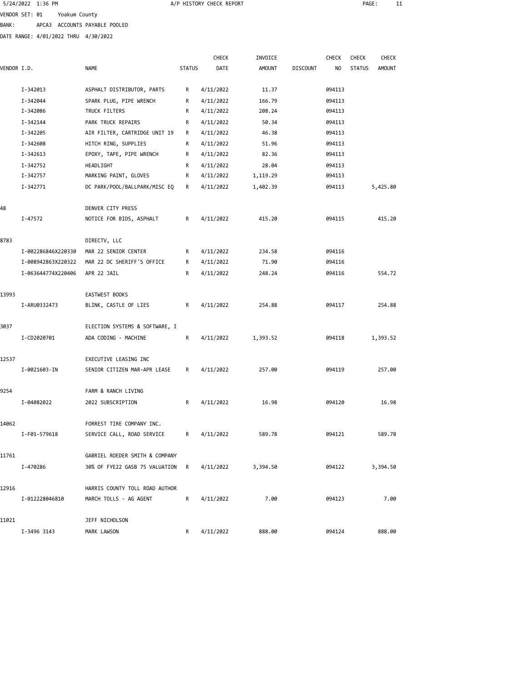| 5/24/2022 1:36 PM |                               |
|-------------------|-------------------------------|
| VENDOR SET: 01    | Yoakum County                 |
| BANK:             | APCA3 ACCOUNTS PAYABLE POOLED |

DATE RANGE: 4/01/2022 THRU 4/30/2022

|             |                    |                                |               | <b>CHECK</b> | INVOICE       |                 | <b>CHECK</b> | <b>CHECK</b>  | <b>CHECK</b>  |  |
|-------------|--------------------|--------------------------------|---------------|--------------|---------------|-----------------|--------------|---------------|---------------|--|
| VENDOR I.D. |                    | <b>NAME</b>                    | <b>STATUS</b> | DATE         | <b>AMOUNT</b> | <b>DISCOUNT</b> | NO.          | <b>STATUS</b> | <b>AMOUNT</b> |  |
|             |                    |                                |               |              |               |                 |              |               |               |  |
|             | I-342013           | ASPHALT DISTRIBUTOR, PARTS     | R             | 4/11/2022    | 11.37         |                 | 094113       |               |               |  |
|             | I-342044           | SPARK PLUG, PIPE WRENCH        | R             | 4/11/2022    | 166.79        |                 | 094113       |               |               |  |
|             | I-342086           | TRUCK FILTERS                  | R             | 4/11/2022    | 208.24        |                 | 094113       |               |               |  |
|             | I-342144           | PARK TRUCK REPAIRS             | R             | 4/11/2022    | 50.34         |                 | 094113       |               |               |  |
|             | I-342205           | AIR FILTER, CARTRIDGE UNIT 19  | R             | 4/11/2022    | 46.38         |                 | 094113       |               |               |  |
|             | I-342608           | HITCH RING, SUPPLIES           | R             | 4/11/2022    | 51.96         |                 | 094113       |               |               |  |
|             | I-342613           | EPOXY, TAPE, PIPE WRENCH       | R             | 4/11/2022    | 82.36         |                 | 094113       |               |               |  |
|             | I-342752           | HEADLIGHT                      | R             | 4/11/2022    | 28.04         |                 | 094113       |               |               |  |
|             | I-342757           | MARKING PAINT, GLOVES          | R             | 4/11/2022    | 1,119.29      |                 | 094113       |               |               |  |
|             | I-342771           | DC PARK/POOL/BALLPARK/MISC EQ  | R             | 4/11/2022    | 1,402.39      |                 | 094113       |               | 5,425.80      |  |
| 48          |                    | DENVER CITY PRESS              |               |              |               |                 |              |               |               |  |
|             | I-47572            | NOTICE FOR BIDS, ASPHALT       | R             | 4/11/2022    | 415.20        |                 | 094115       |               | 415.20        |  |
| 8783        |                    | DIRECTV, LLC                   |               |              |               |                 |              |               |               |  |
|             | I-002286846X220330 | MAR 22 SENIOR CENTER           | R             | 4/11/2022    | 234.58        |                 | 094116       |               |               |  |
|             | I-008942863X220322 | MAR 22 DC SHERIFF'S OFFICE     | R             | 4/11/2022    | 71.90         |                 | 094116       |               |               |  |
|             | I-063644774X220406 | APR 22 JAIL                    | R             | 4/11/2022    | 248.24        |                 | 094116       |               | 554.72        |  |
| 13993       |                    | EASTWEST BOOKS                 |               |              |               |                 |              |               |               |  |
|             | I-ARU0332473       | BLINK, CASTLE OF LIES          | R             | 4/11/2022    | 254.88        |                 | 094117       |               | 254.88        |  |
| 3037        |                    | ELECTION SYSTEMS & SOFTWARE, I |               |              |               |                 |              |               |               |  |
|             | I-CD2020701        | ADA CODING - MACHINE           | R             | 4/11/2022    | 1,393.52      |                 | 094118       |               | 1,393.52      |  |
|             |                    |                                |               |              |               |                 |              |               |               |  |
| 12537       |                    | EXECUTIVE LEASING INC          |               |              |               |                 |              |               |               |  |
|             | I-0021603-IN       | SENIOR CITIZEN MAR-APR LEASE   | R             | 4/11/2022    | 257.00        |                 | 094119       |               | 257.00        |  |
| 9254        |                    | FARM & RANCH LIVING            |               |              |               |                 |              |               |               |  |
|             | I-04082022         | 2022 SUBSCRIPTION              | R             | 4/11/2022    | 16.98         |                 | 094120       |               | 16.98         |  |
| 14062       |                    | FORREST TIRE COMPANY INC.      |               |              |               |                 |              |               |               |  |
|             | I-F01-579618       | SERVICE CALL, ROAD SERVICE     | R             | 4/11/2022    | 589.78        |                 | 094121       |               | 589.78        |  |
| 11761       |                    | GABRIEL ROEDER SMITH & COMPANY |               |              |               |                 |              |               |               |  |
|             | I-470286           | 30% OF FYE22 GASB 75 VALUATION | R             | 4/11/2022    | 3,394.50      |                 | 094122       |               | 3,394.50      |  |
| 12916       |                    | HARRIS COUNTY TOLL ROAD AUTHOR |               |              |               |                 |              |               |               |  |
|             | I-012228046810     | MARCH TOLLS - AG AGENT         | R             | 4/11/2022    | 7.00          |                 | 094123       |               | 7.00          |  |
|             |                    |                                |               |              |               |                 |              |               |               |  |
| 11021       |                    | JEFF NICHOLSON                 |               |              |               |                 |              |               |               |  |
|             | I-3496 3143        | MARK LAWSON                    | R             | 4/11/2022    | 888.00        |                 | 094124       |               | 888.00        |  |

A/P HISTORY CHECK REPORT **PAGE:** 11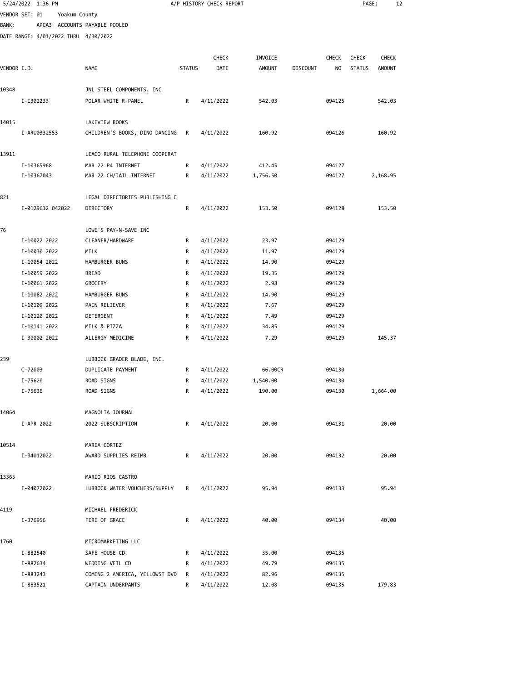|              | 5/24/2022 1:36 PM                    |                                                    |               | A/P HISTORY CHECK REPORT |               |                 |              | PAGE:         |              | 12 |
|--------------|--------------------------------------|----------------------------------------------------|---------------|--------------------------|---------------|-----------------|--------------|---------------|--------------|----|
|              | VENDOR SET: 01<br>Yoakum County      |                                                    |               |                          |               |                 |              |               |              |    |
| <b>BANK:</b> |                                      | APCA3 ACCOUNTS PAYABLE POOLED                      |               |                          |               |                 |              |               |              |    |
|              | DATE RANGE: 4/01/2022 THRU 4/30/2022 |                                                    |               |                          |               |                 |              |               |              |    |
|              |                                      |                                                    |               |                          |               |                 |              |               |              |    |
|              |                                      |                                                    |               | <b>CHECK</b>             | INVOICE       |                 | <b>CHECK</b> | <b>CHECK</b>  | <b>CHECK</b> |    |
| VENDOR I.D.  |                                      | NAME                                               | <b>STATUS</b> | DATE                     | <b>AMOUNT</b> | <b>DISCOUNT</b> | NO.          | <b>STATUS</b> | AMOUNT       |    |
| 10348        |                                      | JNL STEEL COMPONENTS, INC                          |               |                          |               |                 |              |               |              |    |
|              | I-I302233                            | POLAR WHITE R-PANEL                                | R             | 4/11/2022                | 542.03        |                 | 094125       |               | 542.03       |    |
|              |                                      |                                                    |               |                          |               |                 |              |               |              |    |
| 14015        |                                      | LAKEVIEW BOOKS                                     |               |                          |               |                 |              |               |              |    |
|              | I-ARU0332553                         | CHILDREN'S BOOKS, DINO DANCING                     | R             | 4/11/2022                | 160.92        |                 | 094126       |               | 160.92       |    |
| 13911        |                                      | LEACO RURAL TELEPHONE COOPERAT                     |               |                          |               |                 |              |               |              |    |
|              | I-10365968                           | MAR 22 P4 INTERNET                                 | R             | 4/11/2022                | 412.45        |                 | 094127       |               |              |    |
|              | I-10367043                           | MAR 22 CH/JAIL INTERNET                            | R             | 4/11/2022                | 1,756.50      |                 | 094127       |               | 2,168.95     |    |
| 821          |                                      | LEGAL DIRECTORIES PUBLISHING C                     |               |                          |               |                 |              |               |              |    |
|              | I-0129612 042022                     | DIRECTORY                                          | R             | 4/11/2022                | 153.50        |                 | 094128       |               | 153.50       |    |
|              |                                      |                                                    |               |                          |               |                 |              |               |              |    |
| 76           |                                      | LOWE'S PAY-N-SAVE INC                              |               |                          |               |                 |              |               |              |    |
|              | I-10022 2022                         | CLEANER/HARDWARE                                   | R             | 4/11/2022                | 23.97         |                 | 094129       |               |              |    |
|              | I-10030 2022                         | MILK                                               | R             | 4/11/2022                | 11.97         |                 | 094129       |               |              |    |
|              | I-10054 2022                         | HAMBURGER BUNS                                     | R             | 4/11/2022                | 14.90         |                 | 094129       |               |              |    |
|              | I-10059 2022                         | <b>BREAD</b>                                       | R             | 4/11/2022                | 19.35         |                 | 094129       |               |              |    |
|              | I-10061 2022                         | GROCERY                                            | R             | 4/11/2022                | 2.98          |                 | 094129       |               |              |    |
|              | I-10082 2022                         | HAMBURGER BUNS                                     | R             | 4/11/2022                | 14.90         |                 | 094129       |               |              |    |
|              | I-10109 2022                         | PAIN RELIEVER                                      | R             | 4/11/2022                | 7.67          |                 | 094129       |               |              |    |
|              | I-10120 2022                         | DETERGENT                                          | R             | 4/11/2022                | 7.49          |                 | 094129       |               |              |    |
|              | I-10141 2022                         | MILK & PIZZA                                       | R             | 4/11/2022                | 34.85         |                 | 094129       |               |              |    |
|              | I-30002 2022                         | ALLERGY MEDICINE                                   | R             | 4/11/2022                | 7.29          |                 | 094129       |               | 145.37       |    |
| 239          |                                      | LUBBOCK GRADER BLADE, INC.                         |               |                          |               |                 |              |               |              |    |
|              | $C - 72003$                          | DUPLICATE PAYMENT                                  | R             | 4/11/2022                | 66.00CR       |                 | 094130       |               |              |    |
|              | I-75620                              | ROAD SIGNS                                         | R             | 4/11/2022                | 1,540.00      |                 | 094130       |               |              |    |
|              | I-75636                              | ROAD SIGNS                                         | R             | 4/11/2022                | 190.00        |                 | 094130       |               | 1,664.00     |    |
|              |                                      |                                                    |               |                          |               |                 |              |               |              |    |
| 14064        |                                      | MAGNOLIA JOURNAL                                   |               |                          |               |                 |              |               |              |    |
|              | I-APR 2022                           | 2022 SUBSCRIPTION                                  | R             | 4/11/2022                | 20.00         |                 | 094131       |               | 20.00        |    |
| 10514        |                                      | MARIA CORTEZ                                       |               |                          |               |                 |              |               |              |    |
|              | I-04012022                           | AWARD SUPPLIES REIMB                               | R             | 4/11/2022                | 20.00         |                 | 094132       |               | 20.00        |    |
|              |                                      |                                                    |               |                          |               |                 |              |               |              |    |
| 13365        |                                      | MARIO RIOS CASTRO<br>LUBBOCK WATER VOUCHERS/SUPPLY |               | 4/11/2022                |               |                 |              |               |              |    |
|              | I-04072022                           |                                                    | R             |                          | 95.94         |                 | 094133       |               | 95.94        |    |
| 4119         |                                      | MICHAEL FREDERICK                                  |               |                          |               |                 |              |               |              |    |
|              | I-376956                             | FIRE OF GRACE                                      | R             | 4/11/2022                | 40.00         |                 | 094134       |               | 40.00        |    |
| 1760         |                                      | MICROMARKETING LLC                                 |               |                          |               |                 |              |               |              |    |
|              | I-882540                             | SAFE HOUSE CD                                      | R             | 4/11/2022                | 35.00         |                 | 094135       |               |              |    |
|              | I-882634                             | WEDDING VEIL CD                                    | R             | 4/11/2022                | 49.79         |                 | 094135       |               |              |    |
|              | I-883243                             | COMING 2 AMERICA, YELLOWST DVD                     | R             | 4/11/2022                | 82.96         |                 | 094135       |               |              |    |
|              | I-883521                             | CAPTAIN UNDERPANTS                                 | R.            | 4/11/2022                | 12.08         |                 | 094135       |               | 179.83       |    |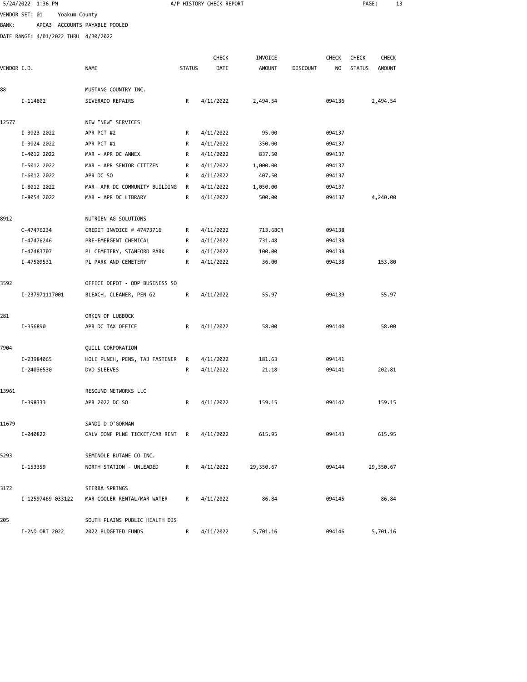|              | 5/24/2022 1:36 PM                    |                                |               | A/P HISTORY CHECK REPORT |               |                 |              | PAGE:         |               | 13 |
|--------------|--------------------------------------|--------------------------------|---------------|--------------------------|---------------|-----------------|--------------|---------------|---------------|----|
|              | VENDOR SET: 01<br>Yoakum County      |                                |               |                          |               |                 |              |               |               |    |
| <b>BANK:</b> |                                      | APCA3 ACCOUNTS PAYABLE POOLED  |               |                          |               |                 |              |               |               |    |
|              | DATE RANGE: 4/01/2022 THRU 4/30/2022 |                                |               |                          |               |                 |              |               |               |    |
|              |                                      |                                |               |                          |               |                 |              |               |               |    |
|              |                                      |                                |               | CHECK                    | INVOICE       |                 | <b>CHECK</b> | <b>CHECK</b>  | CHECK         |    |
| VENDOR I.D.  |                                      | <b>NAME</b>                    | <b>STATUS</b> | DATE                     | <b>AMOUNT</b> | <b>DISCOUNT</b> | NO           | <b>STATUS</b> | <b>AMOUNT</b> |    |
| 88           |                                      | MUSTANG COUNTRY INC.           |               |                          |               |                 |              |               |               |    |
|              | I-114802                             | SIVERADO REPAIRS               | R             | 4/11/2022                | 2,494.54      |                 | 094136       |               | 2,494.54      |    |
|              |                                      |                                |               |                          |               |                 |              |               |               |    |
| 12577        |                                      | NEW "NEW" SERVICES             |               |                          |               |                 |              |               |               |    |
|              | I-3023 2022                          | APR PCT #2                     | R             | 4/11/2022                | 95.00         |                 | 094137       |               |               |    |
|              | I-3024 2022                          | APR PCT #1                     | R             | 4/11/2022                | 350.00        |                 | 094137       |               |               |    |
|              | I-4012 2022                          | MAR - APR DC ANNEX             | R             | 4/11/2022                | 837.50        |                 | 094137       |               |               |    |
|              | I-5012 2022                          | MAR - APR SENIOR CITIZEN       | R             | 4/11/2022                | 1,000.00      |                 | 094137       |               |               |    |
|              | I-6012 2022                          | APR DC SO                      | R             | 4/11/2022                | 407.50        |                 | 094137       |               |               |    |
|              | I-8012 2022                          | MAR- APR DC COMMUNITY BUILDING | R             | 4/11/2022                | 1,050.00      |                 | 094137       |               |               |    |
|              | I-8054 2022                          | MAR - APR DC LIBRARY           | R             | 4/11/2022                | 500.00        |                 | 094137       |               | 4,240.00      |    |
| 8912         |                                      | NUTRIEN AG SOLUTIONS           |               |                          |               |                 |              |               |               |    |
|              | C-47476234                           | CREDIT INVOICE # 47473716      | R             | 4/11/2022                | 713.68CR      |                 | 094138       |               |               |    |
|              | I-47476246                           | PRE-EMERGENT CHEMICAL          | R             | 4/11/2022                | 731.48        |                 | 094138       |               |               |    |
|              | I-47483707                           | PL CEMETERY, STANFORD PARK     | R             | 4/11/2022                | 100.00        |                 | 094138       |               |               |    |
|              | I-47509531                           | PL PARK AND CEMETERY           | R             | 4/11/2022                | 36.00         |                 | 094138       |               | 153.80        |    |
|              |                                      |                                |               |                          |               |                 |              |               |               |    |
| 3592         |                                      | OFFICE DEPOT - ODP BUSINESS SO |               |                          |               |                 |              |               |               |    |
|              | I-237971117001                       | BLEACH, CLEANER, PEN G2        | R             | 4/11/2022                | 55.97         |                 | 094139       |               | 55.97         |    |
| 281          |                                      | ORKIN OF LUBBOCK               |               |                          |               |                 |              |               |               |    |
|              | I-356890                             | APR DC TAX OFFICE              | R             | 4/11/2022                | 58.00         |                 | 094140       |               | 58.00         |    |
|              |                                      |                                |               |                          |               |                 |              |               |               |    |
| 7904         |                                      | QUILL CORPORATION              |               |                          |               |                 |              |               |               |    |
|              | I-23984065                           | HOLE PUNCH, PENS, TAB FASTENER | R             | 4/11/2022                | 181.63        |                 | 094141       |               |               |    |
|              | I-24036530                           | DVD SLEEVES                    | R             | 4/11/2022                | 21.18         |                 | 094141       |               | 202.81        |    |
|              |                                      |                                |               |                          |               |                 |              |               |               |    |
| 13961        |                                      | RESOUND NETWORKS LLC           |               |                          |               |                 |              |               |               |    |
|              | I-398333                             | APR 2022 DC SO                 | R             | 4/11/2022                | 159.15        |                 | 094142       |               | 159.15        |    |
| 11679        |                                      | SANDI D O'GORMAN               |               |                          |               |                 |              |               |               |    |
|              | I-040822                             | GALV CONF PLNE TICKET/CAR RENT | R             | 4/11/2022                | 615.95        |                 | 094143       |               | 615.95        |    |
|              |                                      |                                |               |                          |               |                 |              |               |               |    |
| 5293         |                                      | SEMINOLE BUTANE CO INC.        |               |                          |               |                 |              |               |               |    |
|              | I-153359                             | NORTH STATION - UNLEADED       | R             | 4/11/2022                | 29,350.67     |                 | 094144       |               | 29,350.67     |    |
|              |                                      |                                |               |                          |               |                 |              |               |               |    |
| 3172         |                                      | SIERRA SPRINGS                 |               |                          |               |                 |              |               |               |    |
|              | I-12597469 033122                    | MAR COOLER RENTAL/MAR WATER    | R             | 4/11/2022                | 86.84         |                 | 094145       |               | 86.84         |    |
| 205          |                                      | SOUTH PLAINS PUBLIC HEALTH DIS |               |                          |               |                 |              |               |               |    |
|              | I-2ND QRT 2022                       | 2022 BUDGETED FUNDS            | R             | 4/11/2022                | 5,701.16      |                 | 094146       |               | 5,701.16      |    |
|              |                                      |                                |               |                          |               |                 |              |               |               |    |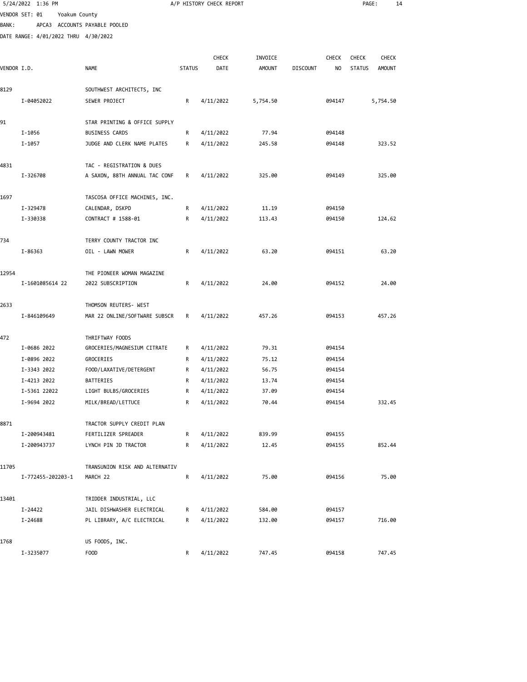|             | 5/24/2022 1:36 PM                    |                                            |               | A/P HISTORY CHECK REPORT |               |                 |              | PAGE:         | 14            |  |
|-------------|--------------------------------------|--------------------------------------------|---------------|--------------------------|---------------|-----------------|--------------|---------------|---------------|--|
|             | VENDOR SET: 01<br>Yoakum County      |                                            |               |                          |               |                 |              |               |               |  |
| BANK :      |                                      | APCA3 ACCOUNTS PAYABLE POOLED              |               |                          |               |                 |              |               |               |  |
|             | DATE RANGE: 4/01/2022 THRU 4/30/2022 |                                            |               |                          |               |                 |              |               |               |  |
|             |                                      |                                            |               |                          |               |                 |              |               |               |  |
|             |                                      |                                            |               | <b>CHECK</b>             | INVOICE       |                 | <b>CHECK</b> | <b>CHECK</b>  | <b>CHECK</b>  |  |
| VENDOR I.D. |                                      | <b>NAME</b>                                | <b>STATUS</b> | DATE                     | <b>AMOUNT</b> | <b>DISCOUNT</b> | NO           | <b>STATUS</b> | <b>AMOUNT</b> |  |
| 8129        |                                      |                                            |               |                          |               |                 |              |               |               |  |
|             | I-04052022                           | SOUTHWEST ARCHITECTS, INC<br>SEWER PROJECT | R             | 4/11/2022                |               |                 | 094147       |               |               |  |
|             |                                      |                                            |               |                          | 5,754.50      |                 |              |               | 5,754.50      |  |
| 91          |                                      | STAR PRINTING & OFFICE SUPPLY              |               |                          |               |                 |              |               |               |  |
|             | I-1056                               | <b>BUSINESS CARDS</b>                      | R             | 4/11/2022                | 77.94         |                 | 094148       |               |               |  |
|             | I-1057                               | JUDGE AND CLERK NAME PLATES                | R             | 4/11/2022                | 245.58        |                 | 094148       |               | 323.52        |  |
| 4831        |                                      | TAC - REGISTRATION & DUES                  |               |                          |               |                 |              |               |               |  |
|             | I-326708                             | A SAXON, 88TH ANNUAL TAC CONF              | R             | 4/11/2022                | 325.00        |                 | 094149       |               | 325.00        |  |
|             |                                      |                                            |               |                          |               |                 |              |               |               |  |
| 1697        |                                      | TASCOSA OFFICE MACHINES, INC.              |               |                          |               |                 |              |               |               |  |
|             | I-329478                             | CALENDAR, DSKPD                            | R             | 4/11/2022                | 11.19         |                 | 094150       |               |               |  |
|             | I-330338                             | CONTRACT # 1588-01                         | R             | 4/11/2022                | 113.43        |                 | 094150       |               | 124.62        |  |
|             |                                      |                                            |               |                          |               |                 |              |               |               |  |
| 734         |                                      | TERRY COUNTY TRACTOR INC                   |               |                          |               |                 |              |               |               |  |
|             | I-86363                              | OIL - LAWN MOWER                           | R             | 4/11/2022                | 63.20         |                 | 094151       |               | 63.20         |  |
| 12954       |                                      | THE PIONEER WOMAN MAGAZINE                 |               |                          |               |                 |              |               |               |  |
|             | I-1601085614 22                      | 2022 SUBSCRIPTION                          | R             | 4/11/2022                | 24.00         |                 | 094152       |               | 24.00         |  |
| 2633        |                                      | THOMSON REUTERS- WEST                      |               |                          |               |                 |              |               |               |  |
|             | I-846109649                          | MAR 22 ONLINE/SOFTWARE SUBSCR              | R             | 4/11/2022                | 457.26        |                 | 094153       |               | 457.26        |  |
| 472         |                                      | THRIFTWAY FOODS                            |               |                          |               |                 |              |               |               |  |
|             | I-0686 2022                          | GROCERIES/MAGNESIUM CITRATE                | R             | 4/11/2022                | 79.31         |                 | 094154       |               |               |  |
|             | I-0896 2022                          | GROCERIES                                  | R             | 4/11/2022                | 75.12         |                 | 094154       |               |               |  |
|             | I-3343 2022                          | FOOD/LAXATIVE/DETERGENT                    | R             | 4/11/2022                | 56.75         |                 | 094154       |               |               |  |
|             | I-4213 2022                          | BATTERIES                                  | R             | 4/11/2022                | 13.74         |                 | 094154       |               |               |  |
|             | I-5361 22022                         | LIGHT BULBS/GROCERIES                      | R             | 4/11/2022                | 37.09         |                 | 094154       |               |               |  |
|             | I-9694 2022                          | MILK/BREAD/LETTUCE                         | R             | 4/11/2022                | 70.44         |                 | 094154       |               | 332.45        |  |
| 8871        |                                      | TRACTOR SUPPLY CREDIT PLAN                 |               |                          |               |                 |              |               |               |  |
|             | I-200943481                          | FERTILIZER SPREADER                        | R             | 4/11/2022                | 839.99        |                 | 094155       |               |               |  |
|             | I-200943737                          | LYNCH PIN JD TRACTOR                       | R             | 4/11/2022                | 12.45         |                 | 094155       |               | 852.44        |  |
| 11705       |                                      | TRANSUNION RISK AND ALTERNATIV             |               |                          |               |                 |              |               |               |  |
|             | I-772455-202203-1                    | MARCH 22                                   | R             | 4/11/2022                | 75.00         |                 | 094156       |               | 75.00         |  |
| 13401       |                                      | TRIDDER INDUSTRIAL, LLC                    |               |                          |               |                 |              |               |               |  |
|             | I-24422                              | JAIL DISHWASHER ELECTRICAL                 | R             | 4/11/2022                | 584.00        |                 | 094157       |               |               |  |
|             | I-24688                              | PL LIBRARY, A/C ELECTRICAL                 | R             | 4/11/2022                | 132.00        |                 | 094157       |               | 716.00        |  |
| 1768        |                                      | US FOODS, INC.                             |               |                          |               |                 |              |               |               |  |
|             | I-3235077                            | F <sub>0</sub> 0D                          | R             | 4/11/2022                | 747.45        |                 | 094158       |               | 747.45        |  |
|             |                                      |                                            |               |                          |               |                 |              |               |               |  |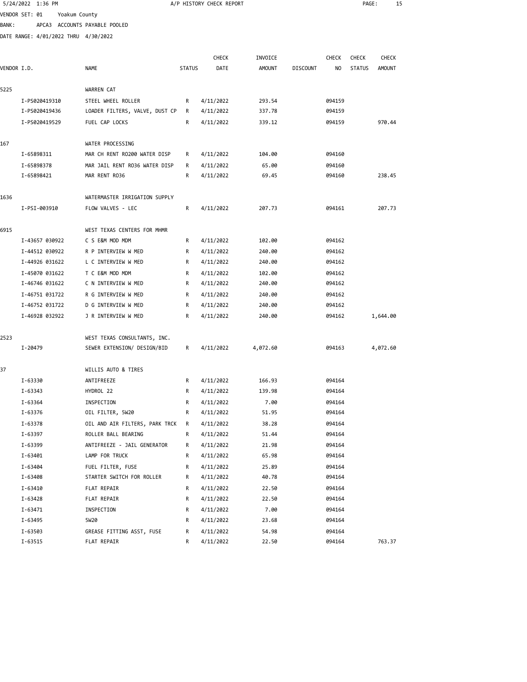|             | 5/24/2022 1:36 PM |                                                    |               | A/P HISTORY CHECK REPORT |               |                 |              | PAGE:         | 15            |  |
|-------------|-------------------|----------------------------------------------------|---------------|--------------------------|---------------|-----------------|--------------|---------------|---------------|--|
|             | VENDOR SET: 01    | Yoakum County                                      |               |                          |               |                 |              |               |               |  |
| BANK :      |                   | APCA3 ACCOUNTS PAYABLE POOLED                      |               |                          |               |                 |              |               |               |  |
|             |                   | DATE RANGE: 4/01/2022 THRU 4/30/2022               |               |                          |               |                 |              |               |               |  |
|             |                   |                                                    |               |                          |               |                 |              |               |               |  |
|             |                   |                                                    |               | <b>CHECK</b>             | INVOICE       |                 | <b>CHECK</b> | <b>CHECK</b>  | <b>CHECK</b>  |  |
| VENDOR I.D. |                   | <b>NAME</b>                                        | <b>STATUS</b> | DATE                     | <b>AMOUNT</b> | <b>DISCOUNT</b> | NO           | <b>STATUS</b> | <b>AMOUNT</b> |  |
| 5225        |                   | WARREN CAT                                         |               |                          |               |                 |              |               |               |  |
|             | I-PS020419310     | STEEL WHEEL ROLLER                                 | R             | 4/11/2022                | 293.54        |                 | 094159       |               |               |  |
|             | I-PS020419436     | LOADER FILTERS, VALVE, DUST CP                     | R             | 4/11/2022                | 337.78        |                 | 094159       |               |               |  |
|             | I-PS020419529     | FUEL CAP LOCKS                                     | R             | 4/11/2022                | 339.12        |                 | 094159       |               | 970.44        |  |
| 167         |                   | WATER PROCESSING                                   |               |                          |               |                 |              |               |               |  |
|             | I-65898311        | MAR CH RENT RO200 WATER DISP                       | R             | 4/11/2022                | 104.00        |                 | 094160       |               |               |  |
|             | I-65898378        | MAR JAIL RENT RO36 WATER DISP                      | R             | 4/11/2022                | 65.00         |                 | 094160       |               |               |  |
|             | I-65898421        | MAR RENT RO36                                      | R             | 4/11/2022                | 69.45         |                 | 094160       |               | 238.45        |  |
|             |                   |                                                    |               |                          |               |                 |              |               |               |  |
| 1636        | I-PSI-003910      | WATERMASTER IRRIGATION SUPPLY<br>FLOW VALVES - LEC | R             | 4/11/2022                | 207.73        |                 | 094161       |               | 207.73        |  |
|             |                   |                                                    |               |                          |               |                 |              |               |               |  |
| 6915        |                   | WEST TEXAS CENTERS FOR MHMR                        |               |                          |               |                 |              |               |               |  |
|             | I-43657 030922    | C S E&M MOD MDM                                    | R             | 4/11/2022                | 102.00        |                 | 094162       |               |               |  |
|             | I-44512 030922    | R P INTERVIEW W MED                                | R             | 4/11/2022                | 240.00        |                 | 094162       |               |               |  |
|             | I-44926 031622    | L C INTERVIEW W MED                                | R             | 4/11/2022                | 240.00        |                 | 094162       |               |               |  |
|             | I-45070 031622    | T C E&M MOD MDM                                    | R             | 4/11/2022                | 102.00        |                 | 094162       |               |               |  |
|             | I-46746 031622    | C N INTERVIEW W MED                                | R             | 4/11/2022                | 240.00        |                 | 094162       |               |               |  |
|             | I-46751 031722    | R G INTERVIEW W MED                                | R             | 4/11/2022                | 240.00        |                 | 094162       |               |               |  |
|             | I-46752 031722    | D G INTERVIEW W MED                                | R             | 4/11/2022                | 240.00        |                 | 094162       |               |               |  |
|             | I-46928 032922    | J R INTERVIEW W MED                                | R             | 4/11/2022                | 240.00        |                 | 094162       |               | 1,644.00      |  |
| 2523        |                   | WEST TEXAS CONSULTANTS, INC.                       |               |                          |               |                 |              |               |               |  |
|             | I-20479           | SEWER EXTENSION/ DESIGN/BID                        | R             | 4/11/2022                | 4,072.60      |                 | 094163       |               | 4,072.60      |  |
| 37          |                   | WILLIS AUTO & TIRES                                |               |                          |               |                 |              |               |               |  |
|             | I-63330           | ANTIFREEZE                                         | R             | 4/11/2022                | 166.93        |                 | 094164       |               |               |  |
|             | I-63343           | HYDROL 22                                          | R             | 4/11/2022                | 139.98        |                 | 094164       |               |               |  |
|             | I-63364           | INSPECTION                                         | R             | 4/11/2022                | 7.00          |                 | 094164       |               |               |  |
|             | I-63376           | OIL FILTER, 5W20                                   | R             | 4/11/2022                | 51.95         |                 | 094164       |               |               |  |
|             | I-63378           | OIL AND AIR FILTERS, PARK TRCK                     | R             | 4/11/2022                | 38.28         |                 | 094164       |               |               |  |
|             | I-63397           | ROLLER BALL BEARING                                | R             | 4/11/2022                | 51.44         |                 | 094164       |               |               |  |
|             | I-63399           | ANTIFREEZE - JAIL GENERATOR                        | R             | 4/11/2022                | 21.98         |                 | 094164       |               |               |  |
|             | I-63401           | LAMP FOR TRUCK                                     | R             | 4/11/2022                | 65.98         |                 | 094164       |               |               |  |
|             | I-63404           | FUEL FILTER, FUSE                                  | R             | 4/11/2022                | 25.89         |                 | 094164       |               |               |  |
|             | I-63408           | STARTER SWITCH FOR ROLLER                          | R             | 4/11/2022                | 40.78         |                 | 094164       |               |               |  |
|             | I-63410           | FLAT REPAIR                                        | R             | 4/11/2022                | 22.50         |                 | 094164       |               |               |  |
|             | I-63428           | FLAT REPAIR                                        | R             | 4/11/2022                | 22.50         |                 | 094164       |               |               |  |
|             | $I - 63471$       | INSPECTION                                         | R             | 4/11/2022                | 7.00          |                 | 094164       |               |               |  |
|             |                   |                                                    |               |                          |               |                 |              |               |               |  |

 I-63495 5W20 R 4/11/2022 23.68 094164 I-63503 GREASE FITTING ASST, FUSE R 4/11/2022 54.98 094164

I-63515 FLAT REPAIR REPAIR REPAIR REPAIR REPAIR REPAIR REPAIR REPAIR REPAIR REPAIR REPAIR REPAIR REPAIR REPAIR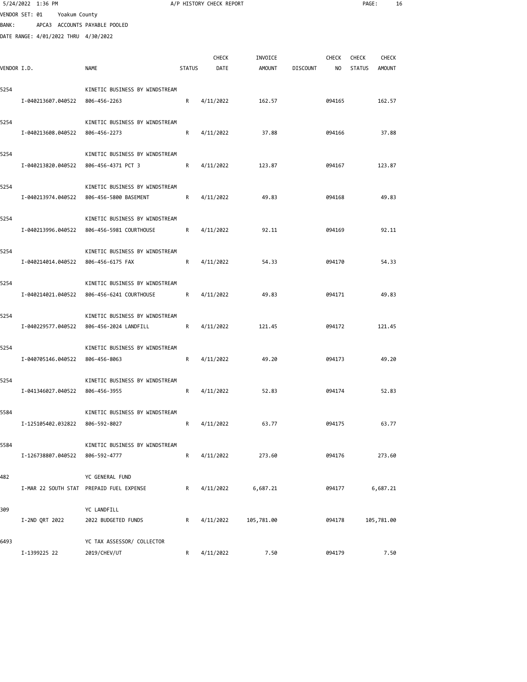|             | 5/24/2022 1:36 PM                    |               |                                                    |               | A/P HISTORY CHECK REPORT |               |                 |              | PAGE:         | 16            |  |
|-------------|--------------------------------------|---------------|----------------------------------------------------|---------------|--------------------------|---------------|-----------------|--------------|---------------|---------------|--|
|             | VENDOR SET: 01                       | Yoakum County |                                                    |               |                          |               |                 |              |               |               |  |
| BANK:       |                                      |               | APCA3 ACCOUNTS PAYABLE POOLED                      |               |                          |               |                 |              |               |               |  |
|             | DATE RANGE: 4/01/2022 THRU 4/30/2022 |               |                                                    |               |                          |               |                 |              |               |               |  |
|             |                                      |               |                                                    |               |                          |               |                 |              |               |               |  |
|             |                                      |               |                                                    |               | <b>CHECK</b>             | INVOICE       |                 | <b>CHECK</b> | <b>CHECK</b>  | <b>CHECK</b>  |  |
| VENDOR I.D. |                                      |               | NAME                                               | <b>STATUS</b> | DATE                     | <b>AMOUNT</b> | <b>DISCOUNT</b> | NO           | <b>STATUS</b> | <b>AMOUNT</b> |  |
|             |                                      |               |                                                    |               |                          |               |                 |              |               |               |  |
| 5254        |                                      |               | KINETIC BUSINESS BY WINDSTREAM                     |               |                          |               |                 |              |               |               |  |
|             | I-040213607.040522                   |               | 806-456-2263                                       | R             | 4/11/2022                | 162.57        |                 | 094165       |               | 162.57        |  |
| 5254        |                                      |               | KINETIC BUSINESS BY WINDSTREAM                     |               |                          |               |                 |              |               |               |  |
|             | I-040213608.040522                   |               | 806-456-2273                                       | R             | 4/11/2022                | 37.88         |                 | 094166       |               | 37.88         |  |
|             |                                      |               |                                                    |               |                          |               |                 |              |               |               |  |
| 5254        |                                      |               | KINETIC BUSINESS BY WINDSTREAM                     |               |                          |               |                 |              |               |               |  |
|             | I-040213820.040522                   |               | 806-456-4371 PCT 3                                 | R             | 4/11/2022                | 123.87        |                 | 094167       |               | 123.87        |  |
|             |                                      |               |                                                    |               |                          |               |                 |              |               |               |  |
| 5254        |                                      |               | KINETIC BUSINESS BY WINDSTREAM                     |               |                          |               |                 |              |               |               |  |
|             | I-040213974.040522                   |               | 806-456-5800 BASEMENT                              | R             | 4/11/2022                | 49.83         |                 | 094168       |               | 49.83         |  |
|             |                                      |               |                                                    |               |                          |               |                 |              |               |               |  |
| 5254        |                                      |               | KINETIC BUSINESS BY WINDSTREAM                     |               |                          |               |                 |              |               |               |  |
|             | I-040213996.040522                   |               | 806-456-5981 COURTHOUSE                            | R             | 4/11/2022                | 92.11         |                 | 094169       |               | 92.11         |  |
|             |                                      |               |                                                    |               |                          |               |                 |              |               |               |  |
| 5254        | I-040214014.040522                   |               | KINETIC BUSINESS BY WINDSTREAM<br>806-456-6175 FAX | R             | 4/11/2022                | 54.33         |                 | 094170       |               | 54.33         |  |
|             |                                      |               |                                                    |               |                          |               |                 |              |               |               |  |
| 5254        |                                      |               | KINETIC BUSINESS BY WINDSTREAM                     |               |                          |               |                 |              |               |               |  |
|             | I-040214021.040522                   |               | 806-456-6241 COURTHOUSE                            | R             | 4/11/2022                | 49.83         |                 | 094171       |               | 49.83         |  |
|             |                                      |               |                                                    |               |                          |               |                 |              |               |               |  |
| 5254        |                                      |               | KINETIC BUSINESS BY WINDSTREAM                     |               |                          |               |                 |              |               |               |  |
|             | I-040229577.040522                   |               | 806-456-2024 LANDFILL                              | R             | 4/11/2022                | 121.45        |                 | 094172       |               | 121.45        |  |
|             |                                      |               |                                                    |               |                          |               |                 |              |               |               |  |
| 5254        |                                      |               | KINETIC BUSINESS BY WINDSTREAM                     |               |                          |               |                 |              |               |               |  |
|             | I-040705146.040522                   |               | 806-456-8063                                       | R             | 4/11/2022                | 49.20         |                 | 094173       |               | 49.20         |  |
|             |                                      |               |                                                    |               |                          |               |                 |              |               |               |  |
| 5254        |                                      |               | KINETIC BUSINESS BY WINDSTREAM                     |               |                          |               |                 |              |               |               |  |
|             |                                      |               | I-041346027.040522 806-456-3955                    | R             | 4/11/2022                | 52.83         |                 | 094174       |               | 52.83         |  |
| 5584        |                                      |               | KINETIC BUSINESS BY WINDSTREAM                     |               |                          |               |                 |              |               |               |  |
|             |                                      |               | I-125105402.032822 806-592-8027                    | R             | 4/11/2022                | 63.77         |                 | 094175       |               | 63.77         |  |
|             |                                      |               |                                                    |               |                          |               |                 |              |               |               |  |
| 5584        |                                      |               | KINETIC BUSINESS BY WINDSTREAM                     |               |                          |               |                 |              |               |               |  |
|             |                                      |               | I-126738807.040522 806-592-4777                    | R             | 4/11/2022                | 273.60        |                 | 094176       |               | 273.60        |  |
|             |                                      |               |                                                    |               |                          |               |                 |              |               |               |  |
| 482         |                                      |               | YC GENERAL FUND                                    |               |                          |               |                 |              |               |               |  |
|             |                                      |               | I-MAR 22 SOUTH STAT PREPAID FUEL EXPENSE           | $\mathsf{R}$  | 4/11/2022                | 6,687.21      |                 | 094177       |               | 6,687.21      |  |
|             |                                      |               |                                                    |               |                          |               |                 |              |               |               |  |
| 309         |                                      |               | YC LANDFILL                                        |               |                          |               |                 |              |               |               |  |
|             | I-2ND QRT 2022                       |               | 2022 BUDGETED FUNDS                                | R             | 4/11/2022                | 105,781.00    |                 | 094178       |               | 105,781.00    |  |
| 6493        |                                      |               |                                                    |               |                          |               |                 |              |               |               |  |
|             | I-1399225 22                         |               | YC TAX ASSESSOR/ COLLECTOR                         | R             |                          | 7.50          |                 | 094179       |               | 7.50          |  |
|             |                                      |               | 2019/CHEV/UT                                       |               | 4/11/2022                |               |                 |              |               |               |  |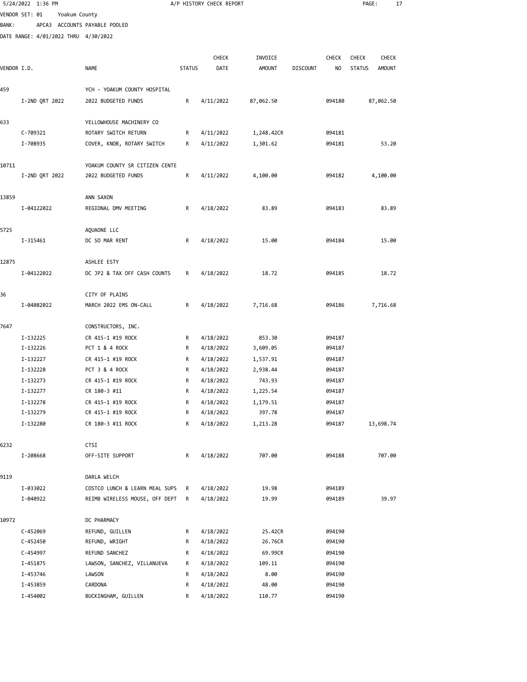|              | VENDOR SET: 01 | Yoakum County |                                      |               |              |               |                 |              |               |               |  |
|--------------|----------------|---------------|--------------------------------------|---------------|--------------|---------------|-----------------|--------------|---------------|---------------|--|
| <b>BANK:</b> |                |               | APCA3 ACCOUNTS PAYABLE POOLED        |               |              |               |                 |              |               |               |  |
|              |                |               | DATE RANGE: 4/01/2022 THRU 4/30/2022 |               |              |               |                 |              |               |               |  |
|              |                |               |                                      |               | <b>CHECK</b> | INVOICE       |                 | <b>CHECK</b> | <b>CHECK</b>  | <b>CHECK</b>  |  |
| VENDOR I.D.  |                |               | NAME                                 | <b>STATUS</b> | DATE         | <b>AMOUNT</b> | <b>DISCOUNT</b> | NO           | <b>STATUS</b> | <b>AMOUNT</b> |  |
|              |                |               |                                      |               |              |               |                 |              |               |               |  |
| 459          |                |               | YCH - YOAKUM COUNTY HOSPITAL         |               |              |               |                 |              |               |               |  |
|              | I-2ND QRT 2022 |               | 2022 BUDGETED FUNDS                  | R             | 4/11/2022    | 87,062.50     |                 | 094180       |               | 87,062.50     |  |
| 633          |                |               | YELLOWHOUSE MACHINERY CO             |               |              |               |                 |              |               |               |  |
|              | C-709321       |               | ROTARY SWITCH RETURN                 | R             | 4/11/2022    | 1,248.42CR    |                 | 094181       |               |               |  |
|              | I-708935       |               | COVER, KNOB, ROTARY SWITCH           | R             | 4/11/2022    | 1,301.62      |                 | 094181       |               | 53.20         |  |
| 10711        |                |               | YOAKUM COUNTY SR CITIZEN CENTE       |               |              |               |                 |              |               |               |  |
|              | I-2ND QRT 2022 |               | 2022 BUDGETED FUNDS                  | R             | 4/11/2022    | 4,100.00      |                 | 094182       |               | 4,100.00      |  |
| 13859        |                |               | ANN SAXON                            |               |              |               |                 |              |               |               |  |
|              | I-04122022     |               | REGIONAL DMV MEETING                 | R             | 4/18/2022    | 83.89         |                 | 094183       |               | 83.89         |  |
| 5725         |                |               | AQUAONE LLC                          |               |              |               |                 |              |               |               |  |
|              | I-315461       |               | DC SO MAR RENT                       | R             | 4/18/2022    | 15.00         |                 | 094184       |               | 15.00         |  |
| 12875        |                |               | ASHLEE ESTY                          |               |              |               |                 |              |               |               |  |
|              | I-04122022     |               | DC JP2 & TAX OFF CASH COUNTS         | R             | 4/18/2022    | 18.72         |                 | 094185       |               | 18.72         |  |
| 36           |                |               | CITY OF PLAINS                       |               |              |               |                 |              |               |               |  |
|              | I-04082022     |               | MARCH 2022 EMS ON-CALL               | R             | 4/18/2022    | 7,716.68      |                 | 094186       |               | 7,716.68      |  |
| 7647         |                |               | CONSTRUCTORS, INC.                   |               |              |               |                 |              |               |               |  |
|              | I-132225       |               | CR 415-1 #19 ROCK                    | R             | 4/18/2022    | 853.30        |                 | 094187       |               |               |  |
|              | I-132226       |               | PCT 1 & 4 ROCK                       | R             | 4/18/2022    | 3,609.05      |                 | 094187       |               |               |  |
|              | I-132227       |               | CR 415-1 #19 ROCK                    | R             | 4/18/2022    | 1,537.91      |                 | 094187       |               |               |  |
|              | I-132228       |               | PCT 3 & 4 ROCK                       | R             | 4/18/2022    | 2,938.44      |                 | 094187       |               |               |  |
|              | I-132273       |               | CR 415-1 #19 ROCK                    | R             | 4/18/2022    | 743.93        |                 | 094187       |               |               |  |
|              | I-132277       |               | CR 180-3 #11                         | R             | 4/18/2022    | 1,225.54      |                 | 094187       |               |               |  |
|              | I-132278       |               | CR 415-1 #19 ROCK                    | R             | 4/18/2022    | 1,179.51      |                 | 094187       |               |               |  |
|              | I-132279       |               | CR 415-1 #19 ROCK                    | R             | 4/18/2022    | 397.78        |                 | 094187       |               |               |  |
|              | I-132280       |               | CR 180-3 #11 ROCK                    | R             | 4/18/2022    | 1,213.28      |                 | 094187       |               | 13,698.74     |  |
| 6232         |                |               | CTSI                                 |               |              |               |                 |              |               |               |  |
|              | I-208668       |               | OFF-SITE SUPPORT                     | R             | 4/18/2022    | 707.00        |                 | 094188       |               | 707.00        |  |
| 9119         |                |               | DARLA WELCH                          |               |              |               |                 |              |               |               |  |
|              | I-033022       |               | COSTCO LUNCH & LEARN MEAL SUPS       | R             | 4/18/2022    | 19.98         |                 | 094189       |               |               |  |
|              | I-040922       |               | REIMB WIRELESS MOUSE, OFF DEPT       | R             | 4/18/2022    | 19.99         |                 | 094189       |               | 39.97         |  |
| 10972        |                |               | DC PHARMACY                          |               |              |               |                 |              |               |               |  |
|              | C-452069       |               | REFUND, GUILLEN                      | R             | 4/18/2022    | 25.42CR       |                 | 094190       |               |               |  |
|              | C-452450       |               | REFUND, WRIGHT                       | R             | 4/18/2022    | 26.76CR       |                 | 094190       |               |               |  |
|              | C-454997       |               | REFUND SANCHEZ                       | R             | 4/18/2022    | 69.99CR       |                 | 094190       |               |               |  |
|              | I-451875       |               | LAWSON, SANCHEZ, VILLANUEVA          | R             | 4/18/2022    | 109.11        |                 | 094190       |               |               |  |
|              | I-453746       |               | LAWSON                               | R             | 4/18/2022    | 8.00          |                 | 094190       |               |               |  |
|              | I-453859       |               | CARDONA                              | R             | 4/18/2022    | 48.00         |                 | 094190       |               |               |  |
|              | I-454002       |               | BUCKINGHAM, GUILLEN                  | R             | 4/18/2022    | 110.77        |                 | 094190       |               |               |  |

5/24/2022 1:36 PM A/P HISTORY CHECK REPORT PAGE: 17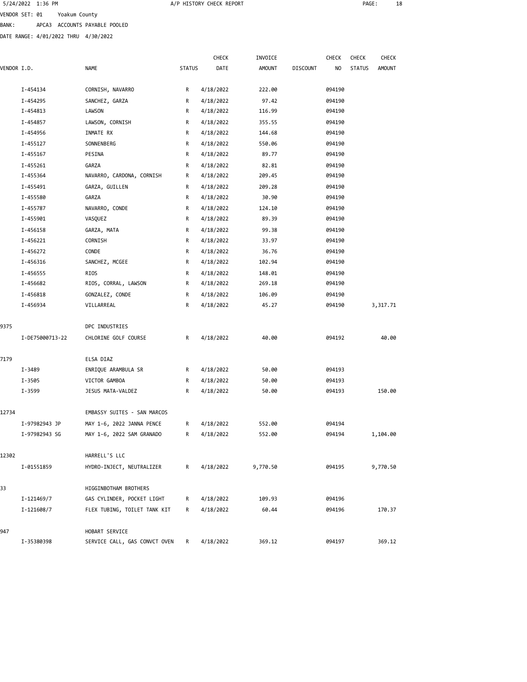| 5/24/2022 1:36 PM |                               |  |
|-------------------|-------------------------------|--|
| VENDOR SET: 01    | Yoakum County                 |  |
| BANK:             | APCA3 ACCOUNTS PAYABLE POOLED |  |

| DATE RANGE: 4/01/2022 THRU 4/30/2022 |                           |               |              |         |                 |        |               |               |
|--------------------------------------|---------------------------|---------------|--------------|---------|-----------------|--------|---------------|---------------|
|                                      |                           |               | <b>CHECK</b> | INVOICE |                 | CHECK  | CHECK         | CHECK         |
| VENDOR I.D.                          | <b>NAME</b>               | <b>STATUS</b> | DATE         | AMOUNT  | <b>DISCOUNT</b> | NO     | <b>STATUS</b> | <b>AMOUNT</b> |
| I-454134                             | CORNISH, NAVARRO          | R             | 4/18/2022    | 222.00  |                 | 094190 |               |               |
| I-454295                             | SANCHEZ, GARZA            | R             | 4/18/2022    | 97.42   |                 | 094190 |               |               |
| I-454813                             | LAWSON                    | R             | 4/18/2022    | 116.99  |                 | 094190 |               |               |
| I-454857                             | LAWSON, CORNISH           | R             | 4/18/2022    | 355.55  |                 | 094190 |               |               |
| I-454956                             | INMATE RX                 | $\mathsf{R}$  | 4/18/2022    | 144.68  |                 | 094190 |               |               |
| I-455127                             | SONNENBERG                | $\mathsf{R}$  | 4/18/2022    | 550.06  |                 | 094190 |               |               |
| I-455167                             | PESINA                    | R             | 4/18/2022    | 89.77   |                 | 094190 |               |               |
| I-455261                             | GARZA                     | R             | 4/18/2022    | 82.81   |                 | 094190 |               |               |
| I-455364                             | NAVARRO, CARDONA, CORNISH | R             | 4/18/2022    | 209.45  |                 | 094190 |               |               |
| I-455491                             | GARZA, GUILLEN            | R             | 4/18/2022    | 209.28  |                 | 094190 |               |               |
| I-455580                             | GARZA                     | R             | 4/18/2022    | 30.90   |                 | 094190 |               |               |
| I-455787                             | NAVARRO, CONDE            | R             | 4/18/2022    | 124.10  |                 | 094190 |               |               |
| I-455901                             | VASOUEZ                   | R             | 4/18/2022    | 89.39   |                 | 094190 |               |               |
| I-456158                             | GARZA, MATA               | R             | 4/18/2022    | 99.38   |                 | 094190 |               |               |
| I-456221                             | CORNISH                   | $\mathsf{R}$  | 4/18/2022    | 33.97   |                 | 094190 |               |               |
| I-456272                             | CONDE                     | R             | 4/18/2022    | 36.76   |                 | 094190 |               |               |
| I-456316                             | SANCHEZ, MCGEE            | R             | 4/18/2022    | 102.94  |                 | 094190 |               |               |
| I-456555                             | RIOS                      | $\mathsf{R}$  | 4/18/2022    | 148.01  |                 | 094190 |               |               |
| I-456682                             | RIOS, CORRAL, LAWSON      | R             | 4/18/2022    | 269.18  |                 | 094190 |               |               |
| I-456818                             | GONZALEZ, CONDE           | R             | 4/18/2022    | 106.09  |                 | 094190 |               |               |
| I-456934                             | VILLARREAL                | $\mathsf{R}$  | 4/18/2022    | 45.27   |                 | 094190 |               | 3,317.71      |
|                                      |                           |               |              |         |                 |        |               |               |

| 9375  |                 | DPC INDUSTRIES                |              |           |          |        |          |
|-------|-----------------|-------------------------------|--------------|-----------|----------|--------|----------|
|       | I-DE75000713-22 | CHLORINE GOLF COURSE          | $\mathsf{R}$ | 4/18/2022 | 40.00    | 094192 | 40.00    |
| 7179  |                 | ELSA DIAZ                     |              |           |          |        |          |
|       | I-3489          | ENRIQUE ARAMBULA SR           | R            | 4/18/2022 | 50.00    | 094193 |          |
|       | I-3505          | VICTOR GAMBOA                 | $\mathsf{R}$ | 4/18/2022 | 50.00    | 094193 |          |
|       | $I - 3599$      | JESUS MATA-VALDEZ             | $\mathsf{R}$ | 4/18/2022 | 50.00    | 094193 | 150.00   |
| 12734 |                 | EMBASSY SUITES - SAN MARCOS   |              |           |          |        |          |
|       | I-97982943 JP   | MAY 1-6, 2022 JANNA PENCE     | R            | 4/18/2022 | 552.00   | 094194 |          |
|       | I-97982943 SG   | MAY 1-6, 2022 SAM GRANADO     | $\mathsf{R}$ | 4/18/2022 | 552.00   | 094194 | 1,104.00 |
| 12302 |                 | HARRELL'S LLC                 |              |           |          |        |          |
|       | I-01551859      | HYDRO-INJECT, NEUTRALIZER     | $\mathsf{R}$ | 4/18/2022 | 9,770.50 | 094195 | 9,770.50 |
| 33    |                 | HIGGINBOTHAM BROTHERS         |              |           |          |        |          |
|       | I-121469/7      | GAS CYLINDER, POCKET LIGHT    | R            | 4/18/2022 | 109.93   | 094196 |          |
|       | I-121608/7      | FLEX TUBING, TOILET TANK KIT  | R            | 4/18/2022 | 60.44    | 094196 | 170.37   |
| 947   |                 | HOBART SERVICE                |              |           |          |        |          |
|       | I-35380398      | SERVICE CALL, GAS CONVCT OVEN | R            | 4/18/2022 | 369.12   | 094197 | 369.12   |

A/P HISTORY CHECK REPORT **PAGE:** 18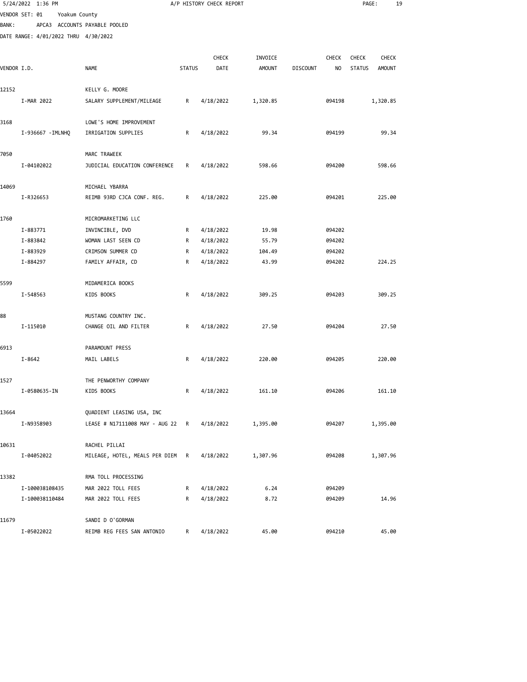|              | 5/24/2022 1:36 PM                    |                                          |               | A/P HISTORY CHECK REPORT |                 |                 |                  | PAGE:         | 19       |  |
|--------------|--------------------------------------|------------------------------------------|---------------|--------------------------|-----------------|-----------------|------------------|---------------|----------|--|
|              | VENDOR SET: 01<br>Yoakum County      |                                          |               |                          |                 |                 |                  |               |          |  |
| <b>BANK:</b> |                                      | APCA3 ACCOUNTS PAYABLE POOLED            |               |                          |                 |                 |                  |               |          |  |
|              | DATE RANGE: 4/01/2022 THRU 4/30/2022 |                                          |               |                          |                 |                 |                  |               |          |  |
|              |                                      |                                          |               |                          |                 |                 |                  |               |          |  |
|              |                                      |                                          |               | CHECK                    | INVOICE         |                 | CHECK            | <b>CHECK</b>  | CHECK    |  |
| VENDOR I.D.  |                                      | NAME                                     | <b>STATUS</b> | DATE                     | <b>AMOUNT</b>   | <b>DISCOUNT</b> | NO               | <b>STATUS</b> | AMOUNT   |  |
|              |                                      |                                          |               |                          |                 |                 |                  |               |          |  |
| 12152        |                                      | KELLY G. MOORE                           |               |                          |                 |                 |                  |               |          |  |
|              | I-MAR 2022                           | SALARY SUPPLEMENT/MILEAGE                | R             | 4/18/2022                | 1,320.85        |                 | 094198           |               | 1,320.85 |  |
| 3168         |                                      | LOWE'S HOME IMPROVEMENT                  |               |                          |                 |                 |                  |               |          |  |
|              | I-936667 - IMLNHQ                    | IRRIGATION SUPPLIES                      | R             | 4/18/2022                | 99.34           |                 | 094199           |               | 99.34    |  |
|              |                                      |                                          |               |                          |                 |                 |                  |               |          |  |
| 7050         |                                      | MARC TRAWEEK                             |               |                          |                 |                 |                  |               |          |  |
|              | I-04102022                           | JUDICIAL EDUCATION CONFERENCE            | R             | 4/18/2022                | 598.66          |                 | 094200           |               | 598.66   |  |
|              |                                      |                                          |               |                          |                 |                 |                  |               |          |  |
| 14069        |                                      | MICHAEL YBARRA                           |               |                          |                 |                 |                  |               |          |  |
|              | I-R326653                            | REIMB 93RD CJCA CONF. REG.               | R             | 4/18/2022                | 225.00          |                 | 094201           |               | 225.00   |  |
|              |                                      |                                          |               |                          |                 |                 |                  |               |          |  |
| 1760         |                                      | MICROMARKETING LLC                       |               |                          |                 |                 |                  |               |          |  |
|              | I-883771                             | INVINCIBLE, DVD                          | R             | 4/18/2022<br>4/18/2022   | 19.98           |                 | 094202           |               |          |  |
|              | I-883842                             | WOMAN LAST SEEN CD<br>CRIMSON SUMMER CD  | R             |                          | 55.79           |                 | 094202<br>094202 |               |          |  |
|              | I-883929<br>I-884297                 | FAMILY AFFAIR, CD                        | R<br>R        | 4/18/2022<br>4/18/2022   | 104.49<br>43.99 |                 | 094202           |               | 224.25   |  |
|              |                                      |                                          |               |                          |                 |                 |                  |               |          |  |
| 5599         |                                      | MIDAMERICA BOOKS                         |               |                          |                 |                 |                  |               |          |  |
|              | I-548563                             | KIDS BOOKS                               | R             | 4/18/2022                | 309.25          |                 | 094203           |               | 309.25   |  |
|              |                                      |                                          |               |                          |                 |                 |                  |               |          |  |
| 88           |                                      | MUSTANG COUNTRY INC.                     |               |                          |                 |                 |                  |               |          |  |
|              | I-115010                             | CHANGE OIL AND FILTER                    | R             | 4/18/2022                | 27.50           |                 | 094204           |               | 27.50    |  |
|              |                                      |                                          |               |                          |                 |                 |                  |               |          |  |
| 6913         |                                      | PARAMOUNT PRESS                          |               |                          |                 |                 |                  |               |          |  |
|              | $I - 8642$                           | MAIL LABELS                              | R             | 4/18/2022                | 220.00          |                 | 094205           |               | 220.00   |  |
| 1527         |                                      | THE PENWORTHY COMPANY                    |               |                          |                 |                 |                  |               |          |  |
|              | I-0580635-IN                         | KIDS BOOKS                               | R             | 4/18/2022                | 161.10          |                 | 094206           |               | 161.10   |  |
|              |                                      |                                          |               |                          |                 |                 |                  |               |          |  |
| 13664        |                                      | QUADIENT LEASING USA, INC                |               |                          |                 |                 |                  |               |          |  |
|              | I-N9358903                           | LEASE # N17111008 MAY - AUG 22           | R             | 4/18/2022                | 1,395.00        |                 | 094207           |               | 1,395.00 |  |
|              |                                      |                                          |               |                          |                 |                 |                  |               |          |  |
| 10631        |                                      | RACHEL PILLAI                            |               |                          |                 |                 |                  |               |          |  |
|              | I-04052022                           | MILEAGE, HOTEL, MEALS PER DIEM R         |               | 4/18/2022                | 1,307.96        |                 | 094208           |               | 1,307.96 |  |
|              |                                      |                                          |               |                          |                 |                 |                  |               |          |  |
| 13382        |                                      | RMA TOLL PROCESSING                      |               |                          |                 |                 |                  |               |          |  |
|              | I-100038108435<br>I-100038110484     | MAR 2022 TOLL FEES<br>MAR 2022 TOLL FEES | R<br>R        | 4/18/2022<br>4/18/2022   | 6.24<br>8.72    |                 | 094209<br>094209 |               | 14.96    |  |
|              |                                      |                                          |               |                          |                 |                 |                  |               |          |  |
| 11679        |                                      | SANDI D O'GORMAN                         |               |                          |                 |                 |                  |               |          |  |
|              | I-05022022                           | REIMB REG FEES SAN ANTONIO               | R             | 4/18/2022                | 45.00           |                 | 094210           |               | 45.00    |  |
|              |                                      |                                          |               |                          |                 |                 |                  |               |          |  |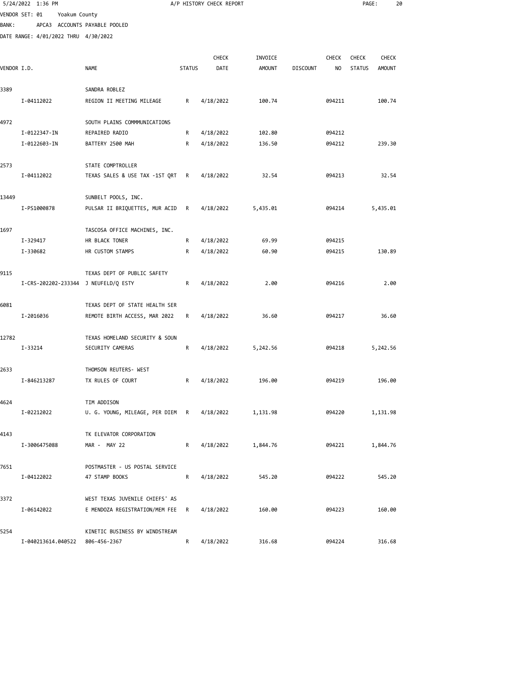|              | 5/24/2022 1:36 PM                    |                                  |               | A/P HISTORY CHECK REPORT |          |                 |        | PAGE:         | 20           |  |
|--------------|--------------------------------------|----------------------------------|---------------|--------------------------|----------|-----------------|--------|---------------|--------------|--|
|              | VENDOR SET: 01<br>Yoakum County      |                                  |               |                          |          |                 |        |               |              |  |
| <b>BANK:</b> |                                      | APCA3 ACCOUNTS PAYABLE POOLED    |               |                          |          |                 |        |               |              |  |
|              | DATE RANGE: 4/01/2022 THRU 4/30/2022 |                                  |               |                          |          |                 |        |               |              |  |
|              |                                      |                                  |               |                          |          |                 |        |               |              |  |
|              |                                      |                                  |               | <b>CHECK</b>             | INVOICE  |                 | CHECK  | <b>CHECK</b>  | <b>CHECK</b> |  |
| VENDOR I.D.  |                                      | NAME                             | <b>STATUS</b> | DATE                     | AMOUNT   | <b>DISCOUNT</b> | NO.    | <b>STATUS</b> | AMOUNT       |  |
|              |                                      |                                  |               |                          |          |                 |        |               |              |  |
| 3389         |                                      | SANDRA ROBLEZ                    |               |                          |          |                 |        |               |              |  |
|              | I-04112022                           | REGION II MEETING MILEAGE        | R             | 4/18/2022                | 100.74   |                 | 094211 |               | 100.74       |  |
| 4972         |                                      | SOUTH PLAINS COMMMUNICATIONS     |               |                          |          |                 |        |               |              |  |
|              | I-0122347-IN                         | REPAIRED RADIO                   | R             | 4/18/2022                | 102.80   |                 | 094212 |               |              |  |
|              | I-0122603-IN                         | BATTERY 2500 MAH                 | R             | 4/18/2022                | 136.50   |                 | 094212 |               | 239.30       |  |
|              |                                      |                                  |               |                          |          |                 |        |               |              |  |
| 2573         |                                      | STATE COMPTROLLER                |               |                          |          |                 |        |               |              |  |
|              | I-04112022                           | TEXAS SALES & USE TAX -1ST QRT   | R             | 4/18/2022                | 32.54    |                 | 094213 |               | 32.54        |  |
| 13449        |                                      | SUNBELT POOLS, INC.              |               |                          |          |                 |        |               |              |  |
|              | I-PS1000878                          | PULSAR II BRIQUETTES, MUR ACID   | R             | 4/18/2022                | 5,435.01 |                 | 094214 |               | 5,435.01     |  |
|              |                                      |                                  |               |                          |          |                 |        |               |              |  |
| 1697         |                                      | TASCOSA OFFICE MACHINES, INC.    |               |                          |          |                 |        |               |              |  |
|              | I-329417                             | HR BLACK TONER                   | R             | 4/18/2022                | 69.99    |                 | 094215 |               |              |  |
|              | I-330682                             | HR CUSTOM STAMPS                 | R             | 4/18/2022                | 60.90    |                 | 094215 |               | 130.89       |  |
|              |                                      |                                  |               |                          |          |                 |        |               |              |  |
| 9115         |                                      | TEXAS DEPT OF PUBLIC SAFETY      |               |                          |          |                 |        |               |              |  |
|              | I-CRS-202202-233344 J NEUFELD/Q ESTY |                                  | R             | 4/18/2022                | 2.00     |                 | 094216 |               | 2.00         |  |
| 6081         |                                      | TEXAS DEPT OF STATE HEALTH SER   |               |                          |          |                 |        |               |              |  |
|              | I-2016036                            | REMOTE BIRTH ACCESS, MAR 2022    | R             | 4/18/2022                | 36.60    |                 | 094217 |               | 36.60        |  |
|              |                                      |                                  |               |                          |          |                 |        |               |              |  |
| 12782        |                                      | TEXAS HOMELAND SECURITY & SOUN   |               |                          |          |                 |        |               |              |  |
|              | I-33214                              | SECURITY CAMERAS                 | R             | 4/18/2022                | 5,242.56 |                 | 094218 |               | 5,242.56     |  |
|              |                                      |                                  |               |                          |          |                 |        |               |              |  |
| 2633         |                                      | THOMSON REUTERS- WEST            |               |                          |          |                 |        |               |              |  |
|              | I-846213287                          | TX RULES OF COURT                | R             | 4/18/2022                | 196.00   |                 | 094219 |               | 196.00       |  |
| 4624         |                                      | TIM ADDISON                      |               |                          |          |                 |        |               |              |  |
|              | I-02212022                           | U. G. YOUNG, MILEAGE, PER DIEM R |               | 4/18/2022                | 1,131.98 |                 | 094220 |               | 1,131.98     |  |
|              |                                      |                                  |               |                          |          |                 |        |               |              |  |
| 4143         |                                      | TK ELEVATOR CORPORATION          |               |                          |          |                 |        |               |              |  |
|              | I-3006475088                         | MAR - MAY 22                     | R             | 4/18/2022                | 1,844.76 |                 | 094221 |               | 1,844.76     |  |
|              |                                      | POSTMASTER - US POSTAL SERVICE   |               |                          |          |                 |        |               |              |  |
| 7651         | I-04122022                           | 47 STAMP BOOKS                   | R             | 4/18/2022                | 545.20   |                 | 094222 |               | 545.20       |  |
|              |                                      |                                  |               |                          |          |                 |        |               |              |  |
| 3372         |                                      | WEST TEXAS JUVENILE CHIEFS' AS   |               |                          |          |                 |        |               |              |  |
|              | I-06142022                           | E MENDOZA REGISTRATION/MEM FEE   | R             | 4/18/2022                | 160.00   |                 | 094223 |               | 160.00       |  |
|              |                                      |                                  |               |                          |          |                 |        |               |              |  |
| 5254         |                                      | KINETIC BUSINESS BY WINDSTREAM   |               |                          |          |                 |        |               |              |  |
|              | I-040213614.040522                   | 806-456-2367                     | R             | 4/18/2022                | 316.68   |                 | 094224 |               | 316.68       |  |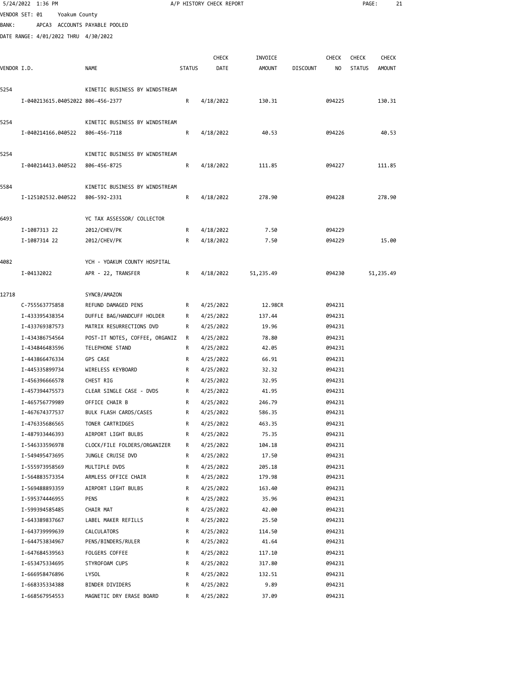|              | 5/24/2022 1:36 PM                    |                                |               | A/P HISTORY CHECK REPORT |                |                 |                  | PAGE:         | 21            |  |
|--------------|--------------------------------------|--------------------------------|---------------|--------------------------|----------------|-----------------|------------------|---------------|---------------|--|
|              | VENDOR SET: 01<br>Yoakum County      |                                |               |                          |                |                 |                  |               |               |  |
| <b>BANK:</b> | APCA3 ACCOUNTS PAYABLE POOLED        |                                |               |                          |                |                 |                  |               |               |  |
|              | DATE RANGE: 4/01/2022 THRU 4/30/2022 |                                |               |                          |                |                 |                  |               |               |  |
|              |                                      |                                |               |                          |                |                 |                  |               |               |  |
|              |                                      |                                |               | <b>CHECK</b>             | INVOICE        |                 | CHECK            | <b>CHECK</b>  | <b>CHECK</b>  |  |
| VENDOR I.D.  |                                      | <b>NAME</b>                    | <b>STATUS</b> | DATE                     | <b>AMOUNT</b>  | <b>DISCOUNT</b> | NO.              | <b>STATUS</b> | <b>AMOUNT</b> |  |
| 5254         |                                      | KINETIC BUSINESS BY WINDSTREAM |               |                          |                |                 |                  |               |               |  |
|              | I-040213615.04052022 806-456-2377    |                                | R             | 4/18/2022                | 130.31         |                 | 094225           |               | 130.31        |  |
|              |                                      |                                |               |                          |                |                 |                  |               |               |  |
| 5254         |                                      | KINETIC BUSINESS BY WINDSTREAM |               |                          |                |                 |                  |               |               |  |
|              | I-040214166.040522                   | 806-456-7118                   | R             | 4/18/2022                | 40.53          |                 | 094226           |               | 40.53         |  |
|              |                                      |                                |               |                          |                |                 |                  |               |               |  |
| 5254         |                                      | KINETIC BUSINESS BY WINDSTREAM |               |                          |                |                 |                  |               |               |  |
|              | I-040214413.040522                   | 806-456-8725                   | R             | 4/18/2022                | 111.85         |                 | 094227           |               | 111.85        |  |
|              |                                      |                                |               |                          |                |                 |                  |               |               |  |
| 5584         |                                      | KINETIC BUSINESS BY WINDSTREAM |               |                          |                |                 |                  |               |               |  |
|              | I-125102532.040522                   | 806-592-2331                   | R             | 4/18/2022                | 278.90         |                 | 094228           |               | 278.90        |  |
| 6493         |                                      | YC TAX ASSESSOR/ COLLECTOR     |               |                          |                |                 |                  |               |               |  |
|              | I-1087313 22                         | 2012/CHEV/PK                   | R             | 4/18/2022                | 7.50           |                 | 094229           |               |               |  |
|              | I-1087314 22                         | 2012/CHEV/PK                   | R             | 4/18/2022                | 7.50           |                 | 094229           |               | 15.00         |  |
|              |                                      |                                |               |                          |                |                 |                  |               |               |  |
| 4082         |                                      | YCH - YOAKUM COUNTY HOSPITAL   |               |                          |                |                 |                  |               |               |  |
|              | I-04132022                           | APR - 22, TRANSFER             | R             | 4/18/2022                | 51,235.49      |                 | 094230           |               | 51,235.49     |  |
|              |                                      |                                |               |                          |                |                 |                  |               |               |  |
| 12718        |                                      | SYNCB/AMAZON                   |               |                          |                |                 |                  |               |               |  |
|              | C-755563775858                       | REFUND DAMAGED PENS            | R             | 4/25/2022                | 12.98CR        |                 | 094231           |               |               |  |
|              | I-433395438354                       | DUFFLE BAG/HANDCUFF HOLDER     | R             | 4/25/2022                | 137.44         |                 | 094231           |               |               |  |
|              | I-433769387573                       | MATRIX RESURRECTIONS DVD       | R             | 4/25/2022                | 19.96          |                 | 094231           |               |               |  |
|              | I-434386754564                       | POST-IT NOTES, COFFEE, ORGANIZ | R             | 4/25/2022                | 78.80          |                 | 094231           |               |               |  |
|              | I-434846483596                       | TELEPHONE STAND                | R             | 4/25/2022                | 42.05          |                 | 094231           |               |               |  |
|              | I-443866476334<br>I-445335899734     | GPS CASE<br>WIRELESS KEYBOARD  | R             | 4/25/2022                | 66.91<br>32.32 |                 | 094231<br>094231 |               |               |  |
|              | I-456396666578                       | CHEST RIG                      | R<br>R        | 4/25/2022<br>4/25/2022   | 32.95          |                 | 094231           |               |               |  |
|              | I-457394475573                       | CLEAR SINGLE CASE - DVDS       | R             | 4/25/2022                | 41.95          |                 | 094231           |               |               |  |
|              | I-465756779989                       | OFFICE CHAIR B                 | R             | 4/25/2022                | 246.79         |                 | 094231           |               |               |  |
|              | I-467674377537                       | BULK FLASH CARDS/CASES         | R             | 4/25/2022                | 586.35         |                 | 094231           |               |               |  |
|              | I-476335686565                       | TONER CARTRIDGES               | R             | 4/25/2022                | 463.35         |                 | 094231           |               |               |  |
|              | I-487933446393                       | AIRPORT LIGHT BULBS            | R             | 4/25/2022                | 75.35          |                 | 094231           |               |               |  |
|              | I-546333596978                       | CLOCK/FILE FOLDERS/ORGANIZER   | R             | 4/25/2022                | 104.18         |                 | 094231           |               |               |  |
|              | I-549495473695                       | JUNGLE CRUISE DVD              | R             | 4/25/2022                | 17.50          |                 | 094231           |               |               |  |
|              | I-555973958569                       | MULTIPLE DVDS                  | R             | 4/25/2022                | 205.18         |                 | 094231           |               |               |  |
|              | I-564883573354                       | ARMLESS OFFICE CHAIR           | R             | 4/25/2022                | 179.98         |                 | 094231           |               |               |  |
|              | I-569488893359                       | AIRPORT LIGHT BULBS            | R             | 4/25/2022                | 163.40         |                 | 094231           |               |               |  |
|              | I-595374446955                       | PENS                           | R             | 4/25/2022                | 35.96          |                 | 094231           |               |               |  |
|              | I-599394585485                       | CHAIR MAT                      | R             | 4/25/2022                | 42.00          |                 | 094231           |               |               |  |
|              | I-643389837667                       | LABEL MAKER REFILLS            | R             | 4/25/2022                | 25.50          |                 | 094231           |               |               |  |
|              | I-643739999639                       | CALCULATORS                    | R             | 4/25/2022                | 114.50         |                 | 094231           |               |               |  |
|              | I-644753834967                       | PENS/BINDERS/RULER             | R             | 4/25/2022                | 41.64          |                 | 094231           |               |               |  |
|              | I-647684539563                       | FOLGERS COFFEE                 | R             | 4/25/2022                | 117.10         |                 | 094231           |               |               |  |
|              | I-653475334695                       | STYROFOAM CUPS                 | R             | 4/25/2022                | 317.80         |                 | 094231           |               |               |  |
|              | I-666958476896<br>I-668335334388     | LYSOL<br>BINDER DIVIDERS       | R<br>R        | 4/25/2022<br>4/25/2022   | 132.51<br>9.89 |                 | 094231<br>094231 |               |               |  |
|              | I-668567954553                       | MAGNETIC DRY ERASE BOARD       | R             | 4/25/2022                | 37.09          |                 | 094231           |               |               |  |
|              |                                      |                                |               |                          |                |                 |                  |               |               |  |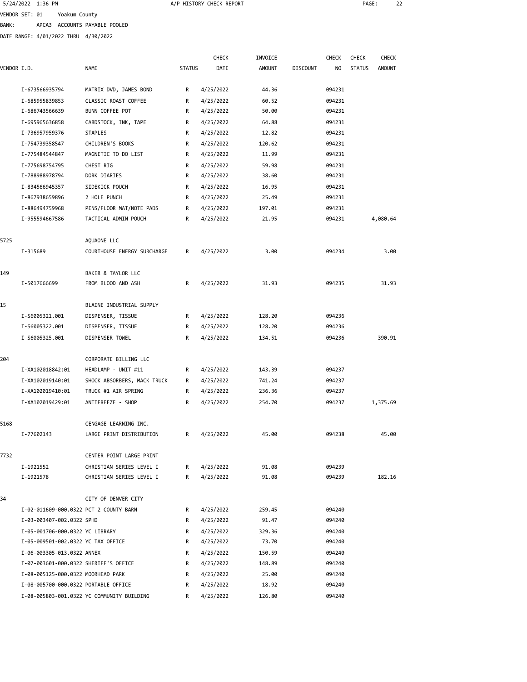5/24/2022 1:36 PM A/P HISTORY CHECK REPORT PAGE: 22 VENDOR SET: 01 Yoakum County BANK: APCA3 ACCOUNTS PAYABLE POOLED

DATE RANGE: 4/01/2022 THRU 4/30/2022

| VENDOR I.D. |                                        | <b>NAME</b>                                | <b>STATUS</b> | <b>CHECK</b><br>DATE | INVOICE<br><b>AMOUNT</b> | <b>DISCOUNT</b> | CHECK<br>NO | CHECK<br><b>STATUS</b> | <b>CHECK</b><br><b>AMOUNT</b> |
|-------------|----------------------------------------|--------------------------------------------|---------------|----------------------|--------------------------|-----------------|-------------|------------------------|-------------------------------|
|             | I-673566935794                         | MATRIX DVD, JAMES BOND                     | R             | 4/25/2022            | 44.36                    |                 | 094231      |                        |                               |
|             | I-685955839853                         | CLASSIC ROAST COFFEE                       | R             | 4/25/2022            | 60.52                    |                 | 094231      |                        |                               |
|             | I-686743566639                         | BUNN COFFEE POT                            | R             | 4/25/2022            | 50.00                    |                 | 094231      |                        |                               |
|             | I-695965636858                         | CARDSTOCK, INK, TAPE                       | R             | 4/25/2022            | 64.88                    |                 | 094231      |                        |                               |
|             | I-736957959376                         | STAPLES                                    | R             | 4/25/2022            | 12.82                    |                 | 094231      |                        |                               |
|             | I-754739358547                         | CHILDREN'S BOOKS                           | R             | 4/25/2022            | 120.62                   |                 | 094231      |                        |                               |
|             | I-775484544847                         | MAGNETIC TO DO LIST                        | R             | 4/25/2022            | 11.99                    |                 | 094231      |                        |                               |
|             | I-775698754795                         | CHEST RIG                                  | R             | 4/25/2022            | 59.98                    |                 | 094231      |                        |                               |
|             | I-788988978794                         | DORK DIARIES                               | R             | 4/25/2022            | 38.60                    |                 | 094231      |                        |                               |
|             | I-834566945357                         | SIDEKICK POUCH                             | R             | 4/25/2022            | 16.95                    |                 | 094231      |                        |                               |
|             | I-867938659896                         | 2 HOLE PUNCH                               | R             | 4/25/2022            | 25.49                    |                 | 094231      |                        |                               |
|             | I-886494759968                         | PENS/FLOOR MAT/NOTE PADS                   | R             | 4/25/2022            | 197.01                   |                 | 094231      |                        |                               |
|             | I-955594667586                         | TACTICAL ADMIN POUCH                       | R             | 4/25/2022            | 21.95                    |                 | 094231      |                        | 4,080.64                      |
| 5725        |                                        | AQUAONE LLC                                |               |                      |                          |                 |             |                        |                               |
|             | I-315689                               | COURTHOUSE ENERGY SURCHARGE                | R             | 4/25/2022            | 3.00                     |                 | 094234      |                        | 3.00                          |
| 149         |                                        | BAKER & TAYLOR LLC                         |               |                      |                          |                 |             |                        |                               |
|             | I-5017666699                           | FROM BLOOD AND ASH                         | R             | 4/25/2022            | 31.93                    |                 | 094235      |                        | 31.93                         |
| 15          |                                        | BLAINE INDUSTRIAL SUPPLY                   |               |                      |                          |                 |             |                        |                               |
|             | I-S6005321.001                         | DISPENSER, TISSUE                          | R             | 4/25/2022            | 128.20                   |                 | 094236      |                        |                               |
|             | I-S6005322.001                         | DISPENSER, TISSUE                          | R             | 4/25/2022            | 128.20                   |                 | 094236      |                        |                               |
|             | I-S6005325.001                         | DISPENSER TOWEL                            | R             | 4/25/2022            | 134.51                   |                 | 094236      |                        | 390.91                        |
| 204         |                                        | CORPORATE BILLING LLC                      |               |                      |                          |                 |             |                        |                               |
|             | I-XA102018842:01                       | HEADLAMP - UNIT #11                        | R             | 4/25/2022            | 143.39                   |                 | 094237      |                        |                               |
|             | I-XA102019140:01                       | SHOCK ABSORBERS, MACK TRUCK                | R             | 4/25/2022            | 741.24                   |                 | 094237      |                        |                               |
|             | I-XA102019410:01                       | TRUCK #1 AIR SPRING                        | R             | 4/25/2022            | 236.36                   |                 | 094237      |                        |                               |
|             | I-XA102019429:01                       | ANTIFREEZE - SHOP                          | R             | 4/25/2022            | 254.70                   |                 | 094237      |                        | 1,375.69                      |
| 5168        |                                        | CENGAGE LEARNING INC.                      |               |                      |                          |                 |             |                        |                               |
|             | I-77602143                             | LARGE PRINT DISTRIBUTION                   | R             | 4/25/2022            | 45.00                    |                 | 094238      |                        | 45.00                         |
| 7732        |                                        | CENTER POINT LARGE PRINT                   |               |                      |                          |                 |             |                        |                               |
|             | I-1921552                              | CHRISTIAN SERIES LEVEL I                   | R             | 4/25/2022            | 91.08                    |                 | 094239      |                        |                               |
|             | I-1921578                              | CHRISTIAN SERIES LEVEL I                   | R             | 4/25/2022            | 91.08                    |                 | 094239      |                        | 182.16                        |
| 34          |                                        | CITY OF DENVER CITY                        |               |                      |                          |                 |             |                        |                               |
|             | I-02-011609-000.0322 PCT 2 COUNTY BARN |                                            | R             | 4/25/2022            | 259.45                   |                 | 094240      |                        |                               |
|             | I-03-003407-002.0322 SPHD              |                                            | R             | 4/25/2022            | 91.47                    |                 | 094240      |                        |                               |
|             | I-05-001706-000.0322 YC LIBRARY        |                                            | R             | 4/25/2022            | 329.36                   |                 | 094240      |                        |                               |
|             | I-05-009501-002.0322 YC TAX OFFICE     |                                            | R             | 4/25/2022            | 73.70                    |                 | 094240      |                        |                               |
|             | I-06-003305-013.0322 ANNEX             |                                            | R             | 4/25/2022            | 150.59                   |                 | 094240      |                        |                               |
|             | I-07-003601-000.0322 SHERIFF'S OFFICE  |                                            | R             | 4/25/2022            | 148.89                   |                 | 094240      |                        |                               |
|             | I-08-005125-000.0322 MOORHEAD PARK     |                                            | R             | 4/25/2022            | 25.00                    |                 | 094240      |                        |                               |
|             | I-08-005700-000.0322 PORTABLE OFFICE   |                                            | R             | 4/25/2022            | 18.92                    |                 | 094240      |                        |                               |
|             |                                        | I-08-005803-001.0322 YC COMMUNITY BUILDING | R             | 4/25/2022            | 126.80                   |                 | 094240      |                        |                               |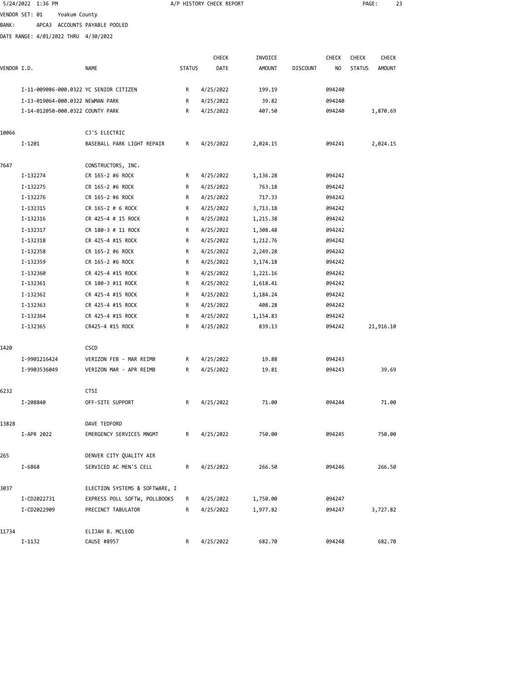|              | 5/24/2022 1:36 PM                      |                                |               | A/P HISTORY CHECK REPORT |               |                 |              | PAGE:         |               | 23 |
|--------------|----------------------------------------|--------------------------------|---------------|--------------------------|---------------|-----------------|--------------|---------------|---------------|----|
|              | VENDOR SET: 01<br>Yoakum County        |                                |               |                          |               |                 |              |               |               |    |
| <b>BANK:</b> | APCA3 ACCOUNTS PAYABLE POOLED          |                                |               |                          |               |                 |              |               |               |    |
|              | DATE RANGE: 4/01/2022 THRU 4/30/2022   |                                |               |                          |               |                 |              |               |               |    |
|              |                                        |                                |               |                          |               |                 |              |               |               |    |
|              |                                        |                                |               | <b>CHECK</b>             | INVOICE       |                 | <b>CHECK</b> | <b>CHECK</b>  | <b>CHECK</b>  |    |
| VENDOR I.D.  |                                        | <b>NAME</b>                    | <b>STATUS</b> | DATE                     | <b>AMOUNT</b> | <b>DISCOUNT</b> | NO           | <b>STATUS</b> | <b>AMOUNT</b> |    |
|              | I-11-009086-000.0322 YC SENIOR CITIZEN |                                | R             | 4/25/2022                | 199.19        |                 | 094240       |               |               |    |
|              | I-13-019064-000.0322 NEWMAN PARK       |                                | R             | 4/25/2022                | 39.82         |                 | 094240       |               |               |    |
|              | I-14-012050-000.0322 COUNTY PARK       |                                | R             | 4/25/2022                | 407.50        |                 | 094240       |               | 1,870.69      |    |
| 10066        |                                        | CJ'S ELECTRIC                  |               |                          |               |                 |              |               |               |    |
|              | $I-1201$                               | BASEBALL PARK LIGHT REPAIR     | R             | 4/25/2022                | 2,024.15      |                 | 094241       |               | 2,024.15      |    |
| 7647         |                                        | CONSTRUCTORS, INC.             |               |                          |               |                 |              |               |               |    |
|              | I-132274                               | CR 165-2 #6 ROCK               | R             | 4/25/2022                | 1,136.28      |                 | 094242       |               |               |    |
|              | I-132275                               | CR 165-2 #6 ROCK               | R             | 4/25/2022                | 763.18        |                 | 094242       |               |               |    |
|              | I-132276                               | CR 165-2 #6 ROCK               | R             | 4/25/2022                | 717.33        |                 | 094242       |               |               |    |
|              | I-132315                               | CR 165-2 # 6 ROCK              | R             | 4/25/2022                | 3,713.18      |                 | 094242       |               |               |    |
|              | I-132316                               | CR 425-4 # 15 ROCK             | R             | 4/25/2022                | 1,215.38      |                 | 094242       |               |               |    |
|              | I-132317                               | CR 180-3 # 11 ROCK             | R             | 4/25/2022                | 1,308.48      |                 | 094242       |               |               |    |
|              | I-132318                               | CR 425-4 #15 ROCK              | R             | 4/25/2022                | 1,212.76      |                 | 094242       |               |               |    |
|              | I-132358                               | CR 165-2 #6 ROCK               | R             | 4/25/2022                | 2,249.28      |                 | 094242       |               |               |    |
|              | I-132359                               | CR 165-2 #6 ROCK               | R             | 4/25/2022                | 3,174.18      |                 | 094242       |               |               |    |
|              | I-132360                               | CR 425-4 #15 ROCK              | R             | 4/25/2022                | 1,221.16      |                 | 094242       |               |               |    |
|              | I-132361                               | CR 180-3 #11 ROCK              | R             | 4/25/2022                | 1,618.41      |                 | 094242       |               |               |    |
|              | I-132362                               | CR 425-4 #15 ROCK              | R             | 4/25/2022                | 1,184.24      |                 | 094242       |               |               |    |
|              | I-132363                               | CR 425-4 #15 ROCK              | R             | 4/25/2022                | 408.28        |                 | 094242       |               |               |    |
|              | I-132364                               | CR 425-4 #15 ROCK              | R             | 4/25/2022                | 1,154.83      |                 | 094242       |               |               |    |
|              | I-132365                               | CR425-4 #15 ROCK               | R             | 4/25/2022                | 839.13        |                 | 094242       |               | 21,916.10     |    |
| 1420         |                                        | <b>CSCD</b>                    |               |                          |               |                 |              |               |               |    |
|              | I-9901216424                           | VERIZON FEB - MAR REIMB        | R             | 4/25/2022                | 19.88         |                 | 094243       |               |               |    |
|              | I-9903536049                           | VERIZON MAR - APR REIMB        | R             | 4/25/2022                | 19.81         |                 | 094243       |               | 39.69         |    |
|              |                                        |                                |               |                          |               |                 |              |               |               |    |
| 6232         |                                        | CTSI                           |               |                          |               |                 |              |               |               |    |
|              | I-208840                               | OFF-SITE SUPPORT               | R             | 4/25/2022                | 71.00         |                 | 094244       |               | 71.00         |    |
| 13828        |                                        | DAVE TEDFORD                   |               |                          |               |                 |              |               |               |    |
|              | I-APR 2022                             | EMERGENCY SERVICES MNGMT       | R             | 4/25/2022                | 750.00        |                 | 094245       |               | 750.00        |    |
| 265          |                                        | DENVER CITY QUALITY AIR        |               |                          |               |                 |              |               |               |    |
|              | I-6868                                 | SERVICED AC MEN'S CELL         | R             | 4/25/2022                | 266.50        |                 | 094246       |               | 266.50        |    |
| 3037         |                                        | ELECTION SYSTEMS & SOFTWARE, I |               |                          |               |                 |              |               |               |    |
|              | I-CD2022731                            | EXPRESS POLL SOFTW, POLLBOOKS  | R             | 4/25/2022                | 1,750.00      |                 | 094247       |               |               |    |
|              | I-CD2022909                            | PRECINCT TABULATOR             | R             | 4/25/2022                | 1,977.82      |                 | 094247       |               | 3,727.82      |    |
| 11734        |                                        | ELIJAH B. MCLEOD               |               |                          |               |                 |              |               |               |    |
|              | I-1132                                 | CAUSE #8957                    | R             | 4/25/2022                | 682.70        |                 | 094248       |               | 682.70        |    |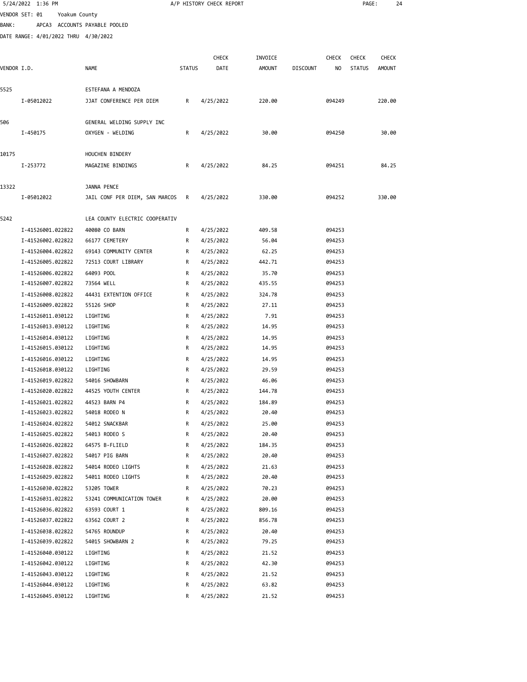|             | 5/24/2022 1:36 PM                      |                                  |               | A/P HISTORY CHECK REPORT |                |                 |                  | PAGE:         |              | 24 |
|-------------|----------------------------------------|----------------------------------|---------------|--------------------------|----------------|-----------------|------------------|---------------|--------------|----|
|             | VENDOR SET: 01<br>Yoakum County        |                                  |               |                          |                |                 |                  |               |              |    |
| BANK:       | APCA3 ACCOUNTS PAYABLE POOLED          |                                  |               |                          |                |                 |                  |               |              |    |
|             | DATE RANGE: 4/01/2022 THRU 4/30/2022   |                                  |               |                          |                |                 |                  |               |              |    |
|             |                                        |                                  |               |                          |                |                 |                  |               |              |    |
|             |                                        |                                  |               | <b>CHECK</b>             | INVOICE        |                 | <b>CHECK</b>     | <b>CHECK</b>  | <b>CHECK</b> |    |
| VENDOR I.D. |                                        | NAME                             | <b>STATUS</b> | DATE                     | <b>AMOUNT</b>  | <b>DISCOUNT</b> | NO               | <b>STATUS</b> | AMOUNT       |    |
| 5525        |                                        | ESTEFANA A MENDOZA               |               |                          |                |                 |                  |               |              |    |
|             | I-05012022                             | JJAT CONFERENCE PER DIEM         | R             | 4/25/2022                | 220.00         |                 | 094249           |               | 220.00       |    |
|             |                                        |                                  |               |                          |                |                 |                  |               |              |    |
| 506         |                                        | GENERAL WELDING SUPPLY INC       |               |                          |                |                 |                  |               |              |    |
|             | I-450175                               | OXYGEN - WELDING                 | R             | 4/25/2022                | 30.00          |                 | 094250           |               | 30.00        |    |
|             |                                        |                                  |               |                          |                |                 |                  |               |              |    |
| 10175       |                                        | HOUCHEN BINDERY                  |               |                          |                |                 |                  |               |              |    |
|             | I-253772                               | MAGAZINE BINDINGS                | R             | 4/25/2022                | 84.25          |                 | 094251           |               | 84.25        |    |
|             |                                        |                                  |               |                          |                |                 |                  |               |              |    |
| 13322       |                                        | JANNA PENCE                      |               |                          |                |                 |                  |               |              |    |
|             | I-05012022                             | JAIL CONF PER DIEM, SAN MARCOS R |               | 4/25/2022                | 330.00         |                 | 094252           |               | 330.00       |    |
|             |                                        |                                  |               |                          |                |                 |                  |               |              |    |
| 5242        |                                        | LEA COUNTY ELECTRIC COOPERATIV   |               |                          |                |                 |                  |               |              |    |
|             | I-41526001.022822                      | 40080 CO BARN                    | R             | 4/25/2022                | 409.58         |                 | 094253           |               |              |    |
|             | I-41526002.022822                      | 66177 CEMETERY                   | R             | 4/25/2022                | 56.04          |                 | 094253           |               |              |    |
|             | I-41526004.022822                      | 69143 COMMUNITY CENTER           | R             | 4/25/2022                | 62.25          |                 | 094253           |               |              |    |
|             | I-41526005.022822                      | 72513 COURT LIBRARY              | R             | 4/25/2022                | 442.71         |                 | 094253           |               |              |    |
|             | I-41526006.022822                      | 64093 POOL                       | R             | 4/25/2022                | 35.70          |                 | 094253           |               |              |    |
|             | I-41526007.022822                      | 73564 WELL                       | R             | 4/25/2022                | 435.55         |                 | 094253           |               |              |    |
|             | I-41526008.022822                      | 44431 EXTENTION OFFICE           | R<br>R        | 4/25/2022                | 324.78         |                 | 094253           |               |              |    |
|             | I-41526009.022822<br>I-41526011.030122 | 55126 SHOP<br>LIGHTING           | R             | 4/25/2022<br>4/25/2022   | 27.11<br>7.91  |                 | 094253<br>094253 |               |              |    |
|             | I-41526013.030122                      | LIGHTING                         | R             | 4/25/2022                | 14.95          |                 | 094253           |               |              |    |
|             | I-41526014.030122                      | LIGHTING                         | R             | 4/25/2022                | 14.95          |                 | 094253           |               |              |    |
|             | I-41526015.030122                      | LIGHTING                         | R             | 4/25/2022                | 14.95          |                 | 094253           |               |              |    |
|             | I-41526016.030122                      | LIGHTING                         | R             | 4/25/2022                | 14.95          |                 | 094253           |               |              |    |
|             | I-41526018.030122                      | LIGHTING                         | R             | 4/25/2022                | 29.59          |                 | 094253           |               |              |    |
|             | I-41526019.022822                      | 54016 SHOWBARN                   | R             | 4/25/2022                | 46.06          |                 | 094253           |               |              |    |
|             | I-41526020.022822                      | 44525 YOUTH CENTER               | R             | 4/25/2022                | 144.78         |                 | 094253           |               |              |    |
|             | I-41526021.022822                      | 44523 BARN P4                    | R             | 4/25/2022                | 184.89         |                 | 094253           |               |              |    |
|             | I-41526023.022822                      | 54018 RODEO N                    | R             | 4/25/2022                | 20.40          |                 | 094253           |               |              |    |
|             | I-41526024.022822                      | 54012 SNACKBAR                   | R             | 4/25/2022                | 25.00          |                 | 094253           |               |              |    |
|             | I-41526025.022822                      | 54013 RODEO S                    | R             | 4/25/2022                | 20.40          |                 | 094253           |               |              |    |
|             | I-41526026.022822                      | 64575 B-FLIELD                   | R             | 4/25/2022                | 184.35         |                 | 094253           |               |              |    |
|             | I-41526027.022822                      | 54017 PIG BARN                   | R             | 4/25/2022                | 20.40          |                 | 094253           |               |              |    |
|             | I-41526028.022822                      | 54014 RODEO LIGHTS               | R             | 4/25/2022                | 21.63          |                 | 094253           |               |              |    |
|             | I-41526029.022822                      | 54011 RODEO LIGHTS               | R             | 4/25/2022                | 20.40          |                 | 094253           |               |              |    |
|             | I-41526030.022822                      | 53205 TOWER                      | R             | 4/25/2022                | 70.23          |                 | 094253           |               |              |    |
|             | I-41526031.022822                      | 53241 COMMUNICATION TOWER        | R             | 4/25/2022                | 20.00          |                 | 094253           |               |              |    |
|             | I-41526036.022822                      | 63593 COURT 1                    | R             | 4/25/2022                | 809.16         |                 | 094253           |               |              |    |
|             | I-41526037.022822                      | 63562 COURT 2                    | R             | 4/25/2022                | 856.78         |                 | 094253           |               |              |    |
|             | I-41526038.022822                      | 54765 ROUNDUP                    | R             | 4/25/2022                | 20.40          |                 | 094253           |               |              |    |
|             | I-41526039.022822                      | 54015 SHOWBARN 2                 | R             | 4/25/2022                | 79.25          |                 | 094253           |               |              |    |
|             | I-41526040.030122                      | LIGHTING                         | R             | 4/25/2022                | 21.52          |                 | 094253           |               |              |    |
|             | I-41526042.030122                      | LIGHTING                         | R             | 4/25/2022                | 42.30          |                 | 094253           |               |              |    |
|             | I-41526043.030122<br>I-41526044.030122 | LIGHTING<br>LIGHTING             | R<br>R        | 4/25/2022<br>4/25/2022   | 21.52<br>63.82 |                 | 094253<br>094253 |               |              |    |
|             | I-41526045.030122                      | LIGHTING                         | R             | 4/25/2022                | 21.52          |                 | 094253           |               |              |    |
|             |                                        |                                  |               |                          |                |                 |                  |               |              |    |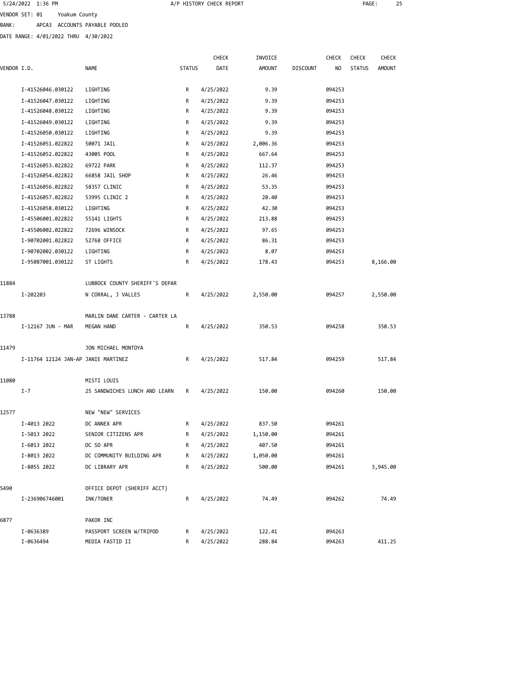| 5/24/2022 1:36 PM |                               |  |
|-------------------|-------------------------------|--|
| VENDOR SET: 01    | Yoakum County                 |  |
| BANK:             | APCA3 ACCOUNTS PAYABLE POOLED |  |

DATE RANGE: 4/01/2022 THRU 4/30/2022

|             |                                     |                                |               | <b>CHECK</b> | INVOICE       |                 | <b>CHECK</b> | <b>CHECK</b>  | <b>CHECK</b>  |  |
|-------------|-------------------------------------|--------------------------------|---------------|--------------|---------------|-----------------|--------------|---------------|---------------|--|
| VENDOR I.D. |                                     | <b>NAME</b>                    | <b>STATUS</b> | DATE         | <b>AMOUNT</b> | <b>DISCOUNT</b> | NO.          | <b>STATUS</b> | <b>AMOUNT</b> |  |
|             | I-41526046.030122                   | LIGHTING                       | R             | 4/25/2022    | 9.39          |                 | 094253       |               |               |  |
|             | I-41526047.030122                   | LIGHTING                       | R             | 4/25/2022    | 9.39          |                 | 094253       |               |               |  |
|             | I-41526048.030122                   | LIGHTING                       | R             | 4/25/2022    | 9.39          |                 | 094253       |               |               |  |
|             | I-41526049.030122                   | LIGHTING                       | R             | 4/25/2022    | 9.39          |                 | 094253       |               |               |  |
|             | I-41526050.030122                   | LIGHTING                       | R             | 4/25/2022    | 9.39          |                 | 094253       |               |               |  |
|             | I-41526051.022822                   | 50071 JAIL                     | R             | 4/25/2022    | 2,006.36      |                 | 094253       |               |               |  |
|             | I-41526052.022822                   | 43005 POOL                     | R             | 4/25/2022    | 667.64        |                 | 094253       |               |               |  |
|             | I-41526053.022822                   | 69722 PARK                     | R             | 4/25/2022    | 112.37        |                 | 094253       |               |               |  |
|             | I-41526054.022822                   | 66858 JAIL SHOP                | R             | 4/25/2022    | 26.46         |                 | 094253       |               |               |  |
|             | I-41526056.022822                   | 58357 CLINIC                   | R             | 4/25/2022    | 53.35         |                 | 094253       |               |               |  |
|             | I-41526057.022822                   | 53995 CLINIC 2                 | R             | 4/25/2022    | 20.40         |                 | 094253       |               |               |  |
|             | I-41526058.030122                   | LIGHTING                       | R             | 4/25/2022    | 42.30         |                 | 094253       |               |               |  |
|             | I-45506001.022822                   | 55141 LIGHTS                   | R             | 4/25/2022    | 213.88        |                 | 094253       |               |               |  |
|             | I-45506002.022822                   | 72696 WINSOCK                  | R             | 4/25/2022    | 97.65         |                 | 094253       |               |               |  |
|             | I-90702001.022822                   | 52768 OFFICE                   | R             | 4/25/2022    | 86.31         |                 | 094253       |               |               |  |
|             | I-90702002.030122                   | LIGHTING                       | R             | 4/25/2022    | 8.07          |                 | 094253       |               |               |  |
|             | I-95087001.030122                   | ST LIGHTS                      | R             | 4/25/2022    | 178.43        |                 | 094253       |               | 8,166.00      |  |
| 11884       |                                     | LUBBOCK COUNTY SHERIFF'S DEPAR |               |              |               |                 |              |               |               |  |
|             | I-202203                            | N CORRAL, J VALLES             | R             | 4/25/2022    | 2,550.00      |                 | 094257       |               | 2,550.00      |  |
| 13788       |                                     | MARLIN DANE CARTER - CARTER LA |               |              |               |                 |              |               |               |  |
|             | I-12167 JUN - MAR                   | MEGAN HAND                     | R             | 4/25/2022    | 350.53        |                 | 094258       |               | 350.53        |  |
| 11479       |                                     | JON MICHAEL MONTOYA            |               |              |               |                 |              |               |               |  |
|             | I-11764 12124 JAN-AP JANIE MARTINEZ |                                | R             | 4/25/2022    | 517.84        |                 | 094259       |               | 517.84        |  |
| 11080       |                                     | MISTI LOUIS                    |               |              |               |                 |              |               |               |  |
|             | $I - 7$                             | 25 SANDWICHES LUNCH AND LEARN  | R             | 4/25/2022    | 150.00        |                 | 094260       |               | 150.00        |  |
| 12577       |                                     | NEW "NEW" SERVICES             |               |              |               |                 |              |               |               |  |
|             | I-4013 2022                         | DC ANNEX APR                   | R             | 4/25/2022    | 837.50        |                 | 094261       |               |               |  |
|             | I-5013 2022                         | SENIOR CITIZENS APR            | R             | 4/25/2022    | 1,150.00      |                 | 094261       |               |               |  |
|             | I-6013 2022                         | DC SO APR                      | R             | 4/25/2022    | 407.50        |                 | 094261       |               |               |  |
|             | I-8013 2022                         | DC COMMUNITY BUILDING APR      | R             | 4/25/2022    | 1,050.00      |                 | 094261       |               |               |  |
|             | I-8055 2022                         | DC LIBRARY APR                 | R             | 4/25/2022    | 500.00        |                 | 094261       |               | 3,945.00      |  |
| 5490        |                                     | OFFICE DEPOT (SHERIFF ACCT)    |               |              |               |                 |              |               |               |  |
|             | I-236906746001                      | INK/TONER                      | R             | 4/25/2022    | 74.49         |                 | 094262       |               | 74.49         |  |
| 6877        |                                     | PAKOR INC                      |               |              |               |                 |              |               |               |  |
|             | I-0636389                           | PASSPORT SCREEN W/TRIPOD       | R             | 4/25/2022    | 122.41        |                 | 094263       |               |               |  |
|             | I-0636494                           | MEDIA FASTID II                | R             | 4/25/2022    | 288.84        |                 | 094263       |               | 411.25        |  |

A/P HISTORY CHECK REPORT **PAGE:** 25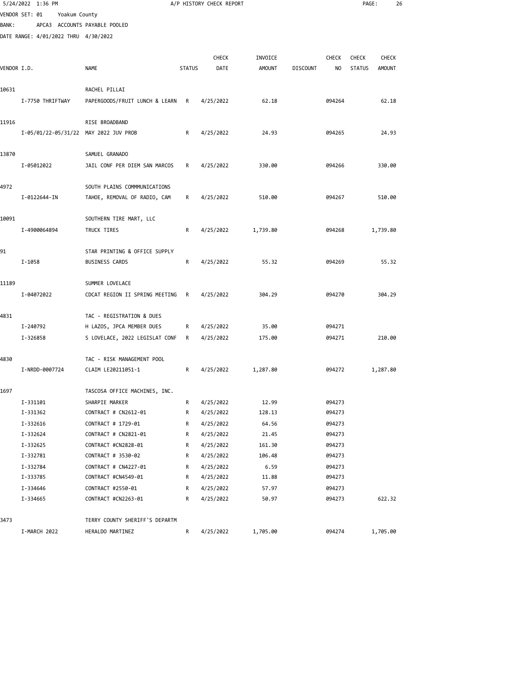|              | 5/24/2022 1:36 PM                     |                                |               | A/P HISTORY CHECK REPORT |               |                 |              | PAGE:         | 26           |  |
|--------------|---------------------------------------|--------------------------------|---------------|--------------------------|---------------|-----------------|--------------|---------------|--------------|--|
|              | VENDOR SET: 01<br>Yoakum County       |                                |               |                          |               |                 |              |               |              |  |
| <b>BANK:</b> | APCA3 ACCOUNTS PAYABLE POOLED         |                                |               |                          |               |                 |              |               |              |  |
|              | DATE RANGE: 4/01/2022 THRU 4/30/2022  |                                |               |                          |               |                 |              |               |              |  |
|              |                                       |                                |               |                          |               |                 |              |               |              |  |
|              |                                       |                                |               | <b>CHECK</b>             | INVOICE       |                 | <b>CHECK</b> | <b>CHECK</b>  | <b>CHECK</b> |  |
| VENDOR I.D.  |                                       | <b>NAME</b>                    | <b>STATUS</b> | DATE                     | <b>AMOUNT</b> | <b>DISCOUNT</b> | NO.          | <b>STATUS</b> | AMOUNT       |  |
| 10631        |                                       | RACHEL PILLAI                  |               |                          |               |                 |              |               |              |  |
|              | I-7750 THRIFTWAY                      | PAPERGOODS/FRUIT LUNCH & LEARN | R             | 4/25/2022                | 62.18         |                 | 094264       |               | 62.18        |  |
|              |                                       |                                |               |                          |               |                 |              |               |              |  |
| 11916        |                                       | RISE BROADBAND                 |               |                          |               |                 |              |               |              |  |
|              | I-05/01/22-05/31/22 MAY 2022 JUV PROB |                                | R             | 4/25/2022                | 24.93         |                 | 094265       |               | 24.93        |  |
|              |                                       |                                |               |                          |               |                 |              |               |              |  |
| 13870        |                                       | SAMUEL GRANADO                 |               |                          |               |                 |              |               |              |  |
|              | I-05012022                            | JAIL CONF PER DIEM SAN MARCOS  | R             | 4/25/2022                | 330.00        |                 | 094266       |               | 330.00       |  |
|              |                                       |                                |               |                          |               |                 |              |               |              |  |
| 4972         |                                       | SOUTH PLAINS COMMMUNICATIONS   |               |                          |               |                 |              |               |              |  |
|              | I-0122644-IN                          | TAHOE, REMOVAL OF RADIO, CAM   | R             | 4/25/2022                | 510.00        |                 | 094267       |               | 510.00       |  |
| 10091        |                                       | SOUTHERN TIRE MART, LLC        |               |                          |               |                 |              |               |              |  |
|              | I-4900064894                          | TRUCK TIRES                    | R             | 4/25/2022                | 1,739.80      |                 | 094268       |               | 1,739.80     |  |
|              |                                       |                                |               |                          |               |                 |              |               |              |  |
| 91           |                                       | STAR PRINTING & OFFICE SUPPLY  |               |                          |               |                 |              |               |              |  |
|              | $I - 1058$                            | <b>BUSINESS CARDS</b>          | R             | 4/25/2022                | 55.32         |                 | 094269       |               | 55.32        |  |
|              |                                       |                                |               |                          |               |                 |              |               |              |  |
| 11189        |                                       | SUMMER LOVELACE                |               |                          |               |                 |              |               |              |  |
|              | I-04072022                            | CDCAT REGION II SPRING MEETING | R             | 4/25/2022                | 304.29        |                 | 094270       |               | 304.29       |  |
|              |                                       |                                |               |                          |               |                 |              |               |              |  |
| 4831         |                                       | TAC - REGISTRATION & DUES      |               |                          |               |                 |              |               |              |  |
|              | I-240792                              | H LAZOS, JPCA MEMBER DUES      | R             | 4/25/2022                | 35.00         |                 | 094271       |               |              |  |
|              | I-326858                              | S LOVELACE, 2022 LEGISLAT CONF | R             | 4/25/2022                | 175.00        |                 | 094271       |               | 210.00       |  |
| 4830         |                                       | TAC - RISK MANAGEMENT POOL     |               |                          |               |                 |              |               |              |  |
|              | I-NRDD-0007724                        | CLAIM LE20211051-1             | R             | 4/25/2022                | 1,287.80      |                 | 094272       |               | 1,287.80     |  |
|              |                                       |                                |               |                          |               |                 |              |               |              |  |
| 1697         |                                       | TASCOSA OFFICE MACHINES, INC.  |               |                          |               |                 |              |               |              |  |
|              | I-331101                              | SHARPIE MARKER                 | R             | 4/25/2022                | 12.99         |                 | 094273       |               |              |  |
|              | I-331362                              | CONTRACT # CN2612-01           | R             | 4/25/2022                | 128.13        |                 | 094273       |               |              |  |
|              | I-332616                              | CONTRACT # 1729-01             | R             | 4/25/2022                | 64.56         |                 | 094273       |               |              |  |
|              | I-332624                              | CONTRACT # CN2821-01           | R             | 4/25/2022                | 21.45         |                 | 094273       |               |              |  |
|              | I-332625                              | CONTRACT #CN2828-01            | R             | 4/25/2022                | 161.30        |                 | 094273       |               |              |  |
|              | I-332781                              | CONTRACT # 3530-02             | R             | 4/25/2022                | 106.48        |                 | 094273       |               |              |  |
|              | I-332784                              | CONTRACT # CN4227-01           | R             | 4/25/2022                | 6.59          |                 | 094273       |               |              |  |
|              | I-333785                              | CONTRACT #CN4549-01            | R             | 4/25/2022                | 11.88         |                 | 094273       |               |              |  |
|              | I-334646                              | CONTRACT #2550-01              | R             | 4/25/2022                | 57.97         |                 | 094273       |               |              |  |
|              | I-334665                              | CONTRACT #CN2263-01            | R             | 4/25/2022                | 50.97         |                 | 094273       |               | 622.32       |  |
|              |                                       |                                |               |                          |               |                 |              |               |              |  |
| 3473         |                                       | TERRY COUNTY SHERIFF'S DEPARTM |               |                          |               |                 |              |               |              |  |
|              | I-MARCH 2022                          | HERALDO MARTINEZ               | R             | 4/25/2022                | 1,705.00      |                 | 094274       |               | 1,705.00     |  |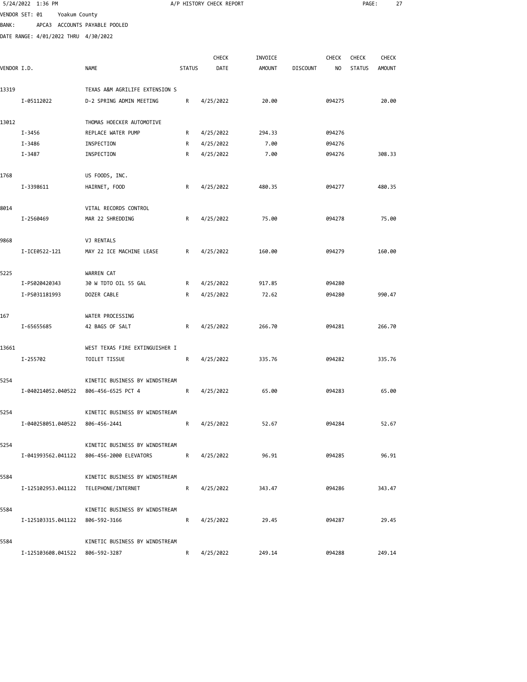|             | 5/24/2022 1:36 PM                    |                                                                             |               | A/P HISTORY CHECK REPORT |               |                 |              | PAGE:         | 27            |  |
|-------------|--------------------------------------|-----------------------------------------------------------------------------|---------------|--------------------------|---------------|-----------------|--------------|---------------|---------------|--|
|             | VENDOR SET: 01<br>Yoakum County      |                                                                             |               |                          |               |                 |              |               |               |  |
| BANK :      |                                      | APCA3 ACCOUNTS PAYABLE POOLED                                               |               |                          |               |                 |              |               |               |  |
|             | DATE RANGE: 4/01/2022 THRU 4/30/2022 |                                                                             |               |                          |               |                 |              |               |               |  |
|             |                                      |                                                                             |               |                          |               |                 |              |               |               |  |
|             |                                      |                                                                             |               | <b>CHECK</b>             | INVOICE       |                 | <b>CHECK</b> | <b>CHECK</b>  | <b>CHECK</b>  |  |
| VENDOR I.D. |                                      | <b>NAME</b>                                                                 | <b>STATUS</b> | DATE                     | <b>AMOUNT</b> | <b>DISCOUNT</b> | NO.          | <b>STATUS</b> | <b>AMOUNT</b> |  |
|             |                                      |                                                                             |               |                          |               |                 |              |               |               |  |
| 13319       |                                      | TEXAS A&M AGRILIFE EXTENSION S                                              |               |                          |               |                 |              |               |               |  |
|             | I-05112022                           | D-2 SPRING ADMIN MEETING                                                    | R             | 4/25/2022                | 20.00         |                 | 094275       |               | 20.00         |  |
| 13012       |                                      | THOMAS HOECKER AUTOMOTIVE                                                   |               |                          |               |                 |              |               |               |  |
|             | I-3456                               | REPLACE WATER PUMP                                                          | R             | 4/25/2022                | 294.33        |                 | 094276       |               |               |  |
|             | I-3486                               | INSPECTION                                                                  | R             | 4/25/2022                | 7.00          |                 | 094276       |               |               |  |
|             | I-3487                               | INSPECTION                                                                  | R             | 4/25/2022                | 7.00          |                 | 094276       |               | 308.33        |  |
|             |                                      |                                                                             |               |                          |               |                 |              |               |               |  |
| 1768        |                                      | US FOODS, INC.                                                              |               |                          | 480.35        |                 | 094277       |               | 480.35        |  |
|             | I-3398611                            | HAIRNET, FOOD                                                               | R             | 4/25/2022                |               |                 |              |               |               |  |
| 8014        |                                      | VITAL RECORDS CONTROL                                                       |               |                          |               |                 |              |               |               |  |
|             | I-2560469                            | MAR 22 SHREDDING                                                            | R             | 4/25/2022                | 75.00         |                 | 094278       |               | 75.00         |  |
|             |                                      | VJ RENTALS                                                                  |               |                          |               |                 |              |               |               |  |
| 9868        | I-ICE0522-121                        | MAY 22 ICE MACHINE LEASE                                                    | R             | 4/25/2022                | 160.00        |                 | 094279       |               | 160.00        |  |
|             |                                      |                                                                             |               |                          |               |                 |              |               |               |  |
| 5225        |                                      | WARREN CAT                                                                  |               |                          |               |                 |              |               |               |  |
|             | I-PS020420343                        | 30 W TDTO OIL 55 GAL                                                        | R             | 4/25/2022                | 917.85        |                 | 094280       |               |               |  |
|             | I-PS031181993                        | DOZER CABLE                                                                 | R             | 4/25/2022                | 72.62         |                 | 094280       |               | 990.47        |  |
| 167         |                                      | WATER PROCESSING                                                            |               |                          |               |                 |              |               |               |  |
|             | I-65655685                           | 42 BAGS OF SALT                                                             | R             | 4/25/2022                | 266.70        |                 | 094281       |               | 266.70        |  |
|             |                                      |                                                                             |               |                          |               |                 |              |               |               |  |
| 13661       |                                      | WEST TEXAS FIRE EXTINGUISHER I                                              |               |                          |               |                 |              |               |               |  |
|             | I-255702                             | TOILET TISSUE                                                               | R             | 4/25/2022                | 335.76        |                 | 094282       |               | 335.76        |  |
| 5254        |                                      | KINETIC BUSINESS BY WINDSTREAM                                              |               |                          |               |                 |              |               |               |  |
|             |                                      | I-040214052.040522 806-456-6525 PCT 4                                       |               | R 4/25/2022              | 65.00         |                 | 094283       |               | 65.00         |  |
|             |                                      |                                                                             |               |                          |               |                 |              |               |               |  |
| 5254        |                                      | KINETIC BUSINESS BY WINDSTREAM                                              |               |                          |               |                 |              |               |               |  |
|             | I-040258051.040522 806-456-2441      |                                                                             | R             | 4/25/2022                | 52.67         |                 | 094284       |               | 52.67         |  |
|             |                                      |                                                                             |               |                          |               |                 |              |               |               |  |
| 5254        |                                      | KINETIC BUSINESS BY WINDSTREAM<br>I-041993562.041122 806-456-2000 ELEVATORS |               | R 4/25/2022              | 96.91         |                 | 094285       |               | 96.91         |  |
|             |                                      |                                                                             |               |                          |               |                 |              |               |               |  |
| 5584        |                                      | KINETIC BUSINESS BY WINDSTREAM                                              |               |                          |               |                 |              |               |               |  |
|             |                                      | I-125102953.041122 TELEPHONE/INTERNET                                       |               | R 4/25/2022              | 343.47        |                 | 094286       |               | 343.47        |  |
|             |                                      |                                                                             |               |                          |               |                 |              |               |               |  |
| 5584        |                                      | KINETIC BUSINESS BY WINDSTREAM                                              |               |                          |               |                 |              |               |               |  |
|             | I-125103315.041122 806-592-3166      |                                                                             | R             | 4/25/2022                | 29.45         |                 | 094287       |               | 29.45         |  |
| 5584        |                                      | KINETIC BUSINESS BY WINDSTREAM                                              |               |                          |               |                 |              |               |               |  |
|             |                                      |                                                                             |               |                          |               |                 |              |               |               |  |

I-125103608.041522 806-592-3287 R 4/25/2022 249.14 094288 249.14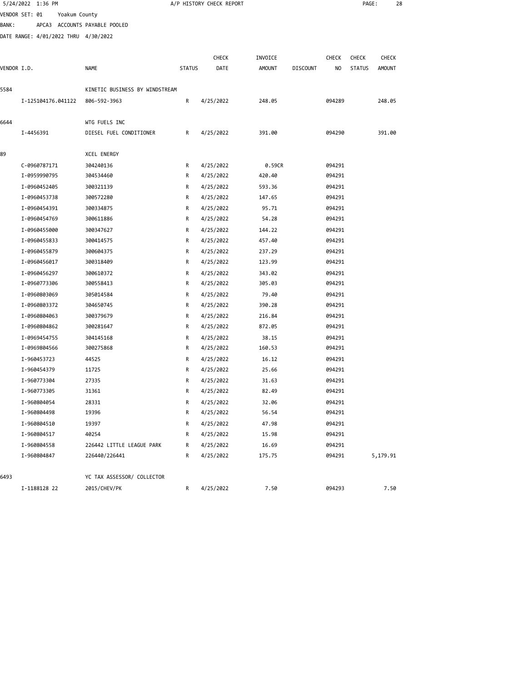|             | 5/24/2022 1:36 PM            |                                      |                                |               | A/P HISTORY CHECK REPORT |                  |                 |                  | PAGE:         | 28            |  |
|-------------|------------------------------|--------------------------------------|--------------------------------|---------------|--------------------------|------------------|-----------------|------------------|---------------|---------------|--|
|             | VENDOR SET: 01               | Yoakum County                        |                                |               |                          |                  |                 |                  |               |               |  |
| BANK:       |                              |                                      | APCA3 ACCOUNTS PAYABLE POOLED  |               |                          |                  |                 |                  |               |               |  |
|             |                              | DATE RANGE: 4/01/2022 THRU 4/30/2022 |                                |               |                          |                  |                 |                  |               |               |  |
|             |                              |                                      |                                |               |                          |                  |                 |                  |               |               |  |
|             |                              |                                      |                                |               | <b>CHECK</b>             | INVOICE          |                 | <b>CHECK</b>     | <b>CHECK</b>  | <b>CHECK</b>  |  |
| VENDOR I.D. |                              |                                      | NAME                           | <b>STATUS</b> | DATE                     | AMOUNT           | <b>DISCOUNT</b> | NO               | <b>STATUS</b> | <b>AMOUNT</b> |  |
| 5584        |                              |                                      | KINETIC BUSINESS BY WINDSTREAM |               |                          |                  |                 |                  |               |               |  |
|             |                              | I-125104176.041122                   | 806-592-3963                   | R             | 4/25/2022                | 248.05           |                 | 094289           |               | 248.05        |  |
| 6644        |                              |                                      | WTG FUELS INC                  |               |                          |                  |                 |                  |               |               |  |
|             | I-4456391                    |                                      | DIESEL FUEL CONDITIONER        | R             | 4/25/2022                | 391.00           |                 | 094290           |               | 391.00        |  |
| 89          |                              |                                      | XCEL ENERGY                    |               |                          |                  |                 |                  |               |               |  |
|             | C-0960787171                 |                                      | 304240136                      | R             | 4/25/2022                | 0.59CR           |                 | 094291           |               |               |  |
|             | I-0959990795                 |                                      | 304534460                      | R             | 4/25/2022                | 420.40           |                 | 094291           |               |               |  |
|             | I-0960452405                 |                                      | 300321139                      | R             | 4/25/2022                | 593.36           |                 | 094291           |               |               |  |
|             | I-0960453738                 |                                      | 300572280                      | R             | 4/25/2022                | 147.65           |                 | 094291           |               |               |  |
|             | I-0960454391                 |                                      | 300334875                      |               |                          | 95.71            |                 | 094291           |               |               |  |
|             | I-0960454769                 |                                      | 300611886                      | R<br>R        | 4/25/2022<br>4/25/2022   | 54.28            |                 | 094291           |               |               |  |
|             | I-0960455000                 |                                      |                                | R             |                          | 144.22           |                 | 094291           |               |               |  |
|             | I-0960455833                 |                                      | 300347627<br>300414575         | R             | 4/25/2022<br>4/25/2022   | 457.40           |                 | 094291           |               |               |  |
|             |                              |                                      |                                |               |                          |                  |                 | 094291           |               |               |  |
|             | I-0960455879<br>I-0960456017 |                                      | 300604375<br>300318409         | R<br>R        | 4/25/2022<br>4/25/2022   | 237.29<br>123.99 |                 | 094291           |               |               |  |
|             |                              |                                      |                                |               |                          |                  |                 |                  |               |               |  |
|             | I-0960456297<br>I-0960773306 |                                      | 300610372<br>300558413         | R<br>R        | 4/25/2022                | 343.02           |                 | 094291<br>094291 |               |               |  |
|             |                              |                                      |                                |               | 4/25/2022                | 305.03           |                 |                  |               |               |  |
|             | I-0960803069                 |                                      | 305014584                      | R             | 4/25/2022                | 79.40            |                 | 094291           |               |               |  |
|             | I-0960803372                 |                                      | 304650745                      | R             | 4/25/2022                | 390.28           |                 | 094291           |               |               |  |
|             | I-0960804063                 |                                      | 300379679                      | R             | 4/25/2022                | 216.84           |                 | 094291           |               |               |  |
|             | I-0960804862                 |                                      | 300281647                      | R             | 4/25/2022                | 872.05           |                 | 094291           |               |               |  |
|             | I-0969454755                 |                                      | 304145168                      | R             | 4/25/2022                | 38.15            |                 | 094291           |               |               |  |
|             | I-0969804566                 |                                      | 300275868                      | R             | 4/25/2022                | 160.53           |                 | 094291           |               |               |  |
|             | I-960453723                  |                                      | 44525                          | R             | 4/25/2022                | 16.12            |                 | 094291           |               |               |  |
|             | I-960454379                  |                                      | 11725                          | R             | 4/25/2022                | 25.66            |                 | 094291           |               |               |  |
|             | I-960773304                  |                                      | 27335                          | R             | 4/25/2022                | 31.63            |                 | 094291           |               |               |  |
|             | I-960773305                  |                                      | 31361                          | R             | 4/25/2022                | 82.49            |                 | 094291           |               |               |  |
|             | I-960804054                  |                                      | 28331                          | R             | 4/25/2022                | 32.06            |                 | 094291           |               |               |  |
|             | I-960804498                  |                                      | 19396                          | R             | 4/25/2022                | 56.54            |                 | 094291           |               |               |  |
|             | I-960804510                  |                                      | 19397                          | R             | 4/25/2022                | 47.98            |                 | 094291           |               |               |  |
|             | I-960804517                  |                                      | 40254                          | R             | 4/25/2022                | 15.98            |                 | 094291           |               |               |  |
|             | I-960804558                  |                                      | 226442 LITTLE LEAGUE PARK      | R             | 4/25/2022                | 16.69            |                 | 094291           |               |               |  |
|             | I-960804847                  |                                      | 226440/226441                  | R             | 4/25/2022                | 175.75           |                 | 094291           |               | 5,179.91      |  |
| 6493        |                              |                                      | YC TAX ASSESSOR/ COLLECTOR     |               |                          |                  |                 |                  |               |               |  |
|             | I-1188128 22                 |                                      | 2015/CHEV/PK                   | R             | 4/25/2022                | 7.50             |                 | 094293           |               | 7.50          |  |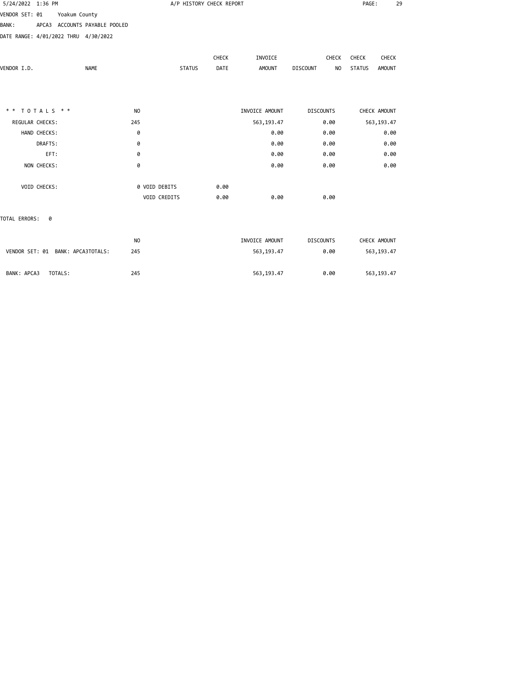| 5/24/2022 1:36 PM                    |              |               |                               |                | A/P HISTORY CHECK REPORT |              |                |                       | PAGE:         | 29            |
|--------------------------------------|--------------|---------------|-------------------------------|----------------|--------------------------|--------------|----------------|-----------------------|---------------|---------------|
| VENDOR SET: 01                       |              | Yoakum County |                               |                |                          |              |                |                       |               |               |
| <b>BANK:</b>                         |              |               | APCA3 ACCOUNTS PAYABLE POOLED |                |                          |              |                |                       |               |               |
| DATE RANGE: 4/01/2022 THRU 4/30/2022 |              |               |                               |                |                          |              |                |                       |               |               |
|                                      |              |               |                               |                |                          |              |                |                       |               |               |
|                                      |              |               |                               |                |                          | <b>CHECK</b> | INVOICE        | <b>CHECK</b>          | CHECK         | CHECK         |
| VENDOR I.D.                          |              |               | <b>NAME</b>                   |                | <b>STATUS</b>            | DATE         | <b>AMOUNT</b>  | <b>DISCOUNT</b><br>NO | <b>STATUS</b> | <b>AMOUNT</b> |
|                                      |              |               |                               |                |                          |              |                |                       |               |               |
|                                      |              |               |                               |                |                          |              |                |                       |               |               |
| $* * TOTALS **$                      |              |               |                               | N <sub>O</sub> |                          |              | INVOICE AMOUNT | <b>DISCOUNTS</b>      | CHECK AMOUNT  |               |
| REGULAR CHECKS:                      |              |               |                               | 245            |                          |              | 563, 193.47    | 0.00                  | 563, 193.47   |               |
|                                      | HAND CHECKS: |               |                               | 0              |                          |              | 0.00           | 0.00                  |               | 0.00          |
|                                      | DRAFTS:      |               |                               | 0              |                          |              | 0.00           | 0.00                  |               | 0.00          |
|                                      | EFT:         |               |                               | 0              |                          |              | 0.00           | 0.00                  |               | 0.00          |
|                                      | NON CHECKS:  |               |                               | 0              |                          |              | 0.00           | 0.00                  |               | 0.00          |
|                                      | VOID CHECKS: |               |                               |                | 0 VOID DEBITS            | 0.00         |                |                       |               |               |
|                                      |              |               |                               |                | VOID CREDITS             | 0.00         | 0.00           | 0.00                  |               |               |
| TOTAL ERRORS:                        | 0            |               |                               |                |                          |              |                |                       |               |               |
|                                      |              |               |                               | N <sub>O</sub> |                          |              | INVOICE AMOUNT | <b>DISCOUNTS</b>      | CHECK AMOUNT  |               |
| VENDOR SET: 01 BANK: APCA3TOTALS:    |              |               |                               | 245            |                          |              | 563, 193.47    | 0.00                  | 563, 193.47   |               |
| BANK: APCA3                          |              | TOTALS:       |                               | 245            |                          |              | 563, 193.47    | 0.00                  | 563,193.47    |               |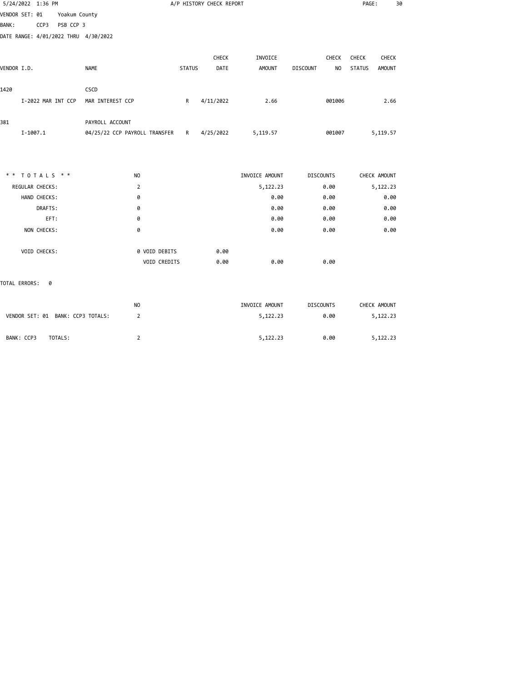| 5/24/2022 1:36 PM                    |                                           |               | A/P HISTORY CHECK REPORT |                |                              | PAGE:                          | 30 |
|--------------------------------------|-------------------------------------------|---------------|--------------------------|----------------|------------------------------|--------------------------------|----|
| VENDOR SET: 01<br>Yoakum County      |                                           |               |                          |                |                              |                                |    |
| <b>BANK:</b><br>CCP3<br>PSB CCP 3    |                                           |               |                          |                |                              |                                |    |
| DATE RANGE: 4/01/2022 THRU 4/30/2022 |                                           |               |                          |                |                              |                                |    |
|                                      |                                           |               |                          |                |                              |                                |    |
|                                      |                                           |               | CHECK                    | INVOICE        | CHECK                        | CHECK<br>CHECK                 |    |
| VENDOR I.D.                          | <b>NAME</b>                               | <b>STATUS</b> | DATE                     | <b>AMOUNT</b>  | <b>DISCOUNT</b><br><b>NO</b> | <b>STATUS</b><br><b>AMOUNT</b> |    |
| 1420                                 | CSCD                                      |               |                          |                |                              |                                |    |
| I-2022 MAR INT CCP                   | MAR INTEREST CCP                          | R             | 4/11/2022                | 2.66           | 001006                       | 2.66                           |    |
| 381                                  | PAYROLL ACCOUNT                           |               |                          |                |                              |                                |    |
| $I - 1007.1$                         | 04/25/22 CCP PAYROLL TRANSFER R 4/25/2022 |               |                          | 5,119.57       | 001007                       | 5,119.57                       |    |
|                                      |                                           |               |                          |                |                              |                                |    |
| ** TOTALS **                         | NO                                        |               |                          | INVOICE AMOUNT | <b>DISCOUNTS</b>             | CHECK AMOUNT                   |    |
| REGULAR CHECKS:                      | 2                                         |               |                          | 5,122.23       | 0.00                         | 5,122.23                       |    |
| HAND CHECKS:                         | 0                                         |               |                          | 0.00           | 0.00                         | 0.00                           |    |
| DRAFTS:                              | 0                                         |               |                          | 0.00           | 0.00                         | 0.00                           |    |
| EFT:                                 | 0                                         |               |                          | 0.00           | 0.00                         | 0.00                           |    |
| NON CHECKS:                          | 0                                         |               |                          | 0.00           | 0.00                         | 0.00                           |    |
| VOID CHECKS:                         | 0 VOID DEBITS                             |               | 0.00                     |                |                              |                                |    |
|                                      | VOID CREDITS                              |               | 0.00                     | 0.00           | 0.00                         |                                |    |
| TOTAL ERRORS:<br>0                   |                                           |               |                          |                |                              |                                |    |

|                                   | NO | INVOICE AMOUNT | <b>DISCOUNTS</b> | CHECK AMOUNT |
|-----------------------------------|----|----------------|------------------|--------------|
| VENDOR SET: 01 BANK: CCP3 TOTALS: |    | 5,122.23       | 0.00             | 5,122.23     |
| BANK: CCP3<br>TOTALS:             |    | 5,122.23       | 0.00             | 5,122.23     |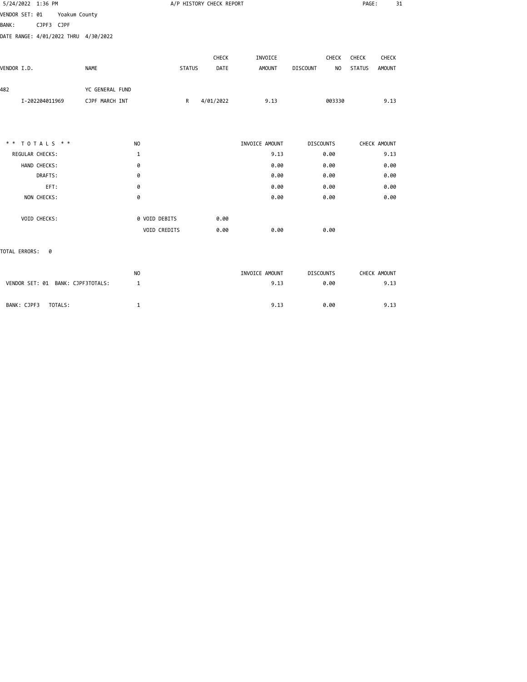| 5/24/2022 1:36 PM                    |                |                 |                |               |               | A/P HISTORY CHECK REPORT |                |                  |        | PAGE:         |               | 31 |
|--------------------------------------|----------------|-----------------|----------------|---------------|---------------|--------------------------|----------------|------------------|--------|---------------|---------------|----|
| VENDOR SET: 01 Yoakum County         |                |                 |                |               |               |                          |                |                  |        |               |               |    |
| <b>BANK:</b>                         | CJPF3 CJPF     |                 |                |               |               |                          |                |                  |        |               |               |    |
| DATE RANGE: 4/01/2022 THRU 4/30/2022 |                |                 |                |               |               |                          |                |                  |        |               |               |    |
|                                      |                |                 |                |               |               | <b>CHECK</b>             | INVOICE        |                  | CHECK  | CHECK         | CHECK         |    |
| VENDOR I.D.                          |                | <b>NAME</b>     |                |               | <b>STATUS</b> | DATE                     | <b>AMOUNT</b>  | <b>DISCOUNT</b>  | NO     | <b>STATUS</b> | <b>AMOUNT</b> |    |
| 482                                  |                | YC GENERAL FUND |                |               |               |                          |                |                  |        |               |               |    |
|                                      | I-202204011969 | CJPF MARCH INT  |                |               | $\mathsf{R}$  | 4/01/2022                | 9.13           |                  | 003330 |               | 9.13          |    |
|                                      |                |                 |                |               |               |                          |                |                  |        |               |               |    |
| * *                                  | TOTALS * *     |                 | N <sub>O</sub> |               |               |                          | INVOICE AMOUNT | <b>DISCOUNTS</b> |        |               | CHECK AMOUNT  |    |
| REGULAR CHECKS:                      |                |                 | 1              |               |               |                          | 9.13           |                  | 0.00   |               | 9.13          |    |
|                                      | HAND CHECKS:   |                 | 0              |               |               |                          | 0.00           |                  | 0.00   |               | 0.00          |    |
|                                      | DRAFTS:        |                 | 0              |               |               |                          | 0.00           |                  | 0.00   |               | 0.00          |    |
|                                      | EFT:           |                 | 0              |               |               |                          | 0.00           |                  | 0.00   |               | 0.00          |    |
|                                      | NON CHECKS:    |                 | 0              |               |               |                          | 0.00           |                  | 0.00   |               | 0.00          |    |
|                                      | VOID CHECKS:   |                 |                | 0 VOID DEBITS |               | 0.00                     |                |                  |        |               |               |    |
|                                      |                |                 |                | VOID CREDITS  |               | 0.00                     | 0.00           |                  | 0.00   |               |               |    |
| TOTAL ERRORS:                        | 0              |                 |                |               |               |                          |                |                  |        |               |               |    |

|                                   | N <sub>0</sub> | INVOICE AMOUNT | <b>DISCOUNTS</b> | CHECK AMOUNT |
|-----------------------------------|----------------|----------------|------------------|--------------|
| VENDOR SET: 01 BANK: CJPF3TOTALS: |                | 9.13           | 0.00             | 9.13         |
|                                   |                |                |                  |              |
| TOTALS:<br>BANK: CJPF3            |                | 9.13           | 0.00             | 9.13         |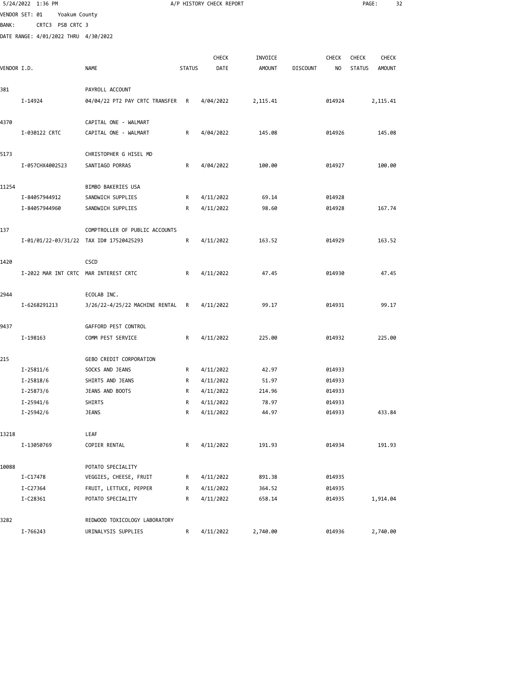| 5/24/2022 1:36 PM |                                                                                                                            |                                                                                                                                                                                                                                                                                                                                                                                                  |                                                                                                                                            |                                                                                                      |                                                                                                          |              |                                                                              |        | 32                                                          |
|-------------------|----------------------------------------------------------------------------------------------------------------------------|--------------------------------------------------------------------------------------------------------------------------------------------------------------------------------------------------------------------------------------------------------------------------------------------------------------------------------------------------------------------------------------------------|--------------------------------------------------------------------------------------------------------------------------------------------|------------------------------------------------------------------------------------------------------|----------------------------------------------------------------------------------------------------------|--------------|------------------------------------------------------------------------------|--------|-------------------------------------------------------------|
|                   |                                                                                                                            |                                                                                                                                                                                                                                                                                                                                                                                                  |                                                                                                                                            |                                                                                                      |                                                                                                          |              |                                                                              |        |                                                             |
|                   |                                                                                                                            |                                                                                                                                                                                                                                                                                                                                                                                                  |                                                                                                                                            |                                                                                                      |                                                                                                          |              |                                                                              |        |                                                             |
|                   |                                                                                                                            |                                                                                                                                                                                                                                                                                                                                                                                                  |                                                                                                                                            |                                                                                                      |                                                                                                          |              |                                                                              |        |                                                             |
|                   |                                                                                                                            |                                                                                                                                                                                                                                                                                                                                                                                                  |                                                                                                                                            |                                                                                                      |                                                                                                          |              |                                                                              |        |                                                             |
|                   |                                                                                                                            |                                                                                                                                                                                                                                                                                                                                                                                                  | <b>CHECK</b>                                                                                                                               | INVOICE                                                                                              |                                                                                                          | <b>CHECK</b> | <b>CHECK</b>                                                                 | CHECK  |                                                             |
|                   | NAME                                                                                                                       | <b>STATUS</b>                                                                                                                                                                                                                                                                                                                                                                                    | DATE                                                                                                                                       | <b>AMOUNT</b>                                                                                        | <b>DISCOUNT</b>                                                                                          | NO           | <b>STATUS</b>                                                                | AMOUNT |                                                             |
|                   |                                                                                                                            |                                                                                                                                                                                                                                                                                                                                                                                                  |                                                                                                                                            |                                                                                                      |                                                                                                          |              |                                                                              |        |                                                             |
|                   |                                                                                                                            |                                                                                                                                                                                                                                                                                                                                                                                                  |                                                                                                                                            |                                                                                                      |                                                                                                          |              |                                                                              |        |                                                             |
|                   |                                                                                                                            |                                                                                                                                                                                                                                                                                                                                                                                                  |                                                                                                                                            |                                                                                                      |                                                                                                          |              |                                                                              |        |                                                             |
|                   | CAPITAL ONE - WALMART                                                                                                      |                                                                                                                                                                                                                                                                                                                                                                                                  |                                                                                                                                            |                                                                                                      |                                                                                                          |              |                                                                              |        |                                                             |
| I-030122 CRTC     | CAPITAL ONE - WALMART                                                                                                      | R                                                                                                                                                                                                                                                                                                                                                                                                | 4/04/2022                                                                                                                                  | 145.08                                                                                               |                                                                                                          | 014926       |                                                                              | 145.08 |                                                             |
|                   |                                                                                                                            |                                                                                                                                                                                                                                                                                                                                                                                                  |                                                                                                                                            |                                                                                                      |                                                                                                          |              |                                                                              |        |                                                             |
|                   | CHRISTOPHER G HISEL MD                                                                                                     |                                                                                                                                                                                                                                                                                                                                                                                                  |                                                                                                                                            |                                                                                                      |                                                                                                          |              |                                                                              |        |                                                             |
| I-057CHX4002523   | SANTIAGO PORRAS                                                                                                            | R                                                                                                                                                                                                                                                                                                                                                                                                | 4/04/2022                                                                                                                                  | 100.00                                                                                               |                                                                                                          | 014927       |                                                                              | 100.00 |                                                             |
|                   |                                                                                                                            |                                                                                                                                                                                                                                                                                                                                                                                                  |                                                                                                                                            |                                                                                                      |                                                                                                          |              |                                                                              |        |                                                             |
|                   | BIMBO BAKERIES USA                                                                                                         |                                                                                                                                                                                                                                                                                                                                                                                                  |                                                                                                                                            |                                                                                                      |                                                                                                          |              |                                                                              |        |                                                             |
|                   |                                                                                                                            |                                                                                                                                                                                                                                                                                                                                                                                                  |                                                                                                                                            |                                                                                                      |                                                                                                          |              |                                                                              |        |                                                             |
|                   |                                                                                                                            |                                                                                                                                                                                                                                                                                                                                                                                                  |                                                                                                                                            |                                                                                                      |                                                                                                          |              |                                                                              |        |                                                             |
|                   |                                                                                                                            |                                                                                                                                                                                                                                                                                                                                                                                                  |                                                                                                                                            |                                                                                                      |                                                                                                          |              |                                                                              |        |                                                             |
|                   |                                                                                                                            |                                                                                                                                                                                                                                                                                                                                                                                                  |                                                                                                                                            |                                                                                                      |                                                                                                          |              |                                                                              |        |                                                             |
|                   |                                                                                                                            |                                                                                                                                                                                                                                                                                                                                                                                                  |                                                                                                                                            |                                                                                                      |                                                                                                          |              |                                                                              |        |                                                             |
|                   | <b>CSCD</b>                                                                                                                |                                                                                                                                                                                                                                                                                                                                                                                                  |                                                                                                                                            |                                                                                                      |                                                                                                          |              |                                                                              |        |                                                             |
|                   |                                                                                                                            | R                                                                                                                                                                                                                                                                                                                                                                                                | 4/11/2022                                                                                                                                  | 47.45                                                                                                |                                                                                                          | 014930       |                                                                              | 47.45  |                                                             |
|                   |                                                                                                                            |                                                                                                                                                                                                                                                                                                                                                                                                  |                                                                                                                                            |                                                                                                      |                                                                                                          |              |                                                                              |        |                                                             |
|                   | ECOLAB INC.                                                                                                                |                                                                                                                                                                                                                                                                                                                                                                                                  |                                                                                                                                            |                                                                                                      |                                                                                                          |              |                                                                              |        |                                                             |
| I-6268291213      |                                                                                                                            | R                                                                                                                                                                                                                                                                                                                                                                                                | 4/11/2022                                                                                                                                  | 99.17                                                                                                |                                                                                                          | 014931       |                                                                              | 99.17  |                                                             |
|                   |                                                                                                                            |                                                                                                                                                                                                                                                                                                                                                                                                  |                                                                                                                                            |                                                                                                      |                                                                                                          |              |                                                                              |        |                                                             |
|                   |                                                                                                                            |                                                                                                                                                                                                                                                                                                                                                                                                  |                                                                                                                                            |                                                                                                      |                                                                                                          |              |                                                                              |        |                                                             |
|                   |                                                                                                                            |                                                                                                                                                                                                                                                                                                                                                                                                  |                                                                                                                                            |                                                                                                      |                                                                                                          |              |                                                                              |        |                                                             |
|                   |                                                                                                                            |                                                                                                                                                                                                                                                                                                                                                                                                  |                                                                                                                                            |                                                                                                      |                                                                                                          |              |                                                                              |        |                                                             |
| I-25811/6         | SOCKS AND JEANS                                                                                                            | R                                                                                                                                                                                                                                                                                                                                                                                                | 4/11/2022                                                                                                                                  | 42.97                                                                                                |                                                                                                          | 014933       |                                                                              |        |                                                             |
| $I - 25818/6$     | SHIRTS AND JEANS                                                                                                           | R                                                                                                                                                                                                                                                                                                                                                                                                | 4/11/2022                                                                                                                                  | 51.97                                                                                                |                                                                                                          | 014933       |                                                                              |        |                                                             |
| I-25873/6         | JEANS AND BOOTS                                                                                                            | R                                                                                                                                                                                                                                                                                                                                                                                                | 4/11/2022                                                                                                                                  | 214.96                                                                                               |                                                                                                          | 014933       |                                                                              |        |                                                             |
| $I - 25941/6$     | SHIRTS                                                                                                                     | R                                                                                                                                                                                                                                                                                                                                                                                                | 4/11/2022                                                                                                                                  | 78.97                                                                                                |                                                                                                          | 014933       |                                                                              |        |                                                             |
| I-25942/6         | <b>JEANS</b>                                                                                                               | R                                                                                                                                                                                                                                                                                                                                                                                                | 4/11/2022                                                                                                                                  | 44.97                                                                                                |                                                                                                          | 014933       |                                                                              | 433.84 |                                                             |
|                   |                                                                                                                            |                                                                                                                                                                                                                                                                                                                                                                                                  |                                                                                                                                            |                                                                                                      |                                                                                                          |              |                                                                              |        |                                                             |
|                   | LEAF                                                                                                                       |                                                                                                                                                                                                                                                                                                                                                                                                  |                                                                                                                                            |                                                                                                      |                                                                                                          |              |                                                                              |        |                                                             |
| I-13050769        | COPIER RENTAL                                                                                                              | R                                                                                                                                                                                                                                                                                                                                                                                                | 4/11/2022                                                                                                                                  | 191.93                                                                                               |                                                                                                          | 014934       |                                                                              | 191.93 |                                                             |
|                   |                                                                                                                            |                                                                                                                                                                                                                                                                                                                                                                                                  |                                                                                                                                            |                                                                                                      |                                                                                                          |              |                                                                              |        |                                                             |
|                   |                                                                                                                            |                                                                                                                                                                                                                                                                                                                                                                                                  |                                                                                                                                            |                                                                                                      |                                                                                                          |              |                                                                              |        |                                                             |
|                   |                                                                                                                            |                                                                                                                                                                                                                                                                                                                                                                                                  |                                                                                                                                            |                                                                                                      |                                                                                                          |              |                                                                              |        |                                                             |
|                   |                                                                                                                            |                                                                                                                                                                                                                                                                                                                                                                                                  |                                                                                                                                            |                                                                                                      |                                                                                                          |              |                                                                              |        |                                                             |
|                   |                                                                                                                            |                                                                                                                                                                                                                                                                                                                                                                                                  |                                                                                                                                            |                                                                                                      |                                                                                                          |              |                                                                              |        |                                                             |
|                   | REDWOOD TOXICOLOGY LABORATORY                                                                                              |                                                                                                                                                                                                                                                                                                                                                                                                  |                                                                                                                                            |                                                                                                      |                                                                                                          |              |                                                                              |        |                                                             |
|                   | VENDOR SET: 01<br>VENDOR I.D.<br>I-14924<br>I-84057944912<br>I-84057944960<br>I-198163<br>I-C17478<br>I-C27364<br>I-C28361 | Yoakum County<br>CRTC3 PSB CRTC 3<br>DATE RANGE: 4/01/2022 THRU 4/30/2022<br>PAYROLL ACCOUNT<br>SANDWICH SUPPLIES<br>SANDWICH SUPPLIES<br>I-01/01/22-03/31/22 TAX ID# 17520425293<br>I-2022 MAR INT CRTC MAR INTEREST CRTC<br>GAFFORD PEST CONTROL<br>COMM PEST SERVICE<br>GEBO CREDIT CORPORATION<br>POTATO SPECIALITY<br>VEGGIES, CHEESE, FRUIT<br>FRUIT, LETTUCE, PEPPER<br>POTATO SPECIALITY | 04/04/22 PT2 PAY CRTC TRANSFER<br>R<br>R<br>R<br>COMPTROLLER OF PUBLIC ACCOUNTS<br>R<br>3/26/22-4/25/22 MACHINE RENTAL<br>R<br>R<br>R<br>R | 4/04/2022<br>4/11/2022<br>4/11/2022<br>4/11/2022<br>4/11/2022<br>4/11/2022<br>4/11/2022<br>4/11/2022 | A/P HISTORY CHECK REPORT<br>2,115.41<br>69.14<br>98.60<br>163.52<br>225.00<br>891.38<br>364.52<br>658.14 |              | 014924<br>014928<br>014928<br>014929<br>014932<br>014935<br>014935<br>014935 |        | PAGE:<br>2,115.41<br>167.74<br>163.52<br>225.00<br>1,914.04 |

I-766243 URINALYSIS SUPPLIES R 4/11/2022 2,740.00 014936 2,740.00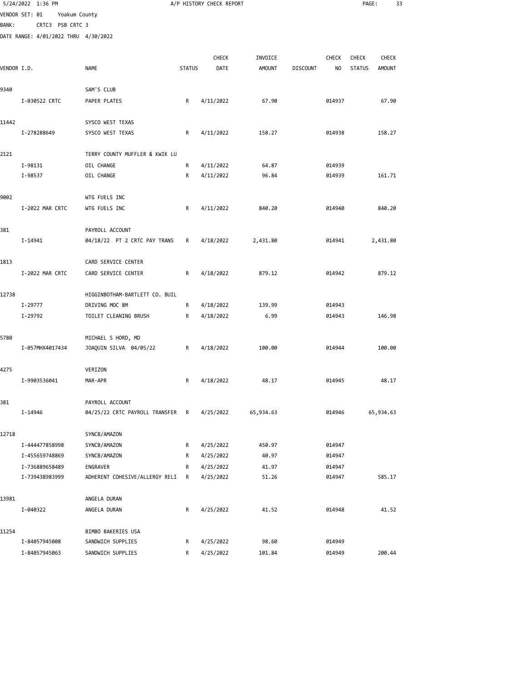|              | 5/24/2022 1:36 PM                    |                                |               | A/P HISTORY CHECK REPORT |               |                 |              | PAGE:         | 33            |  |
|--------------|--------------------------------------|--------------------------------|---------------|--------------------------|---------------|-----------------|--------------|---------------|---------------|--|
|              | VENDOR SET: 01<br>Yoakum County      |                                |               |                          |               |                 |              |               |               |  |
| <b>BANK:</b> | CRTC3 PSB CRTC 3                     |                                |               |                          |               |                 |              |               |               |  |
|              | DATE RANGE: 4/01/2022 THRU 4/30/2022 |                                |               |                          |               |                 |              |               |               |  |
|              |                                      |                                |               |                          |               |                 |              |               |               |  |
|              |                                      |                                |               | <b>CHECK</b>             | INVOICE       |                 | <b>CHECK</b> | CHECK         | <b>CHECK</b>  |  |
| VENDOR I.D.  |                                      | <b>NAME</b>                    | <b>STATUS</b> | DATE                     | <b>AMOUNT</b> | <b>DISCOUNT</b> | NO           | <b>STATUS</b> | <b>AMOUNT</b> |  |
| 9340         |                                      | SAM'S CLUB                     |               |                          |               |                 |              |               |               |  |
|              | I-030522 CRTC                        | PAPER PLATES                   | R             | 4/11/2022                | 67.90         |                 | 014937       |               | 67.90         |  |
|              |                                      |                                |               |                          |               |                 |              |               |               |  |
| 11442        |                                      | SYSCO WEST TEXAS               |               |                          |               |                 |              |               |               |  |
|              | I-278288649                          | SYSCO WEST TEXAS               | R             | 4/11/2022                | 158.27        |                 | 014938       |               | 158.27        |  |
| 2121         |                                      | TERRY COUNTY MUFFLER & KWIK LU |               |                          |               |                 |              |               |               |  |
|              | I-98131                              | OIL CHANGE                     | R             | 4/11/2022                | 64.87         |                 | 014939       |               |               |  |
|              | I-98537                              | OIL CHANGE                     | R             | 4/11/2022                | 96.84         |                 | 014939       |               | 161.71        |  |
| 9002         |                                      | WTG FUELS INC                  |               |                          |               |                 |              |               |               |  |
|              | I-2022 MAR CRTC                      | WTG FUELS INC                  | R             | 4/11/2022                | 840.20        |                 | 014940       |               | 840.20        |  |
|              |                                      |                                |               |                          |               |                 |              |               |               |  |
| 381          |                                      | PAYROLL ACCOUNT                |               |                          |               |                 |              |               |               |  |
|              | I-14941                              | 04/18/22 PT 2 CRTC PAY TRANS   | R             | 4/18/2022                | 2,431.80      |                 | 014941       |               | 2,431.80      |  |
| 1813         |                                      | CARD SERVICE CENTER            |               |                          |               |                 |              |               |               |  |
|              | I-2022 MAR CRTC                      | CARD SERVICE CENTER            | R             | 4/18/2022                | 879.12        |                 | 014942       |               | 879.12        |  |
| 12738        |                                      | HIGGINBOTHAM-BARTLETT CO. BUIL |               |                          |               |                 |              |               |               |  |
|              | I-29777                              | DRIVING MOC 8M                 | R             | 4/18/2022                | 139.99        |                 | 014943       |               |               |  |
|              | I-29792                              | TOILET CLEANING BRUSH          | R             | 4/18/2022                | 6.99          |                 | 014943       |               | 146.98        |  |
|              |                                      |                                |               |                          |               |                 |              |               |               |  |
| 5780         |                                      | MICHAEL S HORD, MD             |               |                          |               |                 |              |               |               |  |
|              | I-057MHX4017434                      | JOAQUIN SILVA 04/05/22         | R             | 4/18/2022                | 100.00        |                 | 014944       |               | 100.00        |  |
| 4275         |                                      | VERIZON                        |               |                          |               |                 |              |               |               |  |
|              | I-9903536041                         | MAR-APR                        | R             | 4/18/2022                | 48.17         |                 | 014945       |               | 48.17         |  |
| 381          |                                      | PAYROLL ACCOUNT                |               |                          |               |                 |              |               |               |  |
|              | I-14946                              | 04/25/22 CRTC PAYROLL TRANSFER | R             | 4/25/2022                | 65,934.63     |                 | 014946       |               | 65,934.63     |  |
| 12718        |                                      | SYNCB/AMAZON                   |               |                          |               |                 |              |               |               |  |
|              | I-444477858998                       | SYNCB/AMAZON                   | R             | 4/25/2022                | 450.97        |                 | 014947       |               |               |  |
|              | I-455659748869                       | SYNCB/AMAZON                   | R             | 4/25/2022                | 40.97         |                 | 014947       |               |               |  |
|              | I-736889658489                       | <b>ENGRAVER</b>                | R             | 4/25/2022                | 41.97         |                 | 014947       |               |               |  |
|              | I-739438983999                       | ADHERENT COHESIVE/ALLERGY RELI | R             | 4/25/2022                | 51.26         |                 | 014947       |               | 585.17        |  |
| 13981        |                                      |                                |               |                          |               |                 |              |               |               |  |
|              | I-040322                             | ANGELA DURAN<br>ANGELA DURAN   | R             | 4/25/2022                | 41.52         |                 | 014948       |               | 41.52         |  |
|              |                                      |                                |               |                          |               |                 |              |               |               |  |
| 11254        |                                      | BIMBO BAKERIES USA             |               |                          |               |                 |              |               |               |  |
|              | I-84057945008                        | SANDWICH SUPPLIES              | R             | 4/25/2022                | 98.60         |                 | 014949       |               |               |  |

I-84057945063 SANDWICH SUPPLIES R 4/25/2022 101.84 014949 200.44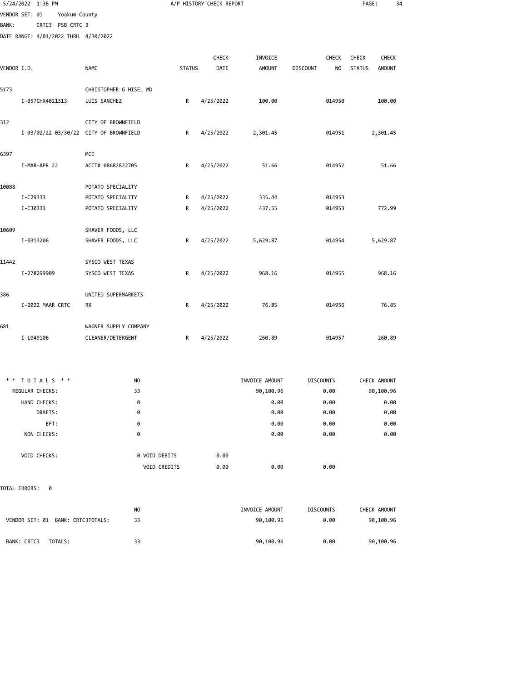|              | 5/24/2022 1:36 PM                    |                                        |               | A/P HISTORY CHECK REPORT |               |                 |              | PAGE:         |               | 34 |
|--------------|--------------------------------------|----------------------------------------|---------------|--------------------------|---------------|-----------------|--------------|---------------|---------------|----|
|              | VENDOR SET: 01<br>Yoakum County      |                                        |               |                          |               |                 |              |               |               |    |
| <b>BANK:</b> | CRTC3 PSB CRTC 3                     |                                        |               |                          |               |                 |              |               |               |    |
|              | DATE RANGE: 4/01/2022 THRU 4/30/2022 |                                        |               |                          |               |                 |              |               |               |    |
|              |                                      |                                        |               |                          |               |                 |              |               |               |    |
|              |                                      |                                        |               | CHECK                    | INVOICE       |                 | <b>CHECK</b> | <b>CHECK</b>  | CHECK         |    |
| VENDOR I.D.  |                                      | <b>NAME</b>                            | <b>STATUS</b> | DATE                     | <b>AMOUNT</b> | <b>DISCOUNT</b> | NO.          | <b>STATUS</b> | <b>AMOUNT</b> |    |
| 5173         |                                      | CHRISTOPHER G HISEL MD                 |               |                          |               |                 |              |               |               |    |
|              | I-057CHX4021313                      | LUIS SANCHEZ                           | R             | 4/25/2022                | 100.00        |                 | 014950       |               | 100.00        |    |
| 312          |                                      | CITY OF BROWNFIELD                     |               |                          |               |                 |              |               |               |    |
|              |                                      | I-03/02/22-03/30/22 CITY OF BROWNFIELD | R             | 4/25/2022                | 2,301.45      |                 | 014951       |               | 2,301.45      |    |
| 6397         |                                      | MCI                                    |               |                          |               |                 |              |               |               |    |
|              | I-MAR-APR 22                         | ACCT# 08682822705                      | R             | 4/25/2022                | 51.66         |                 | 014952       |               | 51.66         |    |
| 10088        |                                      | POTATO SPECIALITY                      |               |                          |               |                 |              |               |               |    |
|              | I-C29333                             | POTATO SPECIALITY                      | R             | 4/25/2022                | 335.44        |                 | 014953       |               |               |    |
|              | I-C30331                             | POTATO SPECIALITY                      | R             | 4/25/2022                | 437.55        |                 | 014953       |               | 772.99        |    |
|              |                                      |                                        |               |                          |               |                 |              |               |               |    |
| 10609        |                                      | SHAVER FOODS, LLC                      |               |                          |               |                 |              |               |               |    |
|              | I-0313206                            | SHAVER FOODS, LLC                      | R             | 4/25/2022                | 5,629.87      |                 | 014954       |               | 5,629.87      |    |
| 11442        |                                      | SYSCO WEST TEXAS                       |               |                          |               |                 |              |               |               |    |
|              | I-278299909                          | SYSCO WEST TEXAS                       | R             | 4/25/2022                | 968.16        |                 | 014955       |               | 968.16        |    |
| 386          |                                      | UNITED SUPERMARKETS                    |               |                          |               |                 |              |               |               |    |
|              | I-2022 MAAR CRTC                     | RX                                     | R             | 4/25/2022                | 76.85         |                 | 014956       |               | 76.85         |    |
| 681          |                                      | WAGNER SUPPLY COMPANY                  |               |                          |               |                 |              |               |               |    |
|              | I-L049106                            | CLEANER/DETERGENT                      | R             | 4/25/2022                | 260.89        |                 | 014957       |               | 260.89        |    |
|              |                                      |                                        |               |                          |               |                 |              |               |               |    |

| $*$ * TOTALS $*$ *     | N <sub>O</sub> |                             | INVOICE AMOUNT | <b>DISCOUNTS</b><br>CHECK AMOUNT |
|------------------------|----------------|-----------------------------|----------------|----------------------------------|
| <b>REGULAR CHECKS:</b> | 33             |                             | 90,100.96      | 90,100.96<br>0.00                |
| HAND CHECKS:           | 0              |                             | 0.00           | 0.00<br>0.00                     |
| DRAFTS:                | 0              |                             | 0.00           | 0.00<br>0.00                     |
| EFT:                   | 0              |                             | 0.00           | 0.00<br>0.00                     |
| NON CHECKS:            | 0              |                             | 0.00           | 0.00<br>0.00                     |
|                        |                |                             |                |                                  |
| <b>VOID CHECKS:</b>    |                | 0 VOID DEBITS<br>0.00       |                |                                  |
|                        |                | <b>VOID CREDITS</b><br>0.00 | 0.00           | 0.00                             |

TOTAL ERRORS: 0

|                                      | NO | INVOICE AMOUNT | <b>DISCOUNTS</b> | CHECK AMOUNT |
|--------------------------------------|----|----------------|------------------|--------------|
| VENDOR SET: 01<br>BANK: CRTC3TOTALS: | 33 | 90,100.96      | 0.00             | 90,100.96    |
|                                      |    |                |                  |              |
| BANK: CRTC3<br>TOTALS:               | 33 | 90,100.96      | 0.00             | 90,100.96    |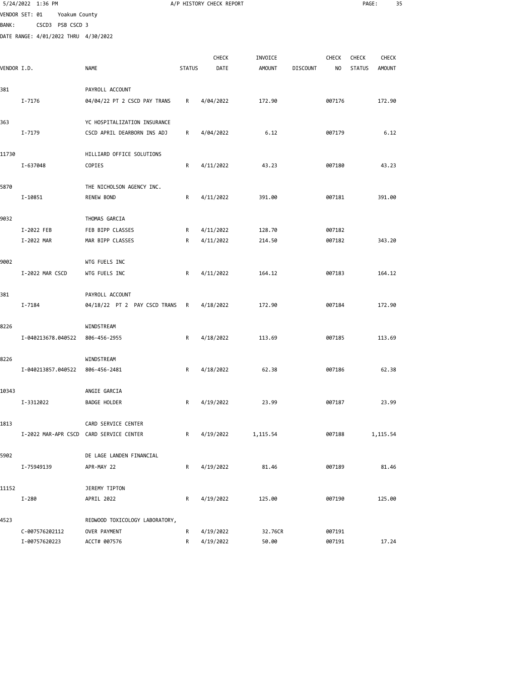|              | 5/24/2022 1:36 PM                    |                                         |               | A/P HISTORY CHECK REPORT |               |                 |              | PAGE:         |          | 35 |
|--------------|--------------------------------------|-----------------------------------------|---------------|--------------------------|---------------|-----------------|--------------|---------------|----------|----|
|              | VENDOR SET: 01<br>Yoakum County      |                                         |               |                          |               |                 |              |               |          |    |
| <b>BANK:</b> | CSCD3 PSB CSCD 3                     |                                         |               |                          |               |                 |              |               |          |    |
|              | DATE RANGE: 4/01/2022 THRU 4/30/2022 |                                         |               |                          |               |                 |              |               |          |    |
|              |                                      |                                         |               |                          |               |                 |              |               |          |    |
|              |                                      |                                         |               | <b>CHECK</b>             | INVOICE       |                 | <b>CHECK</b> | <b>CHECK</b>  | CHECK    |    |
| VENDOR I.D.  |                                      | NAME                                    | <b>STATUS</b> | DATE                     | <b>AMOUNT</b> | <b>DISCOUNT</b> | NO           | <b>STATUS</b> | AMOUNT   |    |
|              |                                      |                                         |               |                          |               |                 |              |               |          |    |
| 381          |                                      | PAYROLL ACCOUNT                         |               |                          |               |                 |              |               |          |    |
|              | I-7176                               | 04/04/22 PT 2 CSCD PAY TRANS            | R             | 4/04/2022                | 172.90        |                 | 007176       |               | 172.90   |    |
| 363          |                                      | YC HOSPITALIZATION INSURANCE            |               |                          |               |                 |              |               |          |    |
|              | I-7179                               | CSCD APRIL DEARBORN INS ADJ             | R             | 4/04/2022                | 6.12          |                 | 007179       |               | 6.12     |    |
| 11730        |                                      | HILLIARD OFFICE SOLUTIONS               |               |                          |               |                 |              |               |          |    |
|              |                                      |                                         |               |                          |               |                 |              |               |          |    |
|              | I-637048                             | COPIES                                  | R             | 4/11/2022                | 43.23         |                 | 007180       |               | 43.23    |    |
| 5870         |                                      | THE NICHOLSON AGENCY INC.               |               |                          |               |                 |              |               |          |    |
|              | I-10851                              | <b>RENEW BOND</b>                       | R             | 4/11/2022                | 391.00        |                 | 007181       |               | 391.00   |    |
| 9032         |                                      | THOMAS GARCIA                           |               |                          |               |                 |              |               |          |    |
|              | I-2022 FEB                           | FEB BIPP CLASSES                        | R             | 4/11/2022                | 128.70        |                 | 007182       |               |          |    |
|              | I-2022 MAR                           | MAR BIPP CLASSES                        | R             | 4/11/2022                | 214.50        |                 | 007182       |               | 343.20   |    |
|              |                                      |                                         |               |                          |               |                 |              |               |          |    |
| 9002         |                                      | WTG FUELS INC                           |               |                          |               |                 |              |               |          |    |
|              | I-2022 MAR CSCD                      | WTG FUELS INC                           | R             | 4/11/2022                | 164.12        |                 | 007183       |               | 164.12   |    |
|              |                                      |                                         |               |                          |               |                 |              |               |          |    |
| 381          |                                      | PAYROLL ACCOUNT                         |               |                          |               |                 |              |               |          |    |
|              | I-7184                               | 04/18/22 PT 2 PAY CSCD TRANS            | R             | 4/18/2022                | 172.90        |                 | 007184       |               | 172.90   |    |
| 8226         |                                      | WINDSTREAM                              |               |                          |               |                 |              |               |          |    |
|              | I-040213678.040522                   | 806-456-2955                            | R             | 4/18/2022                | 113.69        |                 | 007185       |               | 113.69   |    |
|              |                                      |                                         |               |                          |               |                 |              |               |          |    |
| 8226         |                                      | WINDSTREAM                              |               |                          |               |                 |              |               |          |    |
|              | I-040213857.040522                   | 806-456-2481                            | R             | 4/18/2022                | 62.38         |                 | 007186       |               | 62.38    |    |
| 10343        |                                      | ANGIE GARCIA                            |               |                          |               |                 |              |               |          |    |
|              | I-3312022                            | BADGE HOLDER                            | R             | 4/19/2022                | 23.99         |                 | 007187       |               | 23.99    |    |
|              |                                      |                                         |               |                          |               |                 |              |               |          |    |
| 1813         |                                      | CARD SERVICE CENTER                     |               |                          |               |                 |              |               |          |    |
|              |                                      | I-2022 MAR-APR CSCD CARD SERVICE CENTER | R             | 4/19/2022                | 1,115.54      |                 | 007188       |               | 1,115.54 |    |
| 5902         |                                      | DE LAGE LANDEN FINANCIAL                |               |                          |               |                 |              |               |          |    |
|              | I-75949139                           | APR-MAY 22                              | R             | 4/19/2022                | 81.46         |                 | 007189       |               | 81.46    |    |
|              |                                      |                                         |               |                          |               |                 |              |               |          |    |
| 11152        | $I-280$                              | JEREMY TIPTON<br>APRIL 2022             | R             | 4/19/2022                | 125.00        |                 | 007190       |               | 125.00   |    |
|              |                                      |                                         |               |                          |               |                 |              |               |          |    |
| 4523         |                                      | REDWOOD TOXICOLOGY LABORATORY,          |               |                          |               |                 |              |               |          |    |
|              | C-007576202112                       | OVER PAYMENT                            |               | R 4/19/2022              | 32.76CR       |                 | 007191       |               |          |    |

I-00757620223 ACCT# 007576 R 4/19/2022 50.00 007191 17.24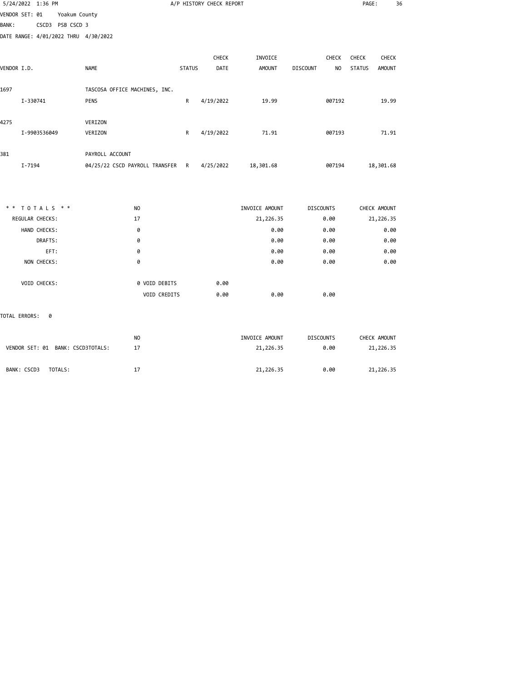| 5/24/2022 1:36 PM                    |                  |                                  |               | A/P HISTORY CHECK REPORT |                |                                   | PAGE:         | 36            |
|--------------------------------------|------------------|----------------------------------|---------------|--------------------------|----------------|-----------------------------------|---------------|---------------|
| VENDOR SET: 01                       | Yoakum County    |                                  |               |                          |                |                                   |               |               |
| <b>BANK:</b>                         | CSCD3 PSB CSCD 3 |                                  |               |                          |                |                                   |               |               |
| DATE RANGE: 4/01/2022 THRU 4/30/2022 |                  |                                  |               |                          |                |                                   |               |               |
|                                      |                  |                                  |               | CHECK                    | INVOICE        | CHECK                             | CHECK         | <b>CHECK</b>  |
| VENDOR I.D.                          | <b>NAME</b>      |                                  | <b>STATUS</b> | DATE                     | <b>AMOUNT</b>  | N <sub>O</sub><br><b>DISCOUNT</b> | <b>STATUS</b> | <b>AMOUNT</b> |
| 1697                                 |                  | TASCOSA OFFICE MACHINES, INC.    |               |                          |                |                                   |               |               |
| I-330741                             | PENS             |                                  | R             | 4/19/2022                | 19.99          | 007192                            |               | 19.99         |
| 4275                                 | VERIZON          |                                  |               |                          |                |                                   |               |               |
| I-9903536049                         | VERIZON          |                                  | R             | 4/19/2022                | 71.91          | 007193                            |               | 71.91         |
| 381                                  |                  | PAYROLL ACCOUNT                  |               |                          |                |                                   |               |               |
| I-7194                               |                  | 04/25/22 CSCD PAYROLL TRANSFER R |               | 4/25/2022                | 18,301.68      | 007194                            | 18,301.68     |               |
|                                      |                  |                                  |               |                          |                |                                   |               |               |
| ** TOTALS **                         |                  | NO                               |               |                          | INVOICE AMOUNT | <b>DISCOUNTS</b>                  | CHECK AMOUNT  |               |
| REGULAR CHECKS:                      |                  | 17                               |               |                          | 21, 226.35     | 0.00                              | 21,226.35     |               |
| HAND CHECKS:                         |                  | ø                                |               |                          | 0.00           | 0.00                              |               | 0.00          |
| DRAFTS:                              |                  | 0                                |               |                          | 0.00           | 0.00                              |               | 0.00          |
| EFT:                                 |                  | 0                                |               |                          | 0.00           | 0.00                              |               | 0.00          |
| NON CHECKS:                          |                  | 0                                |               |                          | 0.00           | 0.00                              |               | 0.00          |
| VOID CHECKS:                         |                  | 0 VOID DEBITS                    |               | 0.00                     |                |                                   |               |               |
|                                      |                  | VOID CREDITS                     |               | 0.00                     | 0.00           | 0.00                              |               |               |
| TOTAL ERRORS:<br>0                   |                  |                                  |               |                          |                |                                   |               |               |

| VENDOR SET: 01 BANK: CSCD3TOTALS: | NO. | INVOICE AMOUNT | <b>DISCOUNTS</b> | CHECK AMOUNT |
|-----------------------------------|-----|----------------|------------------|--------------|
|                                   | 17  | 21,226.35      | 0.00             | 21,226.35    |
| BANK: CSCD3<br>TOTALS:            | 17  | 21,226.35      | 0.00             | 21,226.35    |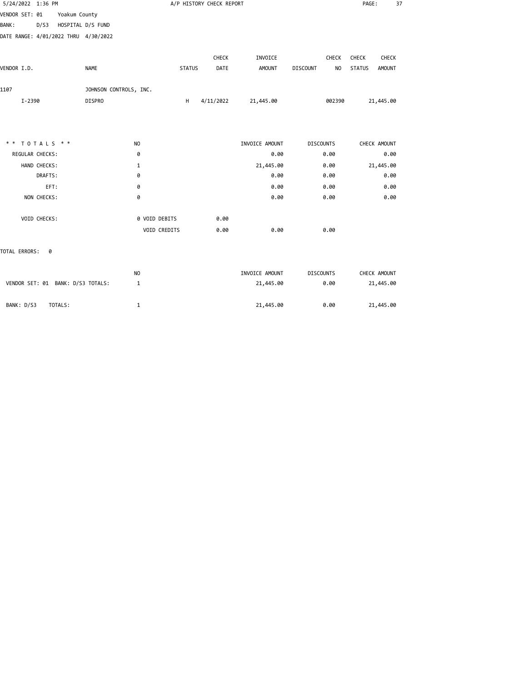| 5/24/2022 1:36 PM                         |                        |               | A/P HISTORY CHECK REPORT |                |                                   | PAGE:<br>37                    |
|-------------------------------------------|------------------------|---------------|--------------------------|----------------|-----------------------------------|--------------------------------|
| Yoakum County<br>VENDOR SET: 01           |                        |               |                          |                |                                   |                                |
| D/S3<br>HOSPITAL D/S FUND<br><b>BANK:</b> |                        |               |                          |                |                                   |                                |
| DATE RANGE: 4/01/2022 THRU 4/30/2022      |                        |               |                          |                |                                   |                                |
|                                           |                        |               | CHECK                    | INVOICE        | CHECK                             | CHECK<br>CHECK                 |
| VENDOR I.D.                               | <b>NAME</b>            | <b>STATUS</b> | DATE                     | <b>AMOUNT</b>  | <b>DISCOUNT</b><br>N <sub>O</sub> | <b>STATUS</b><br><b>AMOUNT</b> |
| 1107                                      | JOHNSON CONTROLS, INC. |               |                          |                |                                   |                                |
| $I - 2390$                                | <b>DISPRO</b>          | H             | 4/11/2022                | 21,445.00      | 002390                            | 21,445.00                      |
|                                           |                        |               |                          |                |                                   |                                |
| ** TOTALS **                              | N <sub>O</sub>         |               |                          | INVOICE AMOUNT | <b>DISCOUNTS</b>                  | CHECK AMOUNT                   |
| REGULAR CHECKS:                           | 0                      |               |                          | 0.00           | 0.00                              | 0.00                           |
| HAND CHECKS:                              | 1                      |               |                          | 21,445.00      | 0.00                              | 21,445.00                      |
| DRAFTS:                                   | 0                      |               |                          | 0.00           | 0.00                              | 0.00                           |
| EFT:                                      | 0                      |               |                          | 0.00           | 0.00                              | 0.00                           |
| NON CHECKS:                               | 0                      |               |                          | 0.00           | 0.00                              | 0.00                           |
| VOID CHECKS:                              | 0 VOID DEBITS          |               | 0.00                     |                |                                   |                                |
|                                           | VOID CREDITS           |               | 0.00                     | 0.00           | 0.00                              |                                |
| TOTAL ERRORS:<br>0                        |                        |               |                          |                |                                   |                                |
|                                           | N <sub>O</sub>         |               |                          | INVOICE AMOUNT | <b>DISCOUNTS</b>                  | CHECK AMOUNT                   |
| VENDOR SET: 01 BANK: D/S3 TOTALS:         | 1                      |               |                          | 21,445.00      | 0.00                              | 21,445.00                      |

BANK: D/S3 TOTALS: 1 21,445.00 0.00 21,445.00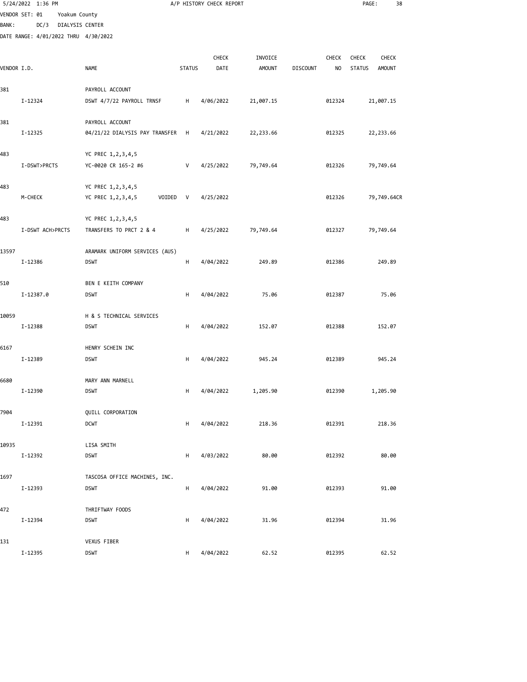|              | 5/24/2022 1:36 PM                    |                 |                                |               | A/P HISTORY CHECK REPORT |               |                 |        | PAGE:                          | 38 |
|--------------|--------------------------------------|-----------------|--------------------------------|---------------|--------------------------|---------------|-----------------|--------|--------------------------------|----|
|              | VENDOR SET: 01                       | Yoakum County   |                                |               |                          |               |                 |        |                                |    |
| <b>BANK:</b> | DC/3                                 | DIALYSIS CENTER |                                |               |                          |               |                 |        |                                |    |
|              | DATE RANGE: 4/01/2022 THRU 4/30/2022 |                 |                                |               |                          |               |                 |        |                                |    |
|              |                                      |                 |                                |               |                          |               |                 |        |                                |    |
|              |                                      |                 |                                |               | CHECK                    | INVOICE       |                 | CHECK  | CHECK<br>CHECK                 |    |
| VENDOR I.D.  |                                      |                 | <b>NAME</b>                    | <b>STATUS</b> | DATE                     | <b>AMOUNT</b> | <b>DISCOUNT</b> | NO     | <b>STATUS</b><br><b>AMOUNT</b> |    |
| 381          |                                      |                 | PAYROLL ACCOUNT                |               |                          |               |                 |        |                                |    |
|              | I-12324                              |                 | DSWT 4/7/22 PAYROLL TRNSF      | н             | 4/06/2022                | 21,007.15     |                 | 012324 | 21,007.15                      |    |
|              |                                      |                 |                                |               |                          |               |                 |        |                                |    |
| 381          |                                      |                 | PAYROLL ACCOUNT                |               |                          |               |                 |        |                                |    |
|              | I-12325                              |                 | 04/21/22 DIALYSIS PAY TRANSFER | H             | 4/21/2022                | 22,233.66     |                 | 012325 | 22,233.66                      |    |
| 483          |                                      |                 | YC PREC 1,2,3,4,5              |               |                          |               |                 |        |                                |    |
|              | I-DSWT>PRCTS                         |                 | YC-0020 CR 165-2 #6            | V             | 4/25/2022                | 79,749.64     |                 | 012326 | 79,749.64                      |    |
|              |                                      |                 |                                |               |                          |               |                 |        |                                |    |
| 483          |                                      |                 | YC PREC 1,2,3,4,5              |               |                          |               |                 |        |                                |    |
|              | M-CHECK                              |                 | YC PREC 1,2,3,4,5<br>VOIDED    | V             | 4/25/2022                |               |                 | 012326 | 79,749.64CR                    |    |
|              |                                      |                 |                                |               |                          |               |                 |        |                                |    |
| 483          |                                      |                 | YC PREC 1,2,3,4,5              |               |                          |               |                 |        |                                |    |
|              | I-DSWT ACH>PRCTS                     |                 | TRANSFERS TO PRCT 2 & 4        | н             | 4/25/2022                | 79,749.64     |                 | 012327 | 79,749.64                      |    |
| 13597        |                                      |                 | ARAMARK UNIFORM SERVICES (AUS) |               |                          |               |                 |        |                                |    |
|              | I-12386                              |                 | <b>DSWT</b>                    | н             | 4/04/2022                | 249.89        |                 | 012386 | 249.89                         |    |
|              |                                      |                 |                                |               |                          |               |                 |        |                                |    |
| 510          |                                      |                 | BEN E KEITH COMPANY            |               |                          |               |                 |        |                                |    |
|              | I-12387.0                            |                 | <b>DSWT</b>                    | н             | 4/04/2022                | 75.06         |                 | 012387 | 75.06                          |    |
| 10059        |                                      |                 | H & S TECHNICAL SERVICES       |               |                          |               |                 |        |                                |    |
|              | I-12388                              |                 | <b>DSWT</b>                    | н             | 4/04/2022                | 152.07        |                 | 012388 | 152.07                         |    |
|              |                                      |                 |                                |               |                          |               |                 |        |                                |    |
| 6167         |                                      |                 | HENRY SCHEIN INC               |               |                          |               |                 |        |                                |    |
|              | I-12389                              |                 | <b>DSWT</b>                    | н             | 4/04/2022                | 945.24        |                 | 012389 | 945.24                         |    |
|              |                                      |                 |                                |               |                          |               |                 |        |                                |    |
| 6680         |                                      |                 | MARY ANN MARNELL               |               |                          |               |                 |        |                                |    |
|              | I-12390                              |                 | DSWT                           | H             | 4/04/2022                | 1,205.90      |                 | 012390 | 1,205.90                       |    |
| 7904         |                                      |                 | QUILL CORPORATION              |               |                          |               |                 |        |                                |    |
|              | I-12391                              |                 | <b>DCWT</b>                    | H             | 4/04/2022                | 218.36        |                 | 012391 | 218.36                         |    |
|              |                                      |                 |                                |               |                          |               |                 |        |                                |    |
| 10935        |                                      |                 | LISA SMITH                     |               |                          |               |                 |        |                                |    |
|              | I-12392                              |                 | <b>DSWT</b>                    | н             | 4/03/2022                | 80.00         |                 | 012392 | 80.00                          |    |
|              |                                      |                 |                                |               |                          |               |                 |        |                                |    |
| 1697         | I-12393                              |                 | TASCOSA OFFICE MACHINES, INC.  |               |                          | 91.00         |                 |        | 91.00                          |    |
|              |                                      |                 | <b>DSWT</b>                    | H             | 4/04/2022                |               |                 | 012393 |                                |    |
| 472          |                                      |                 | THRIFTWAY FOODS                |               |                          |               |                 |        |                                |    |
|              | I-12394                              |                 | <b>DSWT</b>                    | н             | 4/04/2022                | 31.96         |                 | 012394 | 31.96                          |    |
|              |                                      |                 |                                |               |                          |               |                 |        |                                |    |
| 131          |                                      |                 | VEXUS FIBER                    |               |                          |               |                 |        |                                |    |

I-12395 DSWT H 4/04/2022 62.52 012395 62.52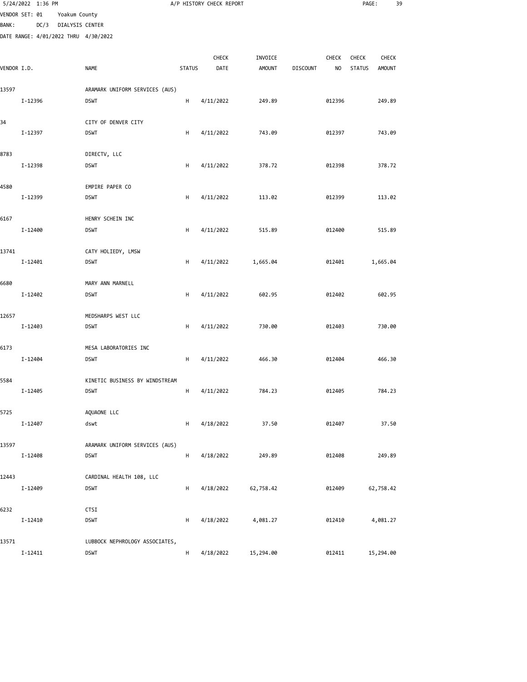|              | 5/24/2022 1:36 PM                    |                 |                                |               | A/P HISTORY CHECK REPORT |               |                 |                | PAGE:         |               | 39 |
|--------------|--------------------------------------|-----------------|--------------------------------|---------------|--------------------------|---------------|-----------------|----------------|---------------|---------------|----|
|              | VENDOR SET: 01                       | Yoakum County   |                                |               |                          |               |                 |                |               |               |    |
| <b>BANK:</b> | DC/3                                 | DIALYSIS CENTER |                                |               |                          |               |                 |                |               |               |    |
|              | DATE RANGE: 4/01/2022 THRU 4/30/2022 |                 |                                |               |                          |               |                 |                |               |               |    |
|              |                                      |                 |                                |               |                          |               |                 |                |               |               |    |
|              |                                      |                 |                                |               | CHECK                    | INVOICE       |                 | CHECK          | <b>CHECK</b>  | <b>CHECK</b>  |    |
| VENDOR I.D.  |                                      |                 | <b>NAME</b>                    | <b>STATUS</b> | DATE                     | <b>AMOUNT</b> | <b>DISCOUNT</b> | N <sub>O</sub> | <b>STATUS</b> | <b>AMOUNT</b> |    |
|              |                                      |                 |                                |               |                          |               |                 |                |               |               |    |
| 13597        |                                      |                 | ARAMARK UNIFORM SERVICES (AUS) |               |                          |               |                 |                |               |               |    |
|              | I-12396                              |                 | <b>DSWT</b>                    | H             | 4/11/2022                | 249.89        |                 | 012396         |               | 249.89        |    |
|              |                                      |                 |                                |               |                          |               |                 |                |               |               |    |
| 34           |                                      |                 | CITY OF DENVER CITY            |               |                          |               |                 |                |               |               |    |
|              | I-12397                              |                 | <b>DSWT</b>                    | н             | 4/11/2022                | 743.09        |                 | 012397         |               | 743.09        |    |
|              |                                      |                 |                                |               |                          |               |                 |                |               |               |    |
|              |                                      |                 |                                |               |                          |               |                 |                |               |               |    |
| 8783         |                                      |                 | DIRECTV, LLC                   |               |                          |               |                 |                |               |               |    |
|              | I-12398                              |                 | <b>DSWT</b>                    | н             | 4/11/2022                | 378.72        |                 | 012398         |               | 378.72        |    |
|              |                                      |                 |                                |               |                          |               |                 |                |               |               |    |
| 4580         |                                      |                 | EMPIRE PAPER CO                |               |                          |               |                 |                |               |               |    |
|              | I-12399                              |                 | <b>DSWT</b>                    | H             | 4/11/2022                | 113.02        |                 | 012399         |               | 113.02        |    |
|              |                                      |                 |                                |               |                          |               |                 |                |               |               |    |
| 6167         |                                      |                 | HENRY SCHEIN INC               |               |                          |               |                 |                |               |               |    |
|              | I-12400                              |                 | <b>DSWT</b>                    | H             | 4/11/2022                | 515.89        |                 | 012400         |               | 515.89        |    |
|              |                                      |                 |                                |               |                          |               |                 |                |               |               |    |
| 13741        |                                      |                 | CATY HOLIEDY, LMSW             |               |                          |               |                 |                |               |               |    |
|              | I-12401                              |                 | <b>DSWT</b>                    | H             | 4/11/2022                | 1,665.04      |                 | 012401         |               | 1,665.04      |    |
|              |                                      |                 |                                |               |                          |               |                 |                |               |               |    |
| 6680         |                                      |                 | MARY ANN MARNELL               |               |                          |               |                 |                |               |               |    |
|              | I-12402                              |                 | <b>DSWT</b>                    | н             | 4/11/2022                | 602.95        |                 | 012402         |               | 602.95        |    |
|              |                                      |                 |                                |               |                          |               |                 |                |               |               |    |
| 12657        |                                      |                 | MEDSHARPS WEST LLC             |               |                          |               |                 |                |               |               |    |
|              | I-12403                              |                 | <b>DSWT</b>                    | н             | 4/11/2022                | 730.00        |                 | 012403         |               | 730.00        |    |
|              |                                      |                 |                                |               |                          |               |                 |                |               |               |    |
| 6173         |                                      |                 | MESA LABORATORIES INC          |               |                          |               |                 |                |               |               |    |
|              | I-12404                              |                 | <b>DSWT</b>                    | H             | 4/11/2022                | 466.30        |                 | 012404         |               | 466.30        |    |
|              |                                      |                 |                                |               |                          |               |                 |                |               |               |    |
| 5584         |                                      |                 | KINETIC BUSINESS BY WINDSTREAM |               |                          |               |                 |                |               |               |    |
|              | I-12405                              |                 | <b>DSWT</b>                    | H             | 4/11/2022                | 784.23        |                 | 012405         |               | 784.23        |    |
|              |                                      |                 |                                |               |                          |               |                 |                |               |               |    |
| 5725         |                                      |                 | AQUAONE LLC                    |               |                          |               |                 |                |               |               |    |
|              | I-12407                              |                 | dswt                           | н             | 4/18/2022                | 37.50         |                 | 012407         |               | 37.50         |    |
|              |                                      |                 |                                |               |                          |               |                 |                |               |               |    |
| 13597        |                                      |                 | ARAMARK UNIFORM SERVICES (AUS) |               |                          |               |                 |                |               |               |    |
|              | I-12408                              |                 | <b>DSWT</b>                    | н             | 4/18/2022                | 249.89        |                 | 012408         |               | 249.89        |    |
|              |                                      |                 |                                |               |                          |               |                 |                |               |               |    |
| 12443        |                                      |                 | CARDINAL HEALTH 108, LLC       |               |                          |               |                 |                |               |               |    |
|              | I-12409                              |                 | <b>DSWT</b>                    | н             | 4/18/2022                | 62,758.42     |                 | 012409         |               | 62,758.42     |    |
|              |                                      |                 |                                |               |                          |               |                 |                |               |               |    |
| 6232         |                                      |                 | CTSI                           |               |                          |               |                 |                |               |               |    |
|              | I-12410                              |                 | <b>DSWT</b>                    | н             | 4/18/2022                | 4,081.27      |                 | 012410         |               | 4,081.27      |    |
|              |                                      |                 |                                |               |                          |               |                 |                |               |               |    |
|              |                                      |                 |                                |               |                          |               |                 |                |               |               |    |

H 4/18/2022 15,294.00 012411 15,294.00

13571 LUBBOCK NEPHROLOGY ASSOCIATES,<br>I-12411 DSWT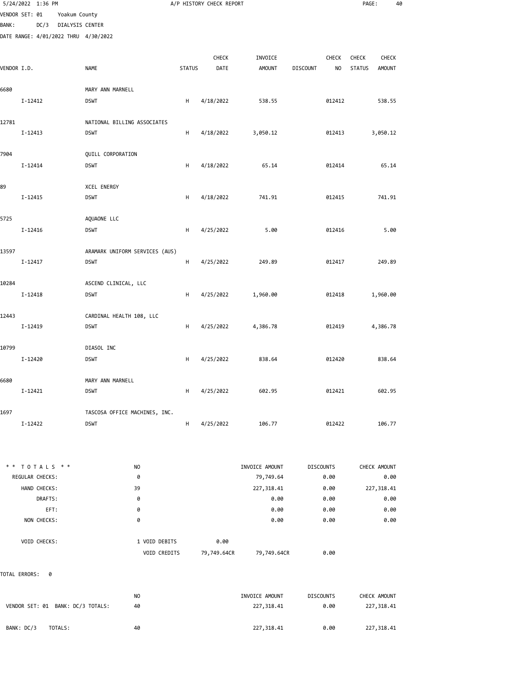|                |             | 5/24/2022 1:36 PM |                 |                                      |               | A/P HISTORY CHECK REPORT |               |                 |        | PAGE:         |          | 40 |
|----------------|-------------|-------------------|-----------------|--------------------------------------|---------------|--------------------------|---------------|-----------------|--------|---------------|----------|----|
| VENDOR SET: 01 |             |                   | Yoakum County   |                                      |               |                          |               |                 |        |               |          |    |
| <b>BANK:</b>   |             | DC/3              | DIALYSIS CENTER |                                      |               |                          |               |                 |        |               |          |    |
|                |             |                   |                 | DATE RANGE: 4/01/2022 THRU 4/30/2022 |               |                          |               |                 |        |               |          |    |
|                |             |                   |                 |                                      |               | CHECK                    | INVOICE       |                 | CHECK  | CHECK         | CHECK    |    |
| VENDOR I.D.    |             |                   |                 | <b>NAME</b>                          | <b>STATUS</b> | DATE                     | <b>AMOUNT</b> | <b>DISCOUNT</b> | NO     | <b>STATUS</b> | AMOUNT   |    |
| 6680           |             |                   |                 | MARY ANN MARNELL                     |               |                          |               |                 |        |               |          |    |
|                | I-12412     |                   |                 | <b>DSWT</b>                          | H             | 4/18/2022                | 538.55        |                 | 012412 |               | 538.55   |    |
| 12781          |             |                   |                 | NATIONAL BILLING ASSOCIATES          |               |                          |               |                 |        |               |          |    |
|                | $I - 12413$ |                   |                 | <b>DSWT</b>                          | н             | 4/18/2022                | 3,050.12      |                 | 012413 |               | 3,050.12 |    |
| 7904           |             |                   |                 | QUILL CORPORATION                    |               |                          |               |                 |        |               |          |    |
|                | I-12414     |                   |                 | <b>DSWT</b>                          | H             | 4/18/2022                | 65.14         |                 | 012414 |               | 65.14    |    |
| 89             |             |                   |                 | <b>XCEL ENERGY</b>                   |               |                          |               |                 |        |               |          |    |
|                | $I - 12415$ |                   |                 | <b>DSWT</b>                          | Н             | 4/18/2022                | 741.91        |                 | 012415 |               | 741.91   |    |
| 5725           |             |                   |                 | AQUAONE LLC                          |               |                          |               |                 |        |               |          |    |
|                | $I - 12416$ |                   |                 | <b>DSWT</b>                          | Н             | 4/25/2022                | 5.00          |                 | 012416 |               | 5.00     |    |
| 13597          |             |                   |                 | ARAMARK UNIFORM SERVICES (AUS)       |               |                          |               |                 |        |               |          |    |
|                | I-12417     |                   |                 | <b>DSWT</b>                          | н             | 4/25/2022                | 249.89        |                 | 012417 |               | 249.89   |    |
| 10284          |             |                   |                 | ASCEND CLINICAL, LLC                 |               |                          |               |                 |        |               |          |    |
|                | I-12418     |                   |                 | <b>DSWT</b>                          | H             | 4/25/2022                | 1,960.00      |                 | 012418 |               | 1,960.00 |    |
| 12443          |             |                   |                 | CARDINAL HEALTH 108, LLC             |               |                          |               |                 |        |               |          |    |
|                | I-12419     |                   |                 | <b>DSWT</b>                          | H             | 4/25/2022                | 4,386.78      |                 | 012419 |               | 4,386.78 |    |
| 10799          |             |                   |                 | DIASOL INC                           |               |                          |               |                 |        |               |          |    |
|                | I-12420     |                   |                 | <b>DSWT</b>                          | Н             | 4/25/2022                | 838.64        |                 | 012420 |               | 838.64   |    |
| 6680           |             |                   |                 | MARY ANN MARNELL                     |               |                          |               |                 |        |               |          |    |
|                | $I - 12421$ |                   |                 | <b>DSWT</b>                          | H             | 4/25/2022                | 602.95        |                 | 012421 |               | 602.95   |    |
| 1697           |             |                   |                 | TASCOSA OFFICE MACHINES, INC.        |               |                          |               |                 |        |               |          |    |
|                | I-12422     |                   |                 | <b>DSWT</b>                          | H             | 4/25/2022                | 106.77        |                 | 012422 |               | 106.77   |    |

|                        | $* * TOTALS **$     | N <sub>O</sub>      |             | INVOICE AMOUNT | <b>DISCOUNTS</b> | CHECK AMOUNT |
|------------------------|---------------------|---------------------|-------------|----------------|------------------|--------------|
| <b>REGULAR CHECKS:</b> |                     | 0                   |             | 79,749.64      | 0.00             | 0.00         |
|                        | HAND CHECKS:        | 39                  |             | 227,318.41     | 0.00             | 227,318.41   |
|                        | DRAFTS:             | 0                   |             | 0.00           | 0.00             | 0.00         |
|                        | EFT:                | 0                   |             | 0.00           | 0.00             | 0.00         |
|                        | NON CHECKS:         | 0                   |             | 0.00           | 0.00             | 0.00         |
|                        |                     |                     |             |                |                  |              |
|                        | <b>VOID CHECKS:</b> | 1 VOID DEBITS       | 0.00        |                |                  |              |
|                        |                     | <b>VOID CREDITS</b> | 79,749.64CR | 79,749.64CR    | 0.00             |              |

TOTAL ERRORS: 0

| VENDOR SET: 01 BANK: DC/3 TOTALS: | N <sub>O</sub> | INVOICE AMOUNT | <b>DISCOUNTS</b> | CHECK AMOUNT |
|-----------------------------------|----------------|----------------|------------------|--------------|
|                                   | 40             | 227,318.41     | 0.00             | 227,318.41   |
| BANK: DC/3<br>TOTALS:             | 40             | 227,318.41     | 0.00             | 227,318.41   |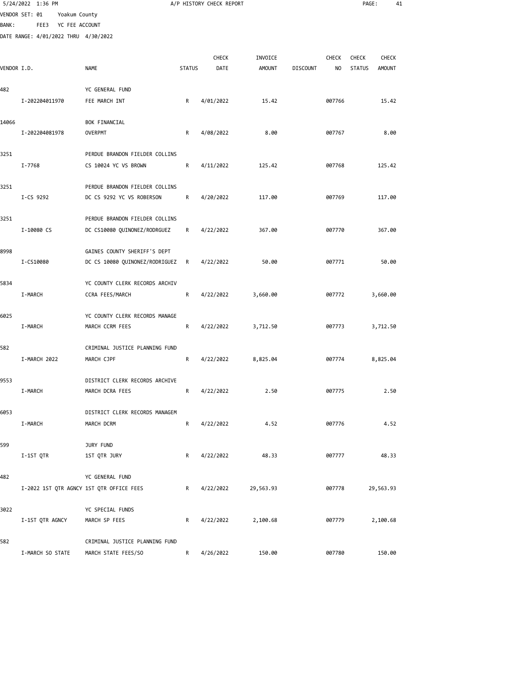|             | 5/24/2022 1:36 PM                        |                                                                |               | A/P HISTORY CHECK REPORT |               |                 |                | PAGE:         | 41            |  |
|-------------|------------------------------------------|----------------------------------------------------------------|---------------|--------------------------|---------------|-----------------|----------------|---------------|---------------|--|
|             | VENDOR SET: 01<br>Yoakum County          |                                                                |               |                          |               |                 |                |               |               |  |
| BANK :      | FEE3<br>YC FEE ACCOUNT                   |                                                                |               |                          |               |                 |                |               |               |  |
|             | DATE RANGE: 4/01/2022 THRU 4/30/2022     |                                                                |               |                          |               |                 |                |               |               |  |
|             |                                          |                                                                |               | <b>CHECK</b>             | INVOICE       |                 | <b>CHECK</b>   | <b>CHECK</b>  | CHECK         |  |
| VENDOR I.D. |                                          | NAME                                                           | <b>STATUS</b> | DATE                     | <b>AMOUNT</b> | <b>DISCOUNT</b> | N <sub>O</sub> | <b>STATUS</b> | <b>AMOUNT</b> |  |
|             |                                          |                                                                |               |                          |               |                 |                |               |               |  |
| 482         | I-202204011970                           | YC GENERAL FUND                                                |               |                          |               |                 |                |               |               |  |
|             |                                          | FEE MARCH INT                                                  | R             | 4/01/2022                | 15.42         |                 | 007766         |               | 15.42         |  |
| 14066       |                                          | BOK FINANCIAL                                                  |               |                          |               |                 |                |               |               |  |
|             | I-202204081978                           | <b>OVERPMT</b>                                                 | R             | 4/08/2022                | 8.00          |                 | 007767         |               | 8.00          |  |
| 3251        |                                          | PERDUE BRANDON FIELDER COLLINS                                 |               |                          |               |                 |                |               |               |  |
|             | I-7768                                   | CS 10024 YC VS BROWN                                           | R             | 4/11/2022                | 125.42        |                 | 007768         |               | 125.42        |  |
|             |                                          |                                                                |               |                          |               |                 |                |               |               |  |
| 3251        |                                          | PERDUE BRANDON FIELDER COLLINS                                 |               |                          |               |                 |                |               |               |  |
|             | I-CS 9292                                | DC CS 9292 YC VS ROBERSON                                      | R             | 4/20/2022                | 117.00        |                 | 007769         |               | 117.00        |  |
| 3251        |                                          | PERDUE BRANDON FIELDER COLLINS                                 |               |                          |               |                 |                |               |               |  |
|             | I-10080 CS                               | DC CS10080 QUINONEZ/RODRGUEZ                                   | R             | 4/22/2022                | 367.00        |                 | 007770         |               | 367.00        |  |
|             |                                          |                                                                |               |                          |               |                 |                |               |               |  |
| 8998        | I-CS10080                                | GAINES COUNTY SHERIFF'S DEPT<br>DC CS 10080 QUINONEZ/RODRIGUEZ | R             | 4/22/2022                | 50.00         |                 | 007771         |               | 50.00         |  |
|             |                                          |                                                                |               |                          |               |                 |                |               |               |  |
| 5834        |                                          | YC COUNTY CLERK RECORDS ARCHIV                                 |               |                          |               |                 |                |               |               |  |
|             | I-MARCH                                  | CCRA FEES/MARCH                                                | R             | 4/22/2022                | 3,660.00      |                 | 007772         |               | 3,660.00      |  |
| 6025        |                                          | YC COUNTY CLERK RECORDS MANAGE                                 |               |                          |               |                 |                |               |               |  |
|             | <b>I-MARCH</b>                           | MARCH CCRM FEES                                                | R             | 4/22/2022                | 3,712.50      |                 | 007773         |               | 3,712.50      |  |
|             |                                          |                                                                |               |                          |               |                 |                |               |               |  |
| 582         |                                          | CRIMINAL JUSTICE PLANNING FUND                                 |               |                          |               |                 |                |               |               |  |
|             | I-MARCH 2022                             | MARCH CJPF                                                     | R             | 4/22/2022                | 8,825.04      |                 | 007774         |               | 8,825.04      |  |
| 9553        |                                          | DISTRICT CLERK RECORDS ARCHIVE                                 |               |                          |               |                 |                |               |               |  |
|             | I-MARCH                                  | MARCH DCRA FEES                                                | R             | 4/22/2022                | 2.50          |                 | 007775         |               | 2.50          |  |
| 6053        |                                          | DISTRICT CLERK RECORDS MANAGEM                                 |               |                          |               |                 |                |               |               |  |
|             | I-MARCH                                  | MARCH DCRM                                                     | R             | 4/22/2022                | 4.52          |                 | 007776         |               | 4.52          |  |
|             |                                          |                                                                |               |                          |               |                 |                |               |               |  |
| 599         |                                          | JURY FUND                                                      |               |                          |               |                 |                |               |               |  |
|             | I-1ST QTR                                | 1ST QTR JURY                                                   | R             | 4/22/2022                | 48.33         |                 | 007777         |               | 48.33         |  |
| 482         |                                          | YC GENERAL FUND                                                |               |                          |               |                 |                |               |               |  |
|             | I-2022 1ST QTR AGNCY 1ST QTR OFFICE FEES |                                                                | R             | 4/22/2022                | 29,563.93     |                 | 007778         |               | 29,563.93     |  |
| 3022        |                                          | YC SPECIAL FUNDS                                               |               |                          |               |                 |                |               |               |  |
|             | I-1ST QTR AGNCY                          | MARCH SP FEES                                                  | R             | 4/22/2022                | 2,100.68      |                 | 007779         |               | 2,100.68      |  |
|             |                                          |                                                                |               |                          |               |                 |                |               |               |  |
| 582         |                                          | CRIMINAL JUSTICE PLANNING FUND                                 |               |                          |               |                 |                |               |               |  |
|             | I-MARCH SO STATE                         | MARCH STATE FEES/SO                                            | R             | 4/26/2022                | 150.00        |                 | 007780         |               | 150.00        |  |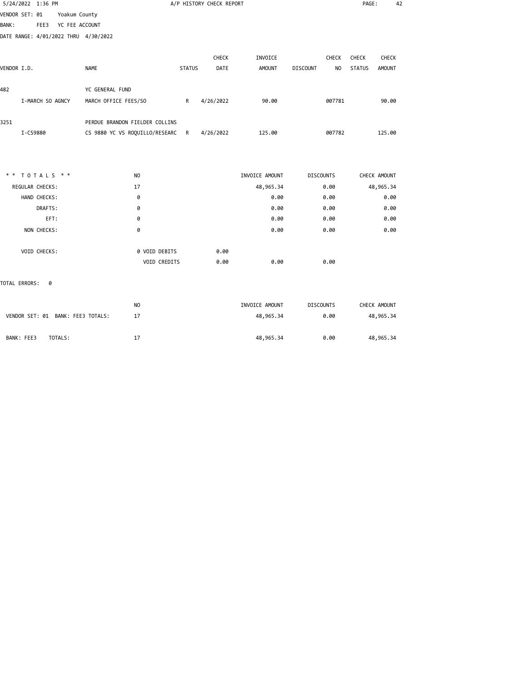| 5/24/2022 1:36 PM                      |                                |               | A/P HISTORY CHECK REPORT |                |                                   | PAGE:         | 42            |
|----------------------------------------|--------------------------------|---------------|--------------------------|----------------|-----------------------------------|---------------|---------------|
| VENDOR SET: 01<br>Yoakum County        |                                |               |                          |                |                                   |               |               |
| YC FEE ACCOUNT<br><b>BANK:</b><br>FEE3 |                                |               |                          |                |                                   |               |               |
| DATE RANGE: 4/01/2022 THRU 4/30/2022   |                                |               |                          |                |                                   |               |               |
|                                        |                                |               |                          |                |                                   |               |               |
|                                        |                                |               | <b>CHECK</b>             | INVOICE        | <b>CHECK</b>                      | <b>CHECK</b>  | <b>CHECK</b>  |
| VENDOR I.D.                            | <b>NAME</b>                    | <b>STATUS</b> | DATE                     | <b>AMOUNT</b>  | <b>DISCOUNT</b><br>N <sub>O</sub> | <b>STATUS</b> | <b>AMOUNT</b> |
| 482                                    | YC GENERAL FUND                |               |                          |                |                                   |               |               |
| I-MARCH SO AGNCY                       | MARCH OFFICE FEES/SO           | R             | 4/26/2022                | 90.00          | 007781                            |               | 90.00         |
| 3251                                   | PERDUE BRANDON FIELDER COLLINS |               |                          |                |                                   |               |               |
| I-CS9880                               | CS 9880 YC VS ROQUILLO/RESEARC | R             | 4/26/2022                | 125.00         | 007782                            |               | 125.00        |
|                                        |                                |               |                          |                |                                   |               |               |
|                                        |                                |               |                          |                |                                   |               |               |
| ** TOTALS **                           | NO                             |               |                          | INVOICE AMOUNT | <b>DISCOUNTS</b>                  | CHECK AMOUNT  |               |
| REGULAR CHECKS:                        | 17                             |               |                          | 48,965.34      | 0.00                              | 48,965.34     |               |
| HAND CHECKS:                           | 0                              |               |                          | 0.00           | 0.00                              |               | 0.00          |
| DRAFTS:                                | 0                              |               |                          | 0.00           | 0.00                              |               | 0.00          |
| EFT:                                   | 0                              |               |                          | 0.00           | 0.00                              |               | 0.00          |
| NON CHECKS:                            | 0                              |               |                          | 0.00           | 0.00                              |               | 0.00          |
| VOID CHECKS:                           | 0 VOID DEBITS                  |               | 0.00                     |                |                                   |               |               |
|                                        | VOID CREDITS                   |               | 0.00                     | 0.00           | 0.00                              |               |               |
| TOTAL ERRORS:<br>0                     |                                |               |                          |                |                                   |               |               |
|                                        | N <sub>O</sub>                 |               |                          | INVOICE AMOUNT | <b>DISCOUNTS</b>                  | CHECK AMOUNT  |               |
| VENDOR SET: 01 BANK: FEE3 TOTALS:      | 17                             |               |                          | 48,965.34      | 0.00                              | 48,965.34     |               |
|                                        |                                |               |                          |                |                                   |               |               |

BANK: FEE3 TOTALS: 17 17 48,965.34 0.00 48,965.34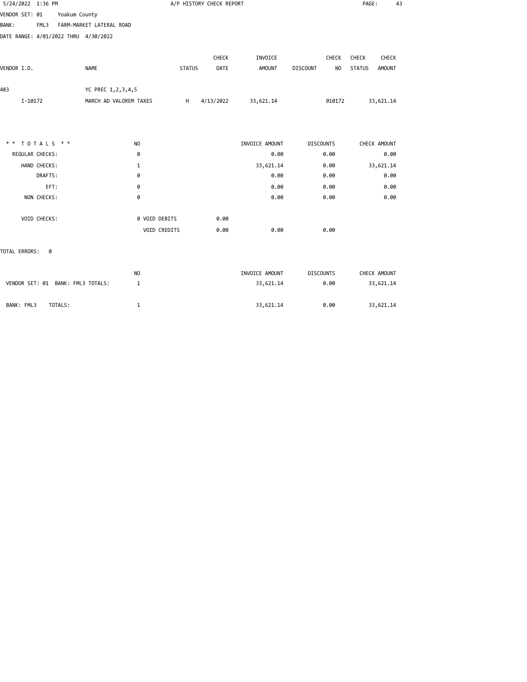| 5/24/2022 1:36 PM                    |                          |               | A/P HISTORY CHECK REPORT |                |                       | PAGE:<br>43             |
|--------------------------------------|--------------------------|---------------|--------------------------|----------------|-----------------------|-------------------------|
| VENDOR SET: 01<br>Yoakum County      |                          |               |                          |                |                       |                         |
| <b>BANK:</b><br>FML3                 | FARM-MARKET LATERAL ROAD |               |                          |                |                       |                         |
| DATE RANGE: 4/01/2022 THRU 4/30/2022 |                          |               |                          |                |                       |                         |
|                                      |                          |               | CHECK                    | INVOICE        | CHECK                 | CHECK<br>CHECK          |
| VENDOR I.D.                          | <b>NAME</b>              | <b>STATUS</b> | DATE                     | <b>AMOUNT</b>  | <b>DISCOUNT</b><br>NO | <b>STATUS</b><br>AMOUNT |
|                                      |                          |               |                          |                |                       |                         |
| 483                                  | YC PREC 1, 2, 3, 4, 5    |               |                          |                |                       |                         |
| I-10172                              | MARCH AD VALOREM TAXES   | H             | 4/13/2022                | 33,621.14      | 010172                | 33,621.14               |
|                                      |                          |               |                          |                |                       |                         |
| ** TOTALS **                         | N <sub>O</sub>           |               |                          | INVOICE AMOUNT | <b>DISCOUNTS</b>      | CHECK AMOUNT            |
| REGULAR CHECKS:                      | 0                        |               |                          | 0.00           | 0.00                  | 0.00                    |
| HAND CHECKS:                         | 1                        |               |                          | 33,621.14      | 0.00                  | 33,621.14               |
| DRAFTS:                              | 0                        |               |                          | 0.00           | 0.00                  | 0.00                    |
| EFT:                                 | 0                        |               |                          | 0.00           | 0.00                  | 0.00                    |
| NON CHECKS:                          | 0                        |               |                          | 0.00           | 0.00                  | 0.00                    |
| VOID CHECKS:                         | 0 VOID DEBITS            |               | 0.00                     |                |                       |                         |
|                                      | VOID CREDITS             |               | 0.00                     | 0.00           | 0.00                  |                         |
| TOTAL ERRORS:<br>0                   |                          |               |                          |                |                       |                         |
|                                      | N <sub>O</sub>           |               |                          | INVOICE AMOUNT | <b>DISCOUNTS</b>      | CHECK AMOUNT            |
| VENDOR SET: 01 BANK: FML3 TOTALS:    | 1                        |               |                          | 33,621.14      | 0.00                  | 33,621.14               |

BANK: FML3 TOTALS: 1 33,621.14 0.00 33,621.14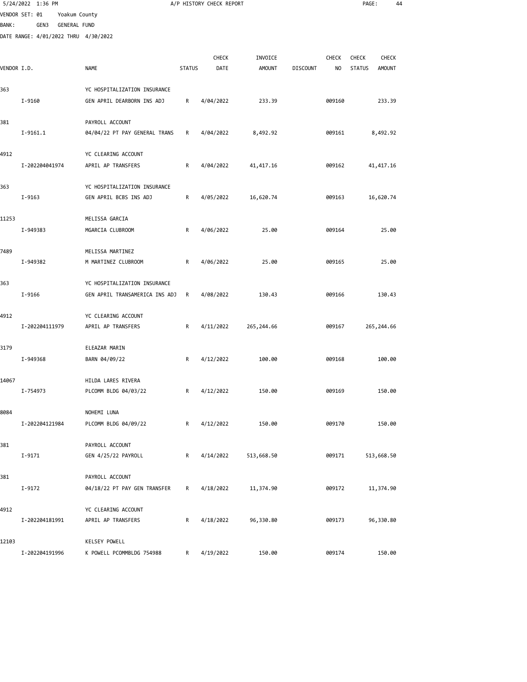|              | 5/24/2022 1:36 PM                    |               |                                |               | A/P HISTORY CHECK REPORT |               |                 |              | PAGE:         |               | 44 |
|--------------|--------------------------------------|---------------|--------------------------------|---------------|--------------------------|---------------|-----------------|--------------|---------------|---------------|----|
|              | VENDOR SET: 01                       | Yoakum County |                                |               |                          |               |                 |              |               |               |    |
| <b>BANK:</b> | GEN3                                 | GENERAL FUND  |                                |               |                          |               |                 |              |               |               |    |
|              | DATE RANGE: 4/01/2022 THRU 4/30/2022 |               |                                |               |                          |               |                 |              |               |               |    |
|              |                                      |               |                                |               | CHECK                    | INVOICE       |                 | <b>CHECK</b> | <b>CHECK</b>  | <b>CHECK</b>  |    |
| VENDOR I.D.  |                                      |               | <b>NAME</b>                    | <b>STATUS</b> | DATE                     | <b>AMOUNT</b> | <b>DISCOUNT</b> | NO           | <b>STATUS</b> | <b>AMOUNT</b> |    |
|              |                                      |               |                                |               |                          |               |                 |              |               |               |    |
| 363          |                                      |               | YC HOSPITALIZATION INSURANCE   |               |                          |               |                 |              |               |               |    |
|              | I-9160                               |               | GEN APRIL DEARBORN INS ADJ     | R             | 4/04/2022                | 233.39        |                 | 009160       |               | 233.39        |    |
|              |                                      |               |                                |               |                          |               |                 |              |               |               |    |
| 381          |                                      |               | PAYROLL ACCOUNT                |               |                          |               |                 |              |               |               |    |
|              | $I-9161.1$                           |               | 04/04/22 PT PAY GENERAL TRANS  | R             | 4/04/2022                | 8,492.92      |                 | 009161       |               | 8,492.92      |    |
| 4912         |                                      |               | YC CLEARING ACCOUNT            |               |                          |               |                 |              |               |               |    |
|              | I-202204041974                       |               | APRIL AP TRANSFERS             | R             | 4/04/2022                | 41,417.16     |                 | 009162       |               | 41,417.16     |    |
|              |                                      |               |                                |               |                          |               |                 |              |               |               |    |
| 363          |                                      |               | YC HOSPITALIZATION INSURANCE   |               |                          |               |                 |              |               |               |    |
|              | I-9163                               |               | GEN APRIL BCBS INS ADJ         | R             | 4/05/2022                | 16,620.74     |                 | 009163       |               | 16,620.74     |    |
|              |                                      |               |                                |               |                          |               |                 |              |               |               |    |
| 11253        |                                      |               | MELISSA GARCIA                 |               |                          |               |                 |              |               |               |    |
|              | I-949383                             |               | MGARCIA CLUBROOM               | R             | 4/06/2022                | 25.00         |                 | 009164       |               | 25.00         |    |
| 7489         |                                      |               | MELISSA MARTINEZ               |               |                          |               |                 |              |               |               |    |
|              | I-949382                             |               | M MARTINEZ CLUBROOM            | R             | 4/06/2022                | 25.00         |                 | 009165       |               | 25.00         |    |
|              |                                      |               |                                |               |                          |               |                 |              |               |               |    |
| 363          |                                      |               | YC HOSPITALIZATION INSURANCE   |               |                          |               |                 |              |               |               |    |
|              | I-9166                               |               | GEN APRIL TRANSAMERICA INS ADJ | R             | 4/08/2022                | 130.43        |                 | 009166       |               | 130.43        |    |
|              |                                      |               |                                |               |                          |               |                 |              |               |               |    |
| 4912         |                                      |               | YC CLEARING ACCOUNT            |               |                          |               |                 |              |               |               |    |
|              | I-202204111979                       |               | APRIL AP TRANSFERS             | R             | 4/11/2022                | 265, 244.66   |                 | 009167       |               | 265, 244.66   |    |
| 3179         |                                      |               | ELEAZAR MARIN                  |               |                          |               |                 |              |               |               |    |
|              | I-949368                             |               | BARN 04/09/22                  | R             | 4/12/2022                | 100.00        |                 | 009168       |               | 100.00        |    |
|              |                                      |               |                                |               |                          |               |                 |              |               |               |    |
| 14067        |                                      |               | HILDA LARES RIVERA             |               |                          |               |                 |              |               |               |    |
|              | I-754973                             |               | PLCOMM BLDG 04/03/22           | R             | 4/12/2022                | 150.00        |                 | 009169       |               | 150.00        |    |
|              |                                      |               |                                |               |                          |               |                 |              |               |               |    |
| 8084         |                                      |               | NOHEMI LUNA                    |               |                          |               |                 |              |               |               |    |
|              | I-202204121984                       |               | PLCOMM BLDG 04/09/22           | R             | 4/12/2022                | 150.00        |                 | 009170       |               | 150.00        |    |
| 381          |                                      |               | PAYROLL ACCOUNT                |               |                          |               |                 |              |               |               |    |
|              | $I-9171$                             |               | GEN 4/25/22 PAYROLL            | R             | 4/14/2022                | 513,668.50    |                 | 009171       |               | 513,668.50    |    |
|              |                                      |               |                                |               |                          |               |                 |              |               |               |    |
| 381          |                                      |               | PAYROLL ACCOUNT                |               |                          |               |                 |              |               |               |    |
|              | I-9172                               |               | 04/18/22 PT PAY GEN TRANSFER   | R             | 4/18/2022                | 11,374.90     |                 | 009172       |               | 11,374.90     |    |
|              |                                      |               |                                |               |                          |               |                 |              |               |               |    |
| 4912         |                                      |               | YC CLEARING ACCOUNT            |               |                          |               |                 |              |               |               |    |
|              | I-202204181991                       |               | APRIL AP TRANSFERS             | R             | 4/18/2022                | 96,330.80     |                 | 009173       |               | 96,330.80     |    |
| 12103        |                                      |               | KELSEY POWELL                  |               |                          |               |                 |              |               |               |    |
|              |                                      |               |                                |               |                          |               |                 |              |               |               |    |

I-202204191996 K POWELL PCOMMBLDG 754988 R 4/19/2022 150.00 009174 150.00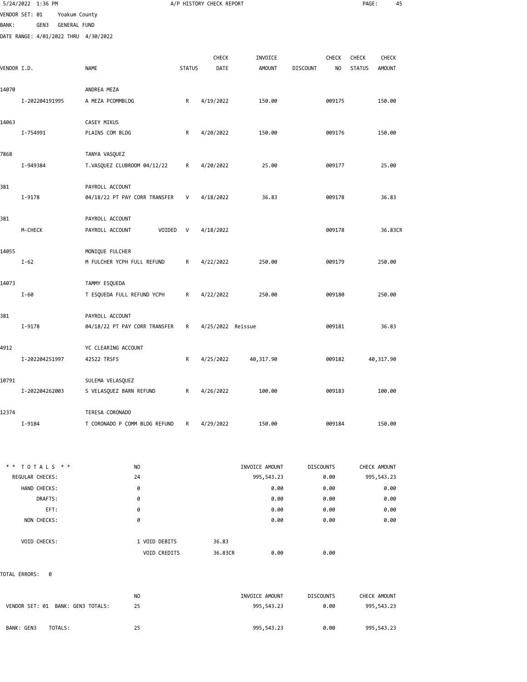|              | 5/24/2022 1:36 PM                    |               |                               |              |               | A/P HISTORY CHECK REPORT |                |                  |        | PAGE:         | 45            |  |
|--------------|--------------------------------------|---------------|-------------------------------|--------------|---------------|--------------------------|----------------|------------------|--------|---------------|---------------|--|
|              | VENDOR SET: 01                       | Yoakum County |                               |              |               |                          |                |                  |        |               |               |  |
| <b>BANK:</b> | GEN3                                 | GENERAL FUND  |                               |              |               |                          |                |                  |        |               |               |  |
|              | DATE RANGE: 4/01/2022 THRU 4/30/2022 |               |                               |              |               |                          |                |                  |        |               |               |  |
|              |                                      |               |                               |              |               |                          |                |                  |        |               |               |  |
|              |                                      |               |                               |              |               | CHECK                    | INVOICE        |                  | CHECK  | <b>CHECK</b>  | <b>CHECK</b>  |  |
| VENDOR I.D.  |                                      |               | <b>NAME</b>                   |              | <b>STATUS</b> | DATE                     | <b>AMOUNT</b>  | <b>DISCOUNT</b>  | NO     | <b>STATUS</b> | <b>AMOUNT</b> |  |
| 14070        |                                      |               | ANDREA MEZA                   |              |               |                          |                |                  |        |               |               |  |
|              | I-202204191995                       |               | A MEZA PCOMMBLDG              |              | R             | 4/19/2022                | 150.00         |                  | 009175 |               | 150.00        |  |
|              |                                      |               |                               |              |               |                          |                |                  |        |               |               |  |
| 14063        |                                      |               | CASEY MIKUS                   |              |               |                          |                |                  |        |               |               |  |
|              | I-754991                             |               | PLAINS COM BLDG               |              | R             | 4/20/2022                | 150.00         |                  | 009176 |               | 150.00        |  |
|              |                                      |               |                               |              |               |                          |                |                  |        |               |               |  |
| 7868         |                                      |               | TANYA VASQUEZ                 |              |               |                          |                |                  |        |               |               |  |
|              | I-949384                             |               | T.VASQUEZ CLUBROOM 04/12/22   |              | R             | 4/20/2022                | 25.00          |                  | 009177 |               | 25.00         |  |
|              |                                      |               |                               |              |               |                          |                |                  |        |               |               |  |
| 381          |                                      |               | PAYROLL ACCOUNT               |              |               |                          |                |                  |        |               |               |  |
|              | I-9178                               |               | 04/18/22 PT PAY CORR TRANSFER |              | V             | 4/18/2022                | 36.83          |                  | 009178 |               | 36.83         |  |
| 381          |                                      |               | PAYROLL ACCOUNT               |              |               |                          |                |                  |        |               |               |  |
|              | M-CHECK                              |               | PAYROLL ACCOUNT               | VOIDED       | V             | 4/18/2022                |                |                  | 009178 |               | 36.83CR       |  |
|              |                                      |               |                               |              |               |                          |                |                  |        |               |               |  |
| 14055        |                                      |               | MONIQUE FULCHER               |              |               |                          |                |                  |        |               |               |  |
|              | $I-62$                               |               | M FULCHER YCPH FULL REFUND    |              | R             | 4/22/2022                | 250.00         |                  | 009179 |               | 250.00        |  |
|              |                                      |               |                               |              |               |                          |                |                  |        |               |               |  |
| 14073        |                                      |               | TAMMY ESQUEDA                 |              |               |                          |                |                  |        |               |               |  |
|              | $I-60$                               |               | T ESQUEDA FULL REFUND YCPH    |              | R             | 4/22/2022                | 250.00         |                  | 009180 |               | 250.00        |  |
|              |                                      |               |                               |              |               |                          |                |                  |        |               |               |  |
| 381          |                                      |               | PAYROLL ACCOUNT               |              |               |                          |                |                  |        |               |               |  |
|              | I-9178                               |               | 04/18/22 PT PAY CORR TRANSFER |              | R             | 4/25/2022 Reissue        |                |                  | 009181 |               | 36.83         |  |
| 4912         |                                      |               | YC CLEARING ACCOUNT           |              |               |                          |                |                  |        |               |               |  |
|              | I-202204251997                       |               | 42522 TRSFS                   |              | R             | 4/25/2022                | 40,317.90      |                  | 009182 |               | 40,317.90     |  |
|              |                                      |               |                               |              |               |                          |                |                  |        |               |               |  |
| 10791        |                                      |               | SULEMA VELASQUEZ              |              |               |                          |                |                  |        |               |               |  |
|              | I-202204262003                       |               | S VELASQUEZ BARN REFUND       |              | R             | 4/26/2022                | 100.00         |                  | 009183 |               | 100.00        |  |
|              |                                      |               |                               |              |               |                          |                |                  |        |               |               |  |
| 12374        |                                      |               | TERESA CORONADO               |              |               |                          |                |                  |        |               |               |  |
|              | I-9184                               |               | T CORONADO P COMM BLDG REFUND |              | R             | 4/29/2022                | 150.00         |                  | 009184 |               | 150.00        |  |
|              |                                      |               |                               |              |               |                          |                |                  |        |               |               |  |
|              |                                      |               |                               |              |               |                          |                |                  |        |               |               |  |
|              | ** TOTALS **                         |               | NO                            |              |               |                          | INVOICE AMOUNT | <b>DISCOUNTS</b> |        |               | CHECK AMOUNT  |  |
|              | REGULAR CHECKS:                      |               | 24                            |              |               |                          | 995,543.23     |                  | 0.00   |               | 995,543.23    |  |
|              | HAND CHECKS:                         |               | 0                             |              |               |                          | 0.00           |                  | 0.00   |               | 0.00          |  |
|              | DRAFTS:                              |               | 0                             |              |               |                          | 0.00           |                  | 0.00   |               | 0.00          |  |
|              | EFT:                                 |               | 0                             |              |               |                          | 0.00           |                  | 0.00   |               | 0.00          |  |
|              | NON CHECKS:                          |               | 0                             |              |               |                          | 0.00           |                  | 0.00   |               | 0.00          |  |
|              |                                      |               |                               |              |               |                          |                |                  |        |               |               |  |
|              | VOID CHECKS:                         |               | 1 VOID DEBITS                 |              |               | 36.83                    |                |                  |        |               |               |  |
|              |                                      |               |                               | VOID CREDITS |               | 36.83CR                  | 0.00           |                  | 0.00   |               |               |  |
|              |                                      |               |                               |              |               |                          |                |                  |        |               |               |  |

TOTAL ERRORS: 0

| VENDOR SET: 01 BANK: GEN3 TOTALS: | NO | INVOICE AMOUNT | <b>DISCOUNTS</b> | CHECK AMOUNT |
|-----------------------------------|----|----------------|------------------|--------------|
|                                   | 25 | 995,543.23     | 0.00             | 995,543.23   |
| TOTALS:<br>BANK: GEN3             | 25 | 995,543.23     | 0.00             | 995,543.23   |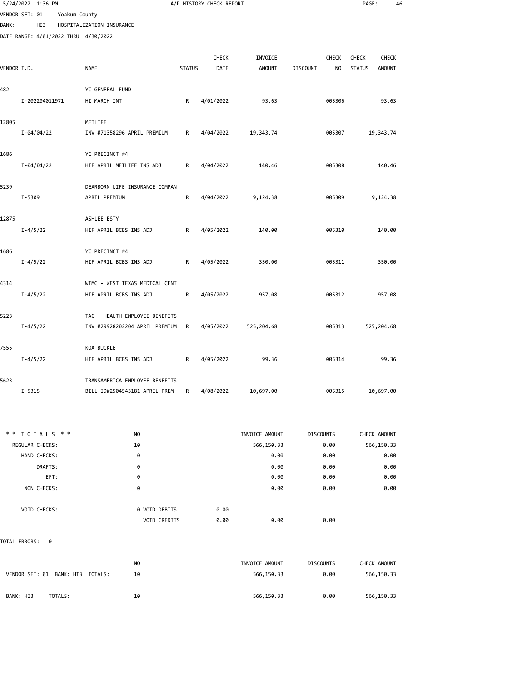|              | 5/24/2022 1:36 PM                    |               |                                |               | A/P HISTORY CHECK REPORT |                |                  | PAGE:         | 46            |
|--------------|--------------------------------------|---------------|--------------------------------|---------------|--------------------------|----------------|------------------|---------------|---------------|
|              | VENDOR SET: 01                       | Yoakum County |                                |               |                          |                |                  |               |               |
| <b>BANK:</b> | HI3                                  |               | HOSPITALIZATION INSURANCE      |               |                          |                |                  |               |               |
|              | DATE RANGE: 4/01/2022 THRU 4/30/2022 |               |                                |               |                          |                |                  |               |               |
|              |                                      |               |                                |               | CHECK                    | INVOICE        | <b>CHECK</b>     | <b>CHECK</b>  | <b>CHECK</b>  |
|              |                                      |               | <b>NAME</b>                    | <b>STATUS</b> | DATE                     | <b>AMOUNT</b>  | NO               |               | <b>AMOUNT</b> |
| VENDOR I.D.  |                                      |               |                                |               |                          |                | <b>DISCOUNT</b>  | <b>STATUS</b> |               |
| 482          |                                      |               | YC GENERAL FUND                |               |                          |                |                  |               |               |
|              | I-202204011971                       |               | HI MARCH INT                   | R             | 4/01/2022                | 93.63          | 005306           |               | 93.63         |
| 12805        |                                      |               | METLIFE                        |               |                          |                |                  |               |               |
|              | I-04/04/22                           |               | INV #71358296 APRIL PREMIUM    | R             | 4/04/2022                | 19,343.74      | 005307           | 19,343.74     |               |
|              |                                      |               |                                |               |                          |                |                  |               |               |
| 1686         |                                      |               | YC PRECINCT #4                 |               |                          |                |                  |               |               |
|              | I-04/04/22                           |               | HIF APRIL METLIFE INS ADJ      | R             | 4/04/2022                | 140.46         | 005308           |               | 140.46        |
|              |                                      |               |                                |               |                          |                |                  |               |               |
| 5239         |                                      |               | DEARBORN LIFE INSURANCE COMPAN |               |                          |                |                  |               |               |
|              | I-5309                               |               | APRIL PREMIUM                  | R             | 4/04/2022                | 9,124.38       | 005309           | 9,124.38      |               |
| 12875        |                                      |               | ASHLEE ESTY                    |               |                          |                |                  |               |               |
|              | $I - 4/5/22$                         |               | HIF APRIL BCBS INS ADJ         | R             | 4/05/2022                | 140.00         | 005310           |               | 140.00        |
|              |                                      |               |                                |               |                          |                |                  |               |               |
| 1686         |                                      |               | YC PRECINCT #4                 |               |                          |                |                  |               |               |
|              | $I - 4/5/22$                         |               | HIF APRIL BCBS INS ADJ         | R             | 4/05/2022                | 350.00         | 005311           |               | 350.00        |
| 4314         |                                      |               | WTMC - WEST TEXAS MEDICAL CENT |               |                          |                |                  |               |               |
|              | $I - 4/5/22$                         |               | HIF APRIL BCBS INS ADJ         | R             | 4/05/2022                | 957.08         | 005312           |               | 957.08        |
|              |                                      |               |                                |               |                          |                |                  |               |               |
| 5223         |                                      |               | TAC - HEALTH EMPLOYEE BENEFITS |               |                          |                |                  |               |               |
|              | $I - 4/5/22$                         |               | INV #29928202204 APRIL PREMIUM | R             | 4/05/2022                | 525,204.68     | 005313           | 525,204.68    |               |
|              |                                      |               |                                |               |                          |                |                  |               |               |
| 7555         |                                      |               | KOA BUCKLE                     |               |                          |                |                  |               |               |
|              | $I - 4/5/22$                         |               | HIF APRIL BCBS INS ADJ         | R             | 4/05/2022                | 99.36          | 005314           |               | 99.36         |
| 5623         |                                      |               | TRANSAMERICA EMPLOYEE BENEFITS |               |                          |                |                  |               |               |
|              | I-5315                               |               | BILL ID#2504543181 APRIL PREM  | R             | 4/08/2022                | 10,697.00      | 005315           | 10,697.00     |               |
|              |                                      |               |                                |               |                          |                |                  |               |               |
|              | ** TOTALS **                         |               | NO                             |               |                          | INVOICE AMOUNT | <b>DISCOUNTS</b> | CHECK AMOUNT  |               |
|              | REGULAR CHECKS:                      |               | 10                             |               |                          | 566,150.33     | 0.00             | 566,150.33    |               |
|              | HAND CHECKS:                         |               | 0                              |               |                          | 0.00           | 0.00             |               | 0.00          |
|              | DRAFTS:                              |               | 0                              |               |                          | 0.00           | 0.00             |               | 0.00          |
|              | EFT:                                 |               | 0                              |               |                          | 0.00           | 0.00             |               | 0.00          |
|              | NON CHECKS:                          |               | 0                              |               |                          | 0.00           | 0.00             |               | 0.00          |
|              | VOID CHECKS:                         |               |                                |               | 0.00                     |                |                  |               |               |
|              |                                      |               | 0 VOID DEBITS<br>VOID CREDITS  |               | 0.00                     | 0.00           | 0.00             |               |               |
|              |                                      |               |                                |               |                          |                |                  |               |               |
|              | TOTAL ERRORS:<br>- 0                 |               |                                |               |                          |                |                  |               |               |

NO INVOICE AMOUNT DISCOUNTS CHECK AMOUNT VENDOR SET: 01 BANK: HI3 TOTALS: 10 10 566,150.33 566,150.33 0.00 566,150.33 BANK: HI3 TOTALS: 10 10 10 566,150.33 0.00 566,150.33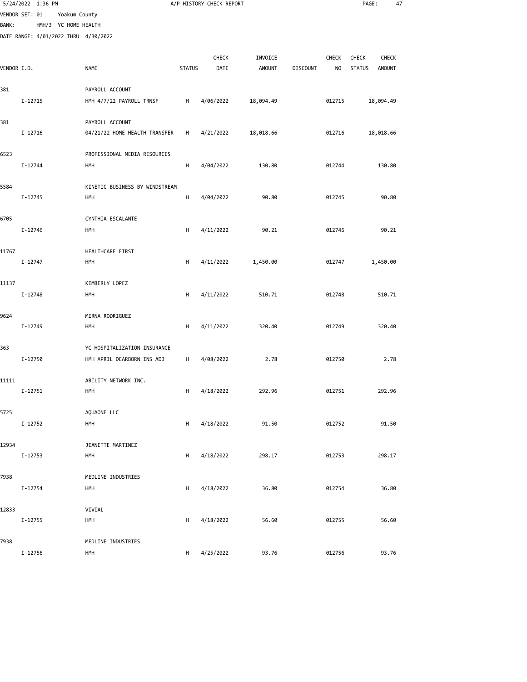|              | 5/24/2022 1:36 PM                    |                      |                                |               | A/P HISTORY CHECK REPORT |               |                 |                | PAGE:         | 47            |
|--------------|--------------------------------------|----------------------|--------------------------------|---------------|--------------------------|---------------|-----------------|----------------|---------------|---------------|
|              | VENDOR SET: 01                       | Yoakum County        |                                |               |                          |               |                 |                |               |               |
| <b>BANK:</b> |                                      | HMH/3 YC HOME HEALTH |                                |               |                          |               |                 |                |               |               |
|              | DATE RANGE: 4/01/2022 THRU 4/30/2022 |                      |                                |               |                          |               |                 |                |               |               |
|              |                                      |                      |                                |               | CHECK                    | INVOICE       |                 | CHECK          | CHECK         | CHECK         |
| VENDOR I.D.  |                                      |                      | <b>NAME</b>                    | <b>STATUS</b> | DATE                     | <b>AMOUNT</b> | <b>DISCOUNT</b> | N <sub>O</sub> | <b>STATUS</b> | <b>AMOUNT</b> |
|              |                                      |                      |                                |               |                          |               |                 |                |               |               |
| 381          |                                      |                      | PAYROLL ACCOUNT                |               |                          |               |                 |                |               |               |
|              | I-12715                              |                      | HMH 4/7/22 PAYROLL TRNSF       | H             | 4/06/2022                | 18,094.49     |                 | 012715         | 18,094.49     |               |
|              |                                      |                      |                                |               |                          |               |                 |                |               |               |
| 381          |                                      |                      | PAYROLL ACCOUNT                |               |                          |               |                 |                |               |               |
|              | I-12716                              |                      | 04/21/22 HOME HEALTH TRANSFER  | H             | 4/21/2022                | 18,018.66     |                 | 012716         | 18,018.66     |               |
| 6523         |                                      |                      | PROFESSIONAL MEDIA RESOURCES   |               |                          |               |                 |                |               |               |
|              | I-12744                              |                      | HMH                            | н             | 4/04/2022                | 130.80        |                 | 012744         |               | 130.80        |
|              |                                      |                      |                                |               |                          |               |                 |                |               |               |
| 5584         |                                      |                      | KINETIC BUSINESS BY WINDSTREAM |               |                          |               |                 |                |               |               |
|              | I-12745                              |                      | HMH                            | H             | 4/04/2022                | 90.80         |                 | 012745         |               | 90.80         |
|              |                                      |                      |                                |               |                          |               |                 |                |               |               |
| 6705         |                                      |                      | CYNTHIA ESCALANTE              |               |                          |               |                 |                |               |               |
|              | I-12746                              |                      | HMH                            | H             | 4/11/2022                | 90.21         |                 | 012746         |               | 90.21         |
| 11767        |                                      |                      | HEALTHCARE FIRST               |               |                          |               |                 |                |               |               |
|              | I-12747                              |                      | HMH                            | H             | 4/11/2022                | 1,450.00      |                 | 012747         | 1,450.00      |               |
|              |                                      |                      |                                |               |                          |               |                 |                |               |               |
| 11137        |                                      |                      | KIMBERLY LOPEZ                 |               |                          |               |                 |                |               |               |
|              | I-12748                              |                      | HMH                            | н             | 4/11/2022                | 510.71        |                 | 012748         |               | 510.71        |
|              |                                      |                      |                                |               |                          |               |                 |                |               |               |
| 9624         |                                      |                      | MIRNA RODRIGUEZ                |               |                          |               |                 |                |               |               |
|              | I-12749                              |                      | HMH                            | н             | 4/11/2022                | 320.40        |                 | 012749         |               | 320.40        |
| 363          |                                      |                      | YC HOSPITALIZATION INSURANCE   |               |                          |               |                 |                |               |               |
|              | I-12750                              |                      | HMH APRIL DEARBORN INS ADJ     | H             | 4/08/2022                | 2.78          |                 | 012750         |               | 2.78          |
|              |                                      |                      |                                |               |                          |               |                 |                |               |               |
| 11111        |                                      |                      | ABILITY NETWORK INC.           |               |                          |               |                 |                |               |               |
|              | I-12751                              |                      | HMH                            | H             | 4/18/2022                | 292.96        |                 | 012751         |               | 292.96        |
|              |                                      |                      |                                |               |                          |               |                 |                |               |               |
| 5725         |                                      |                      | AQUAONE LLC                    |               |                          |               |                 |                |               |               |
|              | I-12752                              |                      | HMH                            | н             | 4/18/2022                | 91.50         |                 | 012752         |               | 91.50         |
| 12934        |                                      |                      | JEANETTE MARTINEZ              |               |                          |               |                 |                |               |               |
|              | I-12753                              |                      | HMH                            | H             | 4/18/2022                | 298.17        |                 | 012753         |               | 298.17        |
|              |                                      |                      |                                |               |                          |               |                 |                |               |               |
| 7938         |                                      |                      | MEDLINE INDUSTRIES             |               |                          |               |                 |                |               |               |
|              | I-12754                              |                      | HMH                            | H             | 4/18/2022                | 36.80         |                 | 012754         |               | 36.80         |
|              |                                      |                      |                                |               |                          |               |                 |                |               |               |
| 12833        | I-12755                              |                      | VIVIAL<br>HMH                  | H             | 4/18/2022                | 56.60         |                 | 012755         |               | 56.60         |
|              |                                      |                      |                                |               |                          |               |                 |                |               |               |
| 7938         |                                      |                      | MEDLINE INDUSTRIES             |               |                          |               |                 |                |               |               |
|              |                                      |                      |                                |               |                          |               |                 |                |               |               |

I-12756 HMH H 4/25/2022 93.76 012756 93.76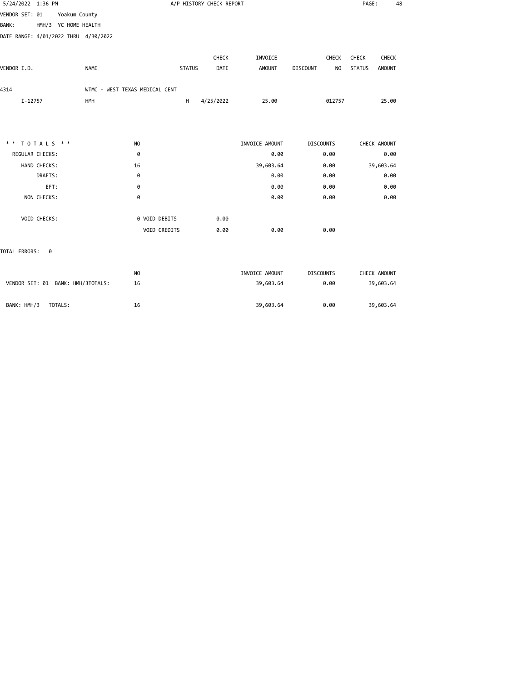|                |                                                                                                                                   |                                                                 |                |                                   | PAGE:         | 48            |
|----------------|-----------------------------------------------------------------------------------------------------------------------------------|-----------------------------------------------------------------|----------------|-----------------------------------|---------------|---------------|
|                |                                                                                                                                   |                                                                 |                |                                   |               |               |
|                |                                                                                                                                   |                                                                 |                |                                   |               |               |
|                |                                                                                                                                   |                                                                 |                |                                   |               |               |
|                |                                                                                                                                   | CHECK                                                           | INVOICE        | CHECK                             | CHECK         | CHECK         |
|                |                                                                                                                                   | DATE                                                            | <b>AMOUNT</b>  | <b>DISCOUNT</b><br>N <sub>O</sub> | <b>STATUS</b> | <b>AMOUNT</b> |
|                |                                                                                                                                   |                                                                 |                |                                   |               |               |
|                | H                                                                                                                                 | 4/25/2022                                                       | 25.00          |                                   |               | 25.00         |
|                |                                                                                                                                   |                                                                 |                |                                   |               |               |
| N <sub>O</sub> |                                                                                                                                   |                                                                 | INVOICE AMOUNT | <b>DISCOUNTS</b>                  | CHECK AMOUNT  |               |
| 0              |                                                                                                                                   |                                                                 | 0.00           | 0.00                              |               | 0.00          |
| 16             |                                                                                                                                   |                                                                 | 39,603.64      | 0.00                              | 39,603.64     |               |
| 0              |                                                                                                                                   |                                                                 | 0.00           | 0.00                              |               | 0.00          |
| 0              |                                                                                                                                   |                                                                 | 0.00           | 0.00                              |               | 0.00          |
| 0              |                                                                                                                                   |                                                                 | 0.00           | 0.00                              |               | 0.00          |
|                |                                                                                                                                   | 0.00                                                            |                |                                   |               |               |
|                |                                                                                                                                   | 0.00                                                            | 0.00           | 0.00                              |               |               |
|                |                                                                                                                                   |                                                                 |                |                                   |               |               |
| N <sub>O</sub> |                                                                                                                                   |                                                                 | INVOICE AMOUNT | <b>DISCOUNTS</b>                  | CHECK AMOUNT  |               |
| 16             |                                                                                                                                   |                                                                 | 39,603.64      | 0.00                              | 39,603.64     |               |
|                | Yoakum County<br>HMH/3 YC HOME HEALTH<br>DATE RANGE: 4/01/2022 THRU 4/30/2022<br><b>NAME</b><br>VENDOR SET: 01 BANK: HMH/3TOTALS: | WTMC - WEST TEXAS MEDICAL CENT<br>0 VOID DEBITS<br>VOID CREDITS | <b>STATUS</b>  | A/P HISTORY CHECK REPORT          |               | 012757        |

BANK: HMH/3 TOTALS: 16 16 16 16 17 16 39,603.64 0.00 39,603.64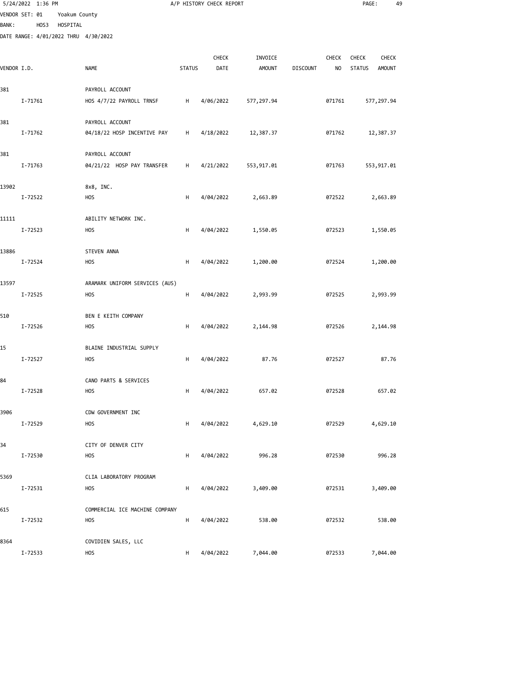|              | 5/24/2022 1:36 PM |          |                                              |               | A/P HISTORY CHECK REPORT |               |                 |                | PAGE:         | 49            |
|--------------|-------------------|----------|----------------------------------------------|---------------|--------------------------|---------------|-----------------|----------------|---------------|---------------|
|              | VENDOR SET: 01    |          | Yoakum County                                |               |                          |               |                 |                |               |               |
| <b>BANK:</b> | HOS3              | HOSPITAL |                                              |               |                          |               |                 |                |               |               |
|              |                   |          | DATE RANGE: 4/01/2022 THRU 4/30/2022         |               |                          |               |                 |                |               |               |
|              |                   |          |                                              |               | CHECK                    | INVOICE       |                 | CHECK          | CHECK         | <b>CHECK</b>  |
| VENDOR I.D.  |                   |          | NAME                                         | <b>STATUS</b> | DATE                     | <b>AMOUNT</b> | <b>DISCOUNT</b> | N <sub>O</sub> | <b>STATUS</b> | <b>AMOUNT</b> |
|              |                   |          |                                              |               |                          |               |                 |                |               |               |
| 381          |                   |          | PAYROLL ACCOUNT                              |               |                          |               |                 |                |               |               |
|              | I-71761           |          | HOS 4/7/22 PAYROLL TRNSF                     | H             | 4/06/2022                | 577, 297.94   |                 | 071761         | 577,297.94    |               |
| 381          |                   |          | PAYROLL ACCOUNT                              |               |                          |               |                 |                |               |               |
|              | I-71762           |          | 04/18/22 HOSP INCENTIVE PAY                  | H             | 4/18/2022                | 12,387.37     |                 | 071762         | 12,387.37     |               |
|              |                   |          |                                              |               |                          |               |                 |                |               |               |
| 381          |                   |          | PAYROLL ACCOUNT                              |               |                          |               |                 |                |               |               |
|              | I-71763           |          | 04/21/22 HOSP PAY TRANSFER                   | н             | 4/21/2022                | 553,917.01    |                 | 071763         | 553,917.01    |               |
| 13902        |                   |          | 8x8, INC.                                    |               |                          |               |                 |                |               |               |
|              | I-72522           |          | <b>HOS</b>                                   | H             | 4/04/2022                | 2,663.89      |                 | 072522         | 2,663.89      |               |
|              |                   |          |                                              |               |                          |               |                 |                |               |               |
| 11111        |                   |          | ABILITY NETWORK INC.                         |               |                          |               |                 |                |               |               |
|              | I-72523           |          | <b>HOS</b>                                   | H             | 4/04/2022                | 1,550.05      |                 | 072523         | 1,550.05      |               |
| 13886        |                   |          | STEVEN ANNA                                  |               |                          |               |                 |                |               |               |
|              | I-72524           |          | <b>HOS</b>                                   | H             | 4/04/2022                | 1,200.00      |                 | 072524         | 1,200.00      |               |
|              |                   |          |                                              |               |                          |               |                 |                |               |               |
| 13597        |                   |          | ARAMARK UNIFORM SERVICES (AUS)               |               |                          |               |                 |                |               |               |
|              | I-72525           |          | <b>HOS</b>                                   | H             | 4/04/2022                | 2,993.99      |                 | 072525         | 2,993.99      |               |
|              |                   |          |                                              |               |                          |               |                 |                |               |               |
| 510          | I-72526           |          | BEN E KEITH COMPANY<br><b>HOS</b>            | H             | 4/04/2022                | 2,144.98      |                 | 072526         | 2,144.98      |               |
|              |                   |          |                                              |               |                          |               |                 |                |               |               |
| 15           |                   |          | BLAINE INDUSTRIAL SUPPLY                     |               |                          |               |                 |                |               |               |
|              | I-72527           |          | <b>HOS</b>                                   | H             | 4/04/2022                | 87.76         |                 | 072527         |               | 87.76         |
|              |                   |          | CANO PARTS & SERVICES                        |               |                          |               |                 |                |               |               |
| 84           | I-72528           |          | <b>HOS</b>                                   | H             | 4/04/2022                | 657.02        |                 | 072528         |               | 657.02        |
|              |                   |          |                                              |               |                          |               |                 |                |               |               |
| 3906         |                   |          | CDW GOVERNMENT INC                           |               |                          |               |                 |                |               |               |
|              | I-72529           |          | <b>HOS</b>                                   | н             | 4/04/2022                | 4,629.10      |                 | 072529         | 4,629.10      |               |
| 34           |                   |          | CITY OF DENVER CITY                          |               |                          |               |                 |                |               |               |
|              | I-72530           |          | <b>HOS</b>                                   | н             | 4/04/2022                | 996.28        |                 | 072530         |               | 996.28        |
|              |                   |          |                                              |               |                          |               |                 |                |               |               |
| 5369         |                   |          | CLIA LABORATORY PROGRAM                      |               |                          |               |                 |                |               |               |
|              | I-72531           |          | <b>HOS</b>                                   | н             | 4/04/2022                | 3,409.00      |                 | 072531         | 3,409.00      |               |
|              |                   |          |                                              |               |                          |               |                 |                |               |               |
| 615          | I-72532           |          | COMMERCIAL ICE MACHINE COMPANY<br><b>HOS</b> | H             | 4/04/2022                | 538.00        |                 | 072532         |               | 538.00        |
|              |                   |          |                                              |               |                          |               |                 |                |               |               |
| 8364         |                   |          | COVIDIEN SALES, LLC                          |               |                          |               |                 |                |               |               |

I-72533 HOS H 4/04/2022 7,044.00 072533 7,044.00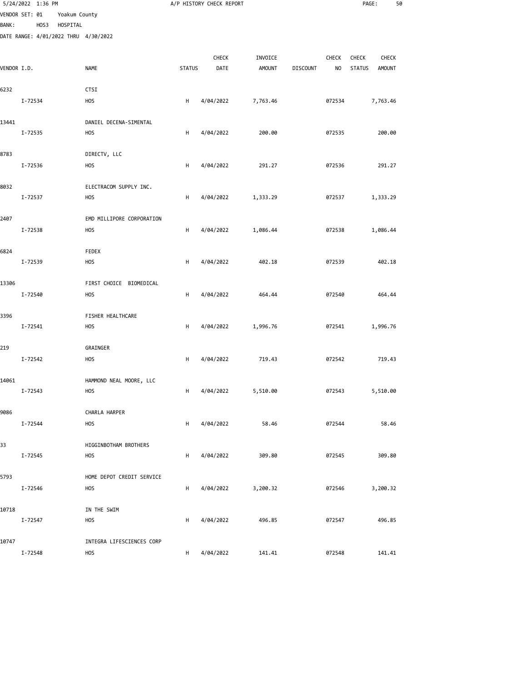|              | 5/24/2022 1:36 PM |               |                                      |               | A/P HISTORY CHECK REPORT |               |                 |                | PAGE:         |               | 50 |
|--------------|-------------------|---------------|--------------------------------------|---------------|--------------------------|---------------|-----------------|----------------|---------------|---------------|----|
|              | VENDOR SET: 01    | Yoakum County |                                      |               |                          |               |                 |                |               |               |    |
| <b>BANK:</b> | HOS3              | HOSPITAL      | DATE RANGE: 4/01/2022 THRU 4/30/2022 |               |                          |               |                 |                |               |               |    |
|              |                   |               |                                      |               |                          |               |                 |                |               |               |    |
|              |                   |               |                                      |               | CHECK                    | INVOICE       |                 | CHECK          | CHECK         | <b>CHECK</b>  |    |
| VENDOR I.D.  |                   |               | <b>NAME</b>                          | <b>STATUS</b> | DATE                     | <b>AMOUNT</b> | <b>DISCOUNT</b> | N <sub>O</sub> | <b>STATUS</b> | <b>AMOUNT</b> |    |
| 6232         |                   |               | <b>CTSI</b>                          |               |                          |               |                 |                |               |               |    |
|              | I-72534           |               | <b>HOS</b>                           | H             | 4/04/2022                | 7,763.46      |                 | 072534         |               | 7,763.46      |    |
|              |                   |               |                                      |               |                          |               |                 |                |               |               |    |
| 13441        |                   |               | DANIEL DECENA-SIMENTAL               |               |                          | 200.00        |                 |                |               | 200.00        |    |
|              | I-72535           |               | <b>HOS</b>                           | H             | 4/04/2022                |               |                 | 072535         |               |               |    |
| 8783         |                   |               | DIRECTV, LLC                         |               |                          |               |                 |                |               |               |    |
|              | I-72536           |               | <b>HOS</b>                           | н             | 4/04/2022                | 291.27        |                 | 072536         |               | 291.27        |    |
| 8032         |                   |               | ELECTRACOM SUPPLY INC.               |               |                          |               |                 |                |               |               |    |
|              | I-72537           |               | <b>HOS</b>                           | H             | 4/04/2022                | 1,333.29      |                 | 072537         |               | 1,333.29      |    |
|              |                   |               |                                      |               |                          |               |                 |                |               |               |    |
| 2407         |                   |               | EMD MILLIPORE CORPORATION            |               |                          |               |                 |                |               |               |    |
|              | I-72538           |               | <b>HOS</b>                           | H             | 4/04/2022                | 1,086.44      |                 | 072538         |               | 1,086.44      |    |
| 6824         |                   |               | FEDEX                                |               |                          |               |                 |                |               |               |    |
|              | I-72539           |               | <b>HOS</b>                           | H             | 4/04/2022                | 402.18        |                 | 072539         |               | 402.18        |    |
| 13306        |                   |               | FIRST CHOICE BIOMEDICAL              |               |                          |               |                 |                |               |               |    |
|              | I-72540           |               | <b>HOS</b>                           | H             | 4/04/2022                | 464.44        |                 | 072540         |               | 464.44        |    |
|              |                   |               |                                      |               |                          |               |                 |                |               |               |    |
| 3396         |                   |               | FISHER HEALTHCARE                    |               |                          |               |                 |                |               |               |    |
|              | I-72541           |               | <b>HOS</b>                           | H             | 4/04/2022                | 1,996.76      |                 | 072541         |               | 1,996.76      |    |
| 219          |                   |               | GRAINGER                             |               |                          |               |                 |                |               |               |    |
|              | I-72542           |               | <b>HOS</b>                           | H             | 4/04/2022                | 719.43        |                 | 072542         |               | 719.43        |    |
| 14061        |                   |               | HAMMOND NEAL MOORE, LLC              |               |                          |               |                 |                |               |               |    |
|              | I-72543           |               | <b>HOS</b>                           | H             | 4/04/2022                | 5,510.00      |                 | 072543         |               | 5,510.00      |    |
|              |                   |               |                                      |               |                          |               |                 |                |               |               |    |
| 9086         |                   |               | CHARLA HARPER                        |               |                          |               |                 |                |               |               |    |
|              | I-72544           |               | <b>HOS</b>                           | н             | 4/04/2022                | 58.46         |                 | 072544         |               | 58.46         |    |
| 33           |                   |               | HIGGINBOTHAM BROTHERS                |               |                          |               |                 |                |               |               |    |
|              | I-72545           |               | <b>HOS</b>                           | H             | 4/04/2022                | 309.80        |                 | 072545         |               | 309.80        |    |
| 5793         |                   |               | HOME DEPOT CREDIT SERVICE            |               |                          |               |                 |                |               |               |    |
|              | I-72546           |               | <b>HOS</b>                           | н             | 4/04/2022                | 3,200.32      |                 | 072546         |               | 3,200.32      |    |
|              |                   |               |                                      |               |                          |               |                 |                |               |               |    |
| 10718        |                   |               | IN THE SWIM                          |               |                          |               |                 |                |               |               |    |
|              | I-72547           |               | <b>HOS</b>                           | н             | 4/04/2022                | 496.85        |                 | 072547         |               | 496.85        |    |
| 10747        |                   |               | INTEGRA LIFESCIENCES CORP            |               |                          |               |                 |                |               |               |    |
|              | I-72548           |               | <b>HOS</b>                           | H             | 4/04/2022                | 141.41        |                 | 072548         |               | 141.41        |    |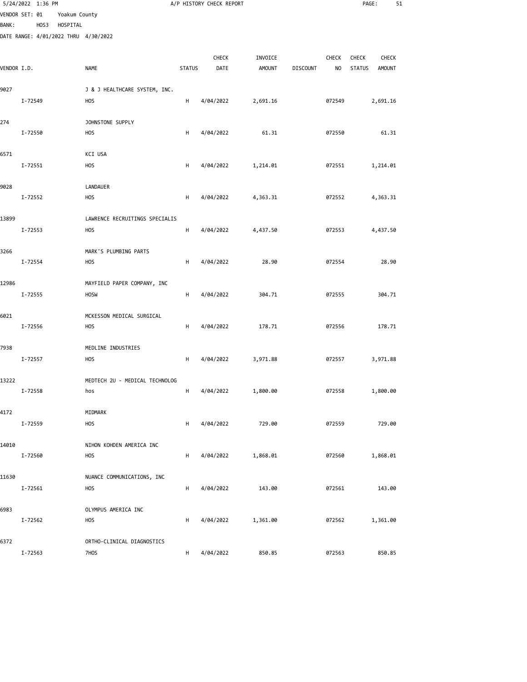|              | 5/24/2022 1:36 PM |               |                                           |               | A/P HISTORY CHECK REPORT |               |                 |                | PAGE:         | 51            |  |
|--------------|-------------------|---------------|-------------------------------------------|---------------|--------------------------|---------------|-----------------|----------------|---------------|---------------|--|
|              | VENDOR SET: 01    | Yoakum County |                                           |               |                          |               |                 |                |               |               |  |
| <b>BANK:</b> | HOS3              | HOSPITAL      | DATE RANGE: 4/01/2022 THRU 4/30/2022      |               |                          |               |                 |                |               |               |  |
|              |                   |               |                                           |               |                          |               |                 |                |               |               |  |
|              |                   |               |                                           |               | CHECK                    | INVOICE       |                 | CHECK          | <b>CHECK</b>  | <b>CHECK</b>  |  |
| VENDOR I.D.  |                   |               | <b>NAME</b>                               | <b>STATUS</b> | DATE                     | <b>AMOUNT</b> | <b>DISCOUNT</b> | N <sub>O</sub> | <b>STATUS</b> | <b>AMOUNT</b> |  |
| 9027         |                   |               | J & J HEALTHCARE SYSTEM, INC.             |               |                          |               |                 |                |               |               |  |
|              | I-72549           |               | <b>HOS</b>                                | H             | 4/04/2022                | 2,691.16      |                 | 072549         |               | 2,691.16      |  |
| 274          |                   |               | JOHNSTONE SUPPLY                          |               |                          |               |                 |                |               |               |  |
|              | I-72550           |               | H <sub>O</sub> S                          | н             | 4/04/2022                | 61.31         |                 | 072550         |               | 61.31         |  |
|              |                   |               |                                           |               |                          |               |                 |                |               |               |  |
| 6571         | I-72551           |               | KCI USA<br><b>HOS</b>                     | н             | 4/04/2022                | 1,214.01      |                 | 072551         |               | 1,214.01      |  |
|              |                   |               |                                           |               |                          |               |                 |                |               |               |  |
| 9028         |                   |               | LANDAUER                                  |               |                          |               |                 |                |               |               |  |
|              | I-72552           |               | <b>HOS</b>                                | H             | 4/04/2022                | 4,363.31      |                 | 072552         |               | 4,363.31      |  |
| 13899        |                   |               | LAWRENCE RECRUITINGS SPECIALIS            |               |                          |               |                 |                |               |               |  |
|              | I-72553           |               | <b>HOS</b>                                | H             | 4/04/2022                | 4,437.50      |                 | 072553         |               | 4,437.50      |  |
|              |                   |               |                                           |               |                          |               |                 |                |               |               |  |
| 3266         | I-72554           |               | MARK'S PLUMBING PARTS<br>H <sub>O</sub> S | H             | 4/04/2022                | 28.90         |                 | 072554         |               | 28.90         |  |
|              |                   |               |                                           |               |                          |               |                 |                |               |               |  |
| 12986        |                   |               | MAYFIELD PAPER COMPANY, INC               |               |                          |               |                 |                |               |               |  |
|              | I-72555           |               | <b>HOSW</b>                               | H             | 4/04/2022                | 304.71        |                 | 072555         |               | 304.71        |  |
| 6021         |                   |               | MCKESSON MEDICAL SURGICAL                 |               |                          |               |                 |                |               |               |  |
|              | I-72556           |               | H <sub>O</sub> S                          | H             | 4/04/2022                | 178.71        |                 | 072556         |               | 178.71        |  |
| 7938         |                   |               | MEDLINE INDUSTRIES                        |               |                          |               |                 |                |               |               |  |
|              | I-72557           |               | <b>HOS</b>                                | H             | 4/04/2022                | 3,971.88      |                 | 072557         |               | 3,971.88      |  |
|              |                   |               |                                           |               |                          |               |                 |                |               |               |  |
| 13222        | I-72558           |               | MEDTECH 2U - MEDICAL TECHNOLOG<br>hos     | H             | 4/04/2022                | 1,800.00      |                 | 072558         |               | 1,800.00      |  |
|              |                   |               |                                           |               |                          |               |                 |                |               |               |  |
| 4172         |                   |               | MIDMARK                                   |               |                          |               |                 |                |               |               |  |
|              | I-72559           |               | <b>HOS</b>                                | н             | 4/04/2022                | 729.00        |                 | 072559         |               | 729.00        |  |
| 14010        |                   |               | NIHON KOHDEN AMERICA INC                  |               |                          |               |                 |                |               |               |  |
|              | I-72560           |               | <b>HOS</b>                                | н             | 4/04/2022                | 1,868.01      |                 | 072560         |               | 1,868.01      |  |
| 11630        |                   |               | NUANCE COMMUNICATIONS, INC                |               |                          |               |                 |                |               |               |  |
|              | I-72561           |               | <b>HOS</b>                                | н             | 4/04/2022                | 143.00        |                 | 072561         |               | 143.00        |  |
|              |                   |               |                                           |               |                          |               |                 |                |               |               |  |
| 6983         | I-72562           |               | OLYMPUS AMERICA INC<br><b>HOS</b>         | н             | 4/04/2022                | 1,361.00      |                 | 072562         |               | 1,361.00      |  |
|              |                   |               |                                           |               |                          |               |                 |                |               |               |  |
| 6372         |                   |               | ORTHO-CLINICAL DIAGNOSTICS                |               |                          |               |                 |                |               |               |  |
|              | I-72563           |               | 7H <sub>O</sub> S                         | H             | 4/04/2022                | 850.85        |                 | 072563         |               | 850.85        |  |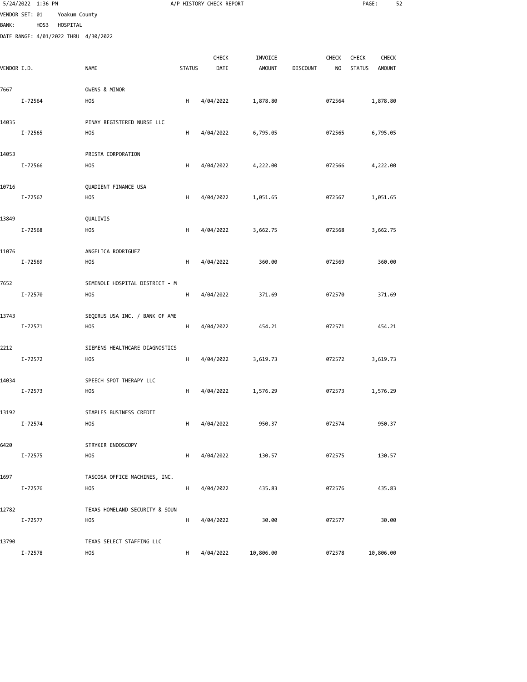|              | 5/24/2022 1:36 PM                            |               |                                              |               | A/P HISTORY CHECK REPORT |               |                 |              | PAGE:         | 52            |
|--------------|----------------------------------------------|---------------|----------------------------------------------|---------------|--------------------------|---------------|-----------------|--------------|---------------|---------------|
|              | VENDOR SET: 01                               | Yoakum County |                                              |               |                          |               |                 |              |               |               |
| <b>BANK:</b> | HOS3<br>DATE RANGE: 4/01/2022 THRU 4/30/2022 | HOSPITAL      |                                              |               |                          |               |                 |              |               |               |
|              |                                              |               |                                              |               |                          |               |                 |              |               |               |
|              |                                              |               |                                              |               | CHECK                    | INVOICE       |                 | <b>CHECK</b> | <b>CHECK</b>  | <b>CHECK</b>  |
| VENDOR I.D.  |                                              |               | <b>NAME</b>                                  | <b>STATUS</b> | DATE                     | <b>AMOUNT</b> | <b>DISCOUNT</b> | NO           | <b>STATUS</b> | <b>AMOUNT</b> |
| 7667         |                                              |               | OWENS & MINOR                                |               |                          |               |                 |              |               |               |
|              | I-72564                                      |               | <b>HOS</b>                                   | Н             | 4/04/2022                | 1,878.80      |                 | 072564       |               | 1,878.80      |
|              |                                              |               |                                              |               |                          |               |                 |              |               |               |
| 14035        | I-72565                                      |               | PINAY REGISTERED NURSE LLC<br><b>HOS</b>     | н             | 4/04/2022                | 6,795.05      |                 | 072565       |               | 6,795.05      |
|              |                                              |               |                                              |               |                          |               |                 |              |               |               |
| 14053        |                                              |               | PRISTA CORPORATION                           |               |                          |               |                 |              |               |               |
|              | I-72566                                      |               | <b>HOS</b>                                   | н             | 4/04/2022                | 4,222.00      |                 | 072566       |               | 4,222.00      |
| 10716        |                                              |               | QUADIENT FINANCE USA                         |               |                          |               |                 |              |               |               |
|              | I-72567                                      |               | <b>HOS</b>                                   | н             | 4/04/2022                | 1,051.65      |                 | 072567       |               | 1,051.65      |
|              |                                              |               |                                              |               |                          |               |                 |              |               |               |
| 13849        |                                              |               | QUALIVIS                                     |               |                          |               |                 |              |               |               |
|              | I-72568                                      |               | <b>HOS</b>                                   | Н             | 4/04/2022                | 3,662.75      |                 | 072568       |               | 3,662.75      |
| 11076        |                                              |               | ANGELICA RODRIGUEZ                           |               |                          |               |                 |              |               |               |
|              | I-72569                                      |               | H <sub>O</sub> S                             | н             | 4/04/2022                | 360.00        |                 | 072569       |               | 360.00        |
| 7652         |                                              |               | SEMINOLE HOSPITAL DISTRICT - M               |               |                          |               |                 |              |               |               |
|              | I-72570                                      |               | <b>HOS</b>                                   | H             | 4/04/2022                | 371.69        |                 | 072570       |               | 371.69        |
|              |                                              |               |                                              |               |                          |               |                 |              |               |               |
| 13743        |                                              |               | SEQIRUS USA INC. / BANK OF AME               |               |                          |               |                 |              |               |               |
|              | I-72571                                      |               | <b>HOS</b>                                   | H             | 4/04/2022                | 454.21        |                 | 072571       |               | 454.21        |
| 2212         |                                              |               | SIEMENS HEALTHCARE DIAGNOSTICS               |               |                          |               |                 |              |               |               |
|              | I-72572                                      |               | <b>HOS</b>                                   | H             | 4/04/2022                | 3,619.73      |                 | 072572       |               | 3,619.73      |
| 14034        |                                              |               | SPEECH SPOT THERAPY LLC                      |               |                          |               |                 |              |               |               |
|              | I-72573                                      |               | <b>HOS</b>                                   | H             | 4/04/2022                | 1,576.29      |                 | 072573       |               | 1,576.29      |
|              |                                              |               |                                              |               |                          |               |                 |              |               |               |
| 13192        |                                              |               | STAPLES BUSINESS CREDIT                      |               |                          |               |                 |              |               |               |
|              | I-72574                                      |               | <b>HOS</b>                                   | H             | 4/04/2022                | 950.37        |                 | 072574       |               | 950.37        |
| 6420         |                                              |               | STRYKER ENDOSCOPY                            |               |                          |               |                 |              |               |               |
|              | I-72575                                      |               | <b>HOS</b>                                   | H             | 4/04/2022                | 130.57        |                 | 072575       |               | 130.57        |
| 1697         |                                              |               | TASCOSA OFFICE MACHINES, INC.                |               |                          |               |                 |              |               |               |
|              | I-72576                                      |               | <b>HOS</b>                                   | H             | 4/04/2022                | 435.83        |                 | 072576       |               | 435.83        |
|              |                                              |               |                                              |               |                          |               |                 |              |               |               |
| 12782        | I-72577                                      |               | TEXAS HOMELAND SECURITY & SOUN<br><b>HOS</b> | н             | 4/04/2022                | 30.00         |                 | 072577       |               | 30.00         |
|              |                                              |               |                                              |               |                          |               |                 |              |               |               |
| 13790        |                                              |               | TEXAS SELECT STAFFING LLC                    |               |                          |               |                 |              |               |               |
|              | I-72578                                      |               | <b>HOS</b>                                   | H             | 4/04/2022                | 10,806.00     |                 | 072578       | 10,806.00     |               |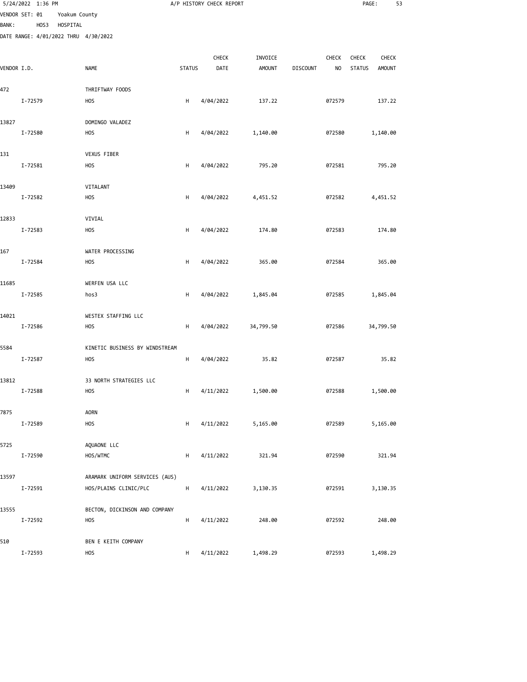|              | 5/24/2022 1:36 PM                            |               |                                      |               | A/P HISTORY CHECK REPORT |               |                 |                | PAGE:         | 53            |  |
|--------------|----------------------------------------------|---------------|--------------------------------------|---------------|--------------------------|---------------|-----------------|----------------|---------------|---------------|--|
|              | VENDOR SET: 01                               | Yoakum County |                                      |               |                          |               |                 |                |               |               |  |
| <b>BANK:</b> | HOS3<br>DATE RANGE: 4/01/2022 THRU 4/30/2022 | HOSPITAL      |                                      |               |                          |               |                 |                |               |               |  |
|              |                                              |               |                                      |               |                          |               |                 |                |               |               |  |
|              |                                              |               |                                      |               | CHECK                    | INVOICE       |                 | CHECK          | CHECK         | <b>CHECK</b>  |  |
| VENDOR I.D.  |                                              |               | <b>NAME</b>                          | <b>STATUS</b> | DATE                     | <b>AMOUNT</b> | <b>DISCOUNT</b> | N <sub>O</sub> | <b>STATUS</b> | <b>AMOUNT</b> |  |
| 472          |                                              |               | THRIFTWAY FOODS                      |               |                          |               |                 |                |               |               |  |
|              | I-72579                                      |               | <b>HOS</b>                           | H             | 4/04/2022                | 137.22        |                 | 072579         |               | 137.22        |  |
|              |                                              |               |                                      |               |                          |               |                 |                |               |               |  |
| 13827        |                                              |               | DOMINGO VALADEZ                      |               |                          |               |                 |                |               |               |  |
|              | I-72580                                      |               | H <sub>O</sub> S                     | H             | 4/04/2022                | 1,140.00      |                 | 072580         |               | 1,140.00      |  |
| 131          |                                              |               | VEXUS FIBER                          |               |                          |               |                 |                |               |               |  |
|              | I-72581                                      |               | <b>HOS</b>                           | H             | 4/04/2022                | 795.20        |                 | 072581         |               | 795.20        |  |
|              |                                              |               |                                      |               |                          |               |                 |                |               |               |  |
| 13409        | I-72582                                      |               | VITALANT<br><b>HOS</b>               | Н             | 4/04/2022                | 4,451.52      |                 | 072582         |               | 4,451.52      |  |
|              |                                              |               |                                      |               |                          |               |                 |                |               |               |  |
| 12833        |                                              |               | VIVIAL                               |               |                          |               |                 |                |               |               |  |
|              | I-72583                                      |               | <b>HOS</b>                           | H             | 4/04/2022                | 174.80        |                 | 072583         |               | 174.80        |  |
|              |                                              |               |                                      |               |                          |               |                 |                |               |               |  |
| 167          | I-72584                                      |               | WATER PROCESSING<br>H <sub>O</sub> S | H             | 4/04/2022                | 365.00        |                 | 072584         |               | 365.00        |  |
|              |                                              |               |                                      |               |                          |               |                 |                |               |               |  |
| 11685        |                                              |               | WERFEN USA LLC                       |               |                          |               |                 |                |               |               |  |
|              | I-72585                                      |               | hos3                                 | н             | 4/04/2022                | 1,845.04      |                 | 072585         |               | 1,845.04      |  |
| 14021        |                                              |               | WESTEX STAFFING LLC                  |               |                          |               |                 |                |               |               |  |
|              | I-72586                                      |               | <b>HOS</b>                           | н             | 4/04/2022                | 34,799.50     |                 | 072586         |               | 34,799.50     |  |
|              |                                              |               |                                      |               |                          |               |                 |                |               |               |  |
| 5584         |                                              |               | KINETIC BUSINESS BY WINDSTREAM       |               |                          |               |                 |                |               |               |  |
|              | I-72587                                      |               | <b>HOS</b>                           | H             | 4/04/2022                | 35.82         |                 | 072587         |               | 35.82         |  |
| 13812        |                                              |               | 33 NORTH STRATEGIES LLC              |               |                          |               |                 |                |               |               |  |
|              | I-72588                                      |               | <b>HOS</b>                           | H             | 4/11/2022                | 1,500.00      |                 | 072588         |               | 1,500.00      |  |
|              |                                              |               |                                      |               |                          |               |                 |                |               |               |  |
| 7875         | I-72589                                      |               | <b>AORN</b><br>HOS                   | н             | 4/11/2022                | 5,165.00      |                 | 072589         |               | 5,165.00      |  |
|              |                                              |               |                                      |               |                          |               |                 |                |               |               |  |
| 5725         |                                              |               | AQUAONE LLC                          |               |                          |               |                 |                |               |               |  |
|              | I-72590                                      |               | HOS/WTMC                             | н             | 4/11/2022                | 321.94        |                 | 072590         |               | 321.94        |  |
| 13597        |                                              |               | ARAMARK UNIFORM SERVICES (AUS)       |               |                          |               |                 |                |               |               |  |
|              | I-72591                                      |               | HOS/PLAINS CLINIC/PLC                | H             | 4/11/2022                | 3,130.35      |                 | 072591         |               | 3,130.35      |  |
|              |                                              |               |                                      |               |                          |               |                 |                |               |               |  |
| 13555        |                                              |               | BECTON, DICKINSON AND COMPANY        |               |                          |               |                 |                |               |               |  |
|              | I-72592                                      |               | <b>HOS</b>                           | н             | 4/11/2022                | 248.00        |                 | 072592         |               | 248.00        |  |
| 510          |                                              |               | BEN E KEITH COMPANY                  |               |                          |               |                 |                |               |               |  |
|              | I-72593                                      |               | <b>HOS</b>                           | H             | 4/11/2022                | 1,498.29      |                 | 072593         |               | 1,498.29      |  |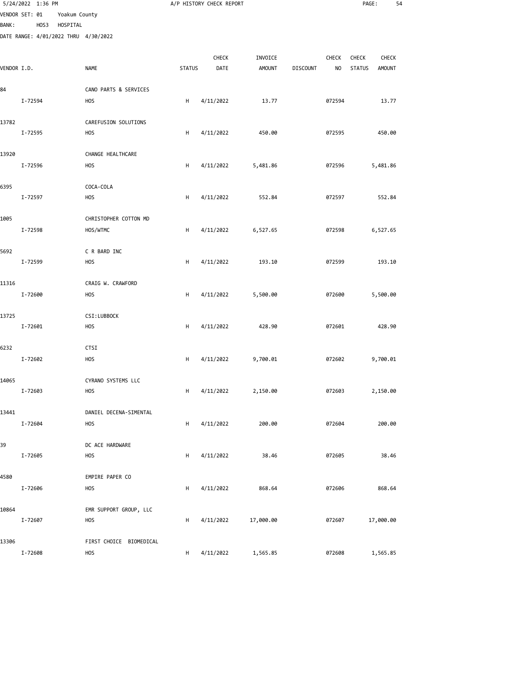|              | 5/24/2022 1:36 PM                    |               |                           |               | A/P HISTORY CHECK REPORT |               |                 |              | PAGE:         | 54            |  |
|--------------|--------------------------------------|---------------|---------------------------|---------------|--------------------------|---------------|-----------------|--------------|---------------|---------------|--|
|              | VENDOR SET: 01                       | Yoakum County |                           |               |                          |               |                 |              |               |               |  |
| <b>BANK:</b> | HOS3                                 | HOSPITAL      |                           |               |                          |               |                 |              |               |               |  |
|              | DATE RANGE: 4/01/2022 THRU 4/30/2022 |               |                           |               |                          |               |                 |              |               |               |  |
|              |                                      |               |                           |               | CHECK                    | INVOICE       |                 | <b>CHECK</b> | <b>CHECK</b>  | <b>CHECK</b>  |  |
| VENDOR I.D.  |                                      |               | <b>NAME</b>               | <b>STATUS</b> | DATE                     | <b>AMOUNT</b> | <b>DISCOUNT</b> | NO.          | <b>STATUS</b> | <b>AMOUNT</b> |  |
| 84           |                                      |               | CANO PARTS & SERVICES     |               |                          |               |                 |              |               |               |  |
|              | I-72594                              |               | <b>HOS</b>                | H             | 4/11/2022                | 13.77         |                 | 072594       |               | 13.77         |  |
| 13782        |                                      |               | CAREFUSION SOLUTIONS      |               |                          |               |                 |              |               |               |  |
|              | I-72595                              |               | <b>HOS</b>                | H             | 4/11/2022                | 450.00        |                 | 072595       |               | 450.00        |  |
| 13920        |                                      |               | CHANGE HEALTHCARE         |               |                          |               |                 |              |               |               |  |
|              | I-72596                              |               | <b>HOS</b>                | н             | 4/11/2022                | 5,481.86      |                 | 072596       |               | 5,481.86      |  |
| 6395         |                                      |               | COCA-COLA                 |               |                          |               |                 |              |               |               |  |
|              | I-72597                              |               | <b>HOS</b>                | н             | 4/11/2022                | 552.84        |                 | 072597       |               | 552.84        |  |
| 1005         |                                      |               | CHRISTOPHER COTTON MD     |               |                          |               |                 |              |               |               |  |
|              | I-72598                              |               | HOS/WTMC                  | H             | 4/11/2022                | 6,527.65      |                 | 072598       |               | 6,527.65      |  |
| 5692         |                                      |               | C R BARD INC              |               |                          |               |                 |              |               |               |  |
|              | I-72599                              |               | <b>HOS</b>                | н             | 4/11/2022                | 193.10        |                 | 072599       |               | 193.10        |  |
| 11316        |                                      |               | CRAIG W. CRAWFORD         |               |                          |               |                 |              |               |               |  |
|              | I-72600                              |               | <b>HOS</b>                | H             | 4/11/2022                | 5,500.00      |                 | 072600       |               | 5,500.00      |  |
| 13725        | I-72601                              |               | CSI:LUBBOCK<br><b>HOS</b> | н             | 4/11/2022                | 428.90        |                 | 072601       |               | 428.90        |  |
|              |                                      |               |                           |               |                          |               |                 |              |               |               |  |
| 6232         |                                      |               | <b>CTSI</b>               |               |                          |               |                 |              |               |               |  |
|              | I-72602                              |               | <b>HOS</b>                | H             | 4/11/2022                | 9,700.01      |                 | 072602       |               | 9,700.01      |  |
| 14065        |                                      |               | CYRANO SYSTEMS LLC        |               |                          |               |                 |              |               |               |  |
|              | I-72603                              |               | <b>HOS</b>                | H             | 4/11/2022                | 2,150.00      |                 | 072603       |               | 2,150.00      |  |
| 13441        |                                      |               | DANIEL DECENA-SIMENTAL    |               |                          |               |                 |              |               |               |  |
|              | I-72604                              |               | <b>HOS</b>                | н             | 4/11/2022                | 200.00        |                 | 072604       |               | 200.00        |  |
| 39           |                                      |               | DC ACE HARDWARE           |               |                          |               |                 |              |               |               |  |
|              | I-72605                              |               | <b>HOS</b>                | н             | 4/11/2022                | 38.46         |                 | 072605       |               | 38.46         |  |
| 4580         |                                      |               | EMPIRE PAPER CO           |               |                          |               |                 |              |               |               |  |
|              | I-72606                              |               | <b>HOS</b>                | н             | 4/11/2022                | 868.64        |                 | 072606       |               | 868.64        |  |
| 10864        |                                      |               | EMR SUPPORT GROUP, LLC    |               |                          |               |                 |              |               |               |  |
|              | I-72607                              |               | <b>HOS</b>                | н             | 4/11/2022                | 17,000.00     |                 | 072607       |               | 17,000.00     |  |
| 13306        |                                      |               | FIRST CHOICE BIOMEDICAL   |               |                          |               |                 |              |               |               |  |
|              | I-72608                              |               | <b>HOS</b>                | H             | 4/11/2022                | 1,565.85      |                 | 072608       |               | 1,565.85      |  |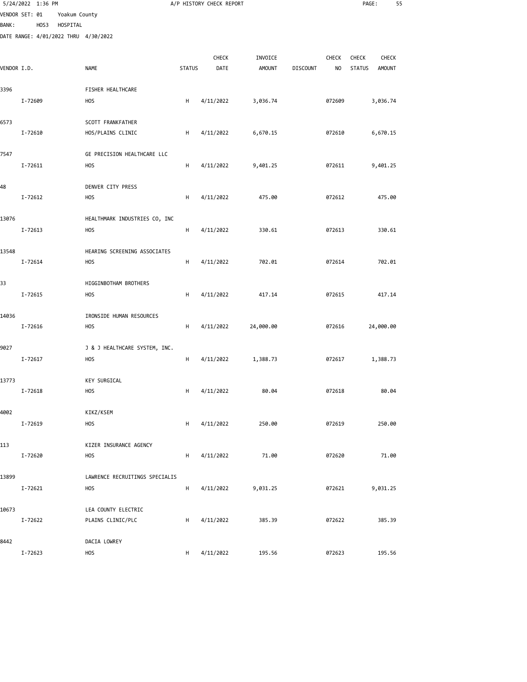|              | 5/24/2022 1:36 PM |      |               |                                             |               | A/P HISTORY CHECK REPORT |                          |                 |                         | PAGE:                  | 55                            |  |
|--------------|-------------------|------|---------------|---------------------------------------------|---------------|--------------------------|--------------------------|-----------------|-------------------------|------------------------|-------------------------------|--|
|              | VENDOR SET: 01    |      | Yoakum County |                                             |               |                          |                          |                 |                         |                        |                               |  |
| <b>BANK:</b> |                   | HOS3 | HOSPITAL      | DATE RANGE: 4/01/2022 THRU 4/30/2022        |               |                          |                          |                 |                         |                        |                               |  |
|              |                   |      |               |                                             |               |                          |                          |                 |                         |                        |                               |  |
| VENDOR I.D.  |                   |      |               | <b>NAME</b>                                 | <b>STATUS</b> | CHECK<br>DATE            | INVOICE<br><b>AMOUNT</b> | <b>DISCOUNT</b> | CHECK<br>N <sub>O</sub> | CHECK<br><b>STATUS</b> | <b>CHECK</b><br><b>AMOUNT</b> |  |
|              |                   |      |               |                                             |               |                          |                          |                 |                         |                        |                               |  |
| 3396         |                   |      |               | FISHER HEALTHCARE                           |               |                          |                          |                 |                         |                        |                               |  |
|              | I-72609           |      |               | <b>HOS</b>                                  | H             | 4/11/2022                | 3,036.74                 |                 | 072609                  |                        | 3,036.74                      |  |
| 6573         |                   |      |               | SCOTT FRANKFATHER                           |               |                          |                          |                 |                         |                        |                               |  |
|              | I-72610           |      |               | HOS/PLAINS CLINIC                           | H             | 4/11/2022                | 6,670.15                 |                 | 072610                  |                        | 6,670.15                      |  |
| 7547         |                   |      |               | GE PRECISION HEALTHCARE LLC                 |               |                          |                          |                 |                         |                        |                               |  |
|              | I-72611           |      |               | <b>HOS</b>                                  | н             | 4/11/2022                | 9,401.25                 |                 | 072611                  |                        | 9,401.25                      |  |
|              |                   |      |               |                                             |               |                          |                          |                 |                         |                        |                               |  |
| 48           | I-72612           |      |               | DENVER CITY PRESS<br><b>HOS</b>             | Н             | 4/11/2022                | 475.00                   |                 | 072612                  |                        | 475.00                        |  |
|              |                   |      |               |                                             |               |                          |                          |                 |                         |                        |                               |  |
| 13076        |                   |      |               | HEALTHMARK INDUSTRIES CO, INC               |               |                          |                          |                 |                         |                        |                               |  |
|              | I-72613           |      |               | <b>HOS</b>                                  | H             | 4/11/2022                | 330.61                   |                 | 072613                  |                        | 330.61                        |  |
| 13548        |                   |      |               | HEARING SCREENING ASSOCIATES                |               |                          |                          |                 |                         |                        |                               |  |
|              | I-72614           |      |               | <b>HOS</b>                                  | H             | 4/11/2022                | 702.01                   |                 | 072614                  |                        | 702.01                        |  |
| 33           |                   |      |               | HIGGINBOTHAM BROTHERS                       |               |                          |                          |                 |                         |                        |                               |  |
|              | I-72615           |      |               | <b>HOS</b>                                  | н             | 4/11/2022                | 417.14                   |                 | 072615                  |                        | 417.14                        |  |
| 14036        |                   |      |               | IRONSIDE HUMAN RESOURCES                    |               |                          |                          |                 |                         |                        |                               |  |
|              | I-72616           |      |               | <b>HOS</b>                                  | н             | 4/11/2022                | 24,000.00                |                 | 072616                  |                        | 24,000.00                     |  |
|              |                   |      |               |                                             |               |                          |                          |                 |                         |                        |                               |  |
| 9027         | I-72617           |      |               | J & J HEALTHCARE SYSTEM, INC.<br><b>HOS</b> | H             | 4/11/2022                | 1,388.73                 |                 | 072617                  |                        | 1,388.73                      |  |
|              |                   |      |               |                                             |               |                          |                          |                 |                         |                        |                               |  |
| 13773        | I-72618           |      |               | <b>KEY SURGICAL</b><br>HOS                  | H             | 4/11/2022                | 80.04                    |                 | 072618                  |                        | 80.04                         |  |
|              |                   |      |               |                                             |               |                          |                          |                 |                         |                        |                               |  |
| 4002         |                   |      |               | KIKZ/KSEM                                   |               |                          |                          |                 |                         |                        |                               |  |
|              | I-72619           |      |               | <b>HOS</b>                                  | Н             | 4/11/2022                | 250.00                   |                 | 072619                  |                        | 250.00                        |  |
| 113          |                   |      |               | KIZER INSURANCE AGENCY                      |               |                          |                          |                 |                         |                        |                               |  |
|              | I-72620           |      |               | <b>HOS</b>                                  | H             | 4/11/2022                | 71.00                    |                 | 072620                  |                        | 71.00                         |  |
| 13899        |                   |      |               | LAWRENCE RECRUITINGS SPECIALIS              |               |                          |                          |                 |                         |                        |                               |  |
|              | I-72621           |      |               | <b>HOS</b>                                  | H             | 4/11/2022                | 9,031.25                 |                 | 072621                  |                        | 9,031.25                      |  |
| 10673        |                   |      |               | LEA COUNTY ELECTRIC                         |               |                          |                          |                 |                         |                        |                               |  |
|              | I-72622           |      |               | PLAINS CLINIC/PLC                           | Н             | 4/11/2022                | 385.39                   |                 | 072622                  |                        | 385.39                        |  |
|              |                   |      |               |                                             |               |                          |                          |                 |                         |                        |                               |  |
| 8442         | I-72623           |      |               | DACIA LOWREY<br><b>HOS</b>                  | H             | 4/11/2022                | 195.56                   |                 | 072623                  |                        | 195.56                        |  |
|              |                   |      |               |                                             |               |                          |                          |                 |                         |                        |                               |  |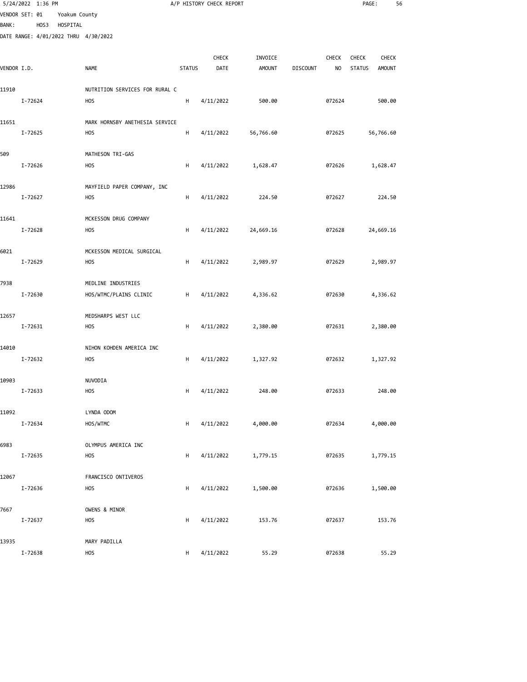|              | 5/24/2022 1:36 PM |               |                                         |               | A/P HISTORY CHECK REPORT |               |                 |              | PAGE:         |               | 56 |
|--------------|-------------------|---------------|-----------------------------------------|---------------|--------------------------|---------------|-----------------|--------------|---------------|---------------|----|
|              | VENDOR SET: 01    | Yoakum County |                                         |               |                          |               |                 |              |               |               |    |
| <b>BANK:</b> | HOS3              | HOSPITAL      |                                         |               |                          |               |                 |              |               |               |    |
|              |                   |               | DATE RANGE: 4/01/2022 THRU 4/30/2022    |               |                          |               |                 |              |               |               |    |
|              |                   |               |                                         |               | <b>CHECK</b>             | INVOICE       |                 | <b>CHECK</b> | <b>CHECK</b>  | <b>CHECK</b>  |    |
| VENDOR I.D.  |                   |               | <b>NAME</b>                             | <b>STATUS</b> | DATE                     | <b>AMOUNT</b> | <b>DISCOUNT</b> | NO           | <b>STATUS</b> | <b>AMOUNT</b> |    |
|              |                   |               |                                         |               |                          |               |                 |              |               |               |    |
| 11910        |                   |               | NUTRITION SERVICES FOR RURAL C          |               |                          |               |                 |              |               |               |    |
|              | I-72624           |               | <b>HOS</b>                              | н             | 4/11/2022                | 500.00        |                 | 072624       |               | 500.00        |    |
|              |                   |               |                                         |               |                          |               |                 |              |               |               |    |
| 11651        |                   |               | MARK HORNSBY ANETHESIA SERVICE          |               |                          |               |                 |              |               |               |    |
|              | I-72625           |               | H <sub>O</sub> S                        | н             | 4/11/2022                | 56,766.60     |                 | 072625       |               | 56,766.60     |    |
|              |                   |               |                                         |               |                          |               |                 |              |               |               |    |
| 509          | I-72626           |               | MATHESON TRI-GAS<br><b>HOS</b>          | H             | 4/11/2022                | 1,628.47      |                 | 072626       |               | 1,628.47      |    |
|              |                   |               |                                         |               |                          |               |                 |              |               |               |    |
| 12986        |                   |               | MAYFIELD PAPER COMPANY, INC             |               |                          |               |                 |              |               |               |    |
|              | I-72627           |               | <b>HOS</b>                              | H             | 4/11/2022                | 224.50        |                 | 072627       |               | 224.50        |    |
|              |                   |               |                                         |               |                          |               |                 |              |               |               |    |
| 11641        |                   |               | MCKESSON DRUG COMPANY                   |               |                          |               |                 |              |               |               |    |
|              | I-72628           |               | <b>HOS</b>                              | н             | 4/11/2022                | 24,669.16     |                 | 072628       |               | 24,669.16     |    |
|              |                   |               |                                         |               |                          |               |                 |              |               |               |    |
| 6021         | I-72629           |               | MCKESSON MEDICAL SURGICAL<br><b>HOS</b> | н             | 4/11/2022                | 2,989.97      |                 | 072629       |               | 2,989.97      |    |
|              |                   |               |                                         |               |                          |               |                 |              |               |               |    |
| 7938         |                   |               | MEDLINE INDUSTRIES                      |               |                          |               |                 |              |               |               |    |
|              | I-72630           |               | HOS/WTMC/PLAINS CLINIC                  | H             | 4/11/2022                | 4,336.62      |                 | 072630       |               | 4,336.62      |    |
|              |                   |               |                                         |               |                          |               |                 |              |               |               |    |
| 12657        |                   |               | MEDSHARPS WEST LLC                      |               |                          |               |                 |              |               |               |    |
|              | I-72631           |               | <b>HOS</b>                              | н             | 4/11/2022                | 2,380.00      |                 | 072631       |               | 2,380.00      |    |
| 14010        |                   |               | NIHON KOHDEN AMERICA INC                |               |                          |               |                 |              |               |               |    |
|              | I-72632           |               | <b>HOS</b>                              | H             | 4/11/2022                | 1,327.92      |                 | 072632       |               | 1,327.92      |    |
|              |                   |               |                                         |               |                          |               |                 |              |               |               |    |
| 10903        |                   |               | NUVODIA                                 |               |                          |               |                 |              |               |               |    |
|              | I-72633           |               | <b>HOS</b>                              | H             | 4/11/2022                | 248.00        |                 | 072633       |               | 248.00        |    |
|              |                   |               |                                         |               |                          |               |                 |              |               |               |    |
| 11092        |                   |               | LYNDA ODOM                              |               |                          |               |                 |              |               |               |    |
|              | I-72634           |               | HOS/WTMC                                | н             | 4/11/2022                | 4,000.00      |                 | 072634       |               | 4,000.00      |    |
| 6983         |                   |               | OLYMPUS AMERICA INC                     |               |                          |               |                 |              |               |               |    |
|              | I-72635           |               | <b>HOS</b>                              | н             | 4/11/2022                | 1,779.15      |                 | 072635       |               | 1,779.15      |    |
|              |                   |               |                                         |               |                          |               |                 |              |               |               |    |
| 12067        |                   |               | FRANCISCO ONTIVEROS                     |               |                          |               |                 |              |               |               |    |
|              | I-72636           |               | <b>HOS</b>                              | н             | 4/11/2022                | 1,500.00      |                 | 072636       |               | 1,500.00      |    |
|              |                   |               |                                         |               |                          |               |                 |              |               |               |    |
| 7667         | I-72637           |               | OWENS & MINOR<br><b>HOS</b>             | н             |                          | 153.76        |                 | 072637       |               | 153.76        |    |
|              |                   |               |                                         |               | 4/11/2022                |               |                 |              |               |               |    |
| 13935        |                   |               | MARY PADILLA                            |               |                          |               |                 |              |               |               |    |

I-72638 HOS H 4/11/2022 55.29 072638 55.29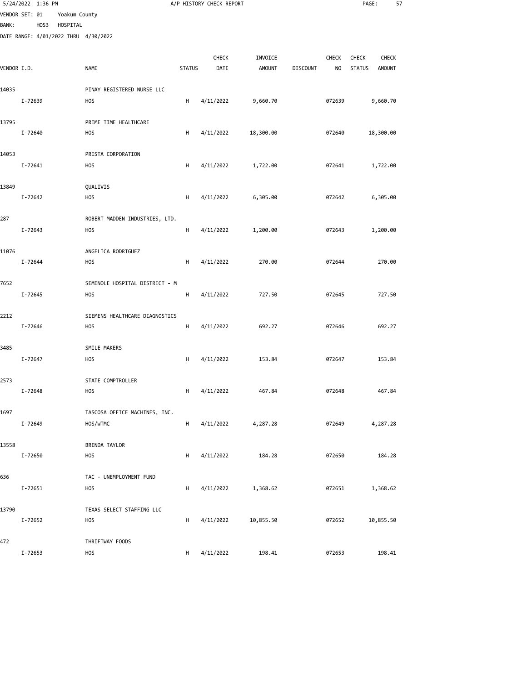|                                |         | 5/24/2022 1:36 PM |                           |                                      |               | A/P HISTORY CHECK REPORT |                          |                 |                         | PAGE:                                                   | 57 |
|--------------------------------|---------|-------------------|---------------------------|--------------------------------------|---------------|--------------------------|--------------------------|-----------------|-------------------------|---------------------------------------------------------|----|
| VENDOR SET: 01<br><b>BANK:</b> |         | HOS3              | Yoakum County<br>HOSPITAL |                                      |               |                          |                          |                 |                         |                                                         |    |
|                                |         |                   |                           | DATE RANGE: 4/01/2022 THRU 4/30/2022 |               |                          |                          |                 |                         |                                                         |    |
| VENDOR I.D.                    |         |                   |                           | <b>NAME</b>                          | <b>STATUS</b> | CHECK<br>DATE            | INVOICE<br><b>AMOUNT</b> | <b>DISCOUNT</b> | CHECK<br>N <sub>O</sub> | CHECK<br><b>CHECK</b><br><b>STATUS</b><br><b>AMOUNT</b> |    |
|                                |         |                   |                           |                                      |               |                          |                          |                 |                         |                                                         |    |
| 14035                          |         |                   |                           | PINAY REGISTERED NURSE LLC           |               |                          |                          |                 |                         |                                                         |    |
|                                | I-72639 |                   |                           | <b>HOS</b>                           | H             | 4/11/2022                | 9,660.70                 |                 | 072639                  | 9,660.70                                                |    |
| 13795                          |         |                   |                           | PRIME TIME HEALTHCARE                |               |                          |                          |                 |                         |                                                         |    |
|                                | I-72640 |                   |                           | <b>HOS</b>                           | H             | 4/11/2022                | 18,300.00                |                 | 072640                  | 18,300.00                                               |    |
| 14053                          |         |                   |                           | PRISTA CORPORATION                   |               |                          |                          |                 |                         |                                                         |    |
|                                | I-72641 |                   |                           | <b>HOS</b>                           | н             | 4/11/2022                | 1,722.00                 |                 | 072641                  | 1,722.00                                                |    |
| 13849                          |         |                   |                           | QUALIVIS                             |               |                          |                          |                 |                         |                                                         |    |
|                                | I-72642 |                   |                           | <b>HOS</b>                           | H             | 4/11/2022                | 6,305.00                 |                 | 072642                  | 6,305.00                                                |    |
|                                |         |                   |                           | ROBERT MADDEN INDUSTRIES, LTD.       |               |                          |                          |                 |                         |                                                         |    |
| 287                            | I-72643 |                   |                           | <b>HOS</b>                           | H             | 4/11/2022                | 1,200.00                 |                 | 072643                  | 1,200.00                                                |    |
|                                |         |                   |                           |                                      |               |                          |                          |                 |                         |                                                         |    |
| 11076                          | I-72644 |                   |                           | ANGELICA RODRIGUEZ<br><b>HOS</b>     | H             | 4/11/2022                | 270.00                   |                 | 072644                  | 270.00                                                  |    |
|                                |         |                   |                           |                                      |               |                          |                          |                 |                         |                                                         |    |
| 7652                           |         |                   |                           | SEMINOLE HOSPITAL DISTRICT - M       |               |                          |                          |                 |                         |                                                         |    |
|                                | I-72645 |                   |                           | <b>HOS</b>                           | H             | 4/11/2022                | 727.50                   |                 | 072645                  | 727.50                                                  |    |
| 2212                           |         |                   |                           | SIEMENS HEALTHCARE DIAGNOSTICS       |               |                          |                          |                 |                         |                                                         |    |
|                                | I-72646 |                   |                           | <b>HOS</b>                           | H             | 4/11/2022                | 692.27                   |                 | 072646                  | 692.27                                                  |    |
| 3485                           |         |                   |                           | SMILE MAKERS                         |               |                          |                          |                 |                         |                                                         |    |
|                                | I-72647 |                   |                           | <b>HOS</b>                           | H             | 4/11/2022                | 153.84                   |                 | 072647                  | 153.84                                                  |    |
| 2573                           |         |                   |                           | STATE COMPTROLLER                    |               |                          |                          |                 |                         |                                                         |    |
|                                | I-72648 |                   |                           | <b>HOS</b>                           | H             | 4/11/2022                | 467.84                   |                 | 072648                  | 467.84                                                  |    |
| 1697                           |         |                   |                           | TASCOSA OFFICE MACHINES, INC.        |               |                          |                          |                 |                         |                                                         |    |
|                                | I-72649 |                   |                           | HOS/WTMC                             | H             | 4/11/2022                | 4,287.28                 |                 | 072649                  | 4,287.28                                                |    |
|                                |         |                   |                           |                                      |               |                          |                          |                 |                         |                                                         |    |
| 13558                          | I-72650 |                   |                           | BRENDA TAYLOR<br><b>HOS</b>          | н             | 4/11/2022                | 184.28                   |                 | 072650                  | 184.28                                                  |    |
|                                |         |                   |                           |                                      |               |                          |                          |                 |                         |                                                         |    |
| 636                            | I-72651 |                   |                           | TAC - UNEMPLOYMENT FUND              |               |                          |                          |                 |                         |                                                         |    |
|                                |         |                   |                           | <b>HOS</b>                           | н             | 4/11/2022                | 1,368.62                 |                 | 072651                  | 1,368.62                                                |    |
| 13790                          |         |                   |                           | TEXAS SELECT STAFFING LLC            |               |                          |                          |                 |                         |                                                         |    |
|                                | I-72652 |                   |                           | <b>HOS</b>                           | H             | 4/11/2022                | 10,855.50                |                 | 072652                  | 10,855.50                                               |    |
| 472                            |         |                   |                           | THRIFTWAY FOODS                      |               |                          |                          |                 |                         |                                                         |    |
|                                | I-72653 |                   |                           | HOS                                  | H             | 4/11/2022                | 198.41                   |                 | 072653                  | 198.41                                                  |    |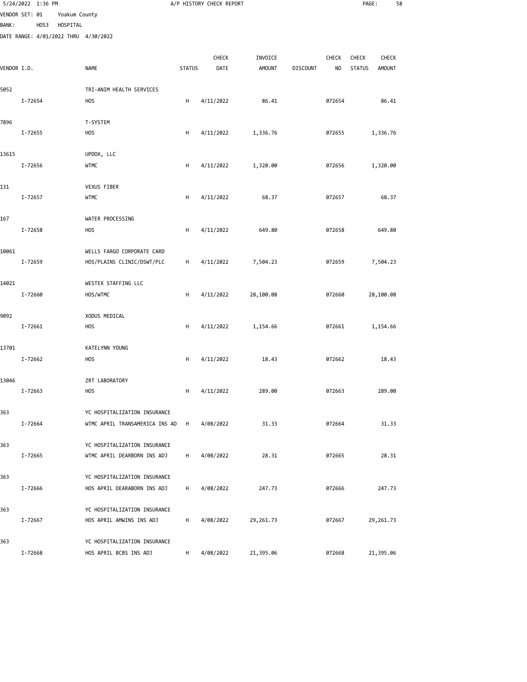|              | 5/24/2022 1:36 PM |          |                                                          |               | A/P HISTORY CHECK REPORT |               |                 |              | PAGE:         | 58            |  |
|--------------|-------------------|----------|----------------------------------------------------------|---------------|--------------------------|---------------|-----------------|--------------|---------------|---------------|--|
|              | VENDOR SET: 01    |          | Yoakum County                                            |               |                          |               |                 |              |               |               |  |
| <b>BANK:</b> | HOS3              | HOSPITAL | DATE RANGE: 4/01/2022 THRU 4/30/2022                     |               |                          |               |                 |              |               |               |  |
|              |                   |          |                                                          |               |                          |               |                 |              |               |               |  |
|              |                   |          |                                                          |               | CHECK                    | INVOICE       |                 | <b>CHECK</b> | <b>CHECK</b>  | <b>CHECK</b>  |  |
| VENDOR I.D.  |                   |          | <b>NAME</b>                                              | <b>STATUS</b> | DATE                     | <b>AMOUNT</b> | <b>DISCOUNT</b> | NO           | <b>STATUS</b> | <b>AMOUNT</b> |  |
| 5052         |                   |          | TRI-ANIM HEALTH SERVICES                                 |               |                          |               |                 |              |               |               |  |
|              | I-72654           |          | <b>HOS</b>                                               | н             | 4/11/2022                | 86.41         |                 | 072654       |               | 86.41         |  |
|              |                   |          |                                                          |               |                          |               |                 |              |               |               |  |
| 7896         |                   |          | T-SYSTEM                                                 |               |                          |               |                 |              |               |               |  |
|              | I-72655           |          | <b>HOS</b>                                               | H             | 4/11/2022                | 1,336.76      |                 | 072655       |               | 1,336.76      |  |
| 13615        |                   |          | UPDOX, LLC                                               |               |                          |               |                 |              |               |               |  |
|              | I-72656           |          | <b>WTMC</b>                                              | H             | 4/11/2022                | 1,320.00      |                 | 072656       |               | 1,320.00      |  |
|              |                   |          |                                                          |               |                          |               |                 |              |               |               |  |
| 131          | I-72657           |          | VEXUS FIBER<br><b>WTMC</b>                               | н             | 4/11/2022                | 68.37         |                 | 072657       |               | 68.37         |  |
|              |                   |          |                                                          |               |                          |               |                 |              |               |               |  |
| 167          |                   |          | WATER PROCESSING                                         |               |                          |               |                 |              |               |               |  |
|              | I-72658           |          | <b>HOS</b>                                               | н             | 4/11/2022                | 649.80        |                 | 072658       |               | 649.80        |  |
| 10061        |                   |          | WELLS FARGO CORPORATE CARD                               |               |                          |               |                 |              |               |               |  |
|              | I-72659           |          | HOS/PLAINS CLINIC/DSWT/PLC                               | н             | 4/11/2022                | 7,504.23      |                 | 072659       |               | 7,504.23      |  |
|              |                   |          |                                                          |               |                          |               |                 |              |               |               |  |
| 14021        |                   |          | WESTEX STAFFING LLC                                      |               |                          |               |                 |              |               |               |  |
|              | I-72660           |          | HOS/WTMC                                                 | H             | 4/11/2022                | 28,100.08     |                 | 072660       |               | 28,100.08     |  |
| 9092         |                   |          | XODUS MEDICAL                                            |               |                          |               |                 |              |               |               |  |
|              | I-72661           |          | <b>HOS</b>                                               | н             | 4/11/2022                | 1,154.66      |                 | 072661       |               | 1,154.66      |  |
|              |                   |          |                                                          |               |                          |               |                 |              |               |               |  |
| 13701        |                   |          | KATELYNN YOUNG                                           |               |                          |               |                 |              |               |               |  |
|              | I-72662           |          | <b>HOS</b>                                               | н             | 4/11/2022                | 18.43         |                 | 072662       |               | 18.43         |  |
| 13046        |                   |          | ZRT LABORATORY                                           |               |                          |               |                 |              |               |               |  |
|              | I-72663           |          | <b>HOS</b>                                               | H             | 4/11/2022                | 289.00        |                 | 072663       |               | 289.00        |  |
| 363          |                   |          | YC HOSPITALIZATION INSURANCE                             |               |                          |               |                 |              |               |               |  |
|              | I-72664           |          | WTMC APRIL TRANSAMERICA INS AD                           | H             | 4/08/2022                | 31.33         |                 | 072664       |               | 31.33         |  |
|              |                   |          |                                                          |               |                          |               |                 |              |               |               |  |
| 363          |                   |          | YC HOSPITALIZATION INSURANCE                             |               |                          |               |                 |              |               |               |  |
|              | I-72665           |          | WTMC APRIL DEARBORN INS ADJ                              | н             | 4/08/2022                | 28.31         |                 | 072665       |               | 28.31         |  |
| 363          |                   |          | YC HOSPITALIZATION INSURANCE                             |               |                          |               |                 |              |               |               |  |
|              | I-72666           |          | HOS APRIL DEARABORN INS ADJ                              | н             | 4/08/2022                | 247.73        |                 | 072666       |               | 247.73        |  |
|              |                   |          |                                                          |               |                          |               |                 |              |               |               |  |
| 363          | I-72667           |          | YC HOSPITALIZATION INSURANCE<br>HOS APRIL AMWINS INS ADJ | н             | 4/08/2022                | 29,261.73     |                 | 072667       |               | 29,261.73     |  |
|              |                   |          |                                                          |               |                          |               |                 |              |               |               |  |
| 363          |                   |          | YC HOSPITALIZATION INSURANCE                             |               |                          |               |                 |              |               |               |  |
|              | I-72668           |          | HOS APRIL BCBS INS ADJ                                   | H             | 4/08/2022                | 21,395.06     |                 | 072668       |               | 21,395.06     |  |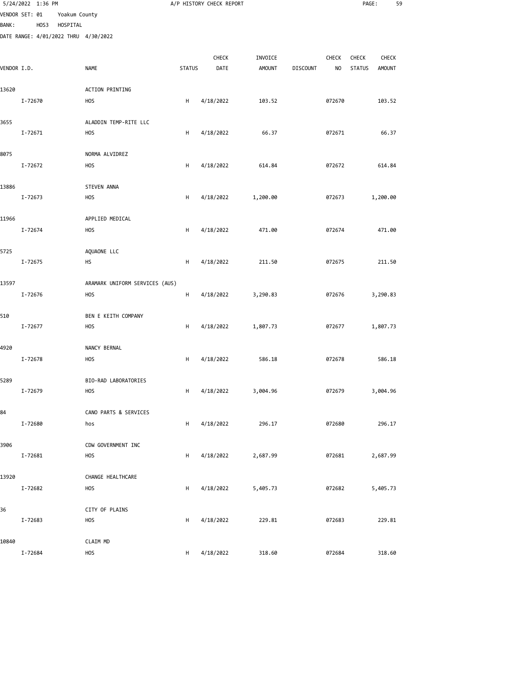|              | 5/24/2022 1:36 PM                    |               |                                  |               | A/P HISTORY CHECK REPORT |               |                 |                | PAGE:         | 59            |  |
|--------------|--------------------------------------|---------------|----------------------------------|---------------|--------------------------|---------------|-----------------|----------------|---------------|---------------|--|
|              | VENDOR SET: 01                       | Yoakum County |                                  |               |                          |               |                 |                |               |               |  |
| <b>BANK:</b> | HOS3                                 | HOSPITAL      |                                  |               |                          |               |                 |                |               |               |  |
|              | DATE RANGE: 4/01/2022 THRU 4/30/2022 |               |                                  |               |                          |               |                 |                |               |               |  |
|              |                                      |               |                                  |               | CHECK                    | INVOICE       |                 | CHECK          | CHECK         | <b>CHECK</b>  |  |
| VENDOR I.D.  |                                      |               | <b>NAME</b>                      | <b>STATUS</b> | DATE                     | <b>AMOUNT</b> | <b>DISCOUNT</b> | N <sub>O</sub> | <b>STATUS</b> | <b>AMOUNT</b> |  |
|              |                                      |               |                                  |               |                          |               |                 |                |               |               |  |
| 13620        |                                      |               | <b>ACTION PRINTING</b>           |               |                          |               |                 |                |               |               |  |
|              | I-72670                              |               | <b>HOS</b>                       | H             | 4/18/2022                | 103.52        |                 | 072670         |               | 103.52        |  |
| 3655         |                                      |               | ALADDIN TEMP-RITE LLC            |               |                          |               |                 |                |               |               |  |
|              | I-72671                              |               | <b>HOS</b>                       | H             | 4/18/2022                | 66.37         |                 | 072671         |               | 66.37         |  |
|              |                                      |               |                                  |               |                          |               |                 |                |               |               |  |
| 8075         |                                      |               | NORMA ALVIDREZ                   |               |                          |               |                 |                |               |               |  |
|              | I-72672                              |               | <b>HOS</b>                       | н             | 4/18/2022                | 614.84        |                 | 072672         |               | 614.84        |  |
| 13886        |                                      |               | <b>STEVEN ANNA</b>               |               |                          |               |                 |                |               |               |  |
|              | I-72673                              |               | <b>HOS</b>                       | H             | 4/18/2022                | 1,200.00      |                 | 072673         |               | 1,200.00      |  |
|              |                                      |               |                                  |               |                          |               |                 |                |               |               |  |
| 11966        | I-72674                              |               | APPLIED MEDICAL<br><b>HOS</b>    | H             | 4/18/2022                | 471.00        |                 | 072674         |               | 471.00        |  |
|              |                                      |               |                                  |               |                          |               |                 |                |               |               |  |
| 5725         |                                      |               | AQUAONE LLC                      |               |                          |               |                 |                |               |               |  |
|              | I-72675                              |               | HS                               | H             | 4/18/2022                | 211.50        |                 | 072675         |               | 211.50        |  |
| 13597        |                                      |               | ARAMARK UNIFORM SERVICES (AUS)   |               |                          |               |                 |                |               |               |  |
|              | I-72676                              |               | <b>HOS</b>                       | H             | 4/18/2022                | 3,290.83      |                 | 072676         |               | 3,290.83      |  |
|              |                                      |               |                                  |               |                          |               |                 |                |               |               |  |
| 510          |                                      |               | BEN E KEITH COMPANY              |               |                          |               |                 |                |               |               |  |
|              | I-72677                              |               | <b>HOS</b>                       | H             | 4/18/2022                | 1,807.73      |                 | 072677         |               | 1,807.73      |  |
| 4920         |                                      |               | NANCY BERNAL                     |               |                          |               |                 |                |               |               |  |
|              | I-72678                              |               | <b>HOS</b>                       | H             | 4/18/2022                | 586.18        |                 | 072678         |               | 586.18        |  |
|              |                                      |               |                                  |               |                          |               |                 |                |               |               |  |
| 5289         |                                      |               | BIO-RAD LABORATORIES             |               |                          |               |                 |                |               |               |  |
|              | I-72679                              |               | <b>HOS</b>                       | H             | 4/18/2022                | 3,004.96      |                 | 072679         |               | 3,004.96      |  |
| 84           |                                      |               | CANO PARTS & SERVICES            |               |                          |               |                 |                |               |               |  |
|              | I-72680                              |               | hos                              | H             | 4/18/2022                | 296.17        |                 | 072680         |               | 296.17        |  |
|              |                                      |               |                                  |               |                          |               |                 |                |               |               |  |
| 3906         | I-72681                              |               | CDW GOVERNMENT INC<br><b>HOS</b> | H             | 4/18/2022                | 2,687.99      |                 | 072681         |               | 2,687.99      |  |
|              |                                      |               |                                  |               |                          |               |                 |                |               |               |  |
| 13920        |                                      |               | CHANGE HEALTHCARE                |               |                          |               |                 |                |               |               |  |
|              | I-72682                              |               | <b>HOS</b>                       | H             | 4/18/2022                | 5,405.73      |                 | 072682         |               | 5,405.73      |  |
|              |                                      |               |                                  |               |                          |               |                 |                |               |               |  |
| 36           | I-72683                              |               | CITY OF PLAINS<br><b>HOS</b>     | н             | 4/18/2022                | 229.81        |                 | 072683         |               | 229.81        |  |
|              |                                      |               |                                  |               |                          |               |                 |                |               |               |  |
| 10840        |                                      |               | CLAIM MD                         |               |                          |               |                 |                |               |               |  |
|              | I-72684                              |               | HOS                              | H             | 4/18/2022                | 318.60        |                 | 072684         |               | 318.60        |  |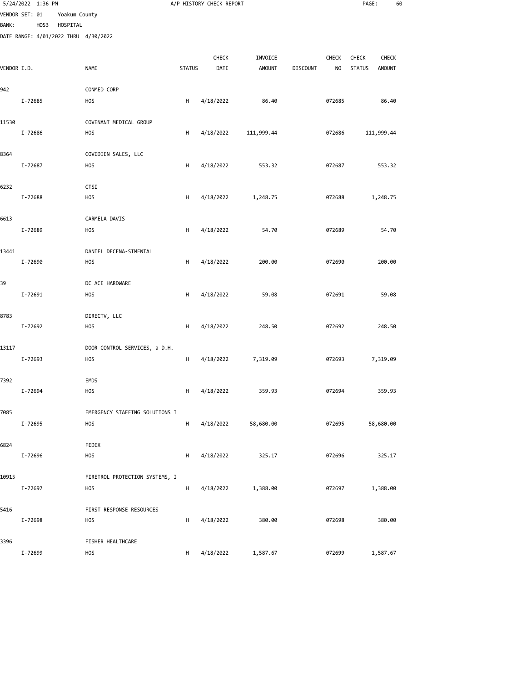|              | 5/24/2022 1:36 PM                    |               |                                              |               | A/P HISTORY CHECK REPORT |               |                 |                | PAGE:         | 60            |  |
|--------------|--------------------------------------|---------------|----------------------------------------------|---------------|--------------------------|---------------|-----------------|----------------|---------------|---------------|--|
|              | VENDOR SET: 01                       | Yoakum County |                                              |               |                          |               |                 |                |               |               |  |
| <b>BANK:</b> | HOS3                                 | HOSPITAL      |                                              |               |                          |               |                 |                |               |               |  |
|              | DATE RANGE: 4/01/2022 THRU 4/30/2022 |               |                                              |               |                          |               |                 |                |               |               |  |
|              |                                      |               |                                              |               | CHECK                    | INVOICE       |                 | CHECK          | <b>CHECK</b>  | <b>CHECK</b>  |  |
| VENDOR I.D.  |                                      |               | <b>NAME</b>                                  | <b>STATUS</b> | DATE                     | <b>AMOUNT</b> | <b>DISCOUNT</b> | N <sub>O</sub> | <b>STATUS</b> | <b>AMOUNT</b> |  |
|              |                                      |               |                                              |               |                          |               |                 |                |               |               |  |
| 942          |                                      |               | CONMED CORP                                  |               |                          |               |                 |                |               | 86.40         |  |
|              | I-72685                              |               | <b>HOS</b>                                   | H             | 4/18/2022                | 86.40         |                 | 072685         |               |               |  |
| 11530        |                                      |               | COVENANT MEDICAL GROUP                       |               |                          |               |                 |                |               |               |  |
|              | I-72686                              |               | <b>HOS</b>                                   | H             | 4/18/2022                | 111,999.44    |                 | 072686         |               | 111,999.44    |  |
| 8364         |                                      |               | COVIDIEN SALES, LLC                          |               |                          |               |                 |                |               |               |  |
|              | I-72687                              |               | <b>HOS</b>                                   | н             | 4/18/2022                | 553.32        |                 | 072687         |               | 553.32        |  |
|              |                                      |               |                                              |               |                          |               |                 |                |               |               |  |
| 6232         |                                      |               | CTSI                                         |               |                          |               |                 |                |               |               |  |
|              | I-72688                              |               | <b>HOS</b>                                   | Н             | 4/18/2022                | 1,248.75      |                 | 072688         |               | 1,248.75      |  |
| 6613         |                                      |               | CARMELA DAVIS                                |               |                          |               |                 |                |               |               |  |
|              | I-72689                              |               | <b>HOS</b>                                   | H             | 4/18/2022                | 54.70         |                 | 072689         |               | 54.70         |  |
|              |                                      |               |                                              |               |                          |               |                 |                |               |               |  |
| 13441        |                                      |               | DANIEL DECENA-SIMENTAL                       |               |                          |               |                 |                |               |               |  |
|              | I-72690                              |               | <b>HOS</b>                                   | H             | 4/18/2022                | 200.00        |                 | 072690         |               | 200.00        |  |
| 39           |                                      |               | DC ACE HARDWARE                              |               |                          |               |                 |                |               |               |  |
|              | I-72691                              |               | <b>HOS</b>                                   | H             | 4/18/2022                | 59.08         |                 | 072691         |               | 59.08         |  |
|              |                                      |               |                                              |               |                          |               |                 |                |               |               |  |
| 8783         | I-72692                              |               | DIRECTV, LLC<br><b>HOS</b>                   | н             | 4/18/2022                | 248.50        |                 | 072692         |               | 248.50        |  |
|              |                                      |               |                                              |               |                          |               |                 |                |               |               |  |
| 13117        |                                      |               | DOOR CONTROL SERVICES, a D.H.                |               |                          |               |                 |                |               |               |  |
|              | I-72693                              |               | <b>HOS</b>                                   | H             | 4/18/2022                | 7,319.09      |                 | 072693         |               | 7,319.09      |  |
| 7392         |                                      |               | <b>EMDS</b>                                  |               |                          |               |                 |                |               |               |  |
|              | I-72694                              |               | <b>HOS</b>                                   | H             | 4/18/2022                | 359.93        |                 | 072694         |               | 359.93        |  |
|              |                                      |               |                                              |               |                          |               |                 |                |               |               |  |
| 7085         |                                      |               | EMERGENCY STAFFING SOLUTIONS I               |               |                          |               |                 |                |               |               |  |
|              | I-72695                              |               | <b>HOS</b>                                   | H             | 4/18/2022                | 58,680.00     |                 | 072695         |               | 58,680.00     |  |
| 6824         |                                      |               | FEDEX                                        |               |                          |               |                 |                |               |               |  |
|              | I-72696                              |               | <b>HOS</b>                                   | н             | 4/18/2022                | 325.17        |                 | 072696         |               | 325.17        |  |
|              |                                      |               |                                              |               |                          |               |                 |                |               |               |  |
| 10915        | I-72697                              |               | FIRETROL PROTECTION SYSTEMS, I<br><b>HOS</b> | H             | 4/18/2022                | 1,388.00      |                 | 072697         |               | 1,388.00      |  |
|              |                                      |               |                                              |               |                          |               |                 |                |               |               |  |
| 5416         |                                      |               | FIRST RESPONSE RESOURCES                     |               |                          |               |                 |                |               |               |  |
|              | I-72698                              |               | <b>HOS</b>                                   | H             | 4/18/2022                | 380.00        |                 | 072698         |               | 380.00        |  |
| 3396         |                                      |               | FISHER HEALTHCARE                            |               |                          |               |                 |                |               |               |  |
|              | I-72699                              |               | <b>HOS</b>                                   | H             | 4/18/2022                | 1,587.67      |                 | 072699         |               | 1,587.67      |  |
|              |                                      |               |                                              |               |                          |               |                 |                |               |               |  |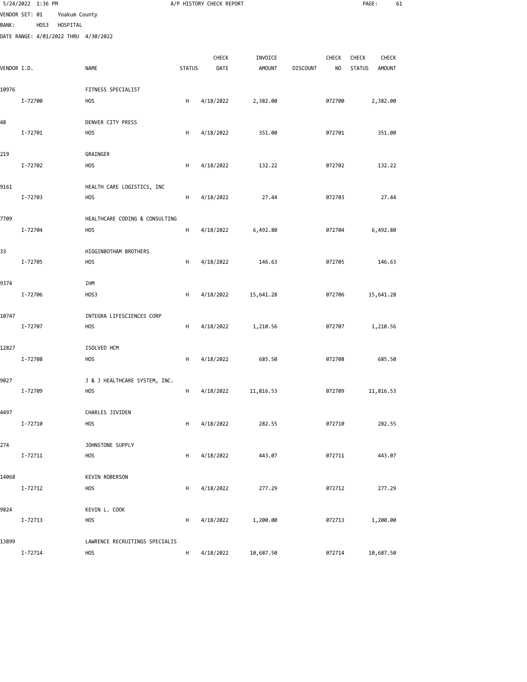|              | 5/24/2022 1:36 PM                    |               |                                  |               | A/P HISTORY CHECK REPORT |               |                 |                | PAGE:         | 61            |  |
|--------------|--------------------------------------|---------------|----------------------------------|---------------|--------------------------|---------------|-----------------|----------------|---------------|---------------|--|
|              | VENDOR SET: 01                       | Yoakum County |                                  |               |                          |               |                 |                |               |               |  |
| <b>BANK:</b> | HOS3                                 | HOSPITAL      |                                  |               |                          |               |                 |                |               |               |  |
|              | DATE RANGE: 4/01/2022 THRU 4/30/2022 |               |                                  |               |                          |               |                 |                |               |               |  |
|              |                                      |               |                                  |               | CHECK                    | INVOICE       |                 | <b>CHECK</b>   | <b>CHECK</b>  | <b>CHECK</b>  |  |
| VENDOR I.D.  |                                      |               | <b>NAME</b>                      | <b>STATUS</b> | DATE                     | <b>AMOUNT</b> | <b>DISCOUNT</b> | N <sub>O</sub> | <b>STATUS</b> | <b>AMOUNT</b> |  |
| 10976        |                                      |               | FITNESS SPECIALIST               |               |                          |               |                 |                |               |               |  |
|              | I-72700                              |               | <b>HOS</b>                       | н             | 4/18/2022                | 2,382.00      |                 | 072700         |               | 2,382.00      |  |
|              |                                      |               |                                  |               |                          |               |                 |                |               |               |  |
| 48           | I-72701                              |               | DENVER CITY PRESS<br><b>HOS</b>  | H             | 4/18/2022                | 351.00        |                 | 072701         |               | 351.00        |  |
|              |                                      |               |                                  |               |                          |               |                 |                |               |               |  |
| 219          |                                      |               | GRAINGER                         |               |                          |               |                 |                |               |               |  |
|              | I-72702                              |               | HOS                              | н             | 4/18/2022                | 132.22        |                 | 072702         |               | 132.22        |  |
| 9161         |                                      |               | HEALTH CARE LOGISTICS, INC       |               |                          |               |                 |                |               |               |  |
|              | I-72703                              |               | <b>HOS</b>                       | н             | 4/18/2022                | 27.44         |                 | 072703         |               | 27.44         |  |
| 7709         |                                      |               | HEALTHCARE CODING & CONSULTING   |               |                          |               |                 |                |               |               |  |
|              | I-72704                              |               | <b>HOS</b>                       | н             | 4/18/2022                | 6,492.80      |                 | 072704         |               | 6,492.80      |  |
| 33           |                                      |               | HIGGINBOTHAM BROTHERS            |               |                          |               |                 |                |               |               |  |
|              | I-72705                              |               | HOS                              | н             | 4/18/2022                | 146.63        |                 | 072705         |               | 146.63        |  |
|              |                                      |               |                                  |               |                          |               |                 |                |               |               |  |
| 9374         | I-72706                              |               | IHM<br>HOS3                      | н             | 4/18/2022                | 15,641.28     |                 | 072706         |               | 15,641.28     |  |
|              |                                      |               |                                  |               |                          |               |                 |                |               |               |  |
| 10747        | I-72707                              |               | INTEGRA LIFESCIENCES CORP<br>HOS | н             | 4/18/2022                | 1,210.56      |                 | 072707         |               | 1,210.56      |  |
|              |                                      |               |                                  |               |                          |               |                 |                |               |               |  |
| 12827        |                                      |               | ISOLVED HCM                      |               |                          |               |                 |                |               |               |  |
|              | I-72708                              |               | <b>HOS</b>                       | н             | 4/18/2022                | 685.50        |                 | 072708         |               | 685.50        |  |
| 9027         |                                      |               | J & J HEALTHCARE SYSTEM, INC.    |               |                          |               |                 |                |               |               |  |
|              | I-72709                              |               | HOS                              | H             | 4/18/2022                | 11,816.53     |                 | 072709         |               | 11,816.53     |  |
| 4497         |                                      |               | CHARLES JIVIDEN                  |               |                          |               |                 |                |               |               |  |
|              | I-72710                              |               | HOS                              | H             | 4/18/2022                | 282.55        |                 | 072710         |               | 282.55        |  |
| 274          |                                      |               | JOHNSTONE SUPPLY                 |               |                          |               |                 |                |               |               |  |
|              | I-72711                              |               | <b>HOS</b>                       | H             | 4/18/2022                | 443.07        |                 | 072711         |               | 443.07        |  |
|              |                                      |               | <b>KEVIN ROBERSON</b>            |               |                          |               |                 |                |               |               |  |
| 14068        | I-72712                              |               | HOS                              | н             | 4/18/2022                | 277.29        |                 | 072712         |               | 277.29        |  |
|              |                                      |               |                                  |               |                          |               |                 |                |               |               |  |
| 9824         | I-72713                              |               | KEVIN L. COOK<br><b>HOS</b>      | н             | 4/18/2022                | 1,200.00      |                 | 072713         |               | 1,200.00      |  |
|              |                                      |               |                                  |               |                          |               |                 |                |               |               |  |
| 13899        |                                      |               | LAWRENCE RECRUITINGS SPECIALIS   |               |                          |               |                 |                |               |               |  |
|              | I-72714                              |               | <b>HOS</b>                       | H             | 4/18/2022                | 10,687.50     |                 | 072714         |               | 10,687.50     |  |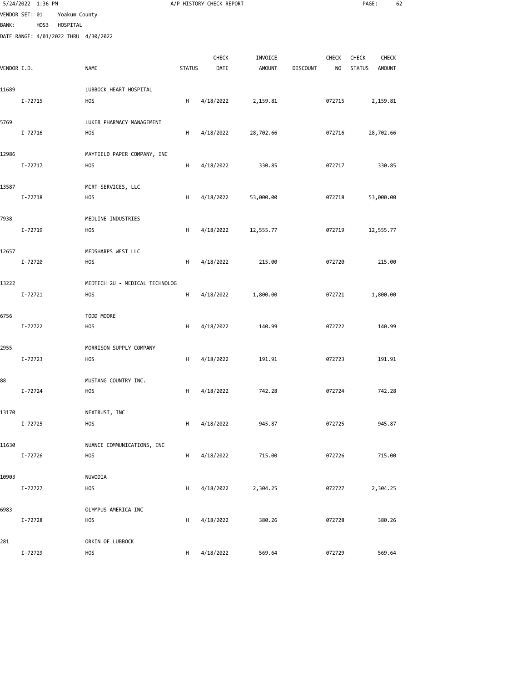|              | 5/24/2022 1:36 PM |      |                           |                                              |               | A/P HISTORY CHECK REPORT |                          |                 |                         | PAGE:                                                   | 62 |
|--------------|-------------------|------|---------------------------|----------------------------------------------|---------------|--------------------------|--------------------------|-----------------|-------------------------|---------------------------------------------------------|----|
| <b>BANK:</b> | VENDOR SET: 01    | HOS3 | Yoakum County<br>HOSPITAL |                                              |               |                          |                          |                 |                         |                                                         |    |
|              |                   |      |                           | DATE RANGE: 4/01/2022 THRU 4/30/2022         |               |                          |                          |                 |                         |                                                         |    |
| VENDOR I.D.  |                   |      |                           | NAME                                         | <b>STATUS</b> | CHECK<br>DATE            | INVOICE<br><b>AMOUNT</b> | <b>DISCOUNT</b> | CHECK<br>N <sub>O</sub> | CHECK<br><b>CHECK</b><br><b>STATUS</b><br><b>AMOUNT</b> |    |
| 11689        |                   |      |                           | LUBBOCK HEART HOSPITAL                       |               |                          |                          |                 |                         |                                                         |    |
|              | I-72715           |      |                           | <b>HOS</b>                                   | H             | 4/18/2022                | 2,159.81                 |                 | 072715                  | 2,159.81                                                |    |
| 5769         | I-72716           |      |                           | LUKER PHARMACY MANAGEMENT<br><b>HOS</b>      | H             | 4/18/2022                | 28,702.66                |                 | 072716                  | 28,702.66                                               |    |
|              |                   |      |                           |                                              |               |                          |                          |                 |                         |                                                         |    |
| 12986        | I-72717           |      |                           | MAYFIELD PAPER COMPANY, INC<br><b>HOS</b>    | н             | 4/18/2022                | 330.85                   |                 | 072717                  | 330.85                                                  |    |
| 13587        | I-72718           |      |                           | MCRT SERVICES, LLC<br><b>HOS</b>             | H             | 4/18/2022                | 53,000.00                |                 | 072718                  | 53,000.00                                               |    |
| 7938         | I-72719           |      |                           | MEDLINE INDUSTRIES<br><b>HOS</b>             | H             | 4/18/2022                | 12,555.77                |                 | 072719                  | 12,555.77                                               |    |
| 12657        | I-72720           |      |                           | MEDSHARPS WEST LLC<br><b>HOS</b>             | H             | 4/18/2022                | 215.00                   |                 | 072720                  | 215.00                                                  |    |
| 13222        | I-72721           |      |                           | MEDTECH 2U - MEDICAL TECHNOLOG<br><b>HOS</b> | H             | 4/18/2022                | 1,800.00                 |                 | 072721                  | 1,800.00                                                |    |
| 6756         | I-72722           |      |                           | TODD MOORE<br><b>HOS</b>                     | н             | 4/18/2022                | 140.99                   |                 | 072722                  | 140.99                                                  |    |
| 2955         | I-72723           |      |                           | MORRISON SUPPLY COMPANY<br><b>HOS</b>        | H             | 4/18/2022                | 191.91                   |                 | 072723                  | 191.91                                                  |    |
| 88           | I-72724           |      |                           | MUSTANG COUNTRY INC.<br><b>HOS</b>           | H             | 4/18/2022                | 742.28                   |                 | 072724                  | 742.28                                                  |    |
| 13170        |                   |      |                           | NEXTRUST, INC                                |               |                          |                          |                 |                         |                                                         |    |
| 11630        | I-72725           |      |                           | <b>HOS</b><br>NUANCE COMMUNICATIONS, INC     | Н             | 4/18/2022                | 945.87                   |                 | 072725                  | 945.87                                                  |    |
|              | I-72726           |      |                           | <b>HOS</b>                                   | H             | 4/18/2022                | 715.00                   |                 | 072726                  | 715.00                                                  |    |
| 10903        | I-72727           |      |                           | NUVODIA<br><b>HOS</b>                        | H             | 4/18/2022                | 2,304.25                 |                 | 072727                  | 2,304.25                                                |    |
| 6983         | I-72728           |      |                           | OLYMPUS AMERICA INC<br><b>HOS</b>            | H             | 4/18/2022                | 380.26                   |                 | 072728                  | 380.26                                                  |    |
| 281          | I-72729           |      |                           | ORKIN OF LUBBOCK<br>HOS                      | H             | 4/18/2022                | 569.64                   |                 | 072729                  | 569.64                                                  |    |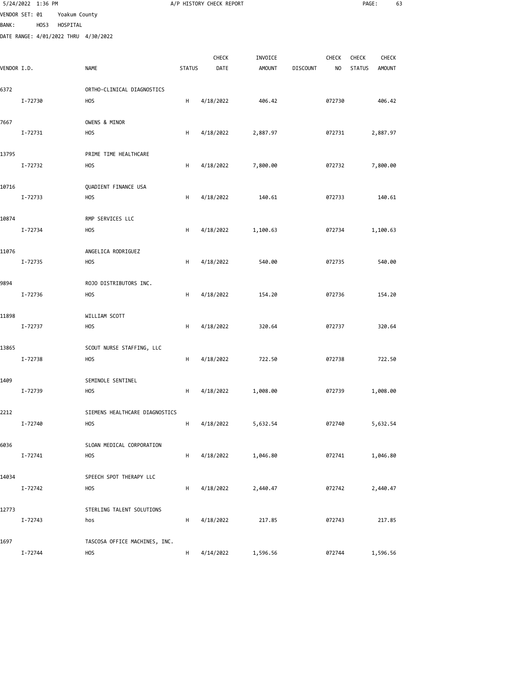|              | 5/24/2022 1:36 PM |          |                                         |               | A/P HISTORY CHECK REPORT |               |                 |        | PAGE:         | 63            |  |
|--------------|-------------------|----------|-----------------------------------------|---------------|--------------------------|---------------|-----------------|--------|---------------|---------------|--|
|              | VENDOR SET: 01    |          | Yoakum County                           |               |                          |               |                 |        |               |               |  |
| <b>BANK:</b> | HOS3              | HOSPITAL | DATE RANGE: 4/01/2022 THRU 4/30/2022    |               |                          |               |                 |        |               |               |  |
|              |                   |          |                                         |               |                          |               |                 |        |               |               |  |
|              |                   |          |                                         |               | CHECK                    | INVOICE       |                 | CHECK  | <b>CHECK</b>  | <b>CHECK</b>  |  |
| VENDOR I.D.  |                   |          | <b>NAME</b>                             | <b>STATUS</b> | DATE                     | <b>AMOUNT</b> | <b>DISCOUNT</b> | NO     | <b>STATUS</b> | <b>AMOUNT</b> |  |
| 6372         |                   |          | ORTHO-CLINICAL DIAGNOSTICS              |               |                          |               |                 |        |               |               |  |
|              | I-72730           |          | <b>HOS</b>                              | H             | 4/18/2022                | 406.42        |                 | 072730 |               | 406.42        |  |
|              |                   |          |                                         |               |                          |               |                 |        |               |               |  |
| 7667         |                   |          | OWENS & MINOR                           |               |                          |               |                 |        |               |               |  |
|              | I-72731           |          | H <sub>O</sub> S                        | H             | 4/18/2022                | 2,887.97      |                 | 072731 |               | 2,887.97      |  |
| 13795        |                   |          | PRIME TIME HEALTHCARE                   |               |                          |               |                 |        |               |               |  |
|              | I-72732           |          | <b>HOS</b>                              | н             | 4/18/2022                | 7,800.00      |                 | 072732 |               | 7,800.00      |  |
|              |                   |          |                                         |               |                          |               |                 |        |               |               |  |
| 10716        | I-72733           |          | QUADIENT FINANCE USA<br><b>HOS</b>      | H             | 4/18/2022                | 140.61        |                 | 072733 |               | 140.61        |  |
|              |                   |          |                                         |               |                          |               |                 |        |               |               |  |
| 10874        |                   |          | RMP SERVICES LLC                        |               |                          |               |                 |        |               |               |  |
|              | I-72734           |          | <b>HOS</b>                              | H             | 4/18/2022                | 1,100.63      |                 | 072734 |               | 1,100.63      |  |
| 11076        |                   |          | ANGELICA RODRIGUEZ                      |               |                          |               |                 |        |               |               |  |
|              | I-72735           |          | <b>HOS</b>                              | H             | 4/18/2022                | 540.00        |                 | 072735 |               | 540.00        |  |
|              |                   |          |                                         |               |                          |               |                 |        |               |               |  |
| 9894         |                   |          | ROJO DISTRIBUTORS INC.                  |               |                          |               |                 |        |               |               |  |
|              | I-72736           |          | <b>HOS</b>                              | H             | 4/18/2022                | 154.20        |                 | 072736 |               | 154.20        |  |
| 11898        |                   |          | WILLIAM SCOTT                           |               |                          |               |                 |        |               |               |  |
|              | I-72737           |          | <b>HOS</b>                              | н             | 4/18/2022                | 320.64        |                 | 072737 |               | 320.64        |  |
|              |                   |          |                                         |               |                          |               |                 |        |               |               |  |
| 13865        | I-72738           |          | SCOUT NURSE STAFFING, LLC<br><b>HOS</b> | H             | 4/18/2022                | 722.50        |                 | 072738 |               | 722.50        |  |
|              |                   |          |                                         |               |                          |               |                 |        |               |               |  |
| 1409         |                   |          | SEMINOLE SENTINEL                       |               |                          |               |                 |        |               |               |  |
|              | I-72739           |          | <b>HOS</b>                              | H             | 4/18/2022                | 1,008.00      |                 | 072739 |               | 1,008.00      |  |
| 2212         |                   |          | SIEMENS HEALTHCARE DIAGNOSTICS          |               |                          |               |                 |        |               |               |  |
|              | I-72740           |          | <b>HOS</b>                              | H             | 4/18/2022                | 5,632.54      |                 | 072740 |               | 5,632.54      |  |
|              |                   |          |                                         |               |                          |               |                 |        |               |               |  |
| 6036         | I-72741           |          | SLOAN MEDICAL CORPORATION<br><b>HOS</b> | H             | 4/18/2022                | 1,046.80      |                 | 072741 |               | 1,046.80      |  |
|              |                   |          |                                         |               |                          |               |                 |        |               |               |  |
| 14034        |                   |          | SPEECH SPOT THERAPY LLC                 |               |                          |               |                 |        |               |               |  |
|              | I-72742           |          | <b>HOS</b>                              | н             | 4/18/2022                | 2,440.47      |                 | 072742 |               | 2,440.47      |  |
| 12773        |                   |          |                                         |               |                          |               |                 |        |               |               |  |
|              | I-72743           |          | STERLING TALENT SOLUTIONS<br>hos        | н             | 4/18/2022                | 217.85        |                 | 072743 |               | 217.85        |  |
|              |                   |          |                                         |               |                          |               |                 |        |               |               |  |
| 1697         |                   |          | TASCOSA OFFICE MACHINES, INC.           |               |                          |               |                 |        |               |               |  |
|              | I-72744           |          | <b>HOS</b>                              | H             | 4/14/2022                | 1,596.56      |                 | 072744 |               | 1,596.56      |  |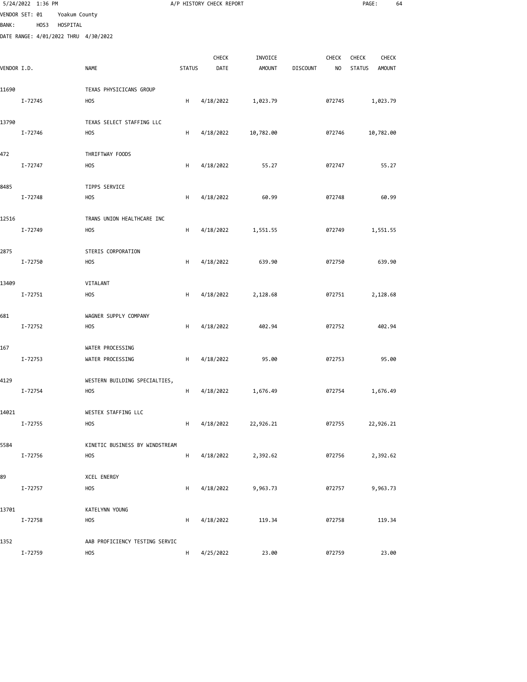|                | 5/24/2022 1:36 PM |      |               |                                      |               | A/P HISTORY CHECK REPORT |               |                 |              | PAGE:         | 64            |
|----------------|-------------------|------|---------------|--------------------------------------|---------------|--------------------------|---------------|-----------------|--------------|---------------|---------------|
| VENDOR SET: 01 |                   |      | Yoakum County |                                      |               |                          |               |                 |              |               |               |
| <b>BANK:</b>   |                   | HOS3 | HOSPITAL      |                                      |               |                          |               |                 |              |               |               |
|                |                   |      |               | DATE RANGE: 4/01/2022 THRU 4/30/2022 |               |                          |               |                 |              |               |               |
|                |                   |      |               |                                      |               | CHECK                    | INVOICE       |                 | <b>CHECK</b> | <b>CHECK</b>  | <b>CHECK</b>  |
| VENDOR I.D.    |                   |      |               | <b>NAME</b>                          | <b>STATUS</b> | DATE                     | <b>AMOUNT</b> | <b>DISCOUNT</b> | NO.          | <b>STATUS</b> | <b>AMOUNT</b> |
| 11690          |                   |      |               | TEXAS PHYSICICANS GROUP              |               |                          |               |                 |              |               |               |
|                | I-72745           |      |               | <b>HOS</b>                           | H             | 4/18/2022                | 1,023.79      |                 | 072745       | 1,023.79      |               |
| 13790          |                   |      |               | TEXAS SELECT STAFFING LLC            |               |                          |               |                 |              |               |               |
|                | I-72746           |      |               | H <sub>O</sub> S                     | н             | 4/18/2022                | 10,782.00     |                 | 072746       | 10,782.00     |               |
| 472            |                   |      |               | THRIFTWAY FOODS                      |               |                          |               |                 |              |               |               |
|                | I-72747           |      |               | <b>HOS</b>                           | н             | 4/18/2022                | 55.27         |                 | 072747       |               | 55.27         |
| 8485           |                   |      |               | TIPPS SERVICE                        |               |                          |               |                 |              |               |               |
|                | I-72748           |      |               | <b>HOS</b>                           | н             | 4/18/2022                | 60.99         |                 | 072748       |               | 60.99         |
| 12516          |                   |      |               | TRANS UNION HEALTHCARE INC           |               |                          |               |                 |              |               |               |
|                | I-72749           |      |               | <b>HOS</b>                           | H             | 4/18/2022                | 1,551.55      |                 | 072749       | 1,551.55      |               |
| 2875           |                   |      |               | STERIS CORPORATION                   |               |                          |               |                 |              |               |               |
|                | I-72750           |      |               | <b>HOS</b>                           | H             | 4/18/2022                | 639.90        |                 | 072750       |               | 639.90        |
| 13409          |                   |      |               | VITALANT                             |               |                          |               |                 |              |               |               |
|                | I-72751           |      |               | <b>HOS</b>                           | н             | 4/18/2022                | 2,128.68      |                 | 072751       | 2,128.68      |               |
| 681            |                   |      |               | WAGNER SUPPLY COMPANY                |               |                          |               |                 |              |               |               |
|                | I-72752           |      |               | <b>HOS</b>                           | н             | 4/18/2022                | 402.94        |                 | 072752       |               | 402.94        |
| 167            |                   |      |               | WATER PROCESSING                     |               |                          |               |                 |              |               |               |
|                | I-72753           |      |               | WATER PROCESSING                     | H             | 4/18/2022                | 95.00         |                 | 072753       |               | 95.00         |
| 4129           |                   |      |               | WESTERN BUILDING SPECIALTIES,        |               |                          |               |                 |              |               |               |
|                | I-72754           |      |               | <b>HOS</b>                           | H             | 4/18/2022                | 1,676.49      |                 | 072754       | 1,676.49      |               |
| 14021          |                   |      |               | WESTEX STAFFING LLC                  |               |                          |               |                 |              |               |               |
|                | I-72755           |      |               | <b>HOS</b>                           | н             | 4/18/2022                | 22,926.21     |                 | 072755       | 22,926.21     |               |
| 5584           |                   |      |               | KINETIC BUSINESS BY WINDSTREAM       |               |                          |               |                 |              |               |               |
|                | I-72756           |      |               | <b>HOS</b>                           | н             | 4/18/2022                | 2,392.62      |                 | 072756       | 2,392.62      |               |
| 89             |                   |      |               | XCEL ENERGY                          |               |                          |               |                 |              |               |               |
|                | I-72757           |      |               | <b>HOS</b>                           | н             | 4/18/2022                | 9,963.73      |                 | 072757       | 9,963.73      |               |
| 13701          |                   |      |               | KATELYNN YOUNG                       |               |                          |               |                 |              |               |               |
|                | I-72758           |      |               | <b>HOS</b>                           | н             | 4/18/2022                | 119.34        |                 | 072758       |               | 119.34        |
| 1352           |                   |      |               | AAB PROFICIENCY TESTING SERVIC       |               |                          |               |                 |              |               |               |
|                | I-72759           |      |               | <b>HOS</b>                           | H             | 4/25/2022                | 23.00         |                 | 072759       |               | 23.00         |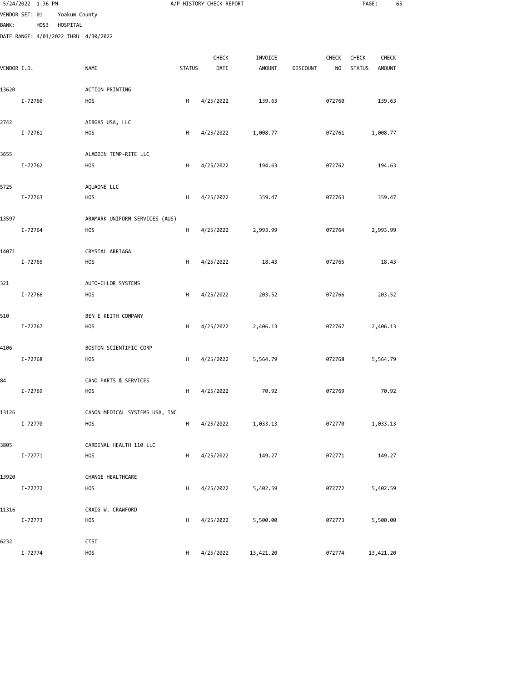|              | 5/24/2022 1:36 PM                            |               |                                      |               | A/P HISTORY CHECK REPORT |               |                 |                | PAGE:         | 65            |
|--------------|----------------------------------------------|---------------|--------------------------------------|---------------|--------------------------|---------------|-----------------|----------------|---------------|---------------|
|              | VENDOR SET: 01                               | Yoakum County |                                      |               |                          |               |                 |                |               |               |
| <b>BANK:</b> | HOS3<br>DATE RANGE: 4/01/2022 THRU 4/30/2022 | HOSPITAL      |                                      |               |                          |               |                 |                |               |               |
|              |                                              |               |                                      |               |                          |               |                 |                |               |               |
|              |                                              |               |                                      |               | CHECK                    | INVOICE       |                 | CHECK          | CHECK         | <b>CHECK</b>  |
| VENDOR I.D.  |                                              |               | <b>NAME</b>                          | <b>STATUS</b> | DATE                     | <b>AMOUNT</b> | <b>DISCOUNT</b> | N <sub>O</sub> | <b>STATUS</b> | <b>AMOUNT</b> |
| 13620        |                                              |               | <b>ACTION PRINTING</b>               |               |                          |               |                 |                |               |               |
|              | I-72760                                      |               | <b>HOS</b>                           | H             | 4/25/2022                | 139.63        |                 | 072760         |               | 139.63        |
|              |                                              |               |                                      |               |                          |               |                 |                |               |               |
| 2742         | $I - 72761$                                  |               | AIRGAS USA, LLC                      |               |                          |               |                 | 072761         |               |               |
|              |                                              |               | <b>HOS</b>                           | H             | 4/25/2022                | 1,008.77      |                 |                |               | 1,008.77      |
| 3655         |                                              |               | ALADDIN TEMP-RITE LLC                |               |                          |               |                 |                |               |               |
|              | I-72762                                      |               | <b>HOS</b>                           | н             | 4/25/2022                | 194.63        |                 | 072762         |               | 194.63        |
|              |                                              |               |                                      |               |                          |               |                 |                |               |               |
| 5725         | I-72763                                      |               | AQUAONE LLC<br><b>HOS</b>            | H             | 4/25/2022                | 359.47        |                 | 072763         |               | 359.47        |
|              |                                              |               |                                      |               |                          |               |                 |                |               |               |
| 13597        |                                              |               | ARAMARK UNIFORM SERVICES (AUS)       |               |                          |               |                 |                |               |               |
|              | I-72764                                      |               | <b>HOS</b>                           | H             | 4/25/2022                | 2,993.99      |                 | 072764         |               | 2,993.99      |
| 14071        |                                              |               | CRYSTAL ARRIAGA                      |               |                          |               |                 |                |               |               |
|              | I-72765                                      |               | <b>HOS</b>                           | H             | 4/25/2022                | 18.43         |                 | 072765         |               | 18.43         |
|              |                                              |               |                                      |               |                          |               |                 |                |               |               |
| 321          |                                              |               | AUTO-CHLOR SYSTEMS                   |               |                          |               |                 |                |               |               |
|              | I-72766                                      |               | <b>HOS</b>                           | H             | 4/25/2022                | 203.52        |                 | 072766         |               | 203.52        |
| 510          |                                              |               | BEN E KEITH COMPANY                  |               |                          |               |                 |                |               |               |
|              | I-72767                                      |               | <b>HOS</b>                           | H             | 4/25/2022                | 2,406.13      |                 | 072767         |               | 2,406.13      |
|              |                                              |               |                                      |               |                          |               |                 |                |               |               |
| 4106         | I-72768                                      |               | BOSTON SCIENTIFIC CORP<br><b>HOS</b> | H             | 4/25/2022                | 5,564.79      |                 | 072768         |               | 5,564.79      |
|              |                                              |               |                                      |               |                          |               |                 |                |               |               |
| 84           |                                              |               | CANO PARTS & SERVICES                |               |                          |               |                 |                |               |               |
|              | I-72769                                      |               | <b>HOS</b>                           | H             | 4/25/2022                | 70.92         |                 | 072769         |               | 70.92         |
| 13126        |                                              |               | CANON MEDICAL SYSTEMS USA, INC       |               |                          |               |                 |                |               |               |
|              | I-72770                                      |               | <b>HOS</b>                           | H             | 4/25/2022                | 1,033.13      |                 | 072770         |               | 1,033.13      |
|              |                                              |               |                                      |               |                          |               |                 |                |               |               |
| 3805         |                                              |               | CARDINAL HEALTH 110 LLC              |               |                          |               |                 |                |               |               |
|              | I-72771                                      |               | <b>HOS</b>                           | H             | 4/25/2022                | 149.27        |                 | 072771         |               | 149.27        |
| 13920        |                                              |               | CHANGE HEALTHCARE                    |               |                          |               |                 |                |               |               |
|              | I-72772                                      |               | <b>HOS</b>                           | H             | 4/25/2022                | 5,402.59      |                 | 072772         |               | 5,402.59      |
|              |                                              |               |                                      |               |                          |               |                 |                |               |               |
| 11316        | I-72773                                      |               | CRAIG W. CRAWFORD<br><b>HOS</b>      | н             | 4/25/2022                | 5,500.00      |                 | 072773         |               | 5,500.00      |
|              |                                              |               |                                      |               |                          |               |                 |                |               |               |
| 6232         |                                              |               | CTSI                                 |               |                          |               |                 |                |               |               |
|              | I-72774                                      |               | HOS                                  | H             | 4/25/2022                | 13,421.20     |                 | 072774         | 13,421.20     |               |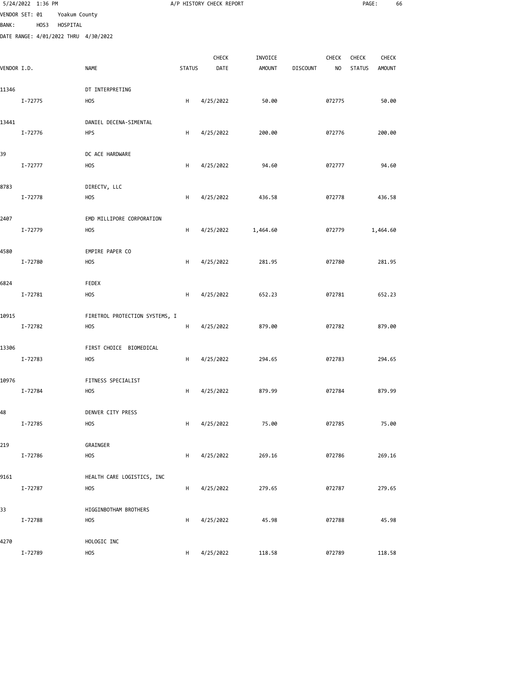|              | 5/24/2022 1:36 PM |      |               |                                      |               | A/P HISTORY CHECK REPORT |               |                 |        | PAGE:         |               | 66 |
|--------------|-------------------|------|---------------|--------------------------------------|---------------|--------------------------|---------------|-----------------|--------|---------------|---------------|----|
|              | VENDOR SET: 01    |      | Yoakum County |                                      |               |                          |               |                 |        |               |               |    |
| <b>BANK:</b> |                   | HOS3 | HOSPITAL      | DATE RANGE: 4/01/2022 THRU 4/30/2022 |               |                          |               |                 |        |               |               |    |
|              |                   |      |               |                                      |               |                          |               |                 |        |               |               |    |
|              |                   |      |               |                                      |               | CHECK                    | INVOICE       |                 | CHECK  | <b>CHECK</b>  | <b>CHECK</b>  |    |
| VENDOR I.D.  |                   |      |               | <b>NAME</b>                          | <b>STATUS</b> | DATE                     | <b>AMOUNT</b> | <b>DISCOUNT</b> | NO     | <b>STATUS</b> | <b>AMOUNT</b> |    |
| 11346        |                   |      |               | DT INTERPRETING                      |               |                          |               |                 |        |               |               |    |
|              | I-72775           |      |               | <b>HOS</b>                           | H             | 4/25/2022                | 50.00         |                 | 072775 |               | 50.00         |    |
|              |                   |      |               |                                      |               |                          |               |                 |        |               |               |    |
| 13441        |                   |      |               | DANIEL DECENA-SIMENTAL               |               |                          |               |                 |        |               |               |    |
|              | I-72776           |      |               | <b>HPS</b>                           | H             | 4/25/2022                | 200.00        |                 | 072776 |               | 200.00        |    |
| 39           |                   |      |               | DC ACE HARDWARE                      |               |                          |               |                 |        |               |               |    |
|              | I-72777           |      |               | <b>HOS</b>                           | н             | 4/25/2022                | 94.60         |                 | 072777 |               | 94.60         |    |
|              |                   |      |               |                                      |               |                          |               |                 |        |               |               |    |
| 8783         | I-72778           |      |               | DIRECTV, LLC<br>H <sub>O</sub> S     | H             | 4/25/2022                | 436.58        |                 | 072778 |               | 436.58        |    |
|              |                   |      |               |                                      |               |                          |               |                 |        |               |               |    |
| 2407         |                   |      |               | EMD MILLIPORE CORPORATION            |               |                          |               |                 |        |               |               |    |
|              | I-72779           |      |               | <b>HOS</b>                           | H             | 4/25/2022                | 1,464.60      |                 | 072779 |               | 1,464.60      |    |
| 4580         |                   |      |               | EMPIRE PAPER CO                      |               |                          |               |                 |        |               |               |    |
|              | I-72780           |      |               | <b>HOS</b>                           | H             | 4/25/2022                | 281.95        |                 | 072780 |               | 281.95        |    |
|              |                   |      |               |                                      |               |                          |               |                 |        |               |               |    |
| 6824         |                   |      |               | FEDEX                                |               |                          |               |                 |        |               |               |    |
|              | I-72781           |      |               | <b>HOS</b>                           | Н             | 4/25/2022                | 652.23        |                 | 072781 |               | 652.23        |    |
| 10915        |                   |      |               | FIRETROL PROTECTION SYSTEMS, I       |               |                          |               |                 |        |               |               |    |
|              | I-72782           |      |               | <b>HOS</b>                           | H             | 4/25/2022                | 879.00        |                 | 072782 |               | 879.00        |    |
| 13306        |                   |      |               | FIRST CHOICE BIOMEDICAL              |               |                          |               |                 |        |               |               |    |
|              | I-72783           |      |               | <b>HOS</b>                           | H             | 4/25/2022                | 294.65        |                 | 072783 |               | 294.65        |    |
|              |                   |      |               |                                      |               |                          |               |                 |        |               |               |    |
| 10976        |                   |      |               | FITNESS SPECIALIST                   |               |                          |               |                 |        |               |               |    |
|              | I-72784           |      |               | <b>HOS</b>                           | H             | 4/25/2022                | 879.99        |                 | 072784 |               | 879.99        |    |
| 48           |                   |      |               | DENVER CITY PRESS                    |               |                          |               |                 |        |               |               |    |
|              | I-72785           |      |               | <b>HOS</b>                           | H             | 4/25/2022                | 75.00         |                 | 072785 |               | 75.00         |    |
|              |                   |      |               |                                      |               |                          |               |                 |        |               |               |    |
| 219          | I-72786           |      |               | GRAINGER<br><b>HOS</b>               | H             | 4/25/2022                | 269.16        |                 | 072786 |               | 269.16        |    |
|              |                   |      |               |                                      |               |                          |               |                 |        |               |               |    |
| 9161         |                   |      |               | HEALTH CARE LOGISTICS, INC           |               |                          |               |                 |        |               |               |    |
|              | I-72787           |      |               | <b>HOS</b>                           | H             | 4/25/2022                | 279.65        |                 | 072787 |               | 279.65        |    |
| 33           |                   |      |               | HIGGINBOTHAM BROTHERS                |               |                          |               |                 |        |               |               |    |
|              | I-72788           |      |               | <b>HOS</b>                           | H             | 4/25/2022                | 45.98         |                 | 072788 |               | 45.98         |    |
|              |                   |      |               |                                      |               |                          |               |                 |        |               |               |    |
| 4270         | I-72789           |      |               | HOLOGIC INC<br><b>HOS</b>            |               | 4/25/2022                | 118.58        |                 | 072789 |               | 118.58        |    |
|              |                   |      |               |                                      | H             |                          |               |                 |        |               |               |    |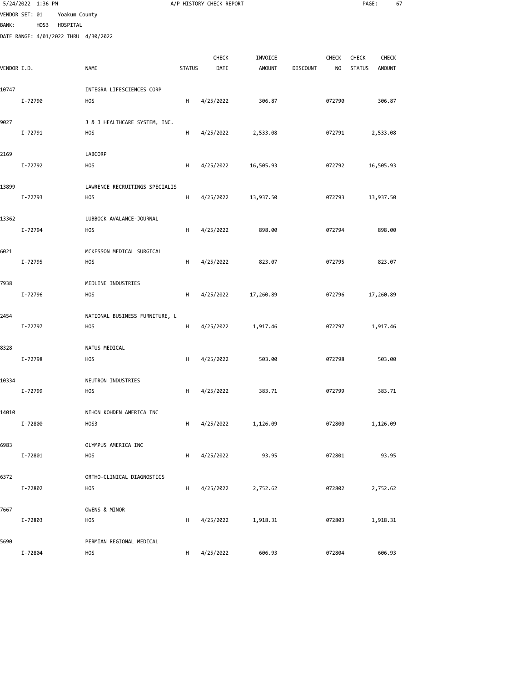|              | 5/24/2022 1:36 PM |      |               |                                      |               | A/P HISTORY CHECK REPORT |               |                 |                | PAGE:         | 67            |  |
|--------------|-------------------|------|---------------|--------------------------------------|---------------|--------------------------|---------------|-----------------|----------------|---------------|---------------|--|
|              | VENDOR SET: 01    |      | Yoakum County |                                      |               |                          |               |                 |                |               |               |  |
| <b>BANK:</b> |                   | HOS3 | HOSPITAL      |                                      |               |                          |               |                 |                |               |               |  |
|              |                   |      |               | DATE RANGE: 4/01/2022 THRU 4/30/2022 |               |                          |               |                 |                |               |               |  |
|              |                   |      |               |                                      |               | CHECK                    | INVOICE       |                 | CHECK          | CHECK         | <b>CHECK</b>  |  |
| VENDOR I.D.  |                   |      |               | <b>NAME</b>                          | <b>STATUS</b> | DATE                     | <b>AMOUNT</b> | <b>DISCOUNT</b> | N <sub>O</sub> | <b>STATUS</b> | <b>AMOUNT</b> |  |
|              |                   |      |               |                                      |               |                          |               |                 |                |               |               |  |
| 10747        |                   |      |               | INTEGRA LIFESCIENCES CORP            |               |                          |               |                 |                |               |               |  |
|              | I-72790           |      |               | <b>HOS</b>                           | H             | 4/25/2022                | 306.87        |                 | 072790         |               | 306.87        |  |
| 9027         |                   |      |               | J & J HEALTHCARE SYSTEM, INC.        |               |                          |               |                 |                |               |               |  |
|              | I-72791           |      |               | <b>HOS</b>                           | H             | 4/25/2022                | 2,533.08      |                 | 072791         |               | 2,533.08      |  |
|              |                   |      |               |                                      |               |                          |               |                 |                |               |               |  |
| 2169         |                   |      |               | LABCORP                              |               |                          |               |                 |                |               |               |  |
|              | I-72792           |      |               | <b>HOS</b>                           | н             | 4/25/2022                | 16,505.93     |                 | 072792         |               | 16,505.93     |  |
|              |                   |      |               |                                      |               |                          |               |                 |                |               |               |  |
| 13899        | I-72793           |      |               | LAWRENCE RECRUITINGS SPECIALIS       |               |                          |               |                 |                |               |               |  |
|              |                   |      |               | <b>HOS</b>                           | н             | 4/25/2022                | 13,937.50     |                 | 072793         |               | 13,937.50     |  |
| 13362        |                   |      |               | LUBBOCK AVALANCE-JOURNAL             |               |                          |               |                 |                |               |               |  |
|              | I-72794           |      |               | <b>HOS</b>                           | H             | 4/25/2022                | 898.00        |                 | 072794         |               | 898.00        |  |
|              |                   |      |               |                                      |               |                          |               |                 |                |               |               |  |
| 6021         |                   |      |               | MCKESSON MEDICAL SURGICAL            |               |                          |               |                 |                |               |               |  |
|              | I-72795           |      |               | <b>HOS</b>                           | H             | 4/25/2022                | 823.07        |                 | 072795         |               | 823.07        |  |
| 7938         |                   |      |               | MEDLINE INDUSTRIES                   |               |                          |               |                 |                |               |               |  |
|              | I-72796           |      |               | <b>HOS</b>                           | н             | 4/25/2022                | 17,260.89     |                 | 072796         |               | 17,260.89     |  |
|              |                   |      |               |                                      |               |                          |               |                 |                |               |               |  |
| 2454         |                   |      |               | NATIONAL BUSINESS FURNITURE, L       |               |                          |               |                 |                |               |               |  |
|              | I-72797           |      |               | H <sub>O</sub> S                     | H             | 4/25/2022                | 1,917.46      |                 | 072797         |               | 1,917.46      |  |
|              |                   |      |               |                                      |               |                          |               |                 |                |               |               |  |
| 8328         |                   |      |               | NATUS MEDICAL                        |               |                          |               |                 |                |               |               |  |
|              | I-72798           |      |               | <b>HOS</b>                           | H             | 4/25/2022                | 503.00        |                 | 072798         |               | 503.00        |  |
| 10334        |                   |      |               | NEUTRON INDUSTRIES                   |               |                          |               |                 |                |               |               |  |
|              | I-72799           |      |               | <b>HOS</b>                           | H             | 4/25/2022                | 383.71        |                 | 072799         |               | 383.71        |  |
|              |                   |      |               |                                      |               |                          |               |                 |                |               |               |  |
| 14010        |                   |      |               | NIHON KOHDEN AMERICA INC             |               |                          |               |                 |                |               |               |  |
|              | I-72800           |      |               | HOS3                                 | н             | 4/25/2022                | 1,126.09      |                 | 072800         |               | 1,126.09      |  |
| 6983         |                   |      |               | OLYMPUS AMERICA INC                  |               |                          |               |                 |                |               |               |  |
|              | I-72801           |      |               | <b>HOS</b>                           | H             | 4/25/2022                | 93.95         |                 | 072801         |               | 93.95         |  |
|              |                   |      |               |                                      |               |                          |               |                 |                |               |               |  |
| 6372         |                   |      |               | ORTHO-CLINICAL DIAGNOSTICS           |               |                          |               |                 |                |               |               |  |
|              | I-72802           |      |               | <b>HOS</b>                           | н             | 4/25/2022                | 2,752.62      |                 | 072802         |               | 2,752.62      |  |
|              |                   |      |               |                                      |               |                          |               |                 |                |               |               |  |
| 7667         | I-72803           |      |               | OWENS & MINOR<br><b>HOS</b>          | H             | 4/25/2022                | 1,918.31      |                 | 072803         |               | 1,918.31      |  |
|              |                   |      |               |                                      |               |                          |               |                 |                |               |               |  |
| 5690         |                   |      |               | PERMIAN REGIONAL MEDICAL             |               |                          |               |                 |                |               |               |  |

I-72804 HOS H 4/25/2022 606.93 072804 606.93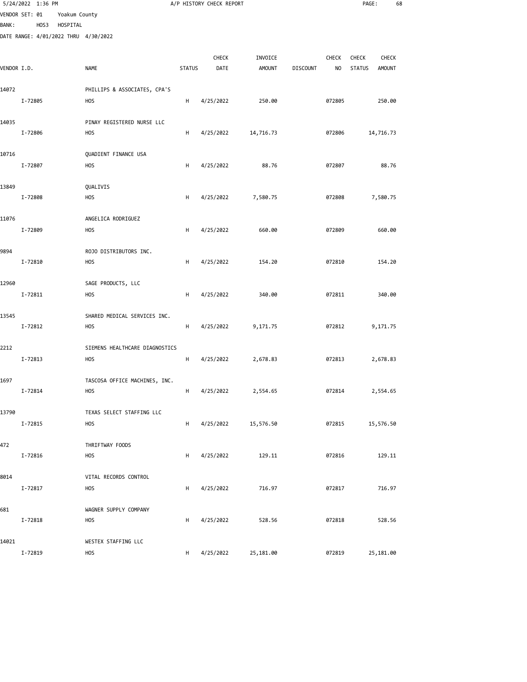|              | 5/24/2022 1:36 PM                            |               |                                                |               | A/P HISTORY CHECK REPORT |               |                 |              | PAGE:         | 68            |  |
|--------------|----------------------------------------------|---------------|------------------------------------------------|---------------|--------------------------|---------------|-----------------|--------------|---------------|---------------|--|
|              | VENDOR SET: 01                               | Yoakum County |                                                |               |                          |               |                 |              |               |               |  |
| <b>BANK:</b> | HOS3<br>DATE RANGE: 4/01/2022 THRU 4/30/2022 | HOSPITAL      |                                                |               |                          |               |                 |              |               |               |  |
|              |                                              |               |                                                |               |                          |               |                 |              |               |               |  |
|              |                                              |               |                                                |               | CHECK                    | INVOICE       |                 | <b>CHECK</b> | <b>CHECK</b>  | <b>CHECK</b>  |  |
| VENDOR I.D.  |                                              |               | <b>NAME</b>                                    | <b>STATUS</b> | DATE                     | <b>AMOUNT</b> | <b>DISCOUNT</b> | NO           | <b>STATUS</b> | <b>AMOUNT</b> |  |
| 14072        |                                              |               | PHILLIPS & ASSOCIATES, CPA'S                   |               |                          |               |                 |              |               |               |  |
|              | I-72805                                      |               | <b>HOS</b>                                     | H             | 4/25/2022                | 250.00        |                 | 072805       |               | 250.00        |  |
|              |                                              |               |                                                |               |                          |               |                 |              |               |               |  |
| 14035        | I-72806                                      |               | PINAY REGISTERED NURSE LLC<br>H <sub>O</sub> S | H             | 4/25/2022                | 14,716.73     |                 | 072806       |               | 14,716.73     |  |
|              |                                              |               |                                                |               |                          |               |                 |              |               |               |  |
| 10716        |                                              |               | QUADIENT FINANCE USA                           |               |                          |               |                 |              |               |               |  |
|              | I-72807                                      |               | <b>HOS</b>                                     | н             | 4/25/2022                | 88.76         |                 | 072807       |               | 88.76         |  |
| 13849        |                                              |               | QUALIVIS                                       |               |                          |               |                 |              |               |               |  |
|              | I-72808                                      |               | <b>HOS</b>                                     | H             | 4/25/2022                | 7,580.75      |                 | 072808       |               | 7,580.75      |  |
|              |                                              |               |                                                |               |                          |               |                 |              |               |               |  |
| 11076        |                                              |               | ANGELICA RODRIGUEZ                             |               |                          |               |                 |              |               |               |  |
|              | I-72809                                      |               | <b>HOS</b>                                     | H             | 4/25/2022                | 660.00        |                 | 072809       |               | 660.00        |  |
| 9894         |                                              |               | ROJO DISTRIBUTORS INC.                         |               |                          |               |                 |              |               |               |  |
|              | I-72810                                      |               | <b>HOS</b>                                     | H             | 4/25/2022                | 154.20        |                 | 072810       |               | 154.20        |  |
|              |                                              |               |                                                |               |                          |               |                 |              |               |               |  |
| 12960        | I-72811                                      |               | SAGE PRODUCTS, LLC<br><b>HOS</b>               | н             | 4/25/2022                | 340.00        |                 | 072811       |               | 340.00        |  |
|              |                                              |               |                                                |               |                          |               |                 |              |               |               |  |
| 13545        |                                              |               | SHARED MEDICAL SERVICES INC.                   |               |                          |               |                 |              |               |               |  |
|              | I-72812                                      |               | H <sub>O</sub> S                               | н             | 4/25/2022                | 9,171.75      |                 | 072812       |               | 9,171.75      |  |
| 2212         |                                              |               | SIEMENS HEALTHCARE DIAGNOSTICS                 |               |                          |               |                 |              |               |               |  |
|              | I-72813                                      |               | <b>HOS</b>                                     | H             | 4/25/2022                | 2,678.83      |                 | 072813       |               | 2,678.83      |  |
|              |                                              |               |                                                |               |                          |               |                 |              |               |               |  |
| 1697         | I-72814                                      |               | TASCOSA OFFICE MACHINES, INC.<br><b>HOS</b>    | H             | 4/25/2022                | 2,554.65      |                 | 072814       |               | 2,554.65      |  |
|              |                                              |               |                                                |               |                          |               |                 |              |               |               |  |
| 13790        |                                              |               | TEXAS SELECT STAFFING LLC                      |               |                          |               |                 |              |               |               |  |
|              | I-72815                                      |               | <b>HOS</b>                                     | H             | 4/25/2022                | 15,576.50     |                 | 072815       |               | 15,576.50     |  |
| 472          |                                              |               | THRIFTWAY FOODS                                |               |                          |               |                 |              |               |               |  |
|              | I-72816                                      |               | <b>HOS</b>                                     | H             | 4/25/2022                | 129.11        |                 | 072816       |               | 129.11        |  |
|              |                                              |               |                                                |               |                          |               |                 |              |               |               |  |
| 8014         | I-72817                                      |               | VITAL RECORDS CONTROL<br><b>HOS</b>            | H             | 4/25/2022                | 716.97        |                 | 072817       |               | 716.97        |  |
|              |                                              |               |                                                |               |                          |               |                 |              |               |               |  |
| 681          |                                              |               | WAGNER SUPPLY COMPANY                          |               |                          |               |                 |              |               |               |  |
|              | I-72818                                      |               | <b>HOS</b>                                     | H             | 4/25/2022                | 528.56        |                 | 072818       |               | 528.56        |  |
| 14021        |                                              |               | WESTEX STAFFING LLC                            |               |                          |               |                 |              |               |               |  |
|              | I-72819                                      |               | <b>HOS</b>                                     | H             | 4/25/2022                | 25,181.00     |                 | 072819       |               | 25,181.00     |  |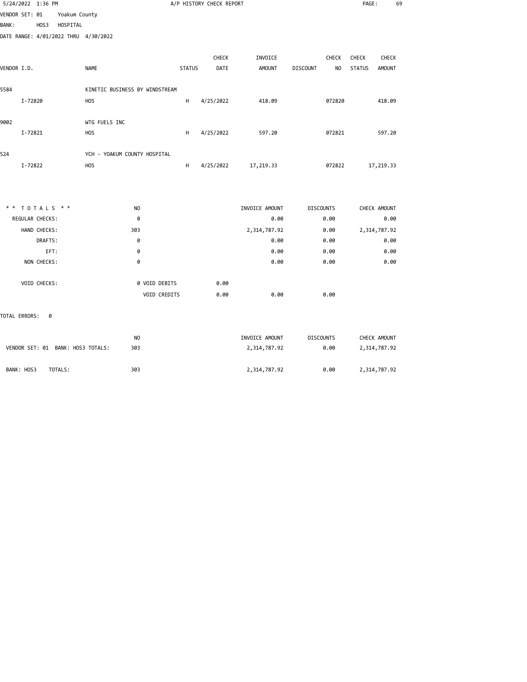| 5/24/2022 1:36 PM                    |               | A/P HISTORY CHECK REPORT       |               |           |                |                       |               |               |  |
|--------------------------------------|---------------|--------------------------------|---------------|-----------|----------------|-----------------------|---------------|---------------|--|
| VENDOR SET: 01                       | Yoakum County |                                |               |           |                |                       |               |               |  |
| <b>BANK:</b><br>HOS3                 | HOSPITAL      |                                |               |           |                |                       |               |               |  |
| DATE RANGE: 4/01/2022 THRU 4/30/2022 |               |                                |               |           |                |                       |               |               |  |
|                                      |               |                                |               | CHECK     | INVOICE        | CHECK                 | CHECK         | CHECK         |  |
| VENDOR I.D.                          | <b>NAME</b>   |                                | <b>STATUS</b> | DATE      | <b>AMOUNT</b>  | <b>DISCOUNT</b><br>NO | <b>STATUS</b> | <b>AMOUNT</b> |  |
| 5584                                 |               | KINETIC BUSINESS BY WINDSTREAM |               |           |                |                       |               |               |  |
| I-72820                              | <b>HOS</b>    |                                | H             | 4/25/2022 | 418.09         | 072820                |               | 418.09        |  |
| 9002                                 | WTG FUELS INC |                                |               |           |                |                       |               |               |  |
| I-72821                              | <b>HOS</b>    |                                | H             | 4/25/2022 | 597.20         | 072821                |               | 597.20        |  |
| 524                                  |               | YCH - YOAKUM COUNTY HOSPITAL   |               |           |                |                       |               |               |  |
| I-72822                              | <b>HOS</b>    |                                | H             | 4/25/2022 | 17,219.33      | 072822                | 17,219.33     |               |  |
|                                      |               |                                |               |           |                |                       |               |               |  |
| ** TOTALS **                         |               | N <sub>O</sub>                 |               |           | INVOICE AMOUNT | <b>DISCOUNTS</b>      | CHECK AMOUNT  |               |  |
| REGULAR CHECKS:                      |               | 0                              |               |           | 0.00           | 0.00                  |               | 0.00          |  |
| HAND CHECKS:                         |               | 303                            |               |           | 2,314,787.92   | 0.00                  | 2,314,787.92  |               |  |
| DRAFTS:                              |               | 0                              |               |           | 0.00           | 0.00                  |               | 0.00          |  |
| EFT:                                 |               | 0                              |               |           | 0.00           | 0.00                  |               | 0.00          |  |
| NON CHECKS:                          |               | 0                              |               |           | 0.00           | 0.00                  |               | 0.00          |  |
|                                      |               |                                |               |           |                |                       |               |               |  |

TOTAL ERRORS: 0

| VENDOR SET: 01 BANK: HOS3 TOTALS: | NO. | INVOICE AMOUNT | <b>DISCOUNTS</b> | CHECK AMOUNT |
|-----------------------------------|-----|----------------|------------------|--------------|
|                                   | 303 | 2,314,787.92   | 0.00             | 2,314,787.92 |
| BANK: HOS3<br>TOTALS:             | 303 | 2,314,787.92   | 0.00             | 2,314,787.92 |

VOID CREDITS 0.00 0.00 0.00

VOID CHECKS: 0 VOID DEBITS 0.00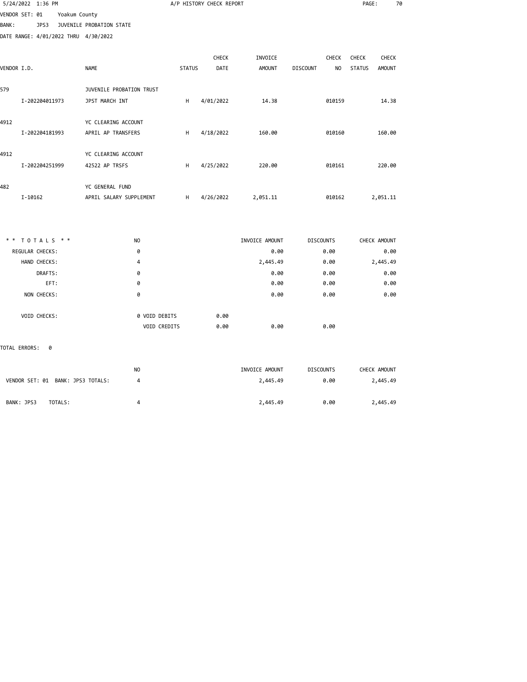|                |         | 5/24/2022 1:36 PM |               |                                      |                |               | A/P HISTORY CHECK REPORT |                |                                   | PAGE:         |               | 70 |
|----------------|---------|-------------------|---------------|--------------------------------------|----------------|---------------|--------------------------|----------------|-----------------------------------|---------------|---------------|----|
| VENDOR SET: 01 |         |                   | Yoakum County |                                      |                |               |                          |                |                                   |               |               |    |
| <b>BANK:</b>   |         | JPS3              |               | JUVENILE PROBATION STATE             |                |               |                          |                |                                   |               |               |    |
|                |         |                   |               | DATE RANGE: 4/01/2022 THRU 4/30/2022 |                |               |                          |                |                                   |               |               |    |
|                |         |                   |               |                                      |                |               | <b>CHECK</b>             | INVOICE        | <b>CHECK</b>                      | CHECK         | <b>CHECK</b>  |    |
| VENDOR I.D.    |         |                   |               | <b>NAME</b>                          |                | <b>STATUS</b> | <b>DATE</b>              | <b>AMOUNT</b>  | <b>DISCOUNT</b><br>N <sub>O</sub> | <b>STATUS</b> | <b>AMOUNT</b> |    |
| 579            |         |                   |               | JUVENILE PROBATION TRUST             |                |               |                          |                |                                   |               |               |    |
|                |         | I-202204011973    |               | JPST MARCH INT                       |                | H             | 4/01/2022                | 14.38          | 010159                            |               | 14.38         |    |
| 4912           |         |                   |               | YC CLEARING ACCOUNT                  |                |               |                          |                |                                   |               |               |    |
|                |         | I-202204181993    |               | APRIL AP TRANSFERS                   |                | H             | 4/18/2022                | 160.00         | 010160                            |               | 160.00        |    |
| 4912           |         |                   |               | YC CLEARING ACCOUNT                  |                |               |                          |                |                                   |               |               |    |
|                |         | I-202204251999    |               | 42522 AP TRSFS                       |                | н             | 4/25/2022                | 220.00         | 010161                            |               | 220.00        |    |
| 482            |         |                   |               | YC GENERAL FUND                      |                |               |                          |                |                                   |               |               |    |
|                | I-10162 |                   |               | APRIL SALARY SUPPLEMENT              |                | н             | 4/26/2022                | 2,051.11       | 010162                            |               | 2,051.11      |    |
|                |         |                   |               |                                      |                |               |                          |                |                                   |               |               |    |
| * *            |         | TOTALS **         |               |                                      | <b>NO</b>      |               |                          | INVOICE AMOUNT | <b>DISCOUNTS</b>                  |               | CHECK AMOUNT  |    |
|                |         | REGULAR CHECKS:   |               |                                      | 0              |               |                          | 0.00           | 0.00                              |               | 0.00          |    |
|                |         | HAND CHECKS:      |               |                                      | 4              |               |                          | 2,445.49       | 0.00                              |               | 2,445.49      |    |
|                |         | DRAFTS:           |               |                                      | 0              |               |                          | 0.00           | 0.00                              |               | 0.00          |    |
|                |         | EFT:              |               |                                      | 0              |               |                          | 0.00           | 0.00                              |               | 0.00          |    |
|                |         | NON CHECKS:       |               |                                      | 0              |               |                          | 0.00           | 0.00                              |               | 0.00          |    |
|                |         | VOID CHECKS:      |               |                                      | 0 VOID DEBITS  |               | 0.00                     |                |                                   |               |               |    |
|                |         |                   |               |                                      | VOID CREDITS   |               | 0.00                     | 0.00           | 0.00                              |               |               |    |
| TOTAL ERRORS:  |         | 0                 |               |                                      |                |               |                          |                |                                   |               |               |    |
|                |         |                   |               |                                      | N <sub>O</sub> |               |                          | INVOICE AMOUNT | <b>DISCOUNTS</b>                  |               | CHECK AMOUNT  |    |
|                |         |                   |               | VENDOR SET: 01 BANK: JPS3 TOTALS:    | 4              |               |                          | 2,445.49       | 0.00                              |               | 2,445.49      |    |
|                |         |                   |               |                                      |                |               |                          |                |                                   |               |               |    |

BANK: JPS3 TOTALS: 4 2,445.49 0.00 2,445.49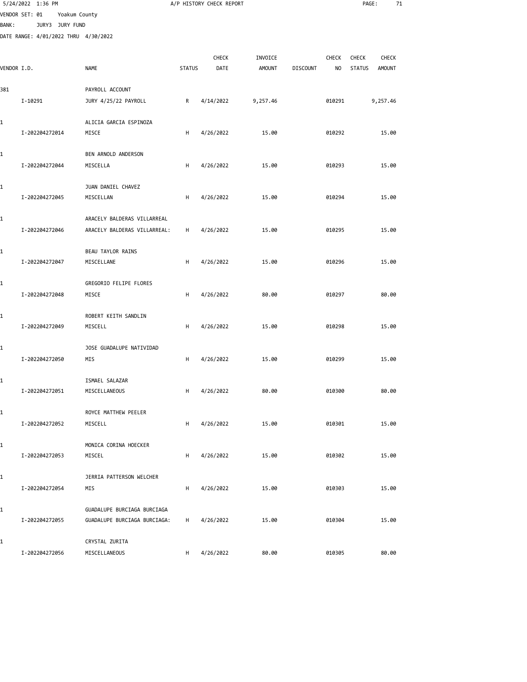|              | 5/24/2022 1:36 PM                    |                                 |               | A/P HISTORY CHECK REPORT |               |                 |        | PAGE:         | 71            |  |
|--------------|--------------------------------------|---------------------------------|---------------|--------------------------|---------------|-----------------|--------|---------------|---------------|--|
|              | VENDOR SET: 01                       | Yoakum County                   |               |                          |               |                 |        |               |               |  |
| <b>BANK:</b> | JURY3 JURY FUND                      |                                 |               |                          |               |                 |        |               |               |  |
|              | DATE RANGE: 4/01/2022 THRU 4/30/2022 |                                 |               |                          |               |                 |        |               |               |  |
|              |                                      |                                 |               | CHECK                    | INVOICE       |                 | CHECK  | <b>CHECK</b>  | CHECK         |  |
| VENDOR I.D.  |                                      | <b>NAME</b>                     | <b>STATUS</b> | DATE                     | <b>AMOUNT</b> | <b>DISCOUNT</b> | NO     | <b>STATUS</b> | <b>AMOUNT</b> |  |
|              |                                      |                                 |               |                          |               |                 |        |               |               |  |
| 381          |                                      | PAYROLL ACCOUNT                 |               |                          |               |                 |        |               |               |  |
|              | I-10291                              | JURY 4/25/22 PAYROLL            | R             | 4/14/2022                | 9,257.46      |                 | 010291 |               | 9,257.46      |  |
|              |                                      |                                 |               |                          |               |                 |        |               |               |  |
| 1            | I-202204272014                       | ALICIA GARCIA ESPINOZA<br>MISCE | н             | 4/26/2022                | 15.00         |                 | 010292 |               | 15.00         |  |
|              |                                      |                                 |               |                          |               |                 |        |               |               |  |
| 1            |                                      | BEN ARNOLD ANDERSON             |               |                          |               |                 |        |               |               |  |
|              | I-202204272044                       | MISCELLA                        | н             | 4/26/2022                | 15.00         |                 | 010293 |               | 15.00         |  |
|              |                                      |                                 |               |                          |               |                 |        |               |               |  |
| 1            |                                      | JUAN DANIEL CHAVEZ              |               |                          |               |                 |        |               |               |  |
|              | I-202204272045                       | MISCELLAN                       | H             | 4/26/2022                | 15.00         |                 | 010294 |               | 15.00         |  |
| 1            |                                      | ARACELY BALDERAS VILLARREAL     |               |                          |               |                 |        |               |               |  |
|              | I-202204272046                       | ARACELY BALDERAS VILLARREAL:    | Н             | 4/26/2022                | 15.00         |                 | 010295 |               | 15.00         |  |
|              |                                      |                                 |               |                          |               |                 |        |               |               |  |
| 1            |                                      | BEAU TAYLOR RAINS               |               |                          |               |                 |        |               |               |  |
|              | I-202204272047                       | MISCELLANE                      | н             | 4/26/2022                | 15.00         |                 | 010296 |               | 15.00         |  |
|              |                                      |                                 |               |                          |               |                 |        |               |               |  |
| 1            |                                      | GREGORIO FELIPE FLORES          |               |                          |               |                 |        |               |               |  |
|              | I-202204272048                       | MISCE                           | Н             | 4/26/2022                | 80.00         |                 | 010297 |               | 80.00         |  |
| 1            |                                      | ROBERT KEITH SANDLIN            |               |                          |               |                 |        |               |               |  |
|              | I-202204272049                       | MISCELL                         | н             | 4/26/2022                | 15.00         |                 | 010298 |               | 15.00         |  |
|              |                                      |                                 |               |                          |               |                 |        |               |               |  |
| 1            |                                      | JOSE GUADALUPE NATIVIDAD        |               |                          |               |                 |        |               |               |  |
|              | I-202204272050                       | MIS                             | H             | 4/26/2022                | 15.00         |                 | 010299 |               | 15.00         |  |
|              |                                      | ISMAEL SALAZAR                  |               |                          |               |                 |        |               |               |  |
| 1            | I-202204272051                       | MISCELLANEOUS                   | H             | 4/26/2022                | 80.00         |                 | 010300 |               | 80.00         |  |
|              |                                      |                                 |               |                          |               |                 |        |               |               |  |
| 1            |                                      | ROYCE MATTHEW PEELER            |               |                          |               |                 |        |               |               |  |
|              | I-202204272052                       | MISCELL                         | н             | 4/26/2022                | 15.00         |                 | 010301 |               | 15.00         |  |
|              |                                      |                                 |               |                          |               |                 |        |               |               |  |
| 1            |                                      | MONICA CORINA HOECKER           |               |                          |               |                 |        |               |               |  |
|              | I-202204272053                       | MISCEL                          | н             | 4/26/2022                | 15.00         |                 | 010302 |               | 15.00         |  |
| 1            |                                      | JERRIA PATTERSON WELCHER        |               |                          |               |                 |        |               |               |  |
|              | I-202204272054                       | MIS                             | н             | 4/26/2022                | 15.00         |                 | 010303 |               | 15.00         |  |
|              |                                      |                                 |               |                          |               |                 |        |               |               |  |
| 1            |                                      | GUADALUPE BURCIAGA BURCIAGA     |               |                          |               |                 |        |               |               |  |
|              | I-202204272055                       | GUADALUPE BURCIAGA BURCIAGA:    | н             | 4/26/2022                | 15.00         |                 | 010304 |               | 15.00         |  |
| 1            |                                      | CRYSTAL ZURITA                  |               |                          |               |                 |        |               |               |  |
|              | I-202204272056                       | MISCELLANEOUS                   | H             | 4/26/2022                | 80.00         |                 | 010305 |               | 80.00         |  |
|              |                                      |                                 |               |                          |               |                 |        |               |               |  |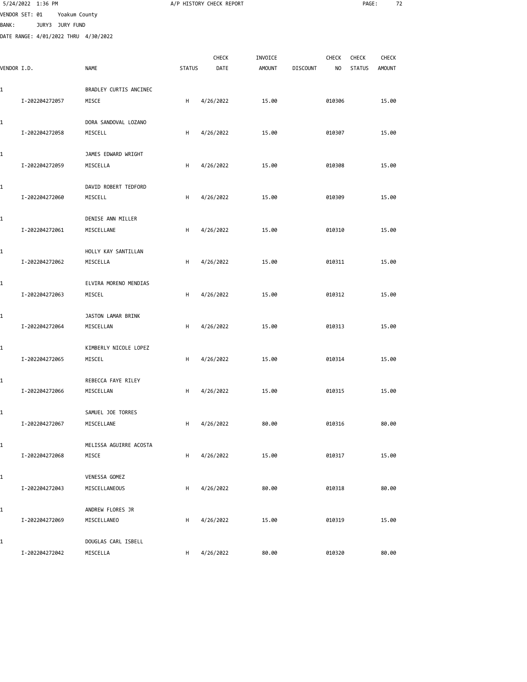|              | 5/24/2022 1:36 PM                    |                                 |               | A/P HISTORY CHECK REPORT |               |                 |              | PAGE:         | 72            |  |
|--------------|--------------------------------------|---------------------------------|---------------|--------------------------|---------------|-----------------|--------------|---------------|---------------|--|
|              | VENDOR SET: 01                       | Yoakum County                   |               |                          |               |                 |              |               |               |  |
| <b>BANK:</b> | JURY3 JURY FUND                      |                                 |               |                          |               |                 |              |               |               |  |
|              | DATE RANGE: 4/01/2022 THRU 4/30/2022 |                                 |               |                          |               |                 |              |               |               |  |
|              |                                      |                                 |               | CHECK                    | INVOICE       |                 | <b>CHECK</b> | CHECK         | <b>CHECK</b>  |  |
|              | VENDOR I.D.                          | <b>NAME</b>                     | <b>STATUS</b> | DATE                     | <b>AMOUNT</b> | <b>DISCOUNT</b> | NO           | <b>STATUS</b> | <b>AMOUNT</b> |  |
|              |                                      |                                 |               |                          |               |                 |              |               |               |  |
| 1            | I-202204272057                       | BRADLEY CURTIS ANCINEC<br>MISCE | Н             | 4/26/2022                | 15.00         |                 | 010306       |               | 15.00         |  |
|              |                                      |                                 |               |                          |               |                 |              |               |               |  |
| 1            |                                      | DORA SANDOVAL LOZANO            |               |                          |               |                 |              |               |               |  |
|              | I-202204272058                       | MISCELL                         | н             | 4/26/2022                | 15.00         |                 | 010307       |               | 15.00         |  |
| 1            |                                      | JAMES EDWARD WRIGHT             |               |                          |               |                 |              |               |               |  |
|              | I-202204272059                       | MISCELLA                        | н             | 4/26/2022                | 15.00         |                 | 010308       |               | 15.00         |  |
|              |                                      |                                 |               |                          |               |                 |              |               |               |  |
| 1            |                                      | DAVID ROBERT TEDFORD            |               |                          |               |                 |              |               |               |  |
|              | I-202204272060                       | MISCELL                         | H             | 4/26/2022                | 15.00         |                 | 010309       |               | 15.00         |  |
| 1            |                                      | DENISE ANN MILLER               |               |                          |               |                 |              |               |               |  |
|              | I-202204272061                       | MISCELLANE                      | н             | 4/26/2022                | 15.00         |                 | 010310       |               | 15.00         |  |
| 1            |                                      | HOLLY KAY SANTILLAN             |               |                          |               |                 |              |               |               |  |
|              | I-202204272062                       | MISCELLA                        | H             | 4/26/2022                | 15.00         |                 | 010311       |               | 15.00         |  |
|              |                                      |                                 |               |                          |               |                 |              |               |               |  |
| 1            |                                      | ELVIRA MORENO MENDIAS           |               |                          |               |                 |              |               |               |  |
|              | I-202204272063                       | MISCEL                          | Н             | 4/26/2022                | 15.00         |                 | 010312       |               | 15.00         |  |
| 1            |                                      | JASTON LAMAR BRINK              |               |                          |               |                 |              |               |               |  |
|              | I-202204272064                       | MISCELLAN                       | н             | 4/26/2022                | 15.00         |                 | 010313       |               | 15.00         |  |
|              |                                      |                                 |               |                          |               |                 |              |               |               |  |
| 1            |                                      | KIMBERLY NICOLE LOPEZ           |               |                          |               |                 |              |               |               |  |
|              | I-202204272065                       | MISCEL                          | H             | 4/26/2022                | 15.00         |                 | 010314       |               | 15.00         |  |
| 1            |                                      | REBECCA FAYE RILEY              |               |                          |               |                 |              |               |               |  |
|              | I-202204272066                       | MISCELLAN                       | H             | 4/26/2022                | 15.00         |                 | 010315       |               | 15.00         |  |
| 1            |                                      | SAMUEL JOE TORRES               |               |                          |               |                 |              |               |               |  |
|              | I-202204272067                       | MISCELLANE                      | Н             | 4/26/2022                | 80.00         |                 | 010316       |               | 80.00         |  |
|              |                                      |                                 |               |                          |               |                 |              |               |               |  |
| 1            |                                      | MELISSA AGUIRRE ACOSTA          |               |                          |               |                 |              |               |               |  |
|              | I-202204272068                       | MISCE                           | н             | 4/26/2022                | 15.00         |                 | 010317       |               | 15.00         |  |
| 1            |                                      | VENESSA GOMEZ                   |               |                          |               |                 |              |               |               |  |
|              | I-202204272043                       | MISCELLANEOUS                   | H             | 4/26/2022                | 80.00         |                 | 010318       |               | 80.00         |  |
| 1            |                                      | ANDREW FLORES JR                |               |                          |               |                 |              |               |               |  |
|              | I-202204272069                       | MISCELLANEO                     | H             | 4/26/2022                | 15.00         |                 | 010319       |               | 15.00         |  |
|              |                                      |                                 |               |                          |               |                 |              |               |               |  |
| 1            |                                      | DOUGLAS CARL ISBELL             |               |                          |               |                 |              |               |               |  |
|              | I-202204272042                       | MISCELLA                        | H             | 4/26/2022                | 80.00         |                 | 010320       |               | 80.00         |  |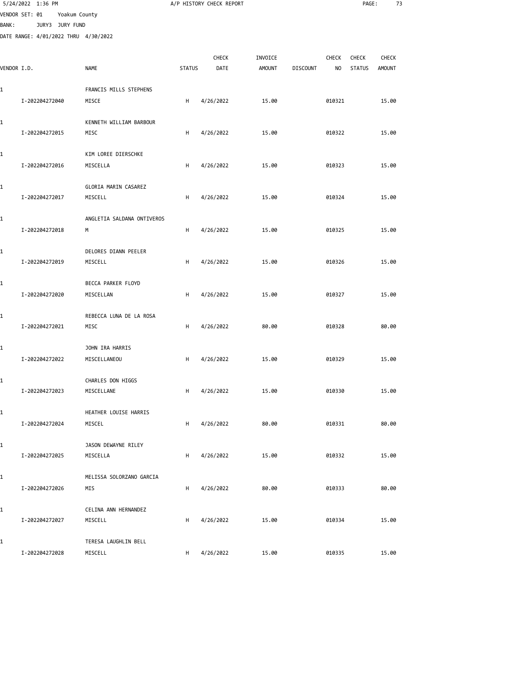|              | 5/24/2022 1:36 PM                    |                                 |               | A/P HISTORY CHECK REPORT |                          |                 |                    | PAGE:                         | 73                            |  |
|--------------|--------------------------------------|---------------------------------|---------------|--------------------------|--------------------------|-----------------|--------------------|-------------------------------|-------------------------------|--|
|              | VENDOR SET: 01<br>Yoakum County      |                                 |               |                          |                          |                 |                    |                               |                               |  |
| <b>BANK:</b> | JURY3 JURY FUND                      |                                 |               |                          |                          |                 |                    |                               |                               |  |
|              | DATE RANGE: 4/01/2022 THRU 4/30/2022 |                                 |               |                          |                          |                 |                    |                               |                               |  |
|              |                                      |                                 |               |                          |                          |                 |                    |                               |                               |  |
| VENDOR I.D.  |                                      | <b>NAME</b>                     | <b>STATUS</b> | <b>CHECK</b><br>DATE     | INVOICE<br><b>AMOUNT</b> | <b>DISCOUNT</b> | <b>CHECK</b><br>NO | <b>CHECK</b><br><b>STATUS</b> | <b>CHECK</b><br><b>AMOUNT</b> |  |
|              |                                      |                                 |               |                          |                          |                 |                    |                               |                               |  |
| 1            |                                      | FRANCIS MILLS STEPHENS          |               |                          |                          |                 |                    |                               |                               |  |
|              | I-202204272040                       | MISCE                           | н             | 4/26/2022                | 15.00                    |                 | 010321             |                               | 15.00                         |  |
|              |                                      |                                 |               |                          |                          |                 |                    |                               |                               |  |
| 1            |                                      | KENNETH WILLIAM BARBOUR         |               |                          |                          |                 |                    |                               |                               |  |
|              | I-202204272015                       | MISC                            | H             | 4/26/2022                | 15.00                    |                 | 010322             |                               | 15.00                         |  |
| 1            |                                      | KIM LOREE DIERSCHKE             |               |                          |                          |                 |                    |                               |                               |  |
|              | I-202204272016                       | MISCELLA                        | н             | 4/26/2022                | 15.00                    |                 | 010323             |                               | 15.00                         |  |
|              |                                      |                                 |               |                          |                          |                 |                    |                               |                               |  |
| 1            |                                      | GLORIA MARIN CASAREZ            |               |                          |                          |                 |                    |                               |                               |  |
|              | I-202204272017                       | MISCELL                         | н             | 4/26/2022                | 15.00                    |                 | 010324             |                               | 15.00                         |  |
|              |                                      |                                 |               |                          |                          |                 |                    |                               |                               |  |
| 1            |                                      | ANGLETIA SALDANA ONTIVEROS      |               |                          |                          |                 |                    |                               |                               |  |
|              | I-202204272018                       | М                               | н             | 4/26/2022                | 15.00                    |                 | 010325             |                               | 15.00                         |  |
| 1            |                                      | DELORES DIANN PEELER            |               |                          |                          |                 |                    |                               |                               |  |
|              | I-202204272019                       | MISCELL                         | H             | 4/26/2022                | 15.00                    |                 | 010326             |                               | 15.00                         |  |
|              |                                      |                                 |               |                          |                          |                 |                    |                               |                               |  |
| 1            |                                      | BECCA PARKER FLOYD              |               |                          |                          |                 |                    |                               |                               |  |
|              | I-202204272020                       | MISCELLAN                       | н             | 4/26/2022                | 15.00                    |                 | 010327             |                               | 15.00                         |  |
|              |                                      |                                 |               |                          |                          |                 |                    |                               |                               |  |
| 1            | I-202204272021                       | REBECCA LUNA DE LA ROSA<br>MISC | н             | 4/26/2022                | 80.00                    |                 | 010328             |                               | 80.00                         |  |
|              |                                      |                                 |               |                          |                          |                 |                    |                               |                               |  |
| 1            |                                      | JOHN IRA HARRIS                 |               |                          |                          |                 |                    |                               |                               |  |
|              | I-202204272022                       | MISCELLANEOU                    | н             | 4/26/2022                | 15.00                    |                 | 010329             |                               | 15.00                         |  |
|              |                                      |                                 |               |                          |                          |                 |                    |                               |                               |  |
| 1            |                                      | CHARLES DON HIGGS               |               |                          |                          |                 |                    |                               |                               |  |
|              | I-202204272023                       | MISCELLANE                      | H             | 4/26/2022                | 15.00                    |                 | 010330             |                               | 15.00                         |  |
| 1            |                                      | HEATHER LOUISE HARRIS           |               |                          |                          |                 |                    |                               |                               |  |
|              | I-202204272024                       | MISCEL                          | H             | 4/26/2022                | 80.00                    |                 | 010331             |                               | 80.00                         |  |
|              |                                      |                                 |               |                          |                          |                 |                    |                               |                               |  |
| 1            |                                      | JASON DEWAYNE RILEY             |               |                          |                          |                 |                    |                               |                               |  |
|              | I-202204272025                       | MISCELLA                        | H             | 4/26/2022                | 15.00                    |                 | 010332             |                               | 15.00                         |  |
|              |                                      |                                 |               |                          |                          |                 |                    |                               |                               |  |
| 1            |                                      | MELISSA SOLORZANO GARCIA        |               |                          |                          |                 |                    |                               |                               |  |
|              | I-202204272026                       | MIS                             | H             | 4/26/2022                | 80.00                    |                 | 010333             |                               | 80.00                         |  |
| 1            |                                      | CELINA ANN HERNANDEZ            |               |                          |                          |                 |                    |                               |                               |  |
|              | I-202204272027                       | MISCELL                         | H             | 4/26/2022                | 15.00                    |                 | 010334             |                               | 15.00                         |  |
|              |                                      |                                 |               |                          |                          |                 |                    |                               |                               |  |
| 1            |                                      | TERESA LAUGHLIN BELL            |               |                          |                          |                 |                    |                               |                               |  |
|              | I-202204272028                       | MISCELL                         | Н.            | 4/26/2022                | 15.00                    |                 | 010335             |                               | 15.00                         |  |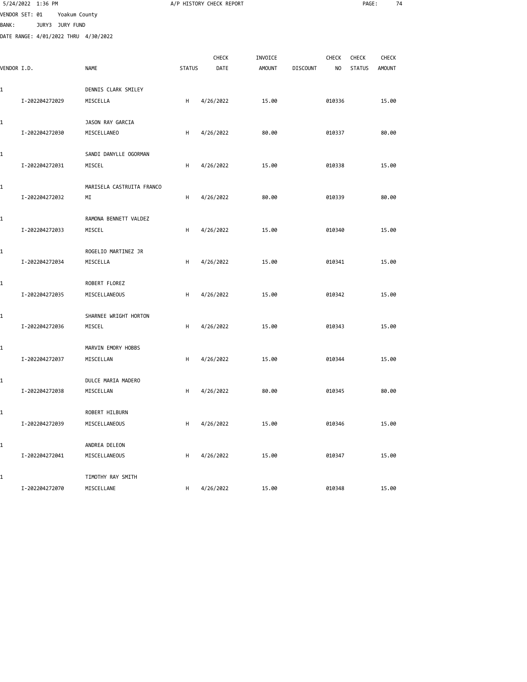|              | 5/24/2022 1:36 PM                    |                           |               | A/P HISTORY CHECK REPORT |               |                 |              | PAGE:         | 74            |  |
|--------------|--------------------------------------|---------------------------|---------------|--------------------------|---------------|-----------------|--------------|---------------|---------------|--|
|              | VENDOR SET: 01<br>Yoakum County      |                           |               |                          |               |                 |              |               |               |  |
| <b>BANK:</b> | JURY3 JURY FUND                      |                           |               |                          |               |                 |              |               |               |  |
|              | DATE RANGE: 4/01/2022 THRU 4/30/2022 |                           |               |                          |               |                 |              |               |               |  |
|              |                                      |                           |               | CHECK                    | INVOICE       |                 | <b>CHECK</b> | CHECK         | CHECK         |  |
| VENDOR I.D.  |                                      | <b>NAME</b>               | <b>STATUS</b> | DATE                     | <b>AMOUNT</b> | <b>DISCOUNT</b> | NO           | <b>STATUS</b> | <b>AMOUNT</b> |  |
|              |                                      |                           |               |                          |               |                 |              |               |               |  |
| 1            |                                      | DENNIS CLARK SMILEY       |               |                          |               |                 |              |               |               |  |
|              | I-202204272029                       | MISCELLA                  | н             | 4/26/2022                | 15.00         |                 | 010336       |               | 15.00         |  |
| 1            |                                      | JASON RAY GARCIA          |               |                          |               |                 |              |               |               |  |
|              | I-202204272030                       | MISCELLANEO               | н             | 4/26/2022                | 80.00         |                 | 010337       |               | 80.00         |  |
| 1            |                                      | SANDI DANYLLE OGORMAN     |               |                          |               |                 |              |               |               |  |
|              | I-202204272031                       | MISCEL                    | H             | 4/26/2022                | 15.00         |                 | 010338       |               | 15.00         |  |
| 1            |                                      | MARISELA CASTRUITA FRANCO |               |                          |               |                 |              |               |               |  |
|              | I-202204272032                       | ΜI                        | н             | 4/26/2022                | 80.00         |                 | 010339       |               | 80.00         |  |
| 1            |                                      | RAMONA BENNETT VALDEZ     |               |                          |               |                 |              |               |               |  |
|              | I-202204272033                       | MISCEL                    | н             | 4/26/2022                | 15.00         |                 | 010340       |               | 15.00         |  |
| 1            |                                      | ROGELIO MARTINEZ JR       |               |                          |               |                 |              |               |               |  |
|              | I-202204272034                       | MISCELLA                  | н             | 4/26/2022                | 15.00         |                 | 010341       |               | 15.00         |  |
| 1            |                                      | ROBERT FLOREZ             |               |                          |               |                 |              |               |               |  |
|              | I-202204272035                       | MISCELLANEOUS             | H             | 4/26/2022                | 15.00         |                 | 010342       |               | 15.00         |  |
| 1            |                                      | SHARNEE WRIGHT HORTON     |               |                          |               |                 |              |               |               |  |
|              | I-202204272036                       | MISCEL                    | н             | 4/26/2022                | 15.00         |                 | 010343       |               | 15.00         |  |
| 1            |                                      | MARVIN EMORY HOBBS        |               |                          |               |                 |              |               |               |  |
|              | I-202204272037                       | MISCELLAN                 | н             | 4/26/2022                | 15.00         |                 | 010344       |               | 15.00         |  |
| 1            |                                      | DULCE MARIA MADERO        |               |                          |               |                 |              |               |               |  |
|              | I-202204272038                       | MISCELLAN                 | н             | 4/26/2022                | 80.00         |                 | 010345       |               | 80.00         |  |
| 1            |                                      | ROBERT HILBURN            |               |                          |               |                 |              |               |               |  |
|              | I-202204272039                       | MISCELLANEOUS             | H             | 4/26/2022                | 15.00         |                 | 010346       |               | 15.00         |  |
| 1            |                                      | ANDREA DELEON             |               |                          |               |                 |              |               |               |  |
|              | I-202204272041                       | MISCELLANEOUS             | н             | 4/26/2022                | 15.00         |                 | 010347       |               | 15.00         |  |
| 1            |                                      | TIMOTHY RAY SMITH         |               |                          |               |                 |              |               |               |  |
|              | I-202204272070                       | MISCELLANE                | H             | 4/26/2022                | 15.00         |                 | 010348       |               | 15.00         |  |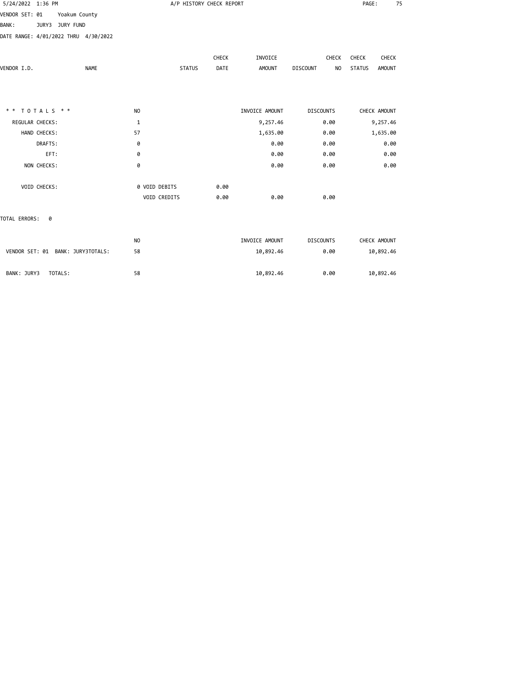| 5/24/2022 1:36 PM                    |                | A/P HISTORY CHECK REPORT |                |                                   | 75<br>PAGE:                    |
|--------------------------------------|----------------|--------------------------|----------------|-----------------------------------|--------------------------------|
| VENDOR SET: 01<br>Yoakum County      |                |                          |                |                                   |                                |
| <b>BANK:</b><br>JURY3 JURY FUND      |                |                          |                |                                   |                                |
| DATE RANGE: 4/01/2022 THRU 4/30/2022 |                |                          |                |                                   |                                |
|                                      |                | CHECK                    | INVOICE        | CHECK                             | CHECK<br>CHECK                 |
| VENDOR I.D.                          | <b>NAME</b>    | <b>STATUS</b><br>DATE    | <b>AMOUNT</b>  | <b>DISCOUNT</b><br>N <sub>O</sub> | <b>STATUS</b><br><b>AMOUNT</b> |
|                                      |                |                          |                |                                   |                                |
| ** TOTALS **                         | NO             |                          | INVOICE AMOUNT | <b>DISCOUNTS</b>                  | CHECK AMOUNT                   |
| REGULAR CHECKS:                      | $\mathbf{1}$   |                          | 9,257.46       | 0.00                              | 9,257.46                       |
| HAND CHECKS:                         | 57             |                          | 1,635.00       | 0.00                              | 1,635.00                       |
| DRAFTS:                              | 0              |                          | 0.00           | 0.00                              | 0.00                           |
| EFT:                                 | 0              |                          | 0.00           | 0.00                              | 0.00                           |
| NON CHECKS:                          | 0              |                          | 0.00           | 0.00                              | 0.00                           |
| VOID CHECKS:                         | 0 VOID DEBITS  | 0.00                     |                |                                   |                                |
|                                      | VOID CREDITS   | 0.00                     | 0.00           | 0.00                              |                                |
| TOTAL ERRORS: 0                      |                |                          |                |                                   |                                |
|                                      | N <sub>O</sub> |                          | INVOICE AMOUNT | <b>DISCOUNTS</b>                  | CHECK AMOUNT                   |
| VENDOR SET: 01 BANK: JURY3TOTALS:    | 58             |                          | 10,892.46      | 0.00                              | 10,892.46                      |
| BANK: JURY3<br>TOTALS:               | 58             |                          |                |                                   |                                |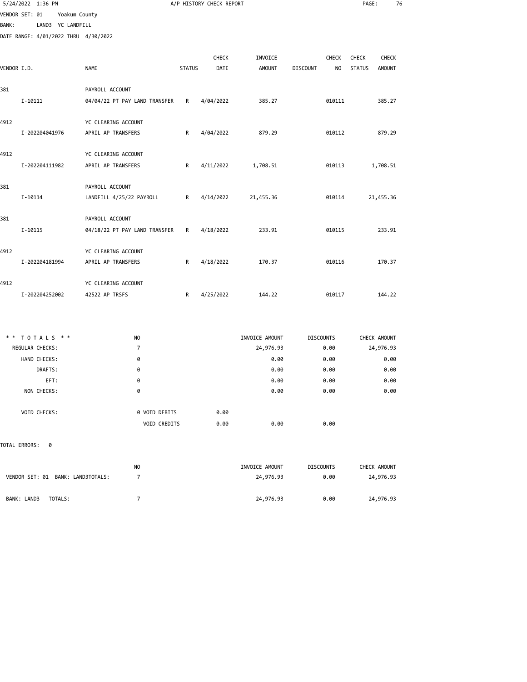|              | 5/24/2022 1:36 PM                    |                               |               | A/P HISTORY CHECK REPORT |                |                       | PAGE:                          | 76 |
|--------------|--------------------------------------|-------------------------------|---------------|--------------------------|----------------|-----------------------|--------------------------------|----|
|              | VENDOR SET: 01<br>Yoakum County      |                               |               |                          |                |                       |                                |    |
| <b>BANK:</b> | LAND3 YC LANDFILL                    |                               |               |                          |                |                       |                                |    |
|              | DATE RANGE: 4/01/2022 THRU 4/30/2022 |                               |               |                          |                |                       |                                |    |
|              |                                      |                               |               | <b>CHECK</b>             | INVOICE        | CHECK                 | CHECK<br><b>CHECK</b>          |    |
| VENDOR I.D.  |                                      | <b>NAME</b>                   | <b>STATUS</b> | DATE                     | <b>AMOUNT</b>  | NO<br><b>DISCOUNT</b> | <b>STATUS</b><br><b>AMOUNT</b> |    |
| 381          |                                      | PAYROLL ACCOUNT               |               |                          |                |                       |                                |    |
|              | I-10111                              | 04/04/22 PT PAY LAND TRANSFER | R             | 4/04/2022                | 385.27         | 010111                | 385.27                         |    |
| 4912         |                                      | YC CLEARING ACCOUNT           |               |                          |                |                       |                                |    |
|              | I-202204041976                       | APRIL AP TRANSFERS            | R             | 4/04/2022                | 879.29         | 010112                | 879.29                         |    |
| 4912         |                                      | YC CLEARING ACCOUNT           |               |                          |                |                       |                                |    |
|              | I-202204111982                       | APRIL AP TRANSFERS            | R             | 4/11/2022                | 1,708.51       | 010113                | 1,708.51                       |    |
| 381          |                                      | PAYROLL ACCOUNT               |               |                          |                |                       |                                |    |
|              | I-10114                              | LANDFILL 4/25/22 PAYROLL      | R             | 4/14/2022                | 21,455.36      | 010114                | 21,455.36                      |    |
| 381          |                                      | PAYROLL ACCOUNT               |               |                          |                |                       |                                |    |
|              | I-10115                              | 04/18/22 PT PAY LAND TRANSFER | R             | 4/18/2022                | 233.91         | 010115                | 233.91                         |    |
| 4912         |                                      | YC CLEARING ACCOUNT           |               |                          |                |                       |                                |    |
|              | I-202204181994                       | APRIL AP TRANSFERS            | R             | 4/18/2022                | 170.37         | 010116                | 170.37                         |    |
| 4912         |                                      | YC CLEARING ACCOUNT           |               |                          |                |                       |                                |    |
|              | I-202204252002                       | 42522 AP TRSFS                | R             | 4/25/2022                | 144.22         | 010117                | 144.22                         |    |
|              |                                      |                               |               |                          |                |                       |                                |    |
|              | ** TOTALS **                         | NO.                           |               |                          | INVOICE AMOUNT | <b>DISCOUNTS</b>      | CHECK AMOUNT                   |    |
|              | REGULAR CHECKS:                      | $\overline{7}$                |               |                          | 24,976.93      | 0.00                  | 24,976.93                      |    |
|              | HAND CHECKS:                         | 0                             |               |                          | 0.00           | 0.00                  | 0.00                           |    |
|              | DRAFTS:                              | 0                             |               |                          | 0.00           | 0.00                  | 0.00                           |    |
|              |                                      |                               |               |                          |                |                       |                                |    |

| EFT:         | 0             |      | 0.00 | 0.00 | 0.00 |
|--------------|---------------|------|------|------|------|
| NON CHECKS:  | 0             |      | 0.00 | 0.00 | 0.00 |
|              |               |      |      |      |      |
| VOID CHECKS: | 0 VOID DEBITS | 0.00 |      |      |      |
|              | VOID CREDITS  | 0.00 | 0.00 | 0.00 |      |

TOTAL ERRORS: 0

| VENDOR SET: 01 BANK: LAND3TOTALS: | NO. | INVOICE AMOUNT<br>24,976.93 | <b>DISCOUNTS</b><br>0.00 | CHECK AMOUNT<br>24,976.93 |
|-----------------------------------|-----|-----------------------------|--------------------------|---------------------------|
| BANK: LAND3<br>TOTALS:            |     | 24,976.93                   | 0.00                     | 24,976.93                 |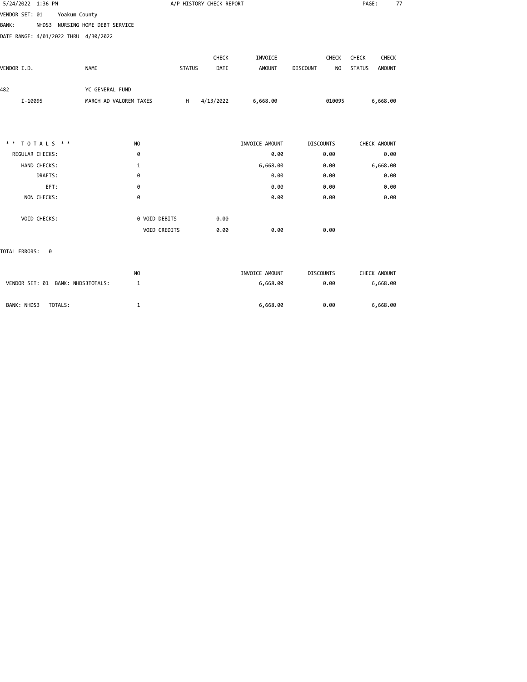| 5/24/2022 1:36 PM                               |                        | A/P HISTORY CHECK REPORT |           |                |                       |                                |  |  |
|-------------------------------------------------|------------------------|--------------------------|-----------|----------------|-----------------------|--------------------------------|--|--|
| Yoakum County<br>VENDOR SET: 01                 |                        |                          |           |                |                       |                                |  |  |
| NHDS3 NURSING HOME DEBT SERVICE<br><b>BANK:</b> |                        |                          |           |                |                       |                                |  |  |
| DATE RANGE: 4/01/2022 THRU 4/30/2022            |                        |                          |           |                |                       |                                |  |  |
|                                                 |                        |                          |           |                |                       |                                |  |  |
|                                                 |                        |                          | CHECK     | INVOICE        | CHECK                 | CHECK<br>CHECK                 |  |  |
| VENDOR I.D.                                     | <b>NAME</b>            | <b>STATUS</b>            | DATE      | <b>AMOUNT</b>  | <b>DISCOUNT</b><br>NO | <b>STATUS</b><br><b>AMOUNT</b> |  |  |
| 482                                             | YC GENERAL FUND        |                          |           |                |                       |                                |  |  |
| I-10095                                         | MARCH AD VALOREM TAXES | H                        | 4/13/2022 | 6,668.00       | 010095                | 6,668.00                       |  |  |
|                                                 |                        |                          |           |                |                       |                                |  |  |
| ** TOTALS **                                    | N <sub>O</sub>         |                          |           | INVOICE AMOUNT | <b>DISCOUNTS</b>      | CHECK AMOUNT                   |  |  |
| REGULAR CHECKS:                                 | 0                      |                          |           | 0.00           | 0.00                  | 0.00                           |  |  |
| HAND CHECKS:                                    | 1                      |                          |           | 6,668.00       | 0.00                  | 6,668.00                       |  |  |
| DRAFTS:                                         | 0                      |                          |           | 0.00           | 0.00                  | 0.00                           |  |  |
| EFT:                                            | 0                      |                          |           | 0.00           | 0.00                  | 0.00                           |  |  |
| NON CHECKS:                                     | 0                      |                          |           | 0.00           | 0.00                  | 0.00                           |  |  |
| VOID CHECKS:                                    | 0 VOID DEBITS          |                          | 0.00      |                |                       |                                |  |  |
|                                                 | VOID CREDITS           |                          | 0.00      | 0.00           | 0.00                  |                                |  |  |
| TOTAL ERRORS:<br>0                              |                        |                          |           |                |                       |                                |  |  |
|                                                 | <b>NO</b>              |                          |           | INVOICE AMOUNT | <b>DISCOUNTS</b>      | CHECK AMOUNT                   |  |  |
| VENDOR SET: 01 BANK: NHDS3TOTALS:               | 1                      |                          |           | 6,668.00       | 0.00                  | 6,668.00                       |  |  |

BANK: NHDS3 TOTALS: 1 1 1 1 1 6,668.00 0.00 6,668.00 6,668.00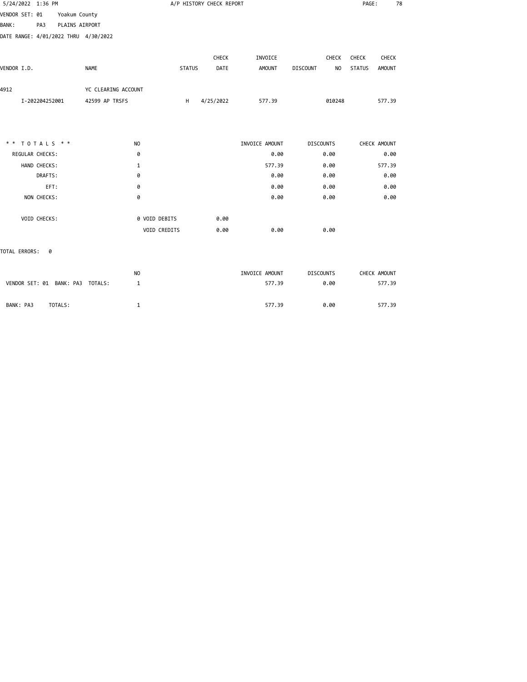| 5/24/2022 1:36 PM                    |                |                |                     |                | A/P HISTORY CHECK REPORT |               |           |                |                  |        | PAGE:         |               | 78 |
|--------------------------------------|----------------|----------------|---------------------|----------------|--------------------------|---------------|-----------|----------------|------------------|--------|---------------|---------------|----|
| VENDOR SET: 01                       |                | Yoakum County  |                     |                |                          |               |           |                |                  |        |               |               |    |
| <b>BANK:</b>                         | PA3            | PLAINS AIRPORT |                     |                |                          |               |           |                |                  |        |               |               |    |
| DATE RANGE: 4/01/2022 THRU 4/30/2022 |                |                |                     |                |                          |               |           |                |                  |        |               |               |    |
|                                      |                |                |                     |                |                          |               | CHECK     | INVOICE        |                  | CHECK  | CHECK         | CHECK         |    |
| VENDOR I.D.                          |                |                | <b>NAME</b>         |                |                          | <b>STATUS</b> | DATE      | AMOUNT         | <b>DISCOUNT</b>  | NO     | <b>STATUS</b> | <b>AMOUNT</b> |    |
| 4912                                 |                |                | YC CLEARING ACCOUNT |                |                          |               |           |                |                  |        |               |               |    |
|                                      | I-202204252001 |                | 42599 AP TRSFS      |                |                          | H             | 4/25/2022 | 577.39         |                  | 010248 |               | 577.39        |    |
|                                      |                |                |                     |                |                          |               |           |                |                  |        |               |               |    |
| ** TOTALS **                         |                |                |                     | N <sub>O</sub> |                          |               |           | INVOICE AMOUNT | <b>DISCOUNTS</b> |        |               | CHECK AMOUNT  |    |
| REGULAR CHECKS:                      |                |                |                     | 0              |                          |               |           | 0.00           |                  | 0.00   |               | 0.00          |    |
|                                      | HAND CHECKS:   |                |                     | $\mathbf{1}$   |                          |               |           | 577.39         |                  | 0.00   |               | 577.39        |    |
|                                      | DRAFTS:        |                |                     | 0              |                          |               |           | 0.00           |                  | 0.00   |               | 0.00          |    |
|                                      | EFT:           |                |                     | 0              |                          |               |           | 0.00           |                  | 0.00   |               | 0.00          |    |
|                                      | NON CHECKS:    |                |                     | 0              |                          |               |           | 0.00           |                  | 0.00   |               | 0.00          |    |
|                                      | VOID CHECKS:   |                |                     |                | 0 VOID DEBITS            |               | 0.00      |                |                  |        |               |               |    |
|                                      |                |                |                     |                | VOID CREDITS             |               | 0.00      | 0.00           |                  | 0.00   |               |               |    |
| TOTAL ERRORS:                        | 0              |                |                     |                |                          |               |           |                |                  |        |               |               |    |

|                                  | NO | INVOICE AMOUNT | <b>DISCOUNTS</b> | CHECK AMOUNT |
|----------------------------------|----|----------------|------------------|--------------|
| VENDOR SET: 01 BANK: PA3 TOTALS: |    | 577.39         | 0.00             | 577.39       |
|                                  |    |                |                  |              |
| BANK: PA3<br>TOTALS:             |    | 577.39         | 0.00             | 577.39       |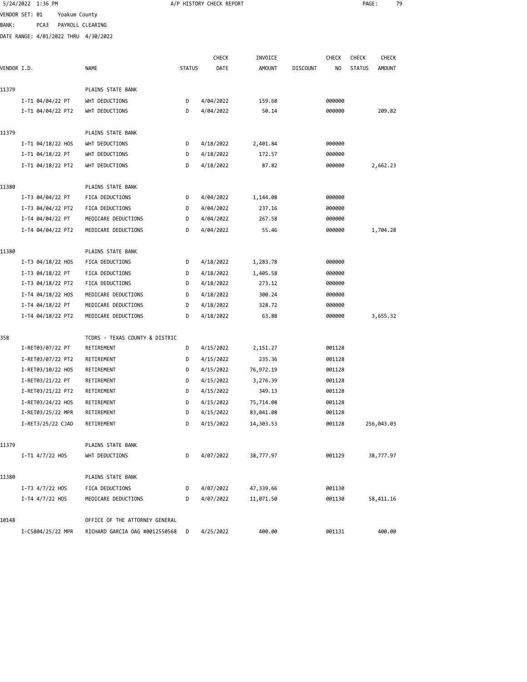| VENDOR SET: 01<br>Yoakum County<br>PCA3<br>PAYROLL CLEARING<br>BANK :<br>DATE RANGE: 4/01/2022 THRU 4/30/2022<br>CHECK<br><b>CHECK</b><br>INVOICE<br><b>CHECK</b><br><b>STATUS</b><br>DATE<br><b>AMOUNT</b><br><b>DISCOUNT</b><br>NO<br><b>STATUS</b><br><b>AMOUNT</b><br>VENDOR I.D.<br>NAME<br>11379<br>PLAINS STATE BANK<br>I-T1 04/04/22 PT<br>WHT DEDUCTIONS<br>D<br>4/04/2022<br>159.68<br>000000<br>I-T1 04/04/22 PT2<br>WHT DEDUCTIONS<br>D<br>4/04/2022<br>50.14<br>000000<br>PLAINS STATE BANK<br>11379<br>I-T1 04/18/22 HOS<br>WHT DEDUCTIONS<br>2,401.84<br>000000<br>D<br>4/18/2022<br>I-T1 04/18/22 PT<br>WHT DEDUCTIONS<br>D<br>4/18/2022<br>172.57<br>000000<br>I-T1 04/18/22 PT2<br>D<br>4/18/2022<br>87.82<br>2,662.23<br>WHT DEDUCTIONS<br>000000<br>PLAINS STATE BANK<br>11380<br>I-T3 04/04/22 PT<br>FICA DEDUCTIONS<br>000000<br>D<br>4/04/2022<br>1,144.08<br>I-T3 04/04/22 PT2<br>FICA DEDUCTIONS<br>4/04/2022<br>237.16<br>000000<br>D<br>I-T4 04/04/22 PT<br>MEDICARE DEDUCTIONS<br>4/04/2022<br>267.58<br>000000<br>D<br>I-T4 04/04/22 PT2<br>MEDICARE DEDUCTIONS<br>D<br>4/04/2022<br>55.46<br>000000<br>1,704.28<br>PLAINS STATE BANK<br>11380<br>I-T3 04/18/22 HOS<br>FICA DEDUCTIONS<br>000000<br>D<br>4/18/2022<br>1,283.78<br>I-T3 04/18/22 PT<br>FICA DEDUCTIONS<br>D<br>4/18/2022<br>1,405.58<br>000000<br>I-T3 04/18/22 PT2<br>FICA DEDUCTIONS<br>D<br>000000<br>4/18/2022<br>273.12<br>I-T4 04/18/22 HOS<br>MEDICARE DEDUCTIONS<br>D<br>4/18/2022<br>300.24<br>000000<br>I-T4 04/18/22 PT<br>MEDICARE DEDUCTIONS<br>4/18/2022<br>328.72<br>000000<br>D<br>MEDICARE DEDUCTIONS<br>000000<br>I-T4 04/18/22 PT2<br>D<br>4/18/2022<br>63.88<br>3,655.32<br>358<br>TCDRS - TEXAS COUNTY & DISTRIC<br>I-RET03/07/22 PT<br>RETIREMENT<br>D<br>4/15/2022<br>001128<br>2,151.27<br>I-RET03/07/22 PT2<br>RETIREMENT<br>4/15/2022<br>235.36<br>001128<br>D<br>I-RET03/10/22 HOS<br>RETIREMENT<br>D<br>4/15/2022<br>76,972.19<br>001128<br>I-RET03/21/22 PT<br>RETIREMENT<br>D<br>4/15/2022<br>3,276.39<br>001128<br>I-RET03/21/22 PT2<br>349.13<br>001128<br>RETIREMENT<br>D<br>4/15/2022<br>75,714.08<br>I-RET03/24/22 HOS<br>RETIREMENT<br>D<br>4/15/2022<br>001128<br>D<br>4/15/2022<br>83,041.08<br>001128<br>I-RET03/25/22 MPR<br>RETIREMENT<br>I-RET3/25/22 CJAD<br>D<br>4/15/2022<br>14,303.53<br>001128<br>256,043.03<br>RETIREMENT | 79           |
|-----------------------------------------------------------------------------------------------------------------------------------------------------------------------------------------------------------------------------------------------------------------------------------------------------------------------------------------------------------------------------------------------------------------------------------------------------------------------------------------------------------------------------------------------------------------------------------------------------------------------------------------------------------------------------------------------------------------------------------------------------------------------------------------------------------------------------------------------------------------------------------------------------------------------------------------------------------------------------------------------------------------------------------------------------------------------------------------------------------------------------------------------------------------------------------------------------------------------------------------------------------------------------------------------------------------------------------------------------------------------------------------------------------------------------------------------------------------------------------------------------------------------------------------------------------------------------------------------------------------------------------------------------------------------------------------------------------------------------------------------------------------------------------------------------------------------------------------------------------------------------------------------------------------------------------------------------------------------------------------------------------------------------------------------------------------------------------------------------------------------------------------------------------------------------------------------------------------------------------------------------------------------------------------------------------------------------------------------------------------------|--------------|
|                                                                                                                                                                                                                                                                                                                                                                                                                                                                                                                                                                                                                                                                                                                                                                                                                                                                                                                                                                                                                                                                                                                                                                                                                                                                                                                                                                                                                                                                                                                                                                                                                                                                                                                                                                                                                                                                                                                                                                                                                                                                                                                                                                                                                                                                                                                                                                       |              |
|                                                                                                                                                                                                                                                                                                                                                                                                                                                                                                                                                                                                                                                                                                                                                                                                                                                                                                                                                                                                                                                                                                                                                                                                                                                                                                                                                                                                                                                                                                                                                                                                                                                                                                                                                                                                                                                                                                                                                                                                                                                                                                                                                                                                                                                                                                                                                                       |              |
|                                                                                                                                                                                                                                                                                                                                                                                                                                                                                                                                                                                                                                                                                                                                                                                                                                                                                                                                                                                                                                                                                                                                                                                                                                                                                                                                                                                                                                                                                                                                                                                                                                                                                                                                                                                                                                                                                                                                                                                                                                                                                                                                                                                                                                                                                                                                                                       |              |
|                                                                                                                                                                                                                                                                                                                                                                                                                                                                                                                                                                                                                                                                                                                                                                                                                                                                                                                                                                                                                                                                                                                                                                                                                                                                                                                                                                                                                                                                                                                                                                                                                                                                                                                                                                                                                                                                                                                                                                                                                                                                                                                                                                                                                                                                                                                                                                       |              |
|                                                                                                                                                                                                                                                                                                                                                                                                                                                                                                                                                                                                                                                                                                                                                                                                                                                                                                                                                                                                                                                                                                                                                                                                                                                                                                                                                                                                                                                                                                                                                                                                                                                                                                                                                                                                                                                                                                                                                                                                                                                                                                                                                                                                                                                                                                                                                                       | <b>CHECK</b> |
|                                                                                                                                                                                                                                                                                                                                                                                                                                                                                                                                                                                                                                                                                                                                                                                                                                                                                                                                                                                                                                                                                                                                                                                                                                                                                                                                                                                                                                                                                                                                                                                                                                                                                                                                                                                                                                                                                                                                                                                                                                                                                                                                                                                                                                                                                                                                                                       |              |
|                                                                                                                                                                                                                                                                                                                                                                                                                                                                                                                                                                                                                                                                                                                                                                                                                                                                                                                                                                                                                                                                                                                                                                                                                                                                                                                                                                                                                                                                                                                                                                                                                                                                                                                                                                                                                                                                                                                                                                                                                                                                                                                                                                                                                                                                                                                                                                       |              |
|                                                                                                                                                                                                                                                                                                                                                                                                                                                                                                                                                                                                                                                                                                                                                                                                                                                                                                                                                                                                                                                                                                                                                                                                                                                                                                                                                                                                                                                                                                                                                                                                                                                                                                                                                                                                                                                                                                                                                                                                                                                                                                                                                                                                                                                                                                                                                                       |              |
|                                                                                                                                                                                                                                                                                                                                                                                                                                                                                                                                                                                                                                                                                                                                                                                                                                                                                                                                                                                                                                                                                                                                                                                                                                                                                                                                                                                                                                                                                                                                                                                                                                                                                                                                                                                                                                                                                                                                                                                                                                                                                                                                                                                                                                                                                                                                                                       | 209.82       |
|                                                                                                                                                                                                                                                                                                                                                                                                                                                                                                                                                                                                                                                                                                                                                                                                                                                                                                                                                                                                                                                                                                                                                                                                                                                                                                                                                                                                                                                                                                                                                                                                                                                                                                                                                                                                                                                                                                                                                                                                                                                                                                                                                                                                                                                                                                                                                                       |              |
|                                                                                                                                                                                                                                                                                                                                                                                                                                                                                                                                                                                                                                                                                                                                                                                                                                                                                                                                                                                                                                                                                                                                                                                                                                                                                                                                                                                                                                                                                                                                                                                                                                                                                                                                                                                                                                                                                                                                                                                                                                                                                                                                                                                                                                                                                                                                                                       |              |
|                                                                                                                                                                                                                                                                                                                                                                                                                                                                                                                                                                                                                                                                                                                                                                                                                                                                                                                                                                                                                                                                                                                                                                                                                                                                                                                                                                                                                                                                                                                                                                                                                                                                                                                                                                                                                                                                                                                                                                                                                                                                                                                                                                                                                                                                                                                                                                       |              |
|                                                                                                                                                                                                                                                                                                                                                                                                                                                                                                                                                                                                                                                                                                                                                                                                                                                                                                                                                                                                                                                                                                                                                                                                                                                                                                                                                                                                                                                                                                                                                                                                                                                                                                                                                                                                                                                                                                                                                                                                                                                                                                                                                                                                                                                                                                                                                                       |              |
|                                                                                                                                                                                                                                                                                                                                                                                                                                                                                                                                                                                                                                                                                                                                                                                                                                                                                                                                                                                                                                                                                                                                                                                                                                                                                                                                                                                                                                                                                                                                                                                                                                                                                                                                                                                                                                                                                                                                                                                                                                                                                                                                                                                                                                                                                                                                                                       |              |
|                                                                                                                                                                                                                                                                                                                                                                                                                                                                                                                                                                                                                                                                                                                                                                                                                                                                                                                                                                                                                                                                                                                                                                                                                                                                                                                                                                                                                                                                                                                                                                                                                                                                                                                                                                                                                                                                                                                                                                                                                                                                                                                                                                                                                                                                                                                                                                       |              |
|                                                                                                                                                                                                                                                                                                                                                                                                                                                                                                                                                                                                                                                                                                                                                                                                                                                                                                                                                                                                                                                                                                                                                                                                                                                                                                                                                                                                                                                                                                                                                                                                                                                                                                                                                                                                                                                                                                                                                                                                                                                                                                                                                                                                                                                                                                                                                                       |              |
|                                                                                                                                                                                                                                                                                                                                                                                                                                                                                                                                                                                                                                                                                                                                                                                                                                                                                                                                                                                                                                                                                                                                                                                                                                                                                                                                                                                                                                                                                                                                                                                                                                                                                                                                                                                                                                                                                                                                                                                                                                                                                                                                                                                                                                                                                                                                                                       |              |
|                                                                                                                                                                                                                                                                                                                                                                                                                                                                                                                                                                                                                                                                                                                                                                                                                                                                                                                                                                                                                                                                                                                                                                                                                                                                                                                                                                                                                                                                                                                                                                                                                                                                                                                                                                                                                                                                                                                                                                                                                                                                                                                                                                                                                                                                                                                                                                       |              |
|                                                                                                                                                                                                                                                                                                                                                                                                                                                                                                                                                                                                                                                                                                                                                                                                                                                                                                                                                                                                                                                                                                                                                                                                                                                                                                                                                                                                                                                                                                                                                                                                                                                                                                                                                                                                                                                                                                                                                                                                                                                                                                                                                                                                                                                                                                                                                                       |              |
|                                                                                                                                                                                                                                                                                                                                                                                                                                                                                                                                                                                                                                                                                                                                                                                                                                                                                                                                                                                                                                                                                                                                                                                                                                                                                                                                                                                                                                                                                                                                                                                                                                                                                                                                                                                                                                                                                                                                                                                                                                                                                                                                                                                                                                                                                                                                                                       |              |
|                                                                                                                                                                                                                                                                                                                                                                                                                                                                                                                                                                                                                                                                                                                                                                                                                                                                                                                                                                                                                                                                                                                                                                                                                                                                                                                                                                                                                                                                                                                                                                                                                                                                                                                                                                                                                                                                                                                                                                                                                                                                                                                                                                                                                                                                                                                                                                       |              |
|                                                                                                                                                                                                                                                                                                                                                                                                                                                                                                                                                                                                                                                                                                                                                                                                                                                                                                                                                                                                                                                                                                                                                                                                                                                                                                                                                                                                                                                                                                                                                                                                                                                                                                                                                                                                                                                                                                                                                                                                                                                                                                                                                                                                                                                                                                                                                                       |              |
|                                                                                                                                                                                                                                                                                                                                                                                                                                                                                                                                                                                                                                                                                                                                                                                                                                                                                                                                                                                                                                                                                                                                                                                                                                                                                                                                                                                                                                                                                                                                                                                                                                                                                                                                                                                                                                                                                                                                                                                                                                                                                                                                                                                                                                                                                                                                                                       |              |
|                                                                                                                                                                                                                                                                                                                                                                                                                                                                                                                                                                                                                                                                                                                                                                                                                                                                                                                                                                                                                                                                                                                                                                                                                                                                                                                                                                                                                                                                                                                                                                                                                                                                                                                                                                                                                                                                                                                                                                                                                                                                                                                                                                                                                                                                                                                                                                       |              |
|                                                                                                                                                                                                                                                                                                                                                                                                                                                                                                                                                                                                                                                                                                                                                                                                                                                                                                                                                                                                                                                                                                                                                                                                                                                                                                                                                                                                                                                                                                                                                                                                                                                                                                                                                                                                                                                                                                                                                                                                                                                                                                                                                                                                                                                                                                                                                                       |              |
|                                                                                                                                                                                                                                                                                                                                                                                                                                                                                                                                                                                                                                                                                                                                                                                                                                                                                                                                                                                                                                                                                                                                                                                                                                                                                                                                                                                                                                                                                                                                                                                                                                                                                                                                                                                                                                                                                                                                                                                                                                                                                                                                                                                                                                                                                                                                                                       |              |
|                                                                                                                                                                                                                                                                                                                                                                                                                                                                                                                                                                                                                                                                                                                                                                                                                                                                                                                                                                                                                                                                                                                                                                                                                                                                                                                                                                                                                                                                                                                                                                                                                                                                                                                                                                                                                                                                                                                                                                                                                                                                                                                                                                                                                                                                                                                                                                       |              |
|                                                                                                                                                                                                                                                                                                                                                                                                                                                                                                                                                                                                                                                                                                                                                                                                                                                                                                                                                                                                                                                                                                                                                                                                                                                                                                                                                                                                                                                                                                                                                                                                                                                                                                                                                                                                                                                                                                                                                                                                                                                                                                                                                                                                                                                                                                                                                                       |              |
|                                                                                                                                                                                                                                                                                                                                                                                                                                                                                                                                                                                                                                                                                                                                                                                                                                                                                                                                                                                                                                                                                                                                                                                                                                                                                                                                                                                                                                                                                                                                                                                                                                                                                                                                                                                                                                                                                                                                                                                                                                                                                                                                                                                                                                                                                                                                                                       |              |
|                                                                                                                                                                                                                                                                                                                                                                                                                                                                                                                                                                                                                                                                                                                                                                                                                                                                                                                                                                                                                                                                                                                                                                                                                                                                                                                                                                                                                                                                                                                                                                                                                                                                                                                                                                                                                                                                                                                                                                                                                                                                                                                                                                                                                                                                                                                                                                       |              |
|                                                                                                                                                                                                                                                                                                                                                                                                                                                                                                                                                                                                                                                                                                                                                                                                                                                                                                                                                                                                                                                                                                                                                                                                                                                                                                                                                                                                                                                                                                                                                                                                                                                                                                                                                                                                                                                                                                                                                                                                                                                                                                                                                                                                                                                                                                                                                                       |              |
|                                                                                                                                                                                                                                                                                                                                                                                                                                                                                                                                                                                                                                                                                                                                                                                                                                                                                                                                                                                                                                                                                                                                                                                                                                                                                                                                                                                                                                                                                                                                                                                                                                                                                                                                                                                                                                                                                                                                                                                                                                                                                                                                                                                                                                                                                                                                                                       |              |
|                                                                                                                                                                                                                                                                                                                                                                                                                                                                                                                                                                                                                                                                                                                                                                                                                                                                                                                                                                                                                                                                                                                                                                                                                                                                                                                                                                                                                                                                                                                                                                                                                                                                                                                                                                                                                                                                                                                                                                                                                                                                                                                                                                                                                                                                                                                                                                       |              |
|                                                                                                                                                                                                                                                                                                                                                                                                                                                                                                                                                                                                                                                                                                                                                                                                                                                                                                                                                                                                                                                                                                                                                                                                                                                                                                                                                                                                                                                                                                                                                                                                                                                                                                                                                                                                                                                                                                                                                                                                                                                                                                                                                                                                                                                                                                                                                                       |              |
|                                                                                                                                                                                                                                                                                                                                                                                                                                                                                                                                                                                                                                                                                                                                                                                                                                                                                                                                                                                                                                                                                                                                                                                                                                                                                                                                                                                                                                                                                                                                                                                                                                                                                                                                                                                                                                                                                                                                                                                                                                                                                                                                                                                                                                                                                                                                                                       |              |
|                                                                                                                                                                                                                                                                                                                                                                                                                                                                                                                                                                                                                                                                                                                                                                                                                                                                                                                                                                                                                                                                                                                                                                                                                                                                                                                                                                                                                                                                                                                                                                                                                                                                                                                                                                                                                                                                                                                                                                                                                                                                                                                                                                                                                                                                                                                                                                       |              |
| 11379<br>PLAINS STATE BANK                                                                                                                                                                                                                                                                                                                                                                                                                                                                                                                                                                                                                                                                                                                                                                                                                                                                                                                                                                                                                                                                                                                                                                                                                                                                                                                                                                                                                                                                                                                                                                                                                                                                                                                                                                                                                                                                                                                                                                                                                                                                                                                                                                                                                                                                                                                                            |              |
| I-T1 4/7/22 HOS<br>WHT DEDUCTIONS<br>D<br>4/07/2022<br>38,777.97<br>001129<br>38,777.97                                                                                                                                                                                                                                                                                                                                                                                                                                                                                                                                                                                                                                                                                                                                                                                                                                                                                                                                                                                                                                                                                                                                                                                                                                                                                                                                                                                                                                                                                                                                                                                                                                                                                                                                                                                                                                                                                                                                                                                                                                                                                                                                                                                                                                                                               |              |
| 11380<br>PLAINS STATE BANK                                                                                                                                                                                                                                                                                                                                                                                                                                                                                                                                                                                                                                                                                                                                                                                                                                                                                                                                                                                                                                                                                                                                                                                                                                                                                                                                                                                                                                                                                                                                                                                                                                                                                                                                                                                                                                                                                                                                                                                                                                                                                                                                                                                                                                                                                                                                            |              |
| I-T3 4/7/22 HOS<br>FICA DEDUCTIONS<br>D<br>4/07/2022<br>47,339.66<br>001130                                                                                                                                                                                                                                                                                                                                                                                                                                                                                                                                                                                                                                                                                                                                                                                                                                                                                                                                                                                                                                                                                                                                                                                                                                                                                                                                                                                                                                                                                                                                                                                                                                                                                                                                                                                                                                                                                                                                                                                                                                                                                                                                                                                                                                                                                           |              |
| I-T4 4/7/22 HOS<br>MEDICARE DEDUCTIONS<br>D<br>4/07/2022<br>11,071.50<br>001130<br>58,411.16                                                                                                                                                                                                                                                                                                                                                                                                                                                                                                                                                                                                                                                                                                                                                                                                                                                                                                                                                                                                                                                                                                                                                                                                                                                                                                                                                                                                                                                                                                                                                                                                                                                                                                                                                                                                                                                                                                                                                                                                                                                                                                                                                                                                                                                                          |              |
| 10148<br>OFFICE OF THE ATTORNEY GENERAL                                                                                                                                                                                                                                                                                                                                                                                                                                                                                                                                                                                                                                                                                                                                                                                                                                                                                                                                                                                                                                                                                                                                                                                                                                                                                                                                                                                                                                                                                                                                                                                                                                                                                                                                                                                                                                                                                                                                                                                                                                                                                                                                                                                                                                                                                                                               |              |

I-CS804/25/22 MPR RICHARD GARCIA OAG #0012550568 D 4/25/2022 400.00 001131 400.00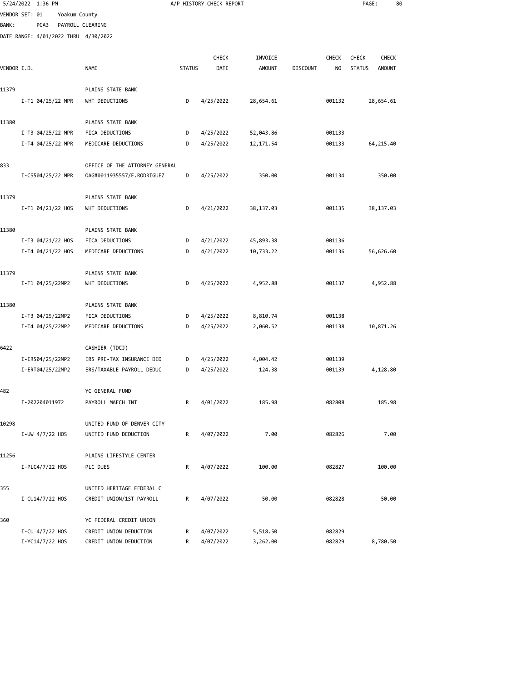|             |                |                                                                                                                                                                                                                                                                                                                                                                                             |                                                                                                                                                                                                                                                                               |                                               |                                                                       |                                                                                                    |                 |                                           | 80                            |                                                                                                                                                     |
|-------------|----------------|---------------------------------------------------------------------------------------------------------------------------------------------------------------------------------------------------------------------------------------------------------------------------------------------------------------------------------------------------------------------------------------------|-------------------------------------------------------------------------------------------------------------------------------------------------------------------------------------------------------------------------------------------------------------------------------|-----------------------------------------------|-----------------------------------------------------------------------|----------------------------------------------------------------------------------------------------|-----------------|-------------------------------------------|-------------------------------|-----------------------------------------------------------------------------------------------------------------------------------------------------|
|             |                |                                                                                                                                                                                                                                                                                                                                                                                             |                                                                                                                                                                                                                                                                               |                                               |                                                                       |                                                                                                    |                 |                                           |                               |                                                                                                                                                     |
| PCA3        |                |                                                                                                                                                                                                                                                                                                                                                                                             |                                                                                                                                                                                                                                                                               |                                               |                                                                       |                                                                                                    |                 |                                           |                               |                                                                                                                                                     |
|             |                |                                                                                                                                                                                                                                                                                                                                                                                             |                                                                                                                                                                                                                                                                               |                                               |                                                                       |                                                                                                    |                 |                                           |                               |                                                                                                                                                     |
|             |                |                                                                                                                                                                                                                                                                                                                                                                                             |                                                                                                                                                                                                                                                                               |                                               |                                                                       |                                                                                                    |                 |                                           |                               |                                                                                                                                                     |
|             |                |                                                                                                                                                                                                                                                                                                                                                                                             |                                                                                                                                                                                                                                                                               |                                               |                                                                       |                                                                                                    |                 |                                           |                               |                                                                                                                                                     |
|             |                |                                                                                                                                                                                                                                                                                                                                                                                             |                                                                                                                                                                                                                                                                               |                                               |                                                                       |                                                                                                    |                 |                                           |                               |                                                                                                                                                     |
|             |                | PLAINS STATE BANK                                                                                                                                                                                                                                                                                                                                                                           |                                                                                                                                                                                                                                                                               |                                               |                                                                       |                                                                                                    |                 |                                           |                               |                                                                                                                                                     |
|             |                | WHT DEDUCTIONS                                                                                                                                                                                                                                                                                                                                                                              | D                                                                                                                                                                                                                                                                             | 4/25/2022                                     | 28,654.61                                                             |                                                                                                    | 001132          |                                           |                               |                                                                                                                                                     |
|             |                |                                                                                                                                                                                                                                                                                                                                                                                             |                                                                                                                                                                                                                                                                               |                                               |                                                                       |                                                                                                    |                 |                                           |                               |                                                                                                                                                     |
|             |                | FICA DEDUCTIONS                                                                                                                                                                                                                                                                                                                                                                             | D                                                                                                                                                                                                                                                                             | 4/25/2022                                     |                                                                       |                                                                                                    | 001133          |                                           |                               |                                                                                                                                                     |
|             |                | MEDICARE DEDUCTIONS                                                                                                                                                                                                                                                                                                                                                                         | D                                                                                                                                                                                                                                                                             | 4/25/2022                                     | 12, 171.54                                                            |                                                                                                    | 001133          |                                           |                               |                                                                                                                                                     |
|             |                |                                                                                                                                                                                                                                                                                                                                                                                             |                                                                                                                                                                                                                                                                               |                                               |                                                                       |                                                                                                    |                 |                                           |                               |                                                                                                                                                     |
|             |                | 0AG#0011935557/F.RODRIGUEZ                                                                                                                                                                                                                                                                                                                                                                  | D                                                                                                                                                                                                                                                                             | 4/25/2022                                     | 350.00                                                                |                                                                                                    | 001134          |                                           | 350.00                        |                                                                                                                                                     |
|             |                |                                                                                                                                                                                                                                                                                                                                                                                             |                                                                                                                                                                                                                                                                               |                                               |                                                                       |                                                                                                    |                 |                                           |                               |                                                                                                                                                     |
|             |                |                                                                                                                                                                                                                                                                                                                                                                                             |                                                                                                                                                                                                                                                                               |                                               |                                                                       |                                                                                                    |                 |                                           |                               |                                                                                                                                                     |
|             |                |                                                                                                                                                                                                                                                                                                                                                                                             |                                                                                                                                                                                                                                                                               |                                               |                                                                       |                                                                                                    |                 |                                           |                               |                                                                                                                                                     |
|             |                | PLAINS STATE BANK                                                                                                                                                                                                                                                                                                                                                                           |                                                                                                                                                                                                                                                                               |                                               |                                                                       |                                                                                                    |                 |                                           |                               |                                                                                                                                                     |
|             |                | FICA DEDUCTIONS                                                                                                                                                                                                                                                                                                                                                                             | D                                                                                                                                                                                                                                                                             | 4/21/2022                                     | 45,893.38                                                             |                                                                                                    | 001136          |                                           |                               |                                                                                                                                                     |
|             |                | MEDICARE DEDUCTIONS                                                                                                                                                                                                                                                                                                                                                                         | D                                                                                                                                                                                                                                                                             | 4/21/2022                                     | 10,733.22                                                             |                                                                                                    | 001136          |                                           |                               |                                                                                                                                                     |
|             |                | PLAINS STATE BANK                                                                                                                                                                                                                                                                                                                                                                           |                                                                                                                                                                                                                                                                               |                                               |                                                                       |                                                                                                    |                 |                                           |                               |                                                                                                                                                     |
|             |                | WHT DEDUCTIONS                                                                                                                                                                                                                                                                                                                                                                              | D                                                                                                                                                                                                                                                                             | 4/25/2022                                     | 4,952.88                                                              |                                                                                                    | 001137          |                                           |                               |                                                                                                                                                     |
|             |                | PLAINS STATE BANK                                                                                                                                                                                                                                                                                                                                                                           |                                                                                                                                                                                                                                                                               |                                               |                                                                       |                                                                                                    |                 |                                           |                               |                                                                                                                                                     |
|             |                | FICA DEDUCTIONS                                                                                                                                                                                                                                                                                                                                                                             | D                                                                                                                                                                                                                                                                             | 4/25/2022                                     | 8,810.74                                                              |                                                                                                    | 001138          |                                           |                               |                                                                                                                                                     |
|             |                | MEDICARE DEDUCTIONS                                                                                                                                                                                                                                                                                                                                                                         | D                                                                                                                                                                                                                                                                             | 4/25/2022                                     | 2,060.52                                                              |                                                                                                    | 001138          |                                           |                               |                                                                                                                                                     |
|             |                |                                                                                                                                                                                                                                                                                                                                                                                             |                                                                                                                                                                                                                                                                               |                                               |                                                                       |                                                                                                    |                 |                                           |                               |                                                                                                                                                     |
|             |                |                                                                                                                                                                                                                                                                                                                                                                                             |                                                                                                                                                                                                                                                                               |                                               |                                                                       |                                                                                                    |                 |                                           |                               |                                                                                                                                                     |
|             |                | ERS/TAXABLE PAYROLL DEDUC                                                                                                                                                                                                                                                                                                                                                                   | D                                                                                                                                                                                                                                                                             | 4/25/2022                                     | 124.38                                                                |                                                                                                    | 001139          |                                           |                               |                                                                                                                                                     |
|             |                |                                                                                                                                                                                                                                                                                                                                                                                             |                                                                                                                                                                                                                                                                               |                                               |                                                                       |                                                                                                    |                 |                                           |                               |                                                                                                                                                     |
|             |                | PAYROLL MAECH INT                                                                                                                                                                                                                                                                                                                                                                           | R                                                                                                                                                                                                                                                                             | 4/01/2022                                     | 185.98                                                                |                                                                                                    | 082808          |                                           | 185.98                        |                                                                                                                                                     |
|             |                |                                                                                                                                                                                                                                                                                                                                                                                             |                                                                                                                                                                                                                                                                               |                                               |                                                                       |                                                                                                    |                 |                                           |                               |                                                                                                                                                     |
|             |                |                                                                                                                                                                                                                                                                                                                                                                                             |                                                                                                                                                                                                                                                                               |                                               |                                                                       |                                                                                                    |                 |                                           |                               |                                                                                                                                                     |
|             |                |                                                                                                                                                                                                                                                                                                                                                                                             |                                                                                                                                                                                                                                                                               |                                               |                                                                       |                                                                                                    |                 |                                           |                               |                                                                                                                                                     |
|             |                | PLAINS LIFESTYLE CENTER                                                                                                                                                                                                                                                                                                                                                                     |                                                                                                                                                                                                                                                                               |                                               |                                                                       |                                                                                                    |                 |                                           |                               |                                                                                                                                                     |
|             |                | PLC DUES                                                                                                                                                                                                                                                                                                                                                                                    | R                                                                                                                                                                                                                                                                             | 4/07/2022                                     | 100.00                                                                |                                                                                                    | 082827          |                                           | 100.00                        |                                                                                                                                                     |
|             |                | UNITED HERITAGE FEDERAL C                                                                                                                                                                                                                                                                                                                                                                   |                                                                                                                                                                                                                                                                               |                                               |                                                                       |                                                                                                    |                 |                                           |                               |                                                                                                                                                     |
|             |                | CREDIT UNION/1ST PAYROLL                                                                                                                                                                                                                                                                                                                                                                    | R                                                                                                                                                                                                                                                                             | 4/07/2022                                     | 50.00                                                                 |                                                                                                    | 082828          |                                           | 50.00                         |                                                                                                                                                     |
|             |                | YC FEDERAL CREDIT UNION                                                                                                                                                                                                                                                                                                                                                                     |                                                                                                                                                                                                                                                                               |                                               |                                                                       |                                                                                                    |                 |                                           |                               |                                                                                                                                                     |
|             |                | CREDIT UNION DEDUCTION                                                                                                                                                                                                                                                                                                                                                                      | R                                                                                                                                                                                                                                                                             | 4/07/2022                                     | 5,518.50                                                              |                                                                                                    | 082829          |                                           |                               |                                                                                                                                                     |
|             |                | CREDIT UNION DEDUCTION                                                                                                                                                                                                                                                                                                                                                                      | R                                                                                                                                                                                                                                                                             | 4/07/2022                                     | 3,262.00                                                              |                                                                                                    | 082829          |                                           |                               |                                                                                                                                                     |
| VENDOR I.D. | VENDOR SET: 01 | 5/24/2022 1:36 PM<br>I-T1 04/25/22 MPR<br>I-T3 04/25/22 MPR<br>I-T4 04/25/22 MPR<br>I-CS504/25/22 MPR<br>I-T1 04/21/22 HOS<br>I-T3 04/21/22 HOS<br>I-T4 04/21/22 HOS<br>I-T1 04/25/22MP2<br>I-T3 04/25/22MP2<br>I-T4 04/25/22MP2<br>I-ERS04/25/22MP2<br>I-ERT04/25/22MP2<br>I-202204011972<br>I-UW 4/7/22 HOS<br>I-PLC4/7/22 HOS<br>I-CU14/7/22 HOS<br>$I-CU$ 4/7/22 HOS<br>I-YC14/7/22 HOS | Yoakum County<br>PAYROLL CLEARING<br>DATE RANGE: 4/01/2022 THRU 4/30/2022<br><b>NAME</b><br>PLAINS STATE BANK<br>PLAINS STATE BANK<br>WHT DEDUCTIONS<br>CASHIER (TDCJ)<br>ERS PRE-TAX INSURANCE DED<br>YC GENERAL FUND<br>UNITED FUND OF DENVER CITY<br>UNITED FUND DEDUCTION | OFFICE OF THE ATTORNEY GENERAL<br>D<br>D<br>R | CHECK<br><b>STATUS</b><br>DATE<br>4/21/2022<br>4/25/2022<br>4/07/2022 | A/P HISTORY CHECK REPORT<br>INVOICE<br><b>AMOUNT</b><br>52,043.86<br>38,137.03<br>4,004.42<br>7.00 | <b>DISCOUNT</b> | CHECK<br>NO<br>001135<br>001139<br>082826 | <b>CHECK</b><br><b>STATUS</b> | PAGE:<br><b>CHECK</b><br><b>AMOUNT</b><br>28,654.61<br>64,215.40<br>38,137.03<br>56,626.60<br>4,952.88<br>10,871.26<br>4,128.80<br>7.00<br>8,780.50 |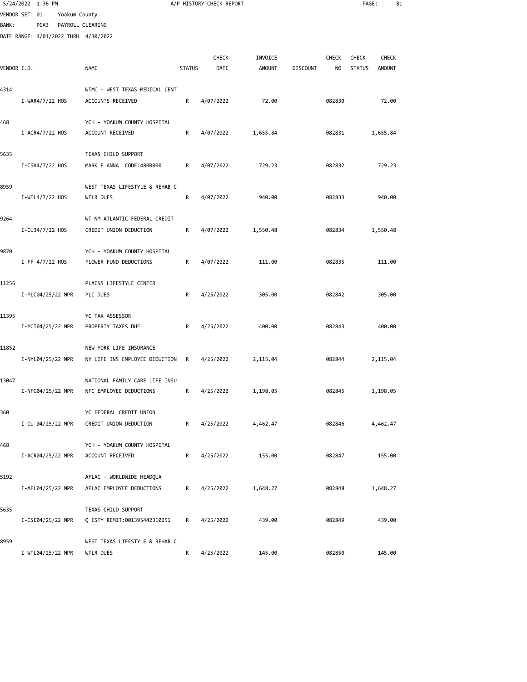|             | 5/24/2022 1:36 PM                    |               |                                                           |               | A/P HISTORY CHECK REPORT |                          |                 |                     | PAGE:                  | 81                            |  |
|-------------|--------------------------------------|---------------|-----------------------------------------------------------|---------------|--------------------------|--------------------------|-----------------|---------------------|------------------------|-------------------------------|--|
|             | VENDOR SET: 01                       | Yoakum County |                                                           |               |                          |                          |                 |                     |                        |                               |  |
| BANK :      | PCA3                                 |               | PAYROLL CLEARING                                          |               |                          |                          |                 |                     |                        |                               |  |
|             | DATE RANGE: 4/01/2022 THRU 4/30/2022 |               |                                                           |               |                          |                          |                 |                     |                        |                               |  |
| VENDOR I.D. |                                      |               | NAME                                                      | <b>STATUS</b> | <b>CHECK</b><br>DATE     | INVOICE<br><b>AMOUNT</b> | <b>DISCOUNT</b> | <b>CHECK</b><br>NO. | CHECK<br><b>STATUS</b> | <b>CHECK</b><br><b>AMOUNT</b> |  |
| 4314        |                                      |               | WTMC - WEST TEXAS MEDICAL CENT                            |               |                          |                          |                 |                     |                        |                               |  |
|             | I-WAR4/7/22 HOS                      |               | ACCOUNTS RECEIVED                                         | R             | 4/07/2022                | 72.00                    |                 | 082830              |                        | 72.00                         |  |
| 468         | I-ACR4/7/22 HOS                      |               | YCH - YOAKUM COUNTY HOSPITAL<br>ACCOUNT RECEIVED          | R             | 4/07/2022                | 1,655.84                 |                 | 082831              |                        | 1,655.84                      |  |
| 5635        |                                      |               | TEXAS CHILD SUPPORT                                       |               |                          |                          |                 |                     |                        |                               |  |
|             | I-CSA4/7/22 HOS                      |               | MARK E ANNA CODE:4800000                                  | R             | 4/07/2022                | 729.23                   |                 | 082832              |                        | 729.23                        |  |
| 8959        | I-WTL4/7/22 HOS                      |               | WEST TEXAS LIFESTYLE & REHAB C<br>WTLR DUES               | R             | 4/07/2022                | 940.00                   |                 | 082833              |                        | 940.00                        |  |
| 9264        | I-CU34/7/22 HOS                      |               | WT-NM ATLANTIC FEDERAL CREDIT<br>CREDIT UNION DEDUCTION   | R             | 4/07/2022                | 1,550.48                 |                 | 082834              |                        | 1,550.48                      |  |
| 9870        | $I$ -FF 4/7/22 HOS                   |               | YCH - YOAKUM COUNTY HOSPITAL<br>FLOWER FUND DEDUCTIONS    | R             | 4/07/2022                | 111.00                   |                 | 082835              |                        | 111.00                        |  |
| 11256       | I-PLC04/25/22 MPR                    |               | PLAINS LIFESTYLE CENTER<br>PLC DUES                       | R             | 4/25/2022                | 305.00                   |                 | 082842              |                        | 305.00                        |  |
| 11395       | I-YCT04/25/22 MPR                    |               | YC TAX ASSESSOR<br>PROPERTY TAXES DUE                     | R             | 4/25/2022                | 400.00                   |                 | 082843              |                        | 400.00                        |  |
| 11852       | I-NYL04/25/22 MPR                    |               | NEW YORK LIFE INSURANCE<br>NY LIFE INS EMPLOYEE DEDUCTION | R             | 4/25/2022                | 2,115.04                 |                 | 082844              |                        | 2,115.04                      |  |
| 13047       | I-NFC04/25/22 MPR                    |               | NATIONAL FAMILY CARE LIFE INSU<br>NFC EMPLOYEE DEDUCTIONS | R             | 4/25/2022                | 1,198.05                 |                 | 082845              |                        | 1,198.05                      |  |
| 360         | I-CU 04/25/22 MPR                    |               | YC FEDERAL CREDIT UNION<br>CREDIT UNION DEDUCTION         | R             | 4/25/2022                | 4,462.47                 |                 | 082846              |                        | 4,462.47                      |  |
| 468         | I-ACR04/25/22 MPR                    |               | YCH - YOAKUM COUNTY HOSPITAL<br>ACCOUNT RECEIVED          | R             | 4/25/2022                | 155.00                   |                 | 082847              |                        | 155.00                        |  |
| 5192        | I-AFL04/25/22 MPR                    |               | AFLAC - WORLDWIDE HEADQUA<br>AFLAC EMPLOYEE DEDUCTIONS    | R             | 4/25/2022                | 1,648.27                 |                 | 082848              |                        | 1,648.27                      |  |
| 5635        | I-CSE04/25/22 MPR                    |               | TEXAS CHILD SUPPORT<br>Q ESTY REMIT:001395442310251       | R             | 4/25/2022                | 439.00                   |                 | 082849              |                        | 439.00                        |  |
| 8959        |                                      |               | WEST TEXAS LIFESTYLE & REHAB C                            |               |                          |                          |                 |                     |                        |                               |  |

I-WTL04/25/22 MPR WTLR DUES R 4/25/2022 145.00 082850 145.00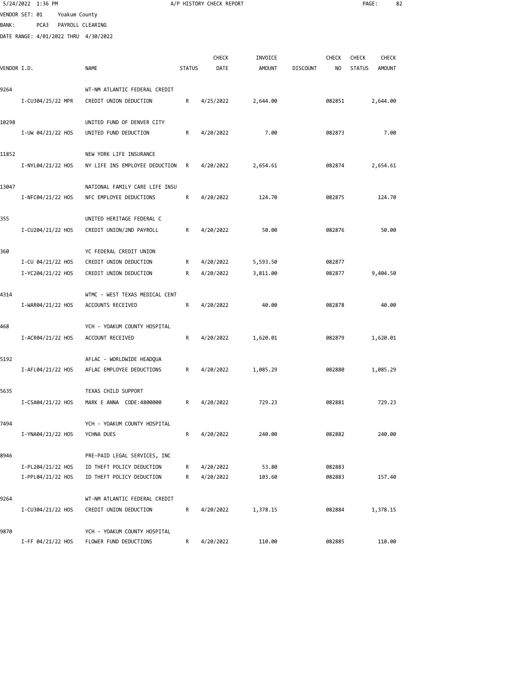|             | 5/24/2022 1:36 PM                    |               |                                |               | A/P HISTORY CHECK REPORT |               |                 |        | PAGE:         |               | 82 |
|-------------|--------------------------------------|---------------|--------------------------------|---------------|--------------------------|---------------|-----------------|--------|---------------|---------------|----|
|             | VENDOR SET: 01                       | Yoakum County |                                |               |                          |               |                 |        |               |               |    |
| BANK :      | PCA3                                 |               | PAYROLL CLEARING               |               |                          |               |                 |        |               |               |    |
|             | DATE RANGE: 4/01/2022 THRU 4/30/2022 |               |                                |               |                          |               |                 |        |               |               |    |
|             |                                      |               |                                |               |                          |               |                 |        |               |               |    |
|             |                                      |               |                                |               | CHECK                    | INVOICE       |                 | CHECK  | <b>CHECK</b>  | <b>CHECK</b>  |    |
| VENDOR I.D. |                                      |               | <b>NAME</b>                    | <b>STATUS</b> | DATE                     | <b>AMOUNT</b> | <b>DISCOUNT</b> | NO     | <b>STATUS</b> | <b>AMOUNT</b> |    |
|             |                                      |               |                                |               |                          |               |                 |        |               |               |    |
| 9264        |                                      |               | WT-NM ATLANTIC FEDERAL CREDIT  |               |                          |               |                 |        |               |               |    |
|             | I-CU304/25/22 MPR                    |               | CREDIT UNION DEDUCTION         | R             | 4/25/2022                | 2,644.00      |                 | 082851 |               | 2,644.00      |    |
|             |                                      |               |                                |               |                          |               |                 |        |               |               |    |
| 10298       |                                      |               | UNITED FUND OF DENVER CITY     |               |                          |               |                 |        |               |               |    |
|             | I-UW 04/21/22 HOS                    |               | UNITED FUND DEDUCTION          | R             | 4/20/2022                | 7.00          |                 | 082873 |               | 7.00          |    |
|             |                                      |               |                                |               |                          |               |                 |        |               |               |    |
| 11852       |                                      |               | NEW YORK LIFE INSURANCE        |               |                          |               |                 |        |               |               |    |
|             | I-NYL04/21/22 HOS                    |               | NY LIFE INS EMPLOYEE DEDUCTION | R             | 4/20/2022                | 2,654.61      |                 | 082874 |               | 2,654.61      |    |
|             |                                      |               |                                |               |                          |               |                 |        |               |               |    |
| 13047       |                                      |               | NATIONAL FAMILY CARE LIFE INSU |               |                          |               |                 |        |               |               |    |
|             | I-NFC04/21/22 HOS                    |               | NFC EMPLOYEE DEDUCTIONS        | R             | 4/20/2022                | 124.70        |                 | 082875 |               | 124.70        |    |
|             |                                      |               |                                |               |                          |               |                 |        |               |               |    |
| 355         |                                      |               | UNITED HERITAGE FEDERAL C      |               |                          |               |                 |        |               |               |    |
|             | I-CU204/21/22 HOS                    |               | CREDIT UNION/2ND PAYROLL       | R             | 4/20/2022                | 50.00         |                 | 082876 |               | 50.00         |    |
|             |                                      |               |                                |               |                          |               |                 |        |               |               |    |
| 360         |                                      |               | YC FEDERAL CREDIT UNION        |               |                          |               |                 |        |               |               |    |
|             | I-CU 04/21/22 HOS                    |               | CREDIT UNION DEDUCTION         | R             | 4/20/2022                | 5,593.50      |                 | 082877 |               |               |    |
|             | I-YC204/21/22 HOS                    |               | CREDIT UNION DEDUCTION         | R             | 4/20/2022                | 3,811.00      |                 | 082877 |               | 9,404.50      |    |
|             |                                      |               |                                |               |                          |               |                 |        |               |               |    |
| 4314        |                                      |               | WTMC - WEST TEXAS MEDICAL CENT |               |                          |               |                 |        |               |               |    |
|             | I-WAR04/21/22 HOS                    |               | ACCOUNTS RECEIVED              | R             | 4/20/2022                | 40.00         |                 | 082878 |               | 40.00         |    |
|             |                                      |               |                                |               |                          |               |                 |        |               |               |    |
| 468         |                                      |               | YCH - YOAKUM COUNTY HOSPITAL   |               |                          |               |                 |        |               |               |    |
|             | I-ACR04/21/22 HOS                    |               | ACCOUNT RECEIVED               | R             | 4/20/2022                | 1,620.01      |                 | 082879 |               | 1,620.01      |    |
|             |                                      |               |                                |               |                          |               |                 |        |               |               |    |
| 5192        |                                      |               | AFLAC - WORLDWIDE HEADQUA      |               |                          |               |                 |        |               |               |    |
|             | I-AFL04/21/22 HOS                    |               | AFLAC EMPLOYEE DEDUCTIONS      | R             | 4/20/2022                | 1,085.29      |                 | 082880 |               | 1,085.29      |    |
|             |                                      |               |                                |               |                          |               |                 |        |               |               |    |
| 5635        |                                      |               | TEXAS CHILD SUPPORT            |               |                          |               |                 |        |               |               |    |
|             | I-CSA04/21/22 HOS                    |               | MARK E ANNA CODE:4800000       | R             | 4/20/2022                | 729.23        |                 | 082881 |               | 729.23        |    |
|             |                                      |               |                                |               |                          |               |                 |        |               |               |    |
| 7494        |                                      |               | YCH - YOAKUM COUNTY HOSPITAL   |               |                          |               |                 |        |               |               |    |
|             | I-YNA04/21/22 HOS                    |               | YCHNA DUES                     | R             | 4/20/2022                | 240.00        |                 | 082882 |               | 240.00        |    |
|             |                                      |               |                                |               |                          |               |                 |        |               |               |    |
| 8946        |                                      |               | PRE-PAID LEGAL SERVICES, INC   |               |                          |               |                 |        |               |               |    |
|             | I-PL204/21/22 HOS                    |               | ID THEFT POLICY DEDUCTION      | R             | 4/20/2022                | 53.80         |                 | 082883 |               |               |    |
|             | I-PPL04/21/22 HOS                    |               | ID THEFT POLICY DEDUCTION      | R             | 4/20/2022                | 103.60        |                 | 082883 |               | 157.40        |    |
|             |                                      |               |                                |               |                          |               |                 |        |               |               |    |
| 9264        |                                      |               | WT-NM ATLANTIC FEDERAL CREDIT  |               |                          |               |                 |        |               |               |    |
|             | I-CU304/21/22 HOS                    |               | CREDIT UNION DEDUCTION         | R             | 4/20/2022                | 1,378.15      |                 | 082884 |               | 1,378.15      |    |
|             |                                      |               |                                |               |                          |               |                 |        |               |               |    |
| 9870        |                                      |               | YCH - YOAKUM COUNTY HOSPITAL   |               |                          |               |                 |        |               |               |    |
|             |                                      |               |                                |               |                          |               |                 |        |               |               |    |

I-FF 04/21/22 HOS FLOWER FUND DEDUCTIONS R 4/20/2022 110.00 082885 110.00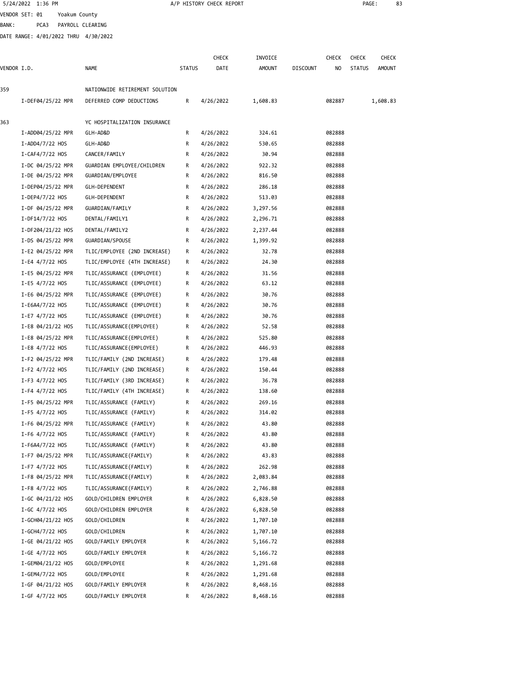|             | 5/24/2022 1:36 PM                    |                                |               | A/P HISTORY CHECK REPORT |               |                 |              | PAGE:         |              | 83 |
|-------------|--------------------------------------|--------------------------------|---------------|--------------------------|---------------|-----------------|--------------|---------------|--------------|----|
|             | VENDOR SET: 01<br>Yoakum County      |                                |               |                          |               |                 |              |               |              |    |
| BANK :      | PCA3                                 | PAYROLL CLEARING               |               |                          |               |                 |              |               |              |    |
|             | DATE RANGE: 4/01/2022 THRU 4/30/2022 |                                |               |                          |               |                 |              |               |              |    |
|             |                                      |                                |               |                          |               |                 |              |               |              |    |
|             |                                      |                                |               | <b>CHECK</b>             | INVOICE       |                 | <b>CHECK</b> | <b>CHECK</b>  | <b>CHECK</b> |    |
| VENDOR I.D. |                                      | NAME                           | <b>STATUS</b> | DATE                     | <b>AMOUNT</b> | <b>DISCOUNT</b> | NO           | <b>STATUS</b> | AMOUNT       |    |
| 359         |                                      | NATIONWIDE RETIREMENT SOLUTION |               |                          |               |                 |              |               |              |    |
|             |                                      | DEFERRED COMP DEDUCTIONS       | R             |                          |               |                 | 082887       |               |              |    |
|             | I-DEF04/25/22 MPR                    |                                |               | 4/26/2022                | 1,608.83      |                 |              |               | 1,608.83     |    |
| 363         |                                      | YC HOSPITALIZATION INSURANCE   |               |                          |               |                 |              |               |              |    |
|             | I-ADD04/25/22 MPR                    | GLH-AD&D                       | R             | 4/26/2022                | 324.61        |                 | 082888       |               |              |    |
|             | $I-ADD4/7/22$ HOS                    | GLH-AD&D                       | R             | 4/26/2022                | 530.65        |                 | 082888       |               |              |    |
|             | $I - CAF4/7/22$ HOS                  | CANCER/FAMILY                  | R             | 4/26/2022                | 30.94         |                 | 082888       |               |              |    |
|             | I-DC 04/25/22 MPR                    | GUARDIAN EMPLOYEE/CHILDREN     | R             | 4/26/2022                | 922.32        |                 | 082888       |               |              |    |
|             | I-DE 04/25/22 MPR                    | GUARDIAN/EMPLOYEE              | R             | 4/26/2022                | 816.50        |                 | 082888       |               |              |    |
|             | I-DEP04/25/22 MPR                    | GLH-DEPENDENT                  | R             | 4/26/2022                | 286.18        |                 | 082888       |               |              |    |
|             | $I-DEP4/7/22$ HOS                    | GLH-DEPENDENT                  | R             | 4/26/2022                | 513.03        |                 | 082888       |               |              |    |
|             | I-DF 04/25/22 MPR                    | GUARDIAN/FAMILY                | R             | 4/26/2022                | 3,297.56      |                 | 082888       |               |              |    |
|             | I-DF14/7/22 HOS                      | DENTAL/FAMILY1                 | R             | 4/26/2022                | 2,296.71      |                 | 082888       |               |              |    |
|             | I-DF204/21/22 HOS                    | DENTAL/FAMILY2                 | R             | 4/26/2022                | 2,237.44      |                 | 082888       |               |              |    |
|             | I-DS 04/25/22 MPR                    | GUARDIAN/SPOUSE                | R             | 4/26/2022                | 1,399.92      |                 | 082888       |               |              |    |
|             | I-E2 04/25/22 MPR                    | TLIC/EMPLOYEE (2ND INCREASE)   | R             | 4/26/2022                | 32.78         |                 | 082888       |               |              |    |
|             | $I-E4$ 4/7/22 HOS                    | TLIC/EMPLOYEE (4TH INCREASE)   | R             | 4/26/2022                | 24.30         |                 | 082888       |               |              |    |
|             | I-E5 04/25/22 MPR                    | TLIC/ASSURANCE (EMPLOYEE)      | R             | 4/26/2022                | 31.56         |                 | 082888       |               |              |    |
|             | $I-E5$ 4/7/22 HOS                    | TLIC/ASSURANCE (EMPLOYEE)      | R             | 4/26/2022                | 63.12         |                 | 082888       |               |              |    |
|             | I-E6 04/25/22 MPR                    | TLIC/ASSURANCE (EMPLOYEE)      | R             | 4/26/2022                | 30.76         |                 | 082888       |               |              |    |
|             | I-E6A4/7/22 HOS                      | TLIC/ASSURANCE (EMPLOYEE)      | R             | 4/26/2022                | 30.76         |                 | 082888       |               |              |    |
|             | $I-E7$ 4/7/22 HOS                    | TLIC/ASSURANCE (EMPLOYEE)      | R             | 4/26/2022                | 30.76         |                 | 082888       |               |              |    |
|             | I-E8 04/21/22 HOS                    | TLIC/ASSURANCE(EMPLOYEE)       | R             | 4/26/2022                | 52.58         |                 | 082888       |               |              |    |
|             | I-E8 04/25/22 MPR                    | TLIC/ASSURANCE(EMPLOYEE)       | R             | 4/26/2022                | 525.80        |                 | 082888       |               |              |    |
|             | I-E8 4/7/22 HOS                      | TLIC/ASSURANCE (EMPLOYEE)      | R             | 4/26/2022                | 446.93        |                 | 082888       |               |              |    |
|             | I-F2 04/25/22 MPR                    | TLIC/FAMILY (2ND INCREASE)     | R             | 4/26/2022                | 179.48        |                 | 082888       |               |              |    |
|             | $I-F2$ 4/7/22 HOS                    | TLIC/FAMILY (2ND INCREASE)     | R             | 4/26/2022                | 150.44        |                 | 082888       |               |              |    |
|             | $I-F3$ 4/7/22 HOS                    | TLIC/FAMILY (3RD INCREASE)     | R             | 4/26/2022                | 36.78         |                 | 082888       |               |              |    |
|             | $I-F4$ 4/7/22 HOS                    | TLIC/FAMILY (4TH INCREASE)     | R             | 4/26/2022                | 138.60        |                 | 082888       |               |              |    |
|             | I-F5 04/25/22 MPR                    | TLIC/ASSURANCE (FAMILY)        | R             | 4/26/2022                | 269.16        |                 | 082888       |               |              |    |
|             | $I-F5$ 4/7/22 HOS                    | TLIC/ASSURANCE (FAMILY)        | R             | 4/26/2022                | 314.02        |                 | 082888       |               |              |    |
|             | I-F6 04/25/22 MPR                    | TLIC/ASSURANCE (FAMILY)        | R             | 4/26/2022                | 43.80         |                 | 082888       |               |              |    |
|             | I-F6 4/7/22 HOS                      | TLIC/ASSURANCE (FAMILY)        | R             | 4/26/2022                | 43.80         |                 | 082888       |               |              |    |
|             | I-F6A4/7/22 HOS                      | TLIC/ASSURANCE (FAMILY)        | R             | 4/26/2022                | 43.80         |                 | 082888       |               |              |    |
|             | I-F7 04/25/22 MPR                    | TLIC/ASSURANCE(FAMILY)         | R             | 4/26/2022                | 43.83         |                 | 082888       |               |              |    |
|             | I-F7 4/7/22 HOS                      | TLIC/ASSURANCE(FAMILY)         | R             | 4/26/2022                | 262.98        |                 | 082888       |               |              |    |
|             | I-F8 04/25/22 MPR                    | TLIC/ASSURANCE(FAMILY)         | R             | 4/26/2022                | 2,083.84      |                 | 082888       |               |              |    |
|             | I-F8 4/7/22 HOS                      | TLIC/ASSURANCE(FAMILY)         | R             | 4/26/2022                | 2,746.88      |                 | 082888       |               |              |    |
|             | I-GC 04/21/22 HOS                    | GOLD/CHILDREN EMPLOYER         | R             | 4/26/2022                | 6,828.50      |                 | 082888       |               |              |    |
|             | $I-GC$ 4/7/22 HOS                    | GOLD/CHILDREN EMPLOYER         | R             | 4/26/2022                | 6,828.50      |                 | 082888       |               |              |    |
|             | I-GCH04/21/22 HOS                    | GOLD/CHILDREN                  | R             | 4/26/2022                | 1,707.10      |                 | 082888       |               |              |    |
|             | I-GCH4/7/22 HOS                      | GOLD/CHILDREN                  | R             | 4/26/2022                | 1,707.10      |                 | 082888       |               |              |    |
|             | I-GE 04/21/22 HOS                    | GOLD/FAMILY EMPLOYER           | R             | 4/26/2022                | 5,166.72      |                 | 082888       |               |              |    |
|             | $I-GE$ 4/7/22 HOS                    | GOLD/FAMILY EMPLOYER           | R             | 4/26/2022                | 5,166.72      |                 | 082888       |               |              |    |
|             | I-GEM04/21/22 HOS                    | GOLD/EMPLOYEE                  | R             | 4/26/2022                | 1,291.68      |                 | 082888       |               |              |    |
|             | $I-GEM4/7/22$ HOS                    | GOLD/EMPLOYEE                  | R             | 4/26/2022                | 1,291.68      |                 | 082888       |               |              |    |
|             | I-GF 04/21/22 HOS                    | GOLD/FAMILY EMPLOYER           | R             | 4/26/2022                | 8,468.16      |                 | 082888       |               |              |    |

I-GF 4/7/22 HOS GOLD/FAMILY EMPLOYER R 4/26/2022 8,468.16 082888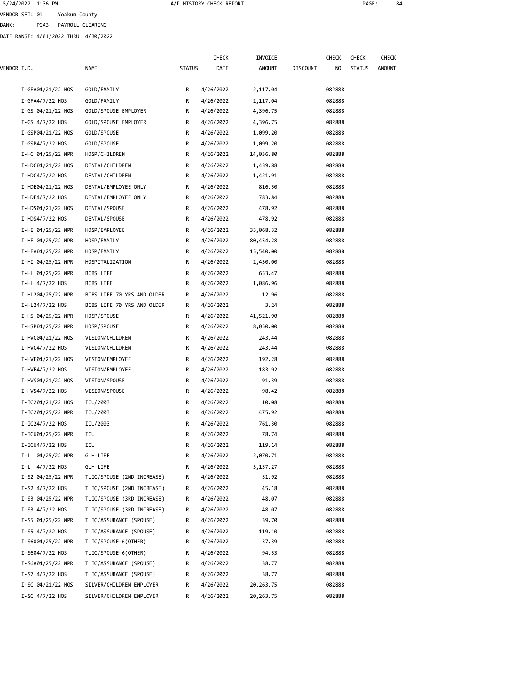VENDOR SET: 01 Yoakum County

BANK: PCA3 PAYROLL CLEARING

DATE RANGE: 4/01/2022 THRU 4/30/2022

|             |                   |                            |               | <b>CHECK</b> | INVOICE       |                 | CHECK  | <b>CHECK</b>  | CHECK         |
|-------------|-------------------|----------------------------|---------------|--------------|---------------|-----------------|--------|---------------|---------------|
| VENDOR I.D. |                   | <b>NAME</b>                | <b>STATUS</b> | DATE         | <b>AMOUNT</b> | <b>DISCOUNT</b> | NO     | <b>STATUS</b> | <b>AMOUNT</b> |
|             | I-GFA04/21/22 HOS | GOLD/FAMILY                | R             | 4/26/2022    | 2,117.04      |                 | 082888 |               |               |
|             | I-GFA4/7/22 HOS   | GOLD/FAMILY                | R             | 4/26/2022    | 2,117.04      |                 | 082888 |               |               |
|             | I-GS 04/21/22 HOS | GOLD/SPOUSE EMPLOYER       | R             | 4/26/2022    | 4,396.75      |                 | 082888 |               |               |
|             | I-GS $4/7/22$ HOS | GOLD/SPOUSE EMPLOYER       | R             | 4/26/2022    | 4,396.75      |                 | 082888 |               |               |
|             | I-GSP04/21/22 HOS | GOLD/SPOUSE                | R             | 4/26/2022    | 1,099.20      |                 | 082888 |               |               |
|             | I-GSP4/7/22 HOS   | GOLD/SPOUSE                | R             | 4/26/2022    | 1,099.20      |                 | 082888 |               |               |
|             | I-HC 04/25/22 MPR | HOSP/CHILDREN              | R             | 4/26/2022    | 14,036.80     |                 | 082888 |               |               |
|             | I-HDC04/21/22 HOS | DENTAL/CHILDREN            | R             | 4/26/2022    | 1,439.88      |                 | 082888 |               |               |
|             | I-HDC4/7/22 HOS   | DENTAL/CHILDREN            | R             | 4/26/2022    | 1,421.91      |                 | 082888 |               |               |
|             | I-HDE04/21/22 HOS | DENTAL/EMPLOYEE ONLY       | R             | 4/26/2022    | 816.50        |                 | 082888 |               |               |
|             | $I-HDE4/7/22$ HOS | DENTAL/EMPLOYEE ONLY       | R             | 4/26/2022    | 783.84        |                 | 082888 |               |               |
|             | I-HDS04/21/22 HOS | DENTAL/SPOUSE              | R             | 4/26/2022    | 478.92        |                 | 082888 |               |               |
|             | $I-HDS4/7/22$ HOS | DENTAL/SPOUSE              | R             | 4/26/2022    | 478.92        |                 | 082888 |               |               |
|             | I-HE 04/25/22 MPR | HOSP/EMPLOYEE              | R             | 4/26/2022    | 35,068.32     |                 | 082888 |               |               |
|             | I-HF 04/25/22 MPR | HOSP/FAMILY                | R             | 4/26/2022    | 80,454.28     |                 | 082888 |               |               |
|             | I-HFA04/25/22 MPR | HOSP/FAMILY                | R             | 4/26/2022    | 15,540.00     |                 | 082888 |               |               |
|             | I-HI 04/25/22 MPR | HOSPITALIZATION            | R             | 4/26/2022    | 2,430.00      |                 | 082888 |               |               |
|             | I-HL 04/25/22 MPR | BCBS LIFE                  | R             | 4/26/2022    | 653.47        |                 | 082888 |               |               |
|             | I-HL 4/7/22 HOS   | BCBS LIFE                  | R             | 4/26/2022    | 1,086.96      |                 | 082888 |               |               |
|             | I-HL204/25/22 MPR | BCBS LIFE 70 YRS AND OLDER | R             | 4/26/2022    | 12.96         |                 | 082888 |               |               |
|             | I-HL24/7/22 HOS   | BCBS LIFE 70 YRS AND OLDER | R             | 4/26/2022    | 3.24          |                 | 082888 |               |               |
|             | I-HS 04/25/22 MPR | HOSP/SPOUSE                | R             | 4/26/2022    | 41,521.90     |                 | 082888 |               |               |
|             | I-HSP04/25/22 MPR | HOSP/SPOUSE                | R             | 4/26/2022    | 8,050.00      |                 | 082888 |               |               |
|             | I-HVC04/21/22 HOS | VISION/CHILDREN            | R             | 4/26/2022    | 243.44        |                 | 082888 |               |               |
|             | $I-HVC4/7/22$ HOS | VISION/CHILDREN            | R             | 4/26/2022    | 243.44        |                 | 082888 |               |               |
|             | I-HVE04/21/22 HOS | VISION/EMPLOYEE            | R             | 4/26/2022    | 192.28        |                 | 082888 |               |               |
|             | I-HVE4/7/22 HOS   | VISION/EMPLOYEE            | R             | 4/26/2022    | 183.92        |                 | 082888 |               |               |
|             | I-HVS04/21/22 HOS | VISION/SPOUSE              | R             | 4/26/2022    | 91.39         |                 | 082888 |               |               |
|             | I-HVS4/7/22 HOS   | VISION/SPOUSE              | R             | 4/26/2022    | 98.42         |                 | 082888 |               |               |
|             | I-IC204/21/22 HOS | ICU/2003                   | R             | 4/26/2022    | 10.08         |                 | 082888 |               |               |
|             | I-IC204/25/22 MPR | ICU/2003                   | R             | 4/26/2022    | 475.92        |                 | 082888 |               |               |
|             | I-IC24/7/22 HOS   | ICU/2003                   | R             | 4/26/2022    | 761.30        |                 | 082888 |               |               |
|             | I-ICU04/25/22 MPR | ICU                        | к             | 4/26/2022    | 78.74         |                 | 082888 |               |               |
|             | $I-ICU4/7/22$ HOS | ICU                        | R             | 4/26/2022    | 119.14        |                 | 082888 |               |               |
|             | I-L 04/25/22 MPR  | GLH-LIFE                   | R             | 4/26/2022    | 2,070.71      |                 | 082888 |               |               |
|             | I-L 4/7/22 HOS    | GLH-LIFE                   | R             | 4/26/2022    | 3,157.27      |                 | 082888 |               |               |
|             | I-S2 04/25/22 MPR | TLIC/SPOUSE (2ND INCREASE) | R             | 4/26/2022    | 51.92         |                 | 082888 |               |               |
|             | $I-S2$ 4/7/22 HOS | TLIC/SPOUSE (2ND INCREASE) | R             | 4/26/2022    | 45.18         |                 | 082888 |               |               |
|             | I-S3 04/25/22 MPR | TLIC/SPOUSE (3RD INCREASE) | R             | 4/26/2022    | 48.07         |                 | 082888 |               |               |
|             | I-S3 $4/7/22$ HOS | TLIC/SPOUSE (3RD INCREASE) | R             | 4/26/2022    | 48.07         |                 | 082888 |               |               |
|             | I-S5 04/25/22 MPR | TLIC/ASSURANCE (SPOUSE)    | R             | 4/26/2022    | 39.70         |                 | 082888 |               |               |
|             | I-S5 4/7/22 HOS   | TLIC/ASSURANCE (SPOUSE)    | R             | 4/26/2022    | 119.10        |                 | 082888 |               |               |
|             | I-S6004/25/22 MPR | TLIC/SPOUSE-6(OTHER)       | R             | 4/26/2022    | 37.39         |                 | 082888 |               |               |
|             | I-S604/7/22 HOS   | TLIC/SPOUSE-6(OTHER)       | R             | 4/26/2022    | 94.53         |                 | 082888 |               |               |
|             | I-S6A04/25/22 MPR | TLIC/ASSURANCE (SPOUSE)    | R             | 4/26/2022    | 38.77         |                 | 082888 |               |               |
|             | I-S7 4/7/22 HOS   | TLIC/ASSURANCE (SPOUSE)    | R             | 4/26/2022    | 38.77         |                 | 082888 |               |               |
|             | I-SC 04/21/22 HOS | SILVER/CHILDREN EMPLOYER   | R             | 4/26/2022    | 20,263.75     |                 | 082888 |               |               |
|             | I-SC 4/7/22 HOS   | SILVER/CHILDREN EMPLOYER   | R             | 4/26/2022    | 20, 263. 75   |                 | 082888 |               |               |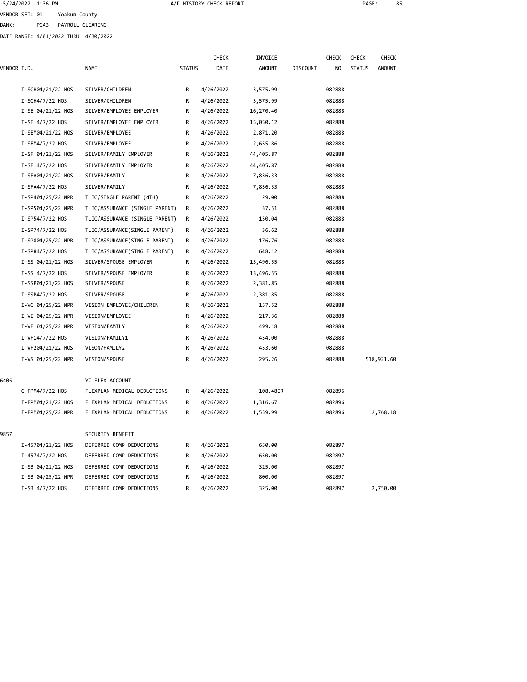VENDOR SET: 01 Yoakum County BANK: PCA3 PAYROLL CLEARING

DATE RANGE: 4/01/2022 THRU 4/30/2022

|             |                   |                                |               | CHECK     | INVOICE       |                 | <b>CHECK</b>   | CHECK         | CHECK         |
|-------------|-------------------|--------------------------------|---------------|-----------|---------------|-----------------|----------------|---------------|---------------|
| VENDOR I.D. |                   | <b>NAME</b>                    | <b>STATUS</b> | DATE      | <b>AMOUNT</b> | <b>DISCOUNT</b> | N <sub>0</sub> | <b>STATUS</b> | <b>AMOUNT</b> |
|             | I-SCH04/21/22 HOS | SILVER/CHILDREN                | R             | 4/26/2022 | 3,575.99      |                 | 082888         |               |               |
|             | I-SCH4/7/22 HOS   | SILVER/CHILDREN                | R             | 4/26/2022 | 3,575.99      |                 | 082888         |               |               |
|             | I-SE 04/21/22 HOS | SILVER/EMPLOYEE EMPLOYER       | R             | 4/26/2022 | 16,270.40     |                 | 082888         |               |               |
|             | $I-SE$ 4/7/22 HOS | SILVER/EMPLOYEE EMPLOYER       | R             | 4/26/2022 | 15,050.12     |                 | 082888         |               |               |
|             | I-SEM04/21/22 HOS | SILVER/EMPLOYEE                | R             | 4/26/2022 | 2,871.20      |                 | 082888         |               |               |
|             | I-SEM4/7/22 HOS   | SILVER/EMPLOYEE                | R             | 4/26/2022 | 2,655.86      |                 | 082888         |               |               |
|             | I-SF 04/21/22 HOS | SILVER/FAMILY EMPLOYER         | R             | 4/26/2022 | 44,405.87     |                 | 082888         |               |               |
|             | I-SF 4/7/22 HOS   | SILVER/FAMILY EMPLOYER         | R             | 4/26/2022 | 44,405.87     |                 | 082888         |               |               |
|             | I-SFA04/21/22 HOS | SILVER/FAMILY                  | R             | 4/26/2022 | 7,836.33      |                 | 082888         |               |               |
|             | I-SFA4/7/22 HOS   | SILVER/FAMILY                  | R             | 4/26/2022 | 7,836.33      |                 | 082888         |               |               |
|             | I-SP404/25/22 MPR | TLIC/SINGLE PARENT (4TH)       | R             | 4/26/2022 | 29.00         |                 | 082888         |               |               |
|             | I-SP504/25/22 MPR | TLIC/ASSURANCE (SINGLE PARENT) | R             | 4/26/2022 | 37.51         |                 | 082888         |               |               |
|             | I-SP54/7/22 HOS   | TLIC/ASSURANCE (SINGLE PARENT) | R             | 4/26/2022 | 150.04        |                 | 082888         |               |               |
|             | I-SP74/7/22 HOS   | TLIC/ASSURANCE(SINGLE PARENT)  | R             | 4/26/2022 | 36.62         |                 | 082888         |               |               |
|             | I-SP804/25/22 MPR | TLIC/ASSURANCE(SINGLE PARENT)  | R             | 4/26/2022 | 176.76        |                 | 082888         |               |               |
|             | I-SP84/7/22 HOS   | TLIC/ASSURANCE(SINGLE PARENT)  | R             | 4/26/2022 | 648.12        |                 | 082888         |               |               |
|             | I-SS 04/21/22 HOS | SILVER/SPOUSE EMPLOYER         | R             | 4/26/2022 | 13,496.55     |                 | 082888         |               |               |
|             | I-SS 4/7/22 HOS   | SILVER/SPOUSE EMPLOYER         | R             | 4/26/2022 | 13,496.55     |                 | 082888         |               |               |
|             | I-SSP04/21/22 HOS | SILVER/SPOUSE                  | R             | 4/26/2022 | 2,381.85      |                 | 082888         |               |               |
|             | I-SSP4/7/22 HOS   | SILVER/SPOUSE                  | R             | 4/26/2022 | 2,381.85      |                 | 082888         |               |               |
|             | I-VC 04/25/22 MPR | VISION EMPLOYEE/CHILDREN       | R             | 4/26/2022 | 157.52        |                 | 082888         |               |               |
|             | I-VE 04/25/22 MPR | VISION/EMPLOYEE                | R             | 4/26/2022 | 217.36        |                 | 082888         |               |               |
|             | I-VF 04/25/22 MPR | VISION/FAMILY                  | R             | 4/26/2022 | 499.18        |                 | 082888         |               |               |
|             | I-VF14/7/22 HOS   | VISION/FAMILY1                 | R             | 4/26/2022 | 454.00        |                 | 082888         |               |               |
|             | I-VF204/21/22 HOS | VISON/FAMILY2                  | R             | 4/26/2022 | 453.60        |                 | 082888         |               |               |
|             | I-VS 04/25/22 MPR | VISION/SPOUSE                  | R             | 4/26/2022 | 295.26        |                 | 082888         |               | 518,921.60    |
| 6406        |                   | YC FLEX ACCOUNT                |               |           |               |                 |                |               |               |
|             | C-FPM4/7/22 HOS   | FLEXPLAN MEDICAL DEDUCTIONS    | R             | 4/26/2022 | 108.48CR      |                 | 082896         |               |               |
|             | I-FPM04/21/22 HOS | FLEXPLAN MEDICAL DEDUCTIONS    | R             | 4/26/2022 | 1,316.67      |                 | 082896         |               |               |
|             | I-FPM04/25/22 MPR | FLEXPLAN MEDICAL DEDUCTIONS    | R             | 4/26/2022 | 1,559.99      |                 | 082896         |               | 2,768.18      |
| 9857        |                   | SECURITY BENEFIT               |               |           |               |                 |                |               |               |
|             | I-45704/21/22 HOS | DEFERRED COMP DEDUCTIONS       | R             | 4/26/2022 | 650.00        |                 | 082897         |               |               |
|             | I-4574/7/22 HOS   | DEFERRED COMP DEDUCTIONS       | R             | 4/26/2022 | 650.00        |                 | 082897         |               |               |
|             | I-SB 04/21/22 HOS | DEFERRED COMP DEDUCTIONS       | R             | 4/26/2022 | 325.00        |                 | 082897         |               |               |
|             | I-SB 04/25/22 MPR | DEFERRED COMP DEDUCTIONS       | R             | 4/26/2022 | 800.00        |                 | 082897         |               |               |
|             | I-SB 4/7/22 HOS   | DEFERRED COMP DEDUCTIONS       | R             | 4/26/2022 | 325.00        |                 | 082897         |               | 2,750.00      |

A/P HISTORY CHECK REPORT **Example 2022** PAGE: 85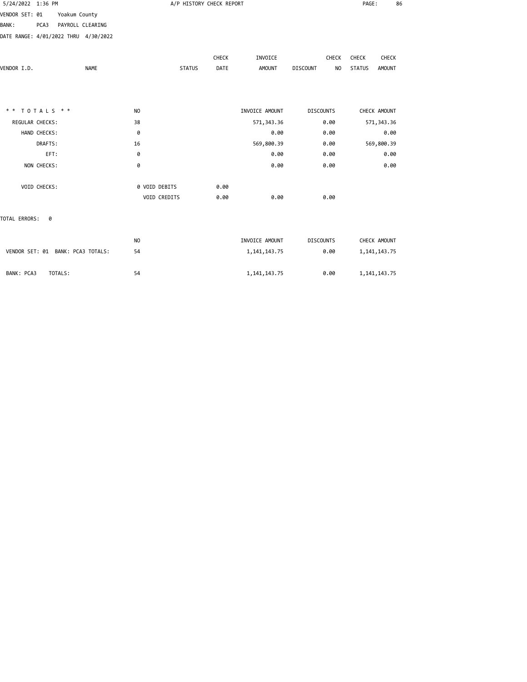| 5/24/2022 1:36 PM |                 | A/P HISTORY CHECK REPORT             |                |               |       |                 |                       | 86              |               |
|-------------------|-----------------|--------------------------------------|----------------|---------------|-------|-----------------|-----------------------|-----------------|---------------|
| VENDOR SET: 01    |                 | Yoakum County                        |                |               |       |                 |                       |                 |               |
| <b>BANK:</b>      | PCA3            | PAYROLL CLEARING                     |                |               |       |                 |                       |                 |               |
|                   |                 | DATE RANGE: 4/01/2022 THRU 4/30/2022 |                |               |       |                 |                       |                 |               |
|                   |                 |                                      |                |               | CHECK | INVOICE         | CHECK                 | CHECK           | CHECK         |
| VENDOR I.D.       |                 | <b>NAME</b>                          |                | <b>STATUS</b> | DATE  | <b>AMOUNT</b>   | <b>DISCOUNT</b><br>NO | <b>STATUS</b>   | <b>AMOUNT</b> |
|                   |                 |                                      |                |               |       |                 |                       |                 |               |
| $* *$             | TOTALS **       |                                      | N <sub>O</sub> |               |       | INVOICE AMOUNT  | <b>DISCOUNTS</b>      | CHECK AMOUNT    |               |
|                   | REGULAR CHECKS: |                                      | 38             |               |       | 571, 343.36     | 0.00                  | 571, 343.36     |               |
|                   | HAND CHECKS:    |                                      | 0              |               |       | 0.00            | 0.00                  |                 | 0.00          |
|                   | DRAFTS:         |                                      | 16             |               |       | 569,800.39      | 0.00                  | 569,800.39      |               |
|                   | EFT:            |                                      | 0              |               |       | 0.00            | 0.00                  |                 | 0.00          |
|                   | NON CHECKS:     |                                      | 0              |               |       | 0.00            | 0.00                  |                 | 0.00          |
|                   | VOID CHECKS:    |                                      | 0 VOID DEBITS  |               | 0.00  |                 |                       |                 |               |
|                   |                 |                                      | VOID CREDITS   |               | 0.00  | 0.00            | 0.00                  |                 |               |
| TOTAL ERRORS:     | 0               |                                      |                |               |       |                 |                       |                 |               |
|                   |                 |                                      | N <sub>O</sub> |               |       | INVOICE AMOUNT  | <b>DISCOUNTS</b>      | CHECK AMOUNT    |               |
|                   |                 | VENDOR SET: 01 BANK: PCA3 TOTALS:    | 54             |               |       | 1, 141, 143. 75 | 0.00                  | 1, 141, 143. 75 |               |
| BANK: PCA3        | TOTALS:         |                                      | 54             |               |       | 1, 141, 143. 75 | 0.00                  | 1, 141, 143. 75 |               |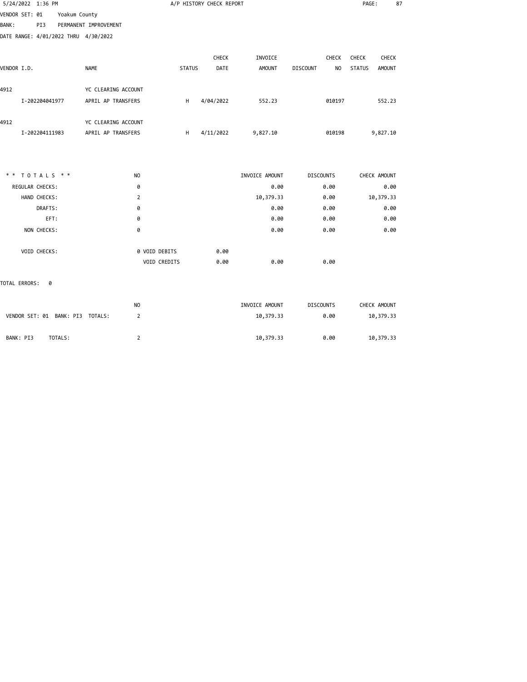| 5/24/2022 1:36 PM                    |               |                       |               |               | A/P HISTORY CHECK REPORT |                |                       | PAGE:         |               | 87 |
|--------------------------------------|---------------|-----------------------|---------------|---------------|--------------------------|----------------|-----------------------|---------------|---------------|----|
| VENDOR SET: 01                       | Yoakum County |                       |               |               |                          |                |                       |               |               |    |
| PI3<br>BANK :                        |               | PERMANENT IMPROVEMENT |               |               |                          |                |                       |               |               |    |
| DATE RANGE: 4/01/2022 THRU 4/30/2022 |               |                       |               |               |                          |                |                       |               |               |    |
|                                      |               |                       |               |               | CHECK                    | INVOICE        | CHECK                 | CHECK         | CHECK         |    |
| VENDOR I.D.                          |               | <b>NAME</b>           |               | <b>STATUS</b> | DATE                     | <b>AMOUNT</b>  | <b>DISCOUNT</b><br>NO | <b>STATUS</b> | <b>AMOUNT</b> |    |
| 4912                                 |               | YC CLEARING ACCOUNT   |               |               |                          |                |                       |               |               |    |
| I-202204041977                       |               | APRIL AP TRANSFERS    |               | H             | 4/04/2022                | 552.23         | 010197                |               | 552.23        |    |
| 4912                                 |               | YC CLEARING ACCOUNT   |               |               |                          |                |                       |               |               |    |
| I-202204111983                       |               | APRIL AP TRANSFERS    |               | H             | 4/11/2022                | 9,827.10       | 010198                |               | 9,827.10      |    |
|                                      |               |                       |               |               |                          |                |                       |               |               |    |
| ** TOTALS **                         |               | N <sub>O</sub>        |               |               |                          | INVOICE AMOUNT | <b>DISCOUNTS</b>      |               | CHECK AMOUNT  |    |
| REGULAR CHECKS:                      |               | 0                     |               |               |                          | 0.00           | 0.00                  |               | 0.00          |    |
| HAND CHECKS:                         |               | 2                     |               |               |                          | 10,379.33      | 0.00                  |               | 10,379.33     |    |
| DRAFTS:                              |               | 0                     |               |               |                          | 0.00           | 0.00                  |               | 0.00          |    |
|                                      | EFT:          | 0                     |               |               |                          | 0.00           | 0.00                  |               | 0.00          |    |
| NON CHECKS:                          |               | 0                     |               |               |                          | 0.00           | 0.00                  |               | 0.00          |    |
| VOID CHECKS:                         |               |                       | 0 VOID DEBITS |               | 0.00                     |                |                       |               |               |    |
|                                      |               |                       | VOID CREDITS  |               | 0.00                     | 0.00           | 0.00                  |               |               |    |
| TOTAL ERRORS:<br>- 0                 |               |                       |               |               |                          |                |                       |               |               |    |
|                                      |               | NO.                   |               |               |                          | INVOICE AMOUNT | <b>DISCOUNTS</b>      |               | CHECK AMOUNT  |    |

VENDOR SET: 01 BANK: PI3 TOTALS: 2 10,379.33 0.00 10,379.33

BANK: PI3 TOTALS: 2 10,379.33 0.00 10,379.33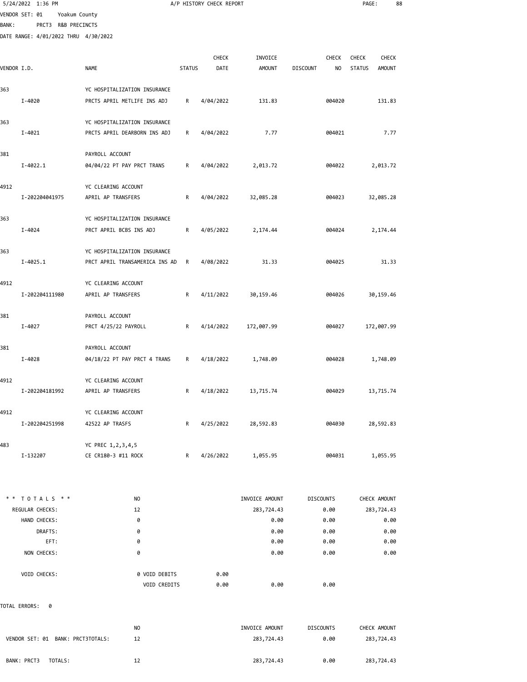|             | 5/24/2022 1:36 PM                    |                                |               | A/P HISTORY CHECK REPORT |                              |                  |              | PAGE:         |                            | 88 |
|-------------|--------------------------------------|--------------------------------|---------------|--------------------------|------------------------------|------------------|--------------|---------------|----------------------------|----|
|             | VENDOR SET: 01                       | Yoakum County                  |               |                          |                              |                  |              |               |                            |    |
| BANK :      | PRCT3 R&B PRECINCTS                  |                                |               |                          |                              |                  |              |               |                            |    |
|             | DATE RANGE: 4/01/2022 THRU 4/30/2022 |                                |               |                          |                              |                  |              |               |                            |    |
|             |                                      |                                |               | <b>CHECK</b>             | INVOICE                      |                  | <b>CHECK</b> | <b>CHECK</b>  | CHECK                      |    |
| VENDOR I.D. |                                      | <b>NAME</b>                    | <b>STATUS</b> | DATE                     | <b>AMOUNT</b>                | <b>DISCOUNT</b>  | NO.          | <b>STATUS</b> | <b>AMOUNT</b>              |    |
|             |                                      |                                |               |                          |                              |                  |              |               |                            |    |
| 363         |                                      | YC HOSPITALIZATION INSURANCE   |               |                          |                              |                  |              |               |                            |    |
|             | I-4020                               | PRCTS APRIL METLIFE INS ADJ    | R             | 4/04/2022                | 131.83                       |                  | 004020       |               | 131.83                     |    |
| 363         |                                      | YC HOSPITALIZATION INSURANCE   |               |                          |                              |                  |              |               |                            |    |
|             | I-4021                               | PRCTS APRIL DEARBORN INS ADJ   | R             | 4/04/2022                | 7.77                         |                  | 004021       |               | 7.77                       |    |
|             |                                      |                                |               |                          |                              |                  |              |               |                            |    |
| 381         |                                      | PAYROLL ACCOUNT                |               |                          |                              |                  |              |               |                            |    |
|             | $I - 4022.1$                         | 04/04/22 PT PAY PRCT TRANS     | R             | 4/04/2022                | 2,013.72                     |                  | 004022       |               | 2,013.72                   |    |
| 4912        |                                      | YC CLEARING ACCOUNT            |               |                          |                              |                  |              |               |                            |    |
|             | I-202204041975                       | APRIL AP TRANSFERS             | R             | 4/04/2022                | 32,085.28                    |                  | 004023       |               | 32,085.28                  |    |
|             |                                      |                                |               |                          |                              |                  |              |               |                            |    |
| 363         |                                      | YC HOSPITALIZATION INSURANCE   |               |                          |                              |                  |              |               |                            |    |
|             | I-4024                               | PRCT APRIL BCBS INS ADJ        | R             | 4/05/2022                | 2,174.44                     |                  | 004024       |               | 2,174.44                   |    |
| 363         |                                      | YC HOSPITALIZATION INSURANCE   |               |                          |                              |                  |              |               |                            |    |
|             | $I - 4025.1$                         | PRCT APRIL TRANSAMERICA INS AD | R             | 4/08/2022                | 31.33                        |                  | 004025       |               | 31.33                      |    |
|             |                                      |                                |               |                          |                              |                  |              |               |                            |    |
| 4912        |                                      | YC CLEARING ACCOUNT            |               |                          |                              |                  |              |               |                            |    |
|             | I-202204111980                       | APRIL AP TRANSFERS             | R             | 4/11/2022                | 30,159.46                    |                  | 004026       |               | 30,159.46                  |    |
| 381         |                                      | PAYROLL ACCOUNT                |               |                          |                              |                  |              |               |                            |    |
|             | I-4027                               | PRCT 4/25/22 PAYROLL           | R             | 4/14/2022                | 172,007.99                   |                  | 004027       |               | 172,007.99                 |    |
|             |                                      |                                |               |                          |                              |                  |              |               |                            |    |
| 381         |                                      | PAYROLL ACCOUNT                |               |                          |                              |                  |              |               |                            |    |
|             | I-4028                               | 04/18/22 PT PAY PRCT 4 TRANS   | R             | 4/18/2022                | 1,748.09                     |                  | 004028       |               | 1,748.09                   |    |
| 4912        |                                      | YC CLEARING ACCOUNT            |               |                          |                              |                  |              |               |                            |    |
|             | I-202204181992                       | APRIL AP TRANSFERS             | R             | 4/18/2022                | 13,715.74                    |                  | 004029       |               | 13,715.74                  |    |
|             |                                      |                                |               |                          |                              |                  |              |               |                            |    |
| 4912        |                                      | YC CLEARING ACCOUNT            |               |                          |                              |                  |              |               |                            |    |
|             | I-202204251998                       | 42522 AP TRASFS                | R             | 4/25/2022                | 28,592.83                    |                  | 004030       |               | 28,592.83                  |    |
| 483         |                                      | YC PREC 1,2,3,4,5              |               |                          |                              |                  |              |               |                            |    |
|             | I-132207                             | CE CR180-3 #11 ROCK            | R             | 4/26/2022                | 1,055.95                     |                  | 004031       |               | 1,055.95                   |    |
|             |                                      |                                |               |                          |                              |                  |              |               |                            |    |
|             |                                      |                                |               |                          |                              |                  |              |               |                            |    |
|             | ** TOTALS **<br>REGULAR CHECKS:      | NO.<br>12                      |               |                          | INVOICE AMOUNT<br>283,724.43 | <b>DISCOUNTS</b> | 0.00         |               | CHECK AMOUNT<br>283,724.43 |    |
|             | HAND CHECKS:                         | 0                              |               |                          | 0.00                         |                  | 0.00         |               | 0.00                       |    |
|             | DRAFTS:                              | 0                              |               |                          | 0.00                         |                  | 0.00         |               | 0.00                       |    |
|             | EFT:                                 | 0                              |               |                          | 0.00                         |                  | 0.00         |               | 0.00                       |    |
|             | NON CHECKS:                          | 0                              |               |                          | 0.00                         |                  | 0.00         |               | 0.00                       |    |
|             | VOID CHECKS:                         | 0 VOID DEBITS                  |               | 0.00                     |                              |                  |              |               |                            |    |
|             |                                      | VOID CREDITS                   |               | 0.00                     | 0.00                         |                  | 0.00         |               |                            |    |
|             |                                      |                                |               |                          |                              |                  |              |               |                            |    |

TOTAL ERRORS: 0

| VENDOR SET: 01 BANK: PRCT3TOTALS: | NO. | INVOICE AMOUNT | <b>DISCOUNTS</b> | CHECK AMOUNT |
|-----------------------------------|-----|----------------|------------------|--------------|
|                                   | 12  | 283,724.43     | 0.00             | 283,724.43   |
| BANK: PRCT3<br>TOTALS:            | 12  | 283,724.43     | 0.00             | 283,724.43   |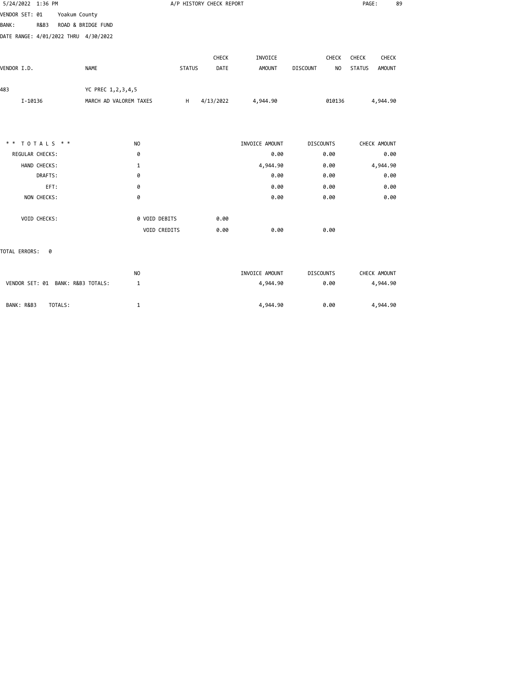| 5/24/2022 1:36 PM                                     |                        |               | A/P HISTORY CHECK REPORT |                |                                   | PAGE:<br>89                    |  |
|-------------------------------------------------------|------------------------|---------------|--------------------------|----------------|-----------------------------------|--------------------------------|--|
| VENDOR SET: 01<br>Yoakum County                       |                        |               |                          |                |                                   |                                |  |
| <b>BANK:</b><br>ROAD & BRIDGE FUND<br><b>R&amp;B3</b> |                        |               |                          |                |                                   |                                |  |
| DATE RANGE: 4/01/2022 THRU 4/30/2022                  |                        |               |                          |                |                                   |                                |  |
|                                                       |                        |               | CHECK                    | INVOICE        | CHECK                             | CHECK<br>CHECK                 |  |
| VENDOR I.D.                                           | <b>NAME</b>            | <b>STATUS</b> | DATE                     | <b>AMOUNT</b>  | <b>DISCOUNT</b><br>N <sub>O</sub> | <b>STATUS</b><br><b>AMOUNT</b> |  |
| 483                                                   | YC PREC 1,2,3,4,5      |               |                          |                |                                   |                                |  |
| I-10136                                               | MARCH AD VALOREM TAXES | H             | 4/13/2022                | 4,944.90       | 010136                            | 4,944.90                       |  |
|                                                       |                        |               |                          |                |                                   |                                |  |
| ** TOTALS **                                          | N <sub>O</sub>         |               |                          | INVOICE AMOUNT | <b>DISCOUNTS</b>                  | CHECK AMOUNT                   |  |
| REGULAR CHECKS:                                       | 0                      |               |                          | 0.00           | 0.00                              | 0.00                           |  |
| HAND CHECKS:                                          | 1                      |               |                          | 4,944.90       | 0.00                              | 4,944.90                       |  |
| DRAFTS:                                               | 0                      |               |                          | 0.00           | 0.00                              | 0.00                           |  |
| EFT:                                                  | 0                      |               |                          | 0.00           | 0.00                              | 0.00                           |  |
| NON CHECKS:                                           | 0                      |               |                          | 0.00           | 0.00                              | 0.00                           |  |
| VOID CHECKS:                                          | 0 VOID DEBITS          |               | 0.00                     |                |                                   |                                |  |
|                                                       | VOID CREDITS           |               | 0.00                     | 0.00           | 0.00                              |                                |  |
| TOTAL ERRORS:<br>0                                    |                        |               |                          |                |                                   |                                |  |
|                                                       | N <sub>O</sub>         |               |                          | INVOICE AMOUNT | <b>DISCOUNTS</b>                  | CHECK AMOUNT                   |  |
| VENDOR SET: 01 BANK: R&B3 TOTALS:                     | 1                      |               |                          | 4,944.90       | 0.00                              | 4,944.90                       |  |
|                                                       |                        |               |                          |                |                                   |                                |  |

BANK: R&B3 TOTALS: 1 1 1 2 1 4,944.90 0.00 4,944.90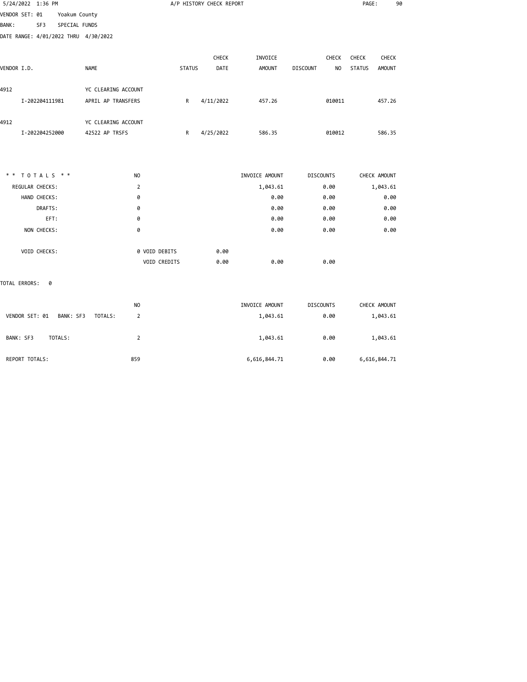| 5/24/2022 1:36 PM                    |                      |                |               | A/P HISTORY CHECK REPORT |                |                                   | PAGE:                          | 90 |
|--------------------------------------|----------------------|----------------|---------------|--------------------------|----------------|-----------------------------------|--------------------------------|----|
| VENDOR SET: 01                       | Yoakum County        |                |               |                          |                |                                   |                                |    |
| SF3<br><b>BANK:</b>                  | SPECIAL FUNDS        |                |               |                          |                |                                   |                                |    |
| DATE RANGE: 4/01/2022 THRU 4/30/2022 |                      |                |               |                          |                |                                   |                                |    |
|                                      |                      |                |               |                          |                |                                   |                                |    |
|                                      |                      |                |               | CHECK                    | INVOICE        | <b>CHECK</b>                      | CHECK<br>CHECK                 |    |
| VENDOR I.D.                          | <b>NAME</b>          |                | <b>STATUS</b> | DATE                     | <b>AMOUNT</b>  | <b>DISCOUNT</b><br>N <sub>O</sub> | <b>STATUS</b><br><b>AMOUNT</b> |    |
| 4912                                 | YC CLEARING ACCOUNT  |                |               |                          |                |                                   |                                |    |
| I-202204111981                       | APRIL AP TRANSFERS   |                | R             | 4/11/2022                | 457.26         | 010011                            | 457.26                         |    |
| 4912                                 | YC CLEARING ACCOUNT  |                |               |                          |                |                                   |                                |    |
| I-202204252000                       | 42522 AP TRSFS       |                | R             | 4/25/2022                | 586.35         | 010012                            | 586.35                         |    |
|                                      |                      |                |               |                          |                |                                   |                                |    |
| ** TOTALS **                         |                      | N <sub>O</sub> |               |                          | INVOICE AMOUNT | <b>DISCOUNTS</b>                  | CHECK AMOUNT                   |    |
| REGULAR CHECKS:                      |                      | $\overline{2}$ |               |                          | 1,043.61       | 0.00                              | 1,043.61                       |    |
| HAND CHECKS:                         |                      | 0              |               |                          | 0.00           | 0.00                              | 0.00                           |    |
| DRAFTS:                              |                      | 0              |               |                          | 0.00           | 0.00                              | 0.00                           |    |
| EFT:                                 |                      | 0              |               |                          | 0.00           | 0.00                              | 0.00                           |    |
| NON CHECKS:                          |                      | 0              |               |                          | 0.00           | 0.00                              | 0.00                           |    |
| VOID CHECKS:                         |                      | 0 VOID DEBITS  |               | 0.00                     |                |                                   |                                |    |
|                                      |                      | VOID CREDITS   |               | 0.00                     | 0.00           | 0.00                              |                                |    |
| TOTAL ERRORS:<br>0                   |                      |                |               |                          |                |                                   |                                |    |
|                                      |                      | N <sub>O</sub> |               |                          | INVOICE AMOUNT | <b>DISCOUNTS</b>                  | CHECK AMOUNT                   |    |
| VENDOR SET: 01                       | BANK: SF3<br>TOTALS: | $\overline{2}$ |               |                          | 1,043.61       | 0.00                              | 1,043.61                       |    |
| BANK: SF3<br>TOTALS:                 |                      | $\overline{2}$ |               |                          | 1,043.61       | 0.00                              | 1,043.61                       |    |
|                                      |                      |                |               |                          |                |                                   |                                |    |

REPORT TOTALS: 859 859 859 6,616,844.71 8.00 6,616,844.71